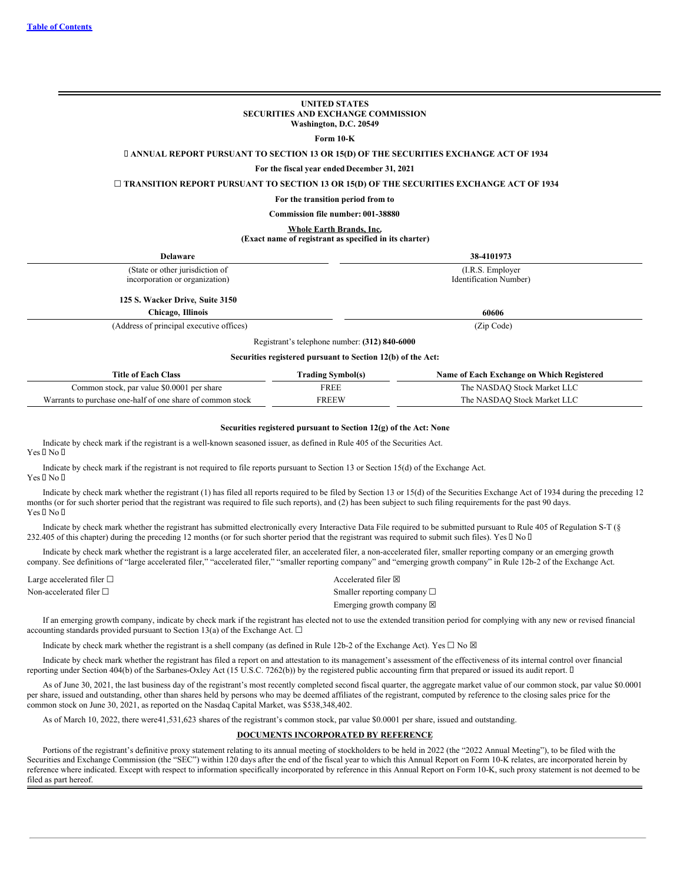### **UNITED STATES SECURITIES AND EXCHANGE COMMISSION Washington, D.C. 20549**

**Form 10-K**

## **ANNUAL REPORT PURSUANT TO SECTION 13 OR 15(D) OF THE SECURITIES EXCHANGE ACT OF 1934**

**For the fiscal year ended December 31, 2021**

### ☐ **TRANSITION REPORT PURSUANT TO SECTION 13 OR 15(D) OF THE SECURITIES EXCHANGE ACT OF 1934**

**For the transition period from to**

**Commission file number: 001-38880**

#### **Whole Earth Brands, Inc.**

### **(Exact name of registrant as specified in its charter)**

| <b>Delaware</b>                                                                                              | 38-4101973                                  |  |  |  |  |  |
|--------------------------------------------------------------------------------------------------------------|---------------------------------------------|--|--|--|--|--|
| (State or other jurisdiction of<br>incorporation or organization)                                            | (I.R.S. Employer)<br>Identification Number) |  |  |  |  |  |
| 125 S. Wacker Drive, Suite 3150                                                                              |                                             |  |  |  |  |  |
| Chicago, Illinois                                                                                            | 60606                                       |  |  |  |  |  |
| (Address of principal executive offices)                                                                     | (Zip Code)                                  |  |  |  |  |  |
| Registrant's telephone number: (312) 840-6000<br>Securities registered pursuant to Section 12(b) of the Act: |                                             |  |  |  |  |  |

| <b>Title of Each Class</b>                                 | Trading Symbol(s) | Name of Each Exchange on Which Registered |
|------------------------------------------------------------|-------------------|-------------------------------------------|
| Common stock, par value \$0.0001 per share                 | FREE              | The NASDAQ Stock Market LLC               |
| Warrants to purchase one-half of one share of common stock | FREEW             | The NASDAQ Stock Market LLC               |

#### **Securities registered pursuant to Section 12(g) of the Act: None**

Indicate by check mark if the registrant is a well-known seasoned issuer, as defined in Rule 405 of the Securities Act. Yes $\Box$  No  $\Box$ 

Indicate by check mark if the registrant is not required to file reports pursuant to Section 13 or Section 15(d) of the Exchange Act. Yes II No II

Indicate by check mark whether the registrant (1) has filed all reports required to be filed by Section 13 or 15(d) of the Securities Exchange Act of 1934 during the preceding 12 months (or for such shorter period that the registrant was required to file such reports), and (2) has been subject to such filing requirements for the past 90 days. Yes  $\Box$  No  $\Box$ 

Indicate by check mark whether the registrant has submitted electronically every Interactive Data File required to be submitted pursuant to Rule 405 of Regulation S-T (§ 232.405 of this chapter) during the preceding 12 months (or for such shorter period that the registrant was required to submit such files). Yes  $\Box$  No  $\Box$ 

Indicate by check mark whether the registrant is a large accelerated filer, an accelerated filer, a non-accelerated filer, smaller reporting company or an emerging growth company. See definitions of "large accelerated filer," "accelerated filer," "smaller reporting company" and "emerging growth company" in Rule 12b-2 of the Exchange Act.

| Large accelerated filer $\Box$  | Accelerated filer $\boxtimes$       |
|---------------------------------|-------------------------------------|
| Non-accelerated filer $\square$ | Smaller reporting company $\Box$    |
|                                 | Emerging growth company $\boxtimes$ |

If an emerging growth company, indicate by check mark if the registrant has elected not to use the extended transition period for complying with any new or revised financial accounting standards provided pursuant to Section 13(a) of the Exchange Act.  $\Box$ 

Indicate by check mark whether the registrant is a shell company (as defined in Rule 12b-2 of the Exchange Act). Yes  $\Box$  No  $\boxtimes$ 

Indicate by check mark whether the registrant has filed a report on and attestation to its management's assessment of the effectiveness of its internal control over financial reporting under Section 404(b) of the Sarbanes-Oxley Act (15 U.S.C. 7262(b)) by the registered public accounting firm that prepared or issued its audit report. I

As of June 30, 2021, the last business day of the registrant's most recently completed second fiscal quarter, the aggregate market value of our common stock, par value \$0.0001 per share, issued and outstanding, other than shares held by persons who may be deemed affiliates of the registrant, computed by reference to the closing sales price for the common stock on June 30, 2021, as reported on the Nasdaq Capital Market, was \$538,348,402.

As of March 10, 2022, there were41,531,623 shares of the registrant's common stock, par value \$0.0001 per share, issued and outstanding.

### **DOCUMENTS INCORPORATED BY REFERENCE**

<span id="page-0-0"></span>Portions of the registrant's definitive proxy statement relating to its annual meeting of stockholders to be held in 2022 (the "2022 Annual Meeting"), to be filed with the Securities and Exchange Commission (the "SEC") within 120 days after the end of the fiscal year to which this Annual Report on Form 10-K relates, are incorporated herein by reference where indicated. Except with respect to information specifically incorporated by reference in this Annual Report on Form 10-K, such proxy statement is not deemed to be filed as part hereof.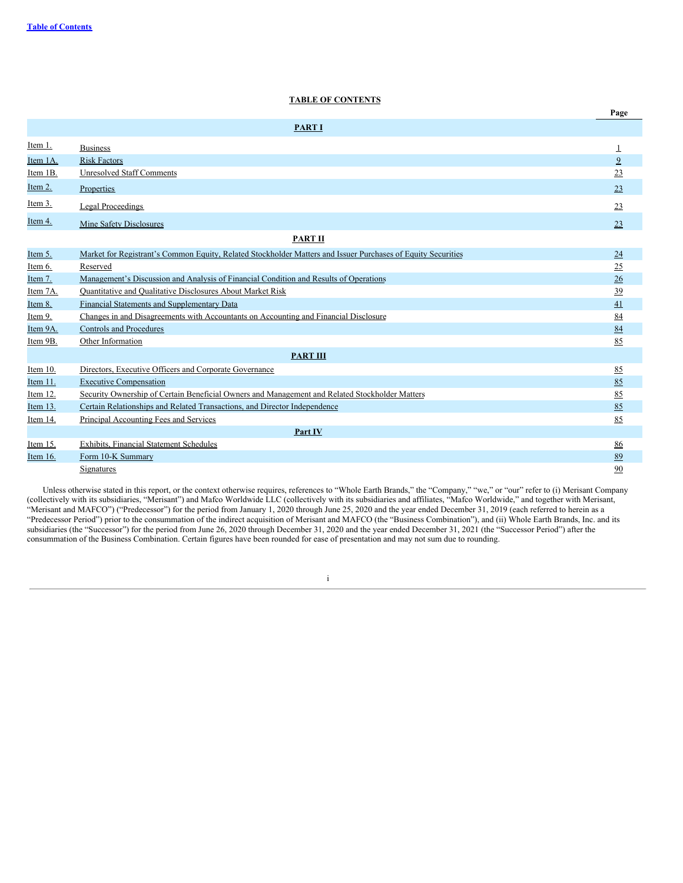# **TABLE OF CONTENTS**

|                 |                                                                                                              | Page           |
|-----------------|--------------------------------------------------------------------------------------------------------------|----------------|
|                 | <b>PART I</b>                                                                                                |                |
| Item 1.         | <b>Business</b>                                                                                              | T              |
| Item 1A.        | <b>Risk Factors</b>                                                                                          | $\overline{2}$ |
| Item 1B.        | <b>Unresolved Staff Comments</b>                                                                             | 23             |
| Item 2.         | Properties                                                                                                   | 23             |
| Item 3.         | <b>Legal Proceedings</b>                                                                                     | 23             |
| Item 4.         | Mine Safety Disclosures                                                                                      | 23             |
|                 | <b>PART II</b>                                                                                               |                |
| Item 5.         | Market for Registrant's Common Equity, Related Stockholder Matters and Issuer Purchases of Equity Securities | 24             |
| Item 6.         | Reserved                                                                                                     | 25             |
| Item 7.         | Management's Discussion and Analysis of Financial Condition and Results of Operations                        | 26             |
| Item 7A.        | Quantitative and Qualitative Disclosures About Market Risk                                                   | 39             |
| Item 8.         | Financial Statements and Supplementary Data                                                                  | 41             |
| Item 9.         | Changes in and Disagreements with Accountants on Accounting and Financial Disclosure                         | 84             |
| Item 9A.        | <b>Controls and Procedures</b>                                                                               | 84             |
| Item 9B.        | Other Information                                                                                            | 85             |
|                 | <b>PART III</b>                                                                                              |                |
| Item 10.        | Directors, Executive Officers and Corporate Governance                                                       | 85             |
| Item 11.        | <b>Executive Compensation</b>                                                                                | 85             |
| Item 12.        | Security Ownership of Certain Beneficial Owners and Management and Related Stockholder Matters               | 85             |
| Item 13.        | Certain Relationships and Related Transactions, and Director Independence                                    | 85             |
| <u>Item 14.</u> | Principal Accounting Fees and Services                                                                       | 85             |
|                 | Part IV                                                                                                      |                |
| Item 15.        | Exhibits, Financial Statement Schedules                                                                      | 86             |
| Item 16.        | Form 10-K Summary                                                                                            | 89             |
|                 | <b>Signatures</b>                                                                                            | 90             |

Unless otherwise stated in this report, or the context otherwise requires, references to "Whole Earth Brands," the "Company," "we," or "our" refer to (i) Merisant Company (collectively with its subsidiaries, "Merisant") and Mafco Worldwide LLC (collectively with its subsidiaries and affiliates, "Mafco Worldwide," and together with Merisant, "Merisant and MAFCO") ("Predecessor") for the period from January 1, 2020 through June 25, 2020 and the year ended December 31, 2019 (each referred to herein as a "Predecessor Period") prior to the consummation of the indirect acquisition of Merisant and MAFCO (the "Business Combination"), and (ii) Whole Earth Brands, Inc. and its subsidiaries (the "Successor") for the period from June 26, 2020 through December 31, 2020 and the year ended December 31, 2021 (the "Successor Period") after the consummation of the Business Combination. Certain figures have been rounded for ease of presentation and may not sum due to rounding.

i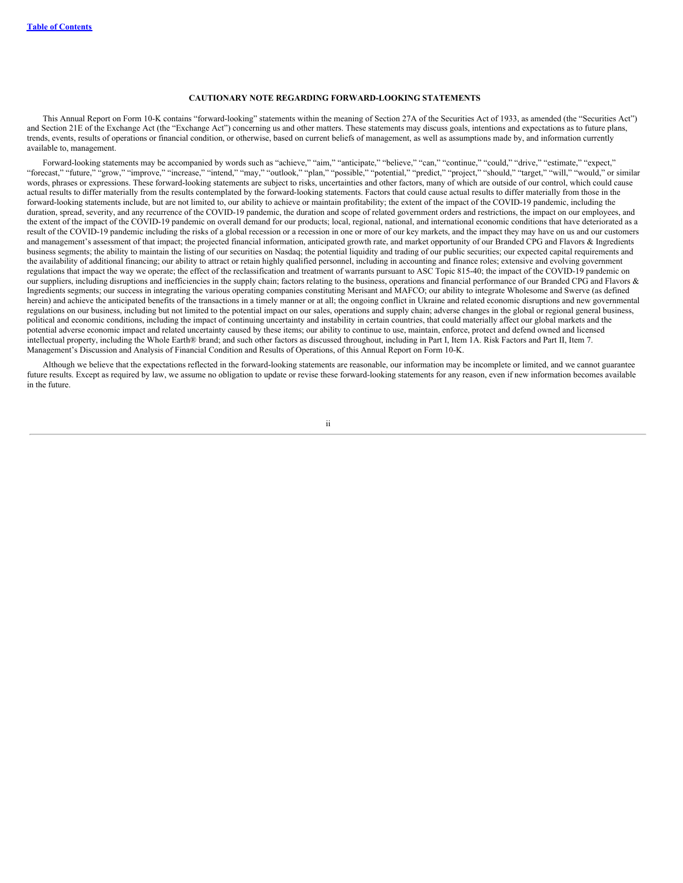## **CAUTIONARY NOTE REGARDING FORWARD-LOOKING STATEMENTS**

This Annual Report on Form 10-K contains "forward-looking" statements within the meaning of Section 27A of the Securities Act of 1933, as amended (the "Securities Act") and Section 21E of the Exchange Act (the "Exchange Act") concerning us and other matters. These statements may discuss goals, intentions and expectations as to future plans, trends, events, results of operations or financial condition, or otherwise, based on current beliefs of management, as well as assumptions made by, and information currently available to, management.

Forward-looking statements may be accompanied by words such as "achieve," "aim," "anticipate," "believe," "can," "could," "could," "drive," "estimate," "expect," "forecast," "future," "grow," "improve," "increase," "intend," "may," "outlook," "plan," "possible," "potential," "predict," "project," "should," "target," "will," "would," or similar words, phrases or expressions. These forward-looking statements are subject to risks, uncertainties and other factors, many of which are outside of our control, which could cause actual results to differ materially from the results contemplated by the forward-looking statements. Factors that could cause actual results to differ materially from those in the forward-looking statements include, but are not limited to, our ability to achieve or maintain profitability; the extent of the impact of the COVID-19 pandemic, including the duration, spread, severity, and any recurrence of the COVID-19 pandemic, the duration and scope of related government orders and restrictions, the impact on our employees, and the extent of the impact of the COVID-19 pandemic on overall demand for our products; local, regional, national, and international economic conditions that have deteriorated as a result of the COVID-19 pandemic including the risks of a global recession or a recession in one or more of our key markets, and the impact they may have on us and our customers and management's assessment of that impact; the projected financial information, anticipated growth rate, and market opportunity of our Branded CPG and Flavors & Ingredients business segments; the ability to maintain the listing of our securities on Nasdaq; the potential liquidity and trading of our public securities; our expected capital requirements and the availability of additional financing; our ability to attract or retain highly qualified personnel, including in accounting and finance roles; extensive and evolving government regulations that impact the way we operate; the effect of the reclassification and treatment of warrants pursuant to ASC Topic 815-40; the impact of the COVID-19 pandemic on our suppliers, including disruptions and inefficiencies in the supply chain; factors relating to the business, operations and financial performance of our Branded CPG and Flavors & Ingredients segments; our success in integrating the various operating companies constituting Merisant and MAFCO; our ability to integrate Wholesome and Swerve (as defined herein) and achieve the anticipated benefits of the transactions in a timely manner or at all; the ongoing conflict in Ukraine and related economic disruptions and new governmental regulations on our business, including but not limited to the potential impact on our sales, operations and supply chain; adverse changes in the global or regional general business, political and economic conditions, including the impact of continuing uncertainty and instability in certain countries, that could materially affect our global markets and the potential adverse economic impact and related uncertainty caused by these items; our ability to continue to use, maintain, enforce, protect and defend owned and licensed intellectual property, including the Whole Earth® brand; and such other factors as discussed throughout, including in Part I, Item 1A. Risk Factors and Part II, Item 7. Management's Discussion and Analysis of Financial Condition and Results of Operations, of this Annual Report on Form 10-K.

<span id="page-2-0"></span>Although we believe that the expectations reflected in the forward-looking statements are reasonable, our information may be incomplete or limited, and we cannot guarantee future results. Except as required by law, we assume no obligation to update or revise these forward-looking statements for any reason, even if new information becomes available in the future.

ii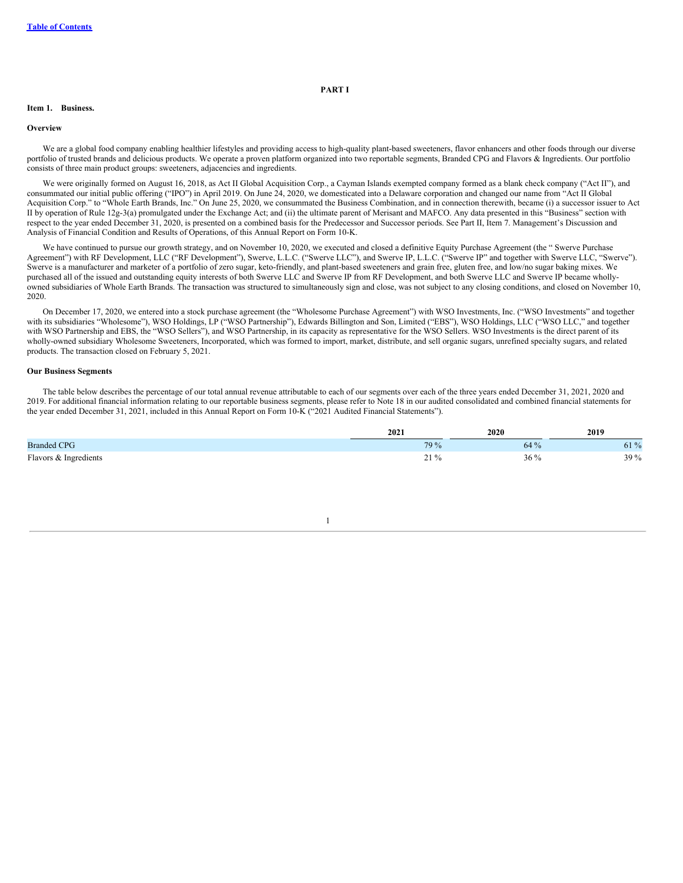### **PART I**

## <span id="page-3-0"></span>**Item 1. Business.**

#### **Overview**

We are a global food company enabling healthier lifestyles and providing access to high-quality plant-based sweeteners, flavor enhancers and other foods through our diverse portfolio of trusted brands and delicious products. We operate a proven platform organized into two reportable segments, Branded CPG and Flavors & Ingredients. Our portfolio consists of three main product groups: sweeteners, adjacencies and ingredients.

We were originally formed on August 16, 2018, as Act II Global Acquisition Corp., a Cayman Islands exempted company formed as a blank check company ("Act II"), and consummated our initial public offering ("IPO") in April 2019. On June 24, 2020, we domesticated into a Delaware corporation and changed our name from "Act II Global Acquisition Corp." to "Whole Earth Brands, Inc." On June 25, 2020, we consummated the Business Combination, and in connection therewith, became (i) a successor issuer to Act II by operation of Rule 12g-3(a) promulgated under the Exchange Act; and (ii) the ultimate parent of Merisant and MAFCO. Any data presented in this "Business" section with respect to the year ended December 31, 2020, is presented on a combined basis for the Predecessor and Successor periods. See Part II, Item 7. Management's Discussion and Analysis of Financial Condition and Results of Operations, of this Annual Report on Form 10-K.

We have continued to pursue our growth strategy, and on November 10, 2020, we executed and closed a definitive Equity Purchase Agreement (the "Swerve Purchase Agreement") with RF Development, LLC ("RF Development"), Swerve, L.L.C. ("Swerve LLC"), and Swerve IP, L.L.C. ("Swerve IP" and together with Swerve LLC, "Swerve"). Swerve is a manufacturer and marketer of a portfolio of zero sugar, keto-friendly, and plant-based sweeteners and grain free, gluten free, and low/no sugar baking mixes. We purchased all of the issued and outstanding equity interests of both Swerve LLC and Swerve IP from RF Development, and both Swerve LLC and Swerve IP became whollyowned subsidiaries of Whole Earth Brands. The transaction was structured to simultaneously sign and close, was not subject to any closing conditions, and closed on November 10, 2020.

On December 17, 2020, we entered into a stock purchase agreement (the "Wholesome Purchase Agreement") with WSO Investments, Inc. ("WSO Investments" and together with its subsidiaries "Wholesome"), WSO Holdings, LP ("WSO Partnership"), Edwards Billington and Son, Limited ("EBS"), WSO Holdings, LLC ("WSO LLC," and together with WSO Partnership and EBS, the "WSO Sellers"), and WSO Partnership, in its capacity as representative for the WSO Sellers. WSO Investments is the direct parent of its wholly-owned subsidiary Wholesome Sweeteners, Incorporated, which was formed to import, market, distribute, and sell organic sugars, unrefined specialty sugars, and related products. The transaction closed on February 5, 2021.

### **Our Business Segments**

The table below describes the percentage of our total annual revenue attributable to each of our segments over each of the three years ended December 31, 2021, 2020 and 2019. For additional financial information relating to our reportable business segments, please refer to Note 18 in our audited consolidated and combined financial statements for the year ended December 31, 2021, included in this Annual Report on Form 10-K ("2021 Audited Financial Statements").

|                       | 2021               | 2020         | 2019        |
|-----------------------|--------------------|--------------|-------------|
| <b>Branded CPG</b>    | 79 %               | $64^{\circ}$ | 61 %        |
| Flavors & Ingredients | ີ<br>$\angle 1$ /0 | 36 %         | <b>39 %</b> |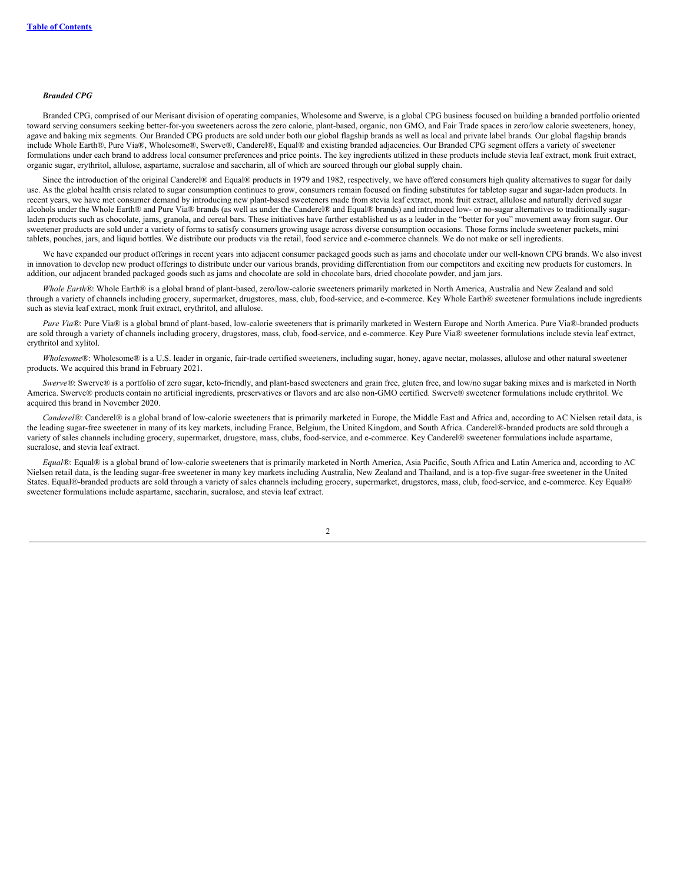#### *Branded CPG*

Branded CPG, comprised of our Merisant division of operating companies, Wholesome and Swerve, is a global CPG business focused on building a branded portfolio oriented toward serving consumers seeking better-for-you sweeteners across the zero calorie, plant-based, organic, non GMO, and Fair Trade spaces in zero/low calorie sweeteners, honey, agave and baking mix segments. Our Branded CPG products are sold under both our global flagship brands as well as local and private label brands. Our global flagship brands include Whole Earth®, Pure Via®, Wholesome®, Swerve®, Canderel®, Equal® and existing branded adjacencies. Our Branded CPG segment offers a variety of sweetener formulations under each brand to address local consumer preferences and price points. The key ingredients utilized in these products include stevia leaf extract, monk fruit extract, organic sugar, erythritol, allulose, aspartame, sucralose and saccharin, all of which are sourced through our global supply chain.

Since the introduction of the original Canderel® and Equal® products in 1979 and 1982, respectively, we have offered consumers high quality alternatives to sugar for daily use. As the global health crisis related to sugar consumption continues to grow, consumers remain focused on finding substitutes for tabletop sugar and sugar-laden products. In recent years, we have met consumer demand by introducing new plant-based sweeteners made from stevia leaf extract, monk fruit extract, allulose and naturally derived sugar alcohols under the Whole Earth® and Pure Via® brands (as well as under the Canderel® and Equal® brands) and introduced low- or no-sugar alternatives to traditionally sugarladen products such as chocolate, jams, granola, and cereal bars. These initiatives have further established us as a leader in the "better for you" movement away from sugar. Our sweetener products are sold under a variety of forms to satisfy consumers growing usage across diverse consumption occasions. Those forms include sweetener packets, mini tablets, pouches, jars, and liquid bottles. We distribute our products via the retail, food service and e-commerce channels. We do not make or sell ingredients.

We have expanded our product offerings in recent years into adjacent consumer packaged goods such as jams and chocolate under our well-known CPG brands. We also invest in innovation to develop new product offerings to distribute under our various brands, providing differentiation from our competitors and exciting new products for customers. In addition, our adjacent branded packaged goods such as jams and chocolate are sold in chocolate bars, dried chocolate powder, and jam jars.

*Whole Earth®*: Whole Earth® is a global brand of plant-based, zero/low-calorie sweeteners primarily marketed in North America, Australia and New Zealand and sold through a variety of channels including grocery, supermarket, drugstores, mass, club, food-service, and e-commerce. Key Whole Earth® sweetener formulations include ingredients such as stevia leaf extract, monk fruit extract, erythritol, and allulose.

*Pure Via®*: Pure Via® is a global brand of plant-based, low-calorie sweeteners that is primarily marketed in Western Europe and North America. Pure Via®-branded products are sold through a variety of channels including grocery, drugstores, mass, club, food-service, and e-commerce. Key Pure Via® sweetener formulations include stevia leaf extract, erythritol and xylitol.

*Wholesome*®: Wholesome® is a U.S. leader in organic, fair-trade certified sweeteners, including sugar, honey, agave nectar, molasses, allulose and other natural sweetener products. We acquired this brand in February 2021.

*Swerve®*: Swerve® is a portfolio of zero sugar, keto-friendly, and plant-based sweeteners and grain free, gluten free, and low/no sugar baking mixes and is marketed in North America. Swerve® products contain no artificial ingredients, preservatives or flavors and are also non-GMO certified. Swerve® sweetener formulations include erythritol. We acquired this brand in November 2020.

Canderel®: Canderel® is a global brand of low-calorie sweeteners that is primarily marketed in Europe, the Middle East and Africa and, according to AC Nielsen retail data, is the leading sugar-free sweetener in many of its key markets, including France, Belgium, the United Kingdom, and South Africa. Canderel®-branded products are sold through a variety of sales channels including grocery, supermarket, drugstore, mass, clubs, food-service, and e-commerce. Key Canderel® sweetener formulations include aspartame, sucralose, and stevia leaf extract.

*Equal®*: Equal® is a global brand of low-calorie sweeteners that is primarily marketed in North America, Asia Pacific, South Africa and Latin America and, according to AC Nielsen retail data, is the leading sugar-free sweetener in many key markets including Australia, New Zealand and Thailand, and is a top-five sugar-free sweetener in the United States. Equal®-branded products are sold through a variety of sales channels including grocery, supermarket, drugstores, mass, club, food-service, and e-commerce. Key Equal® sweetener formulations include aspartame, saccharin, sucralose, and stevia leaf extract.

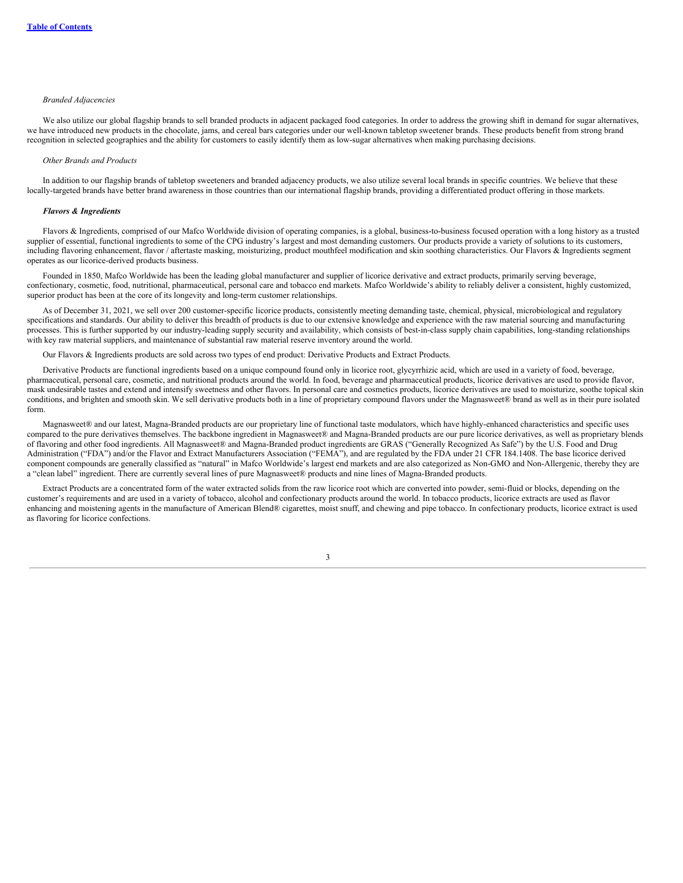#### *Branded Adjacencies*

We also utilize our global flagship brands to sell branded products in adjacent packaged food categories. In order to address the growing shift in demand for sugar alternatives, we have introduced new products in the chocolate, jams, and cereal bars categories under our well-known tabletop sweetener brands. These products benefit from strong brand recognition in selected geographies and the ability for customers to easily identify them as low-sugar alternatives when making purchasing decisions.

### *Other Brands and Products*

In addition to our flagship brands of tabletop sweeteners and branded adjacency products, we also utilize several local brands in specific countries. We believe that these locally-targeted brands have better brand awareness in those countries than our international flagship brands, providing a differentiated product offering in those markets.

#### *Flavors & Ingredients*

Flavors & Ingredients, comprised of our Mafco Worldwide division of operating companies, is a global, business-to-business focused operation with a long history as a trusted supplier of essential, functional ingredients to some of the CPG industry's largest and most demanding customers. Our products provide a variety of solutions to its customers, including flavoring enhancement, flavor / aftertaste masking, moisturizing, product mouthfeel modification and skin soothing characteristics. Our Flavors & Ingredients segment operates as our licorice-derived products business.

Founded in 1850, Mafco Worldwide has been the leading global manufacturer and supplier of licorice derivative and extract products, primarily serving beverage, confectionary, cosmetic, food, nutritional, pharmaceutical, personal care and tobacco end markets. Mafco Worldwide's ability to reliably deliver a consistent, highly customized, superior product has been at the core of its longevity and long-term customer relationships.

As of December 31, 2021, we sell over 200 customer-specific licorice products, consistently meeting demanding taste, chemical, physical, microbiological and regulatory specifications and standards. Our ability to deliver this breadth of products is due to our extensive knowledge and experience with the raw material sourcing and manufacturing processes. This is further supported by our industry-leading supply security and availability, which consists of best-in-class supply chain capabilities, long-standing relationships with key raw material suppliers, and maintenance of substantial raw material reserve inventory around the world.

Our Flavors & Ingredients products are sold across two types of end product: Derivative Products and Extract Products.

Derivative Products are functional ingredients based on a unique compound found only in licorice root, glycyrrhizic acid, which are used in a variety of food, beverage, pharmaceutical, personal care, cosmetic, and nutritional products around the world. In food, beverage and pharmaceutical products, licorice derivatives are used to provide flavor, mask undesirable tastes and extend and intensify sweetness and other flavors. In personal care and cosmetics products, licorice derivatives are used to moisturize, soothe topical skin conditions, and brighten and smooth skin. We sell derivative products both in a line of proprietary compound flavors under the Magnasweet® brand as well as in their pure isolated form.

Magnasweet® and our latest, Magna-Branded products are our proprietary line of functional taste modulators, which have highly-enhanced characteristics and specific uses compared to the pure derivatives themselves. The backbone ingredient in Magnasweet® and Magna-Branded products are our pure licorice derivatives, as well as proprietary blends of flavoring and other food ingredients. All Magnasweet® and Magna-Branded product ingredients are GRAS ("Generally Recognized As Safe") by the U.S. Food and Drug Administration ("FDA") and/or the Flavor and Extract Manufacturers Association ("FEMA"), and are regulated by the FDA under 21 CFR 184.1408. The base licorice derived component compounds are generally classified as "natural" in Mafco Worldwide's largest end markets and are also categorized as Non-GMO and Non-Allergenic, thereby they are a "clean label" ingredient. There are currently several lines of pure Magnasweet® products and nine lines of Magna-Branded products.

Extract Products are a concentrated form of the water extracted solids from the raw licorice root which are converted into powder, semi-fluid or blocks, depending on the customer's requirements and are used in a variety of tobacco, alcohol and confectionary products around the world. In tobacco products, licorice extracts are used as flavor enhancing and moistening agents in the manufacture of American Blend® cigarettes, moist snuff, and chewing and pipe tobacco. In confectionary products, licorice extract is used as flavoring for licorice confections.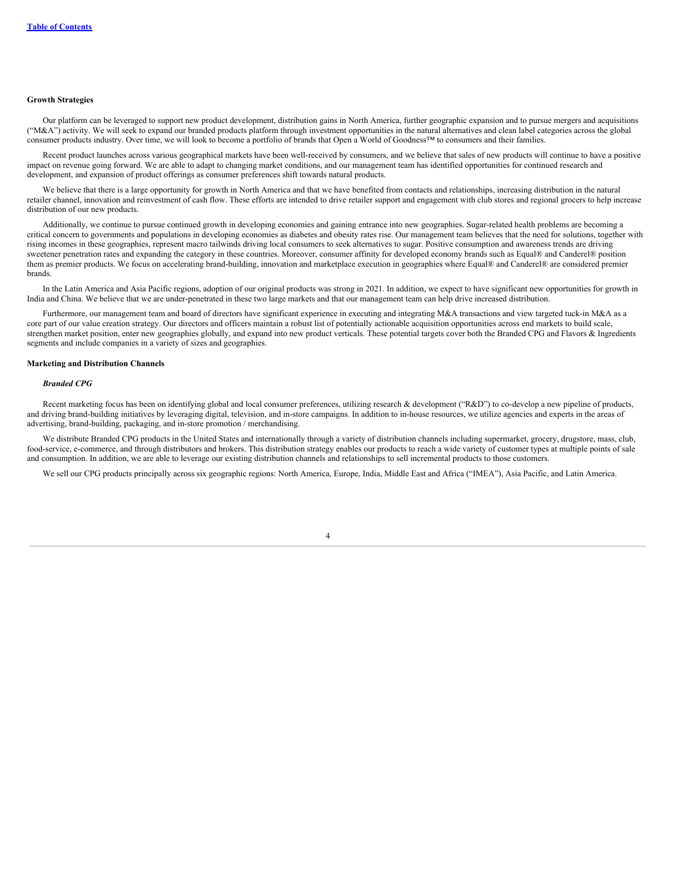#### **Growth Strategies**

Our platform can be leveraged to support new product development, distribution gains in North America, further geographic expansion and to pursue mergers and acquisitions ("M&A") activity. We will seek to expand our branded products platform through investment opportunities in the natural alternatives and clean label categories across the global consumer products industry. Over time, we will look to become a portfolio of brands that Open a World of Goodness™ to consumers and their families.

Recent product launches across various geographical markets have been well-received by consumers, and we believe that sales of new products will continue to have a positive impact on revenue going forward. We are able to adapt to changing market conditions, and our management team has identified opportunities for continued research and development, and expansion of product offerings as consumer preferences shift towards natural products.

We believe that there is a large opportunity for growth in North America and that we have benefited from contacts and relationships, increasing distribution in the natural retailer channel, innovation and reinvestment of cash flow. These efforts are intended to drive retailer support and engagement with club stores and regional grocers to help increase distribution of our new products.

Additionally, we continue to pursue continued growth in developing economies and gaining entrance into new geographies. Sugar-related health problems are becoming a critical concern to governments and populations in developing economies as diabetes and obesity rates rise. Our management team believes that the need for solutions, together with rising incomes in these geographies, represent macro tailwinds driving local consumers to seek alternatives to sugar. Positive consumption and awareness trends are driving sweetener penetration rates and expanding the category in these countries. Moreover, consumer affinity for developed economy brands such as Equal® and Canderel® position them as premier products. We focus on accelerating brand-building, innovation and marketplace execution in geographies where Equal® and Canderel® are considered premier brands.

In the Latin America and Asia Pacific regions, adoption of our original products was strong in 2021. In addition, we expect to have significant new opportunities for growth in India and China. We believe that we are under-penetrated in these two large markets and that our management team can help drive increased distribution.

Furthermore, our management team and board of directors have significant experience in executing and integrating M&A transactions and view targeted tuck-in M&A as a core part of our value creation strategy. Our directors and officers maintain a robust list of potentially actionable acquisition opportunities across end markets to build scale, strengthen market position, enter new geographies globally, and expand into new product verticals. These potential targets cover both the Branded CPG and Flavors & Ingredients segments and include companies in a variety of sizes and geographies.

#### **Marketing and Distribution Channels**

#### *Branded CPG*

Recent marketing focus has been on identifying global and local consumer preferences, utilizing research & development ("R&D") to co-develop a new pipeline of products, and driving brand-building initiatives by leveraging digital, television, and in-store campaigns. In addition to in-house resources, we utilize agencies and experts in the areas of advertising, brand-building, packaging, and in-store promotion / merchandising.

We distribute Branded CPG products in the United States and internationally through a variety of distribution channels including supermarket, grocery, drugstore, mass, club, food-service, e-commerce, and through distributors and brokers. This distribution strategy enables our products to reach a wide variety of customer types at multiple points of sale and consumption. In addition, we are able to leverage our existing distribution channels and relationships to sell incremental products to those customers.

We sell our CPG products principally across six geographic regions: North America, Europe, India, Middle East and Africa ("IMEA"), Asia Pacific, and Latin America.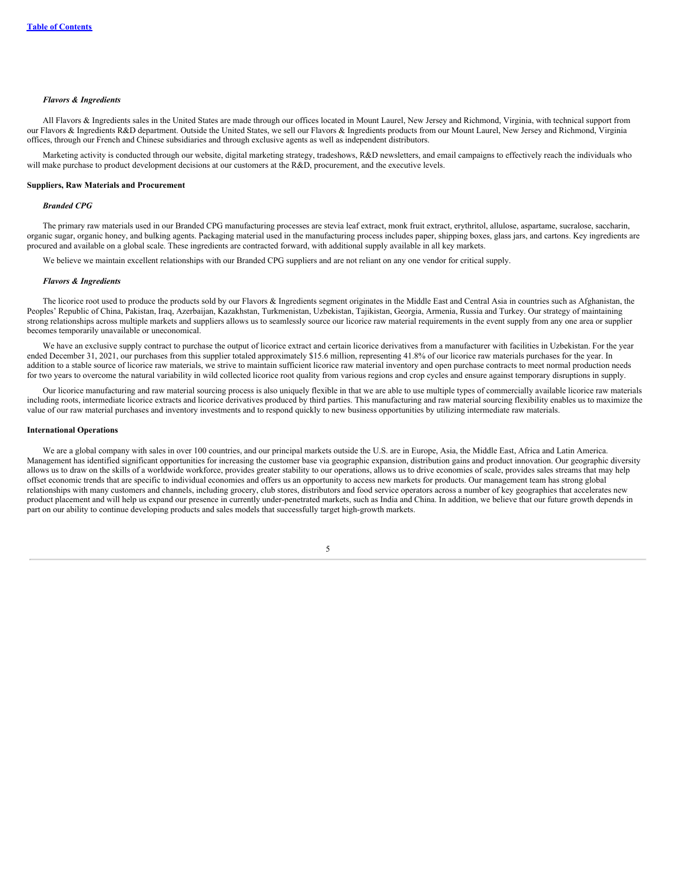### *Flavors & Ingredients*

All Flavors & Ingredients sales in the United States are made through our offices located in Mount Laurel, New Jersey and Richmond, Virginia, with technical support from our Flavors & Ingredients R&D department. Outside the United States, we sell our Flavors & Ingredients products from our Mount Laurel, New Jersey and Richmond, Virginia offices, through our French and Chinese subsidiaries and through exclusive agents as well as independent distributors.

Marketing activity is conducted through our website, digital marketing strategy, tradeshows, R&D newsletters, and email campaigns to effectively reach the individuals who will make purchase to product development decisions at our customers at the R&D, procurement, and the executive levels.

#### **Suppliers, Raw Materials and Procurement**

#### *Branded CPG*

The primary raw materials used in our Branded CPG manufacturing processes are stevia leaf extract, monk fruit extract, erythritol, allulose, aspartame, sucralose, saccharin, organic sugar, organic honey, and bulking agents. Packaging material used in the manufacturing process includes paper, shipping boxes, glass jars, and cartons. Key ingredients are procured and available on a global scale. These ingredients are contracted forward, with additional supply available in all key markets.

We believe we maintain excellent relationships with our Branded CPG suppliers and are not reliant on any one vendor for critical supply.

#### *Flavors & Ingredients*

The licorice root used to produce the products sold by our Flavors & Ingredients segment originates in the Middle East and Central Asia in countries such as Afghanistan, the Peoples' Republic of China, Pakistan, Iraq, Azerbaijan, Kazakhstan, Turkmenistan, Uzbekistan, Tajikistan, Georgia, Armenia, Russia and Turkey. Our strategy of maintaining strong relationships across multiple markets and suppliers allows us to seamlessly source our licorice raw material requirements in the event supply from any one area or supplier becomes temporarily unavailable or uneconomical.

We have an exclusive supply contract to purchase the output of licorice extract and certain licorice derivatives from a manufacturer with facilities in Uzbekistan. For the year ended December 31, 2021, our purchases from this supplier totaled approximately \$15.6 million, representing 41.8% of our licorice raw materials purchases for the year. In addition to a stable source of licorice raw materials, we strive to maintain sufficient licorice raw material inventory and open purchase contracts to meet normal production needs for two years to overcome the natural variability in wild collected licorice root quality from various regions and crop cycles and ensure against temporary disruptions in supply.

Our licorice manufacturing and raw material sourcing process is also uniquely flexible in that we are able to use multiple types of commercially available licorice raw materials including roots, intermediate licorice extracts and licorice derivatives produced by third parties. This manufacturing and raw material sourcing flexibility enables us to maximize the value of our raw material purchases and inventory investments and to respond quickly to new business opportunities by utilizing intermediate raw materials.

### **International Operations**

We are a global company with sales in over 100 countries, and our principal markets outside the U.S. are in Europe, Asia, the Middle East, Africa and Latin America. Management has identified significant opportunities for increasing the customer base via geographic expansion, distribution gains and product innovation. Our geographic diversity allows us to draw on the skills of a worldwide workforce, provides greater stability to our operations, allows us to drive economies of scale, provides sales streams that may help offset economic trends that are specific to individual economies and offers us an opportunity to access new markets for products. Our management team has strong global relationships with many customers and channels, including grocery, club stores, distributors and food service operators across a number of key geographies that accelerates new product placement and will help us expand our presence in currently under-penetrated markets, such as India and China. In addition, we believe that our future growth depends in part on our ability to continue developing products and sales models that successfully target high-growth markets.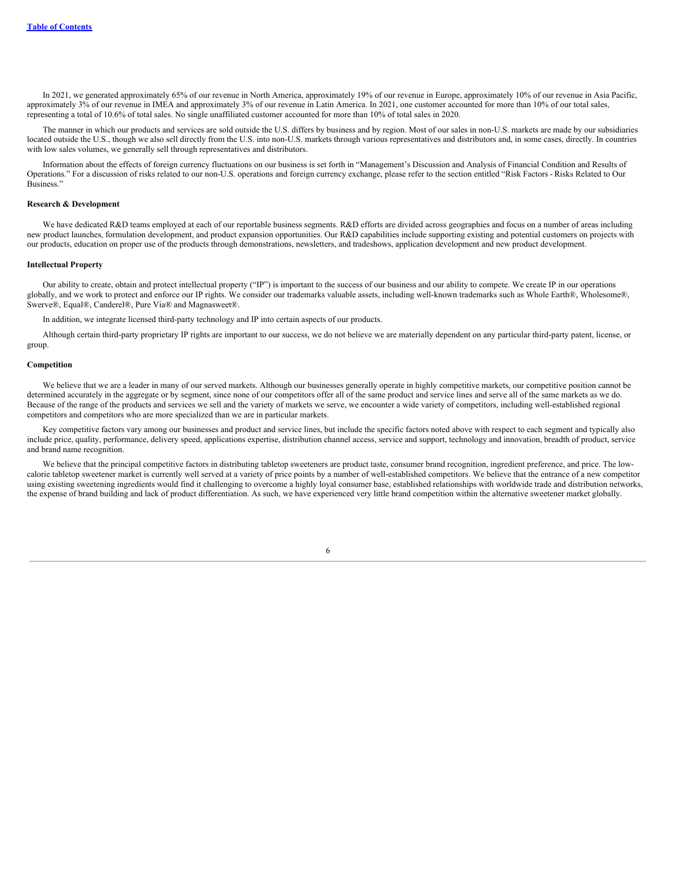In 2021, we generated approximately 65% of our revenue in North America, approximately 19% of our revenue in Europe, approximately 10% of our revenue in Asia Pacific, approximately 3% of our revenue in IMEA and approximately 3% of our revenue in Latin America. In 2021, one customer accounted for more than 10% of our total sales, representing a total of 10.6% of total sales. No single unaffiliated customer accounted for more than 10% of total sales in 2020.

The manner in which our products and services are sold outside the U.S. differs by business and by region. Most of our sales in non-U.S. markets are made by our subsidiaries located outside the U.S., though we also sell directly from the U.S. into non-U.S. markets through various representatives and distributors and, in some cases, directly. In countries with low sales volumes, we generally sell through representatives and distributors.

Information about the effects of foreign currency fluctuations on our business is set forth in "Management's Discussion and Analysis of Financial Condition and Results of Operations." For a discussion of risks related to our non-U.S. operations and foreign currency exchange, please refer to the section entitled "Risk Factors - Risks Related to Our Business."

#### **Research & Development**

We have dedicated R&D teams employed at each of our reportable business segments. R&D efforts are divided across geographies and focus on a number of areas including new product launches, formulation development, and product expansion opportunities. Our R&D capabilities include supporting existing and potential customers on projects with our products, education on proper use of the products through demonstrations, newsletters, and tradeshows, application development and new product development.

### **Intellectual Property**

Our ability to create, obtain and protect intellectual property ("IP") is important to the success of our business and our ability to compete. We create IP in our operations globally, and we work to protect and enforce our IP rights. We consider our trademarks valuable assets, including well-known trademarks such as Whole Earth®, Wholesome®, Swerve®, Equal®, Canderel®, Pure Via® and Magnasweet®.

In addition, we integrate licensed third-party technology and IP into certain aspects of our products.

Although certain third-party proprietary IP rights are important to our success, we do not believe we are materially dependent on any particular third-party patent, license, or group.

#### **Competition**

We believe that we are a leader in many of our served markets. Although our businesses generally operate in highly competitive markets, our competitive position cannot be determined accurately in the aggregate or by segment, since none of our competitors offer all of the same product and service lines and serve all of the same markets as we do. Because of the range of the products and services we sell and the variety of markets we serve, we encounter a wide variety of competitors, including well-established regional competitors and competitors who are more specialized than we are in particular markets.

Key competitive factors vary among our businesses and product and service lines, but include the specific factors noted above with respect to each segment and typically also include price, quality, performance, delivery speed, applications expertise, distribution channel access, service and support, technology and innovation, breadth of product, service and brand name recognition.

We believe that the principal competitive factors in distributing tabletop sweeteners are product taste, consumer brand recognition, ingredient preference, and price. The lowcalorie tabletop sweetener market is currently well served at a variety of price points by a number of well-established competitors. We believe that the entrance of a new competitor using existing sweetening ingredients would find it challenging to overcome a highly loyal consumer base, established relationships with worldwide trade and distribution networks, the expense of brand building and lack of product differentiation. As such, we have experienced very little brand competition within the alternative sweetener market globally.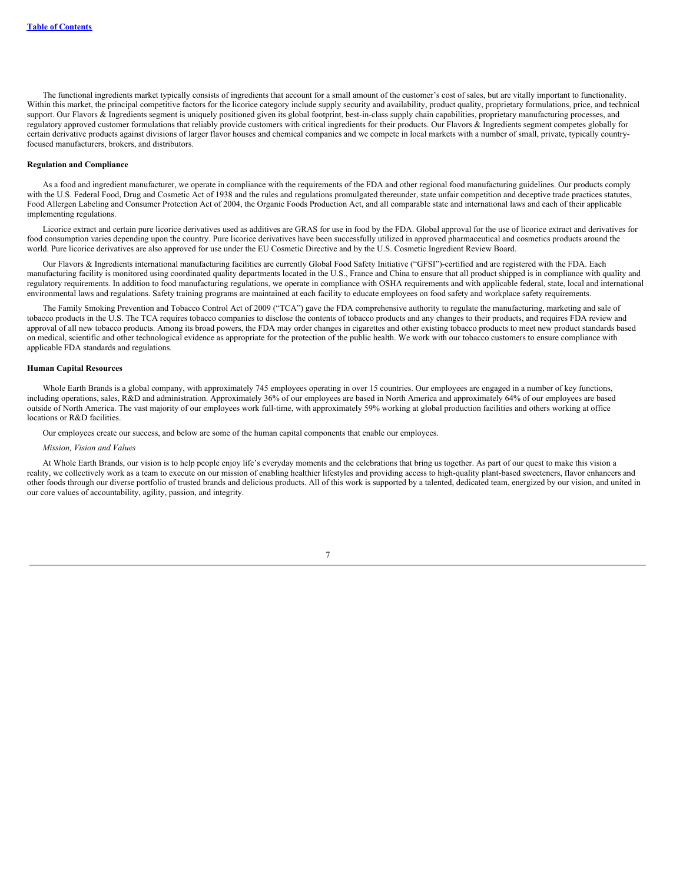The functional ingredients market typically consists of ingredients that account for a small amount of the customer's cost of sales, but are vitally important to functionality. Within this market, the principal competitive factors for the licorice category include supply security and availability, product quality, proprietary formulations, price, and technical support. Our Flavors & Ingredients segment is uniquely positioned given its global footprint, best-in-class supply chain capabilities, proprietary manufacturing processes, and regulatory approved customer formulations that reliably provide customers with critical ingredients for their products. Our Flavors & Ingredients segment competes globally for certain derivative products against divisions of larger flavor houses and chemical companies and we compete in local markets with a number of small, private, typically countryfocused manufacturers, brokers, and distributors.

### **Regulation and Compliance**

As a food and ingredient manufacturer, we operate in compliance with the requirements of the FDA and other regional food manufacturing guidelines. Our products comply with the U.S. Federal Food, Drug and Cosmetic Act of 1938 and the rules and regulations promulgated thereunder, state unfair competition and deceptive trade practices statutes, Food Allergen Labeling and Consumer Protection Act of 2004, the Organic Foods Production Act, and all comparable state and international laws and each of their applicable implementing regulations.

Licorice extract and certain pure licorice derivatives used as additives are GRAS for use in food by the FDA. Global approval for the use of licorice extract and derivatives for food consumption varies depending upon the country. Pure licorice derivatives have been successfully utilized in approved pharmaceutical and cosmetics products around the world. Pure licorice derivatives are also approved for use under the EU Cosmetic Directive and by the U.S. Cosmetic Ingredient Review Board.

Our Flavors & Ingredients international manufacturing facilities are currently Global Food Safety Initiative ("GFSI")-certified and are registered with the FDA. Each manufacturing facility is monitored using coordinated quality departments located in the U.S., France and China to ensure that all product shipped is in compliance with quality and regulatory requirements. In addition to food manufacturing regulations, we operate in compliance with OSHA requirements and with applicable federal, state, local and international environmental laws and regulations. Safety training programs are maintained at each facility to educate employees on food safety and workplace safety requirements.

The Family Smoking Prevention and Tobacco Control Act of 2009 ("TCA") gave the FDA comprehensive authority to regulate the manufacturing, marketing and sale of tobacco products in the U.S. The TCA requires tobacco companies to disclose the contents of tobacco products and any changes to their products, and requires FDA review and approval of all new tobacco products. Among its broad powers, the FDA may order changes in cigarettes and other existing tobacco products to meet new product standards based on medical, scientific and other technological evidence as appropriate for the protection of the public health. We work with our tobacco customers to ensure compliance with applicable FDA standards and regulations.

### **Human Capital Resources**

Whole Earth Brands is a global company, with approximately 745 employees operating in over 15 countries. Our employees are engaged in a number of key functions, including operations, sales, R&D and administration. Approximately 36% of our employees are based in North America and approximately 64% of our employees are based outside of North America. The vast majority of our employees work full-time, with approximately 59% working at global production facilities and others working at office locations or R&D facilities.

Our employees create our success, and below are some of the human capital components that enable our employees.

#### *Mission, Vision and Values*

At Whole Earth Brands, our vision is to help people enjoy life's everyday moments and the celebrations that bring us together. As part of our quest to make this vision a reality, we collectively work as a team to execute on our mission of enabling healthier lifestyles and providing access to high-quality plant-based sweeteners, flavor enhancers and other foods through our diverse portfolio of trusted brands and delicious products. All of this work is supported by a talented, dedicated team, energized by our vision, and united in our core values of accountability, agility, passion, and integrity.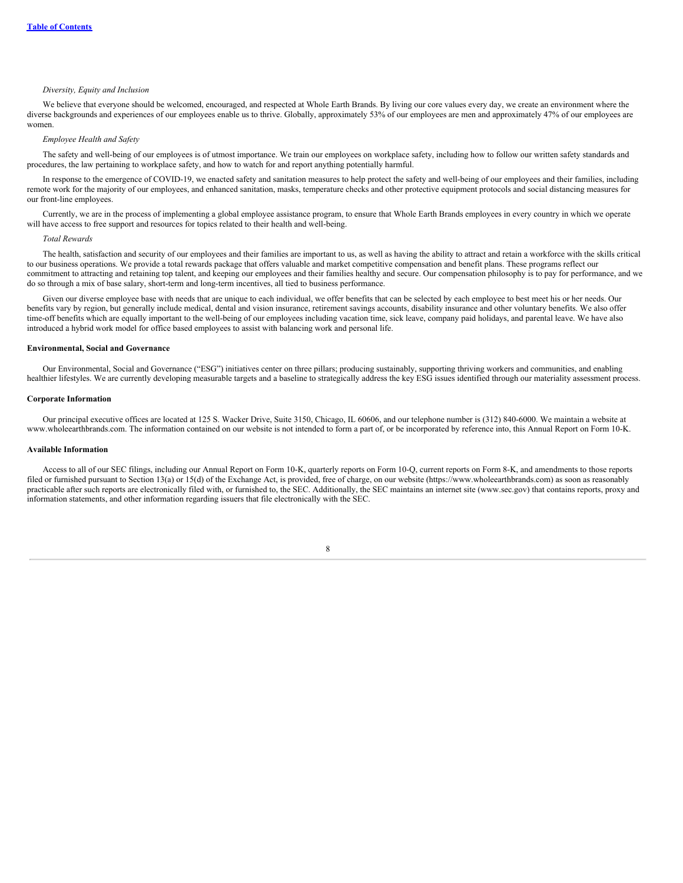#### *Diversity, Equity and Inclusion*

We believe that everyone should be welcomed, encouraged, and respected at Whole Earth Brands. By living our core values every day, we create an environment where the diverse backgrounds and experiences of our employees enable us to thrive. Globally, approximately 53% of our employees are men and approximately 47% of our employees are women.

#### *Employee Health and Safety*

The safety and well-being of our employees is of utmost importance. We train our employees on workplace safety, including how to follow our written safety standards and procedures, the law pertaining to workplace safety, and how to watch for and report anything potentially harmful.

In response to the emergence of COVID-19, we enacted safety and sanitation measures to help protect the safety and well-being of our employees and their families, including remote work for the majority of our employees, and enhanced sanitation, masks, temperature checks and other protective equipment protocols and social distancing measures for our front-line employees.

Currently, we are in the process of implementing a global employee assistance program, to ensure that Whole Earth Brands employees in every country in which we operate will have access to free support and resources for topics related to their health and well-being.

#### *Total Rewards*

The health, satisfaction and security of our employees and their families are important to us, as well as having the ability to attract and retain a workforce with the skills critical to our business operations. We provide a total rewards package that offers valuable and market competitive compensation and benefit plans. These programs reflect our commitment to attracting and retaining top talent, and keeping our employees and their families healthy and secure. Our compensation philosophy is to pay for performance, and we do so through a mix of base salary, short-term and long-term incentives, all tied to business performance.

Given our diverse employee base with needs that are unique to each individual, we offer benefits that can be selected by each employee to best meet his or her needs. Our benefits vary by region, but generally include medical, dental and vision insurance, retirement savings accounts, disability insurance and other voluntary benefits. We also offer time-off benefits which are equally important to the well-being of our employees including vacation time, sick leave, company paid holidays, and parental leave. We have also introduced a hybrid work model for office based employees to assist with balancing work and personal life.

#### **Environmental, Social and Governance**

Our Environmental, Social and Governance ("ESG") initiatives center on three pillars; producing sustainably, supporting thriving workers and communities, and enabling healthier lifestyles. We are currently developing measurable targets and a baseline to strategically address the key ESG issues identified through our materiality assessment process.

#### **Corporate Information**

Our principal executive offices are located at 125 S. Wacker Drive, Suite 3150, Chicago, IL 60606, and our telephone number is (312) 840-6000. We maintain a website at www.wholeearthbrands.com. The information contained on our website is not intended to form a part of, or be incorporated by reference into, this Annual Report on Form 10-K.

### **Available Information**

<span id="page-10-0"></span>Access to all of our SEC filings, including our Annual Report on Form 10-K, quarterly reports on Form 10-Q, current reports on Form 8-K, and amendments to those reports filed or furnished pursuant to Section 13(a) or 15(d) of the Exchange Act, is provided, free of charge, on our website (https://www.wholeearthbrands.com) as soon as reasonably practicable after such reports are electronically filed with, or furnished to, the SEC. Additionally, the SEC maintains an internet site (www.sec.gov) that contains reports, proxy and information statements, and other information regarding issuers that file electronically with the SEC.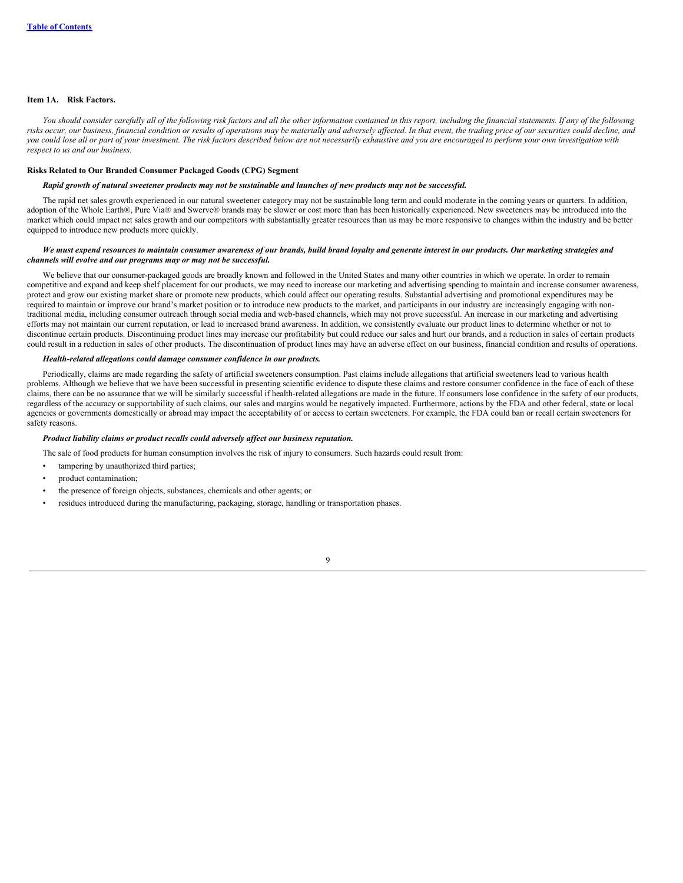### **Item 1A. Risk Factors.**

You should consider carefully all of the following risk factors and all the other information contained in this report, including the financial statements. If any of the following risks occur, our business, financial condition or results of operations may be materially and adversely affected. In that event, the trading price of our securities could decline, and you could lose all or part of your investment. The risk factors described below are not necessarily exhaustive and you are encouraged to perform your own investigation with *respect to us and our business.*

### **Risks Related to Our Branded Consumer Packaged Goods (CPG) Segment**

#### Rapid growth of natural sweetener products may not be sustainable and launches of new products may not be successful.

The rapid net sales growth experienced in our natural sweetener category may not be sustainable long term and could moderate in the coming years or quarters. In addition, adoption of the Whole Earth®, Pure Via® and Swerve® brands may be slower or cost more than has been historically experienced. New sweeteners may be introduced into the market which could impact net sales growth and our competitors with substantially greater resources than us may be more responsive to changes within the industry and be better equipped to introduce new products more quickly.

### We must expend resources to maintain consumer awareness of our brands, build brand loyalty and generate interest in our products. Our marketing strategies and *channels will evolve and our programs may or may not be successful.*

We believe that our consumer-packaged goods are broadly known and followed in the United States and many other countries in which we operate. In order to remain competitive and expand and keep shelf placement for our products, we may need to increase our marketing and advertising spending to maintain and increase consumer awareness, protect and grow our existing market share or promote new products, which could affect our operating results. Substantial advertising and promotional expenditures may be required to maintain or improve our brand's market position or to introduce new products to the market, and participants in our industry are increasingly engaging with nontraditional media, including consumer outreach through social media and web-based channels, which may not prove successful. An increase in our marketing and advertising efforts may not maintain our current reputation, or lead to increased brand awareness. In addition, we consistently evaluate our product lines to determine whether or not to discontinue certain products. Discontinuing product lines may increase our profitability but could reduce our sales and hurt our brands, and a reduction in sales of certain products could result in a reduction in sales of other products. The discontinuation of product lines may have an adverse effect on our business, financial condition and results of operations.

### *Health-related allegations could damage consumer confidence in our products.*

Periodically, claims are made regarding the safety of artificial sweeteners consumption. Past claims include allegations that artificial sweeteners lead to various health problems. Although we believe that we have been successful in presenting scientific evidence to dispute these claims and restore consumer confidence in the face of each of these claims, there can be no assurance that we will be similarly successful if health-related allegations are made in the future. If consumers lose confidence in the safety of our products, regardless of the accuracy or supportability of such claims, our sales and margins would be negatively impacted. Furthermore, actions by the FDA and other federal, state or local agencies or governments domestically or abroad may impact the acceptability of or access to certain sweeteners. For example, the FDA could ban or recall certain sweeteners for safety reasons.

#### *Product liability claims or product recalls could adversely af ect our business reputation.*

The sale of food products for human consumption involves the risk of injury to consumers. Such hazards could result from:

- tampering by unauthorized third parties;
- product contamination;
- the presence of foreign objects, substances, chemicals and other agents; or
- residues introduced during the manufacturing, packaging, storage, handling or transportation phases.

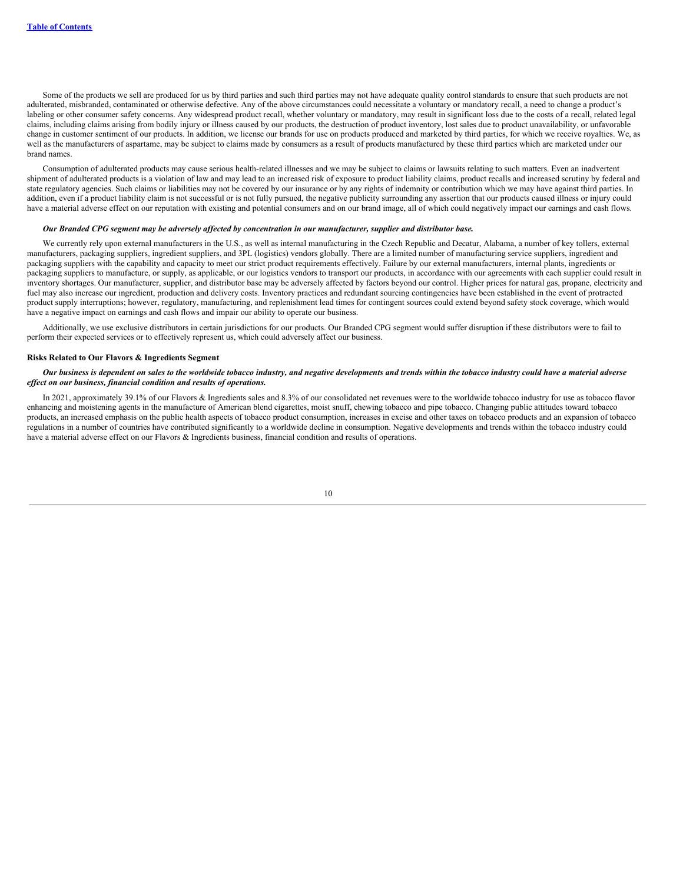Some of the products we sell are produced for us by third parties and such third parties may not have adequate quality control standards to ensure that such products are not adulterated, misbranded, contaminated or otherwise defective. Any of the above circumstances could necessitate a voluntary or mandatory recall, a need to change a product's labeling or other consumer safety concerns. Any widespread product recall, whether voluntary or mandatory, may result in significant loss due to the costs of a recall, related legal claims, including claims arising from bodily injury or illness caused by our products, the destruction of product inventory, lost sales due to product unavailability, or unfavorable change in customer sentiment of our products. In addition, we license our brands for use on products produced and marketed by third parties, for which we receive royalties. We, as well as the manufacturers of aspartame, may be subject to claims made by consumers as a result of products manufactured by these third parties which are marketed under our brand names.

Consumption of adulterated products may cause serious health-related illnesses and we may be subject to claims or lawsuits relating to such matters. Even an inadvertent shipment of adulterated products is a violation of law and may lead to an increased risk of exposure to product liability claims, product recalls and increased scrutiny by federal and state regulatory agencies. Such claims or liabilities may not be covered by our insurance or by any rights of indemnity or contribution which we may have against third parties. In addition, even if a product liability claim is not successful or is not fully pursued, the negative publicity surrounding any assertion that our products caused illness or injury could have a material adverse effect on our reputation with existing and potential consumers and on our brand image, all of which could negatively impact our earnings and cash flows.

#### Our Branded CPG segment may be adversely affected by concentration in our manufacturer, supplier and distributor base.

We currently rely upon external manufacturers in the U.S., as well as internal manufacturing in the Czech Republic and Decatur, Alabama, a number of key tollers, external manufacturers, packaging suppliers, ingredient suppliers, and 3PL (logistics) vendors globally. There are a limited number of manufacturing service suppliers, ingredient and packaging suppliers with the capability and capacity to meet our strict product requirements effectively. Failure by our external manufacturers, internal plants, ingredients or packaging suppliers to manufacture, or supply, as applicable, or our logistics vendors to transport our products, in accordance with our agreements with each supplier could result in inventory shortages. Our manufacturer, supplier, and distributor base may be adversely affected by factors beyond our control. Higher prices for natural gas, propane, electricity and fuel may also increase our ingredient, production and delivery costs. Inventory practices and redundant sourcing contingencies have been established in the event of protracted product supply interruptions; however, regulatory, manufacturing, and replenishment lead times for contingent sources could extend beyond safety stock coverage, which would have a negative impact on earnings and cash flows and impair our ability to operate our business.

Additionally, we use exclusive distributors in certain jurisdictions for our products. Our Branded CPG segment would suffer disruption if these distributors were to fail to perform their expected services or to effectively represent us, which could adversely affect our business.

#### **Risks Related to Our Flavors & Ingredients Segment**

### Our business is dependent on sales to the worldwide tobacco industry, and negative developments and trends within the tobacco industry could have a material adverse *ef ect on our business, financial condition and results of operations.*

In 2021, approximately 39.1% of our Flavors & Ingredients sales and 8.3% of our consolidated net revenues were to the worldwide tobacco industry for use as tobacco flavor enhancing and moistening agents in the manufacture of American blend cigarettes, moist snuff, chewing tobacco and pipe tobacco. Changing public attitudes toward tobacco products, an increased emphasis on the public health aspects of tobacco product consumption, increases in excise and other taxes on tobacco products and an expansion of tobacco regulations in a number of countries have contributed significantly to a worldwide decline in consumption. Negative developments and trends within the tobacco industry could have a material adverse effect on our Flavors & Ingredients business, financial condition and results of operations.

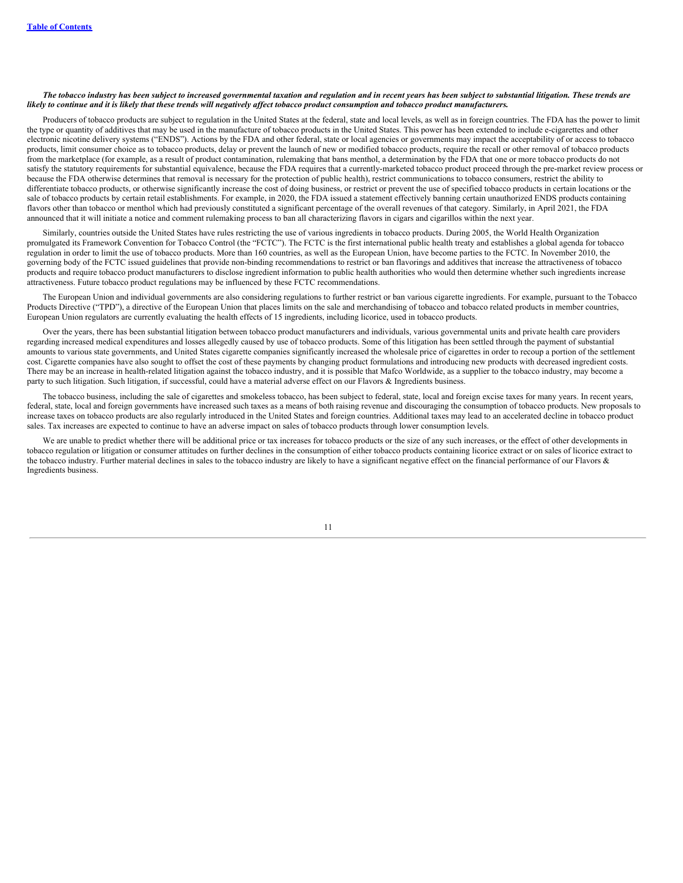### The tobacco industry has been subject to increased governmental taxation and regulation and in recent years has been subject to substantial litigation. These trends are likely to continue and it is likely that these trends will negatively affect tobacco product consumption and tobacco product manufacturers.

Producers of tobacco products are subject to regulation in the United States at the federal, state and local levels, as well as in foreign countries. The FDA has the power to limit the type or quantity of additives that may be used in the manufacture of tobacco products in the United States. This power has been extended to include e-cigarettes and other electronic nicotine delivery systems ("ENDS"). Actions by the FDA and other federal, state or local agencies or governments may impact the acceptability of or access to tobacco products, limit consumer choice as to tobacco products, delay or prevent the launch of new or modified tobacco products, require the recall or other removal of tobacco products from the marketplace (for example, as a result of product contamination, rulemaking that bans menthol, a determination by the FDA that one or more tobacco products do not satisfy the statutory requirements for substantial equivalence, because the FDA requires that a currently-marketed tobacco product proceed through the pre-market review process or because the FDA otherwise determines that removal is necessary for the protection of public health), restrict communications to tobacco consumers, restrict the ability to differentiate tobacco products, or otherwise significantly increase the cost of doing business, or restrict or prevent the use of specified tobacco products in certain locations or the sale of tobacco products by certain retail establishments. For example, in 2020, the FDA issued a statement effectively banning certain unauthorized ENDS products containing flavors other than tobacco or menthol which had previously constituted a significant percentage of the overall revenues of that category. Similarly, in April 2021, the FDA announced that it will initiate a notice and comment rulemaking process to ban all characterizing flavors in cigars and cigarillos within the next year.

Similarly, countries outside the United States have rules restricting the use of various ingredients in tobacco products. During 2005, the World Health Organization promulgated its Framework Convention for Tobacco Control (the "FCTC"). The FCTC is the first international public health treaty and establishes a global agenda for tobacco regulation in order to limit the use of tobacco products. More than 160 countries, as well as the European Union, have become parties to the FCTC. In November 2010, the governing body of the FCTC issued guidelines that provide non-binding recommendations to restrict or ban flavorings and additives that increase the attractiveness of tobacco products and require tobacco product manufacturers to disclose ingredient information to public health authorities who would then determine whether such ingredients increase attractiveness. Future tobacco product regulations may be influenced by these FCTC recommendations.

The European Union and individual governments are also considering regulations to further restrict or ban various cigarette ingredients. For example, pursuant to the Tobacco Products Directive ("TPD"), a directive of the European Union that places limits on the sale and merchandising of tobacco and tobacco related products in member countries, European Union regulators are currently evaluating the health effects of 15 ingredients, including licorice, used in tobacco products.

Over the years, there has been substantial litigation between tobacco product manufacturers and individuals, various governmental units and private health care providers regarding increased medical expenditures and losses allegedly caused by use of tobacco products. Some of this litigation has been settled through the payment of substantial amounts to various state governments, and United States cigarette companies significantly increased the wholesale price of cigarettes in order to recoup a portion of the settlement cost. Cigarette companies have also sought to offset the cost of these payments by changing product formulations and introducing new products with decreased ingredient costs. There may be an increase in health-related litigation against the tobacco industry, and it is possible that Mafco Worldwide, as a supplier to the tobacco industry, may become a party to such litigation. Such litigation, if successful, could have a material adverse effect on our Flavors & Ingredients business.

The tobacco business, including the sale of cigarettes and smokeless tobacco, has been subject to federal, state, local and foreign excise taxes for many years. In recent years, federal, state, local and foreign governments have increased such taxes as a means of both raising revenue and discouraging the consumption of tobacco products. New proposals to increase taxes on tobacco products are also regularly introduced in the United States and foreign countries. Additional taxes may lead to an accelerated decline in tobacco product sales. Tax increases are expected to continue to have an adverse impact on sales of tobacco products through lower consumption levels.

We are unable to predict whether there will be additional price or tax increases for tobacco products or the size of any such increases, or the effect of other developments in tobacco regulation or litigation or consumer attitudes on further declines in the consumption of either tobacco products containing licorice extract or on sales of licorice extract to the tobacco industry. Further material declines in sales to the tobacco industry are likely to have a significant negative effect on the financial performance of our Flavors & Ingredients business.

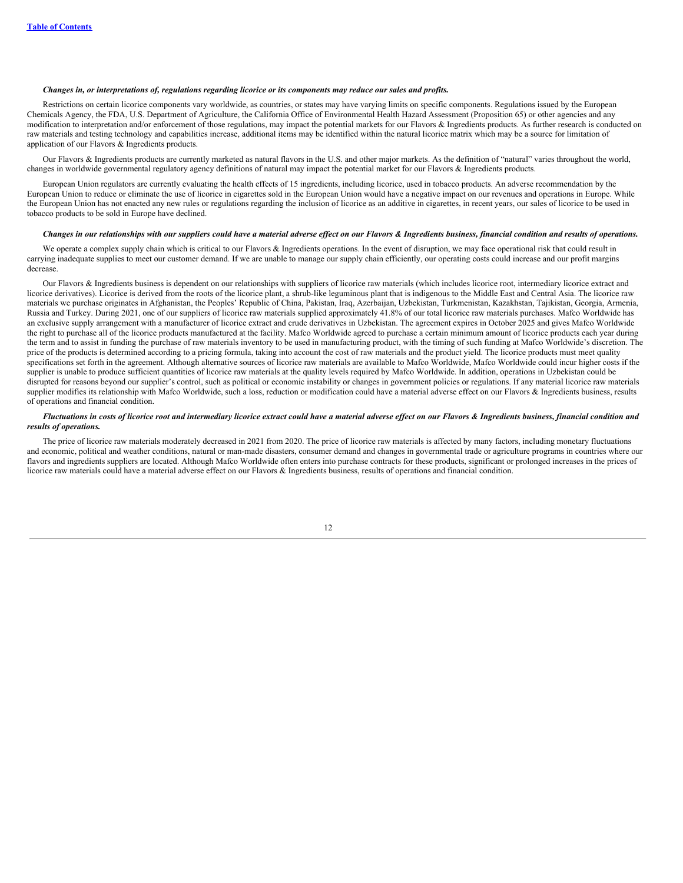#### Changes in, or interpretations of, regulations regarding licorice or its components may reduce our sales and profits.

Restrictions on certain licorice components vary worldwide, as countries, or states may have varying limits on specific components. Regulations issued by the European Chemicals Agency, the FDA, U.S. Department of Agriculture, the California Office of Environmental Health Hazard Assessment (Proposition 65) or other agencies and any modification to interpretation and/or enforcement of those regulations, may impact the potential markets for our Flavors & Ingredients products. As further research is conducted on raw materials and testing technology and capabilities increase, additional items may be identified within the natural licorice matrix which may be a source for limitation of application of our Flavors & Ingredients products.

Our Flavors & Ingredients products are currently marketed as natural flavors in the U.S. and other major markets. As the definition of "natural" varies throughout the world, changes in worldwide governmental regulatory agency definitions of natural may impact the potential market for our Flavors & Ingredients products.

European Union regulators are currently evaluating the health effects of 15 ingredients, including licorice, used in tobacco products. An adverse recommendation by the European Union to reduce or eliminate the use of licorice in cigarettes sold in the European Union would have a negative impact on our revenues and operations in Europe. While the European Union has not enacted any new rules or regulations regarding the inclusion of licorice as an additive in cigarettes, in recent years, our sales of licorice to be used in tobacco products to be sold in Europe have declined.

#### Changes in our relationships with our suppliers could have a material adverse effect on our Flavors & Ingredients business, financial condition and results of operations.

We operate a complex supply chain which is critical to our Flavors & Ingredients operations. In the event of disruption, we may face operational risk that could result in carrying inadequate supplies to meet our customer demand. If we are unable to manage our supply chain efficiently, our operating costs could increase and our profit margins decrease.

Our Flavors & Ingredients business is dependent on our relationships with suppliers of licorice raw materials (which includes licorice root, intermediary licorice extract and licorice derivatives). Licorice is derived from the roots of the licorice plant, a shrub-like leguminous plant that is indigenous to the Middle East and Central Asia. The licorice raw materials we purchase originates in Afghanistan, the Peoples' Republic of China, Pakistan, Iraq, Azerbaijan, Uzbekistan, Turkmenistan, Kazakhstan, Tajikistan, Georgia, Armenia, Russia and Turkey. During 2021, one of our suppliers of licorice raw materials supplied approximately 41.8% of our total licorice raw materials purchases. Mafco Worldwide has an exclusive supply arrangement with a manufacturer of licorice extract and crude derivatives in Uzbekistan. The agreement expires in October 2025 and gives Mafco Worldwide the right to purchase all of the licorice products manufactured at the facility. Mafco Worldwide agreed to purchase a certain minimum amount of licorice products each year during the term and to assist in funding the purchase of raw materials inventory to be used in manufacturing product, with the timing of such funding at Mafco Worldwide's discretion. The price of the products is determined according to a pricing formula, taking into account the cost of raw materials and the product yield. The licorice products must meet quality specifications set forth in the agreement. Although alternative sources of licorice raw materials are available to Mafco Worldwide, Mafco Worldwide could incur higher costs if the supplier is unable to produce sufficient quantities of licorice raw materials at the quality levels required by Mafco Worldwide. In addition, operations in Uzbekistan could be disrupted for reasons beyond our supplier's control, such as political or economic instability or changes in government policies or regulations. If any material licorice raw materials supplier modifies its relationship with Mafco Worldwide, such a loss, reduction or modification could have a material adverse effect on our Flavors & Ingredients business, results of operations and financial condition.

### Fluctuations in costs of licorice root and intermediary licorice extract could have a material adverse effect on our Flavors & Ingredients business, financial condition and *results of operations.*

The price of licorice raw materials moderately decreased in 2021 from 2020. The price of licorice raw materials is affected by many factors, including monetary fluctuations and economic, political and weather conditions, natural or man-made disasters, consumer demand and changes in governmental trade or agriculture programs in countries where our flavors and ingredients suppliers are located. Although Mafco Worldwide often enters into purchase contracts for these products, significant or prolonged increases in the prices of licorice raw materials could have a material adverse effect on our Flavors & Ingredients business, results of operations and financial condition.

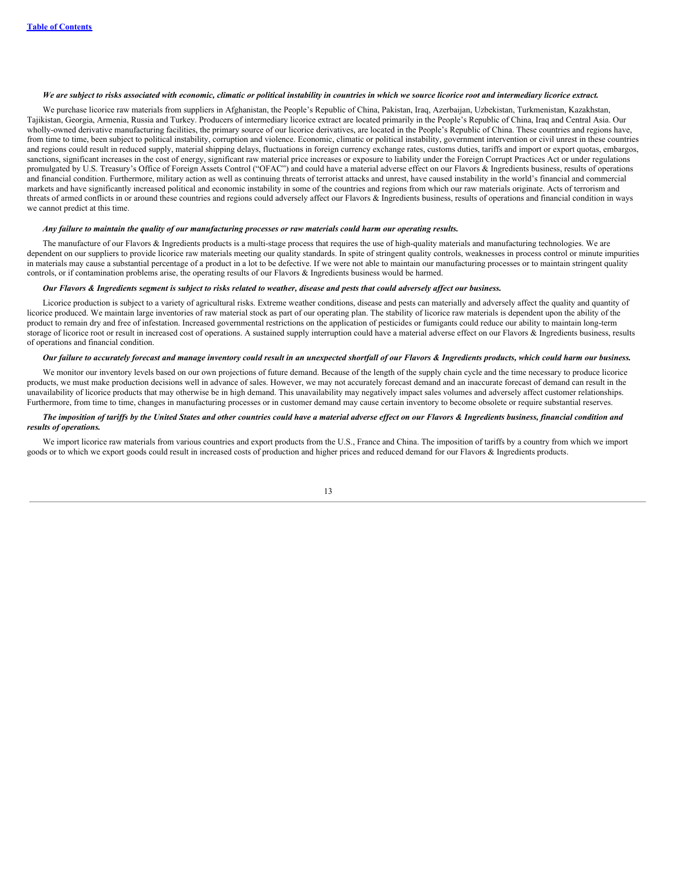### We are subject to risks associated with economic, climatic or political instability in countries in which we source licorice root and intermediary licorice extract.

We purchase licorice raw materials from suppliers in Afghanistan, the People's Republic of China, Pakistan, Iraq, Azerbaijan, Uzbekistan, Turkmenistan, Kazakhstan, Tajikistan, Georgia, Armenia, Russia and Turkey. Producers of intermediary licorice extract are located primarily in the People's Republic of China, Iraq and Central Asia. Our wholly-owned derivative manufacturing facilities, the primary source of our licorice derivatives, are located in the People's Republic of China. These countries and regions have, from time to time, been subject to political instability, corruption and violence. Economic, climatic or political instability, government intervention or civil unrest in these countries and regions could result in reduced supply, material shipping delays, fluctuations in foreign currency exchange rates, customs duties, tariffs and import or export quotas, embargos, sanctions, significant increases in the cost of energy, significant raw material price increases or exposure to liability under the Foreign Corrupt Practices Act or under regulations promulgated by U.S. Treasury's Office of Foreign Assets Control ("OFAC") and could have a material adverse effect on our Flavors & Ingredients business, results of operations and financial condition. Furthermore, military action as well as continuing threats of terrorist attacks and unrest, have caused instability in the world's financial and commercial markets and have significantly increased political and economic instability in some of the countries and regions from which our raw materials originate. Acts of terrorism and threats of armed conflicts in or around these countries and regions could adversely affect our Flavors & Ingredients business, results of operations and financial condition in ways we cannot predict at this time.

#### Any failure to maintain the quality of our manufacturing processes or raw materials could harm our operating results.

The manufacture of our Flavors & Ingredients products is a multi-stage process that requires the use of high-quality materials and manufacturing technologies. We are dependent on our suppliers to provide licorice raw materials meeting our quality standards. In spite of stringent quality controls, weaknesses in process control or minute impurities in materials may cause a substantial percentage of a product in a lot to be defective. If we were not able to maintain our manufacturing processes or to maintain stringent quality controls, or if contamination problems arise, the operating results of our Flavors & Ingredients business would be harmed.

#### Our Flavors & Ingredients segment is subject to risks related to weather, disease and pests that could adversely affect our business.

Licorice production is subject to a variety of agricultural risks. Extreme weather conditions, disease and pests can materially and adversely affect the quality and quantity of licorice produced. We maintain large inventories of raw material stock as part of our operating plan. The stability of licorice raw materials is dependent upon the ability of the product to remain dry and free of infestation. Increased governmental restrictions on the application of pesticides or fumigants could reduce our ability to maintain long-term storage of licorice root or result in increased cost of operations. A sustained supply interruption could have a material adverse effect on our Flavors & Ingredients business, results of operations and financial condition.

#### Our failure to accurately forecast and manage inventory could result in an unexpected shortfall of our Flavors & Ingredients products, which could harm our business.

We monitor our inventory levels based on our own projections of future demand. Because of the length of the supply chain cycle and the time necessary to produce licorice products, we must make production decisions well in advance of sales. However, we may not accurately forecast demand and an inaccurate forecast of demand can result in the unavailability of licorice products that may otherwise be in high demand. This unavailability may negatively impact sales volumes and adversely affect customer relationships. Furthermore, from time to time, changes in manufacturing processes or in customer demand may cause certain inventory to become obsolete or require substantial reserves.

### The imposition of tariffs by the United States and other countries could have a material adverse effect on our Flavors & Ingredients business, financial condition and *results of operations.*

We import licorice raw materials from various countries and export products from the U.S., France and China. The imposition of tariffs by a country from which we import goods or to which we export goods could result in increased costs of production and higher prices and reduced demand for our Flavors & Ingredients products.

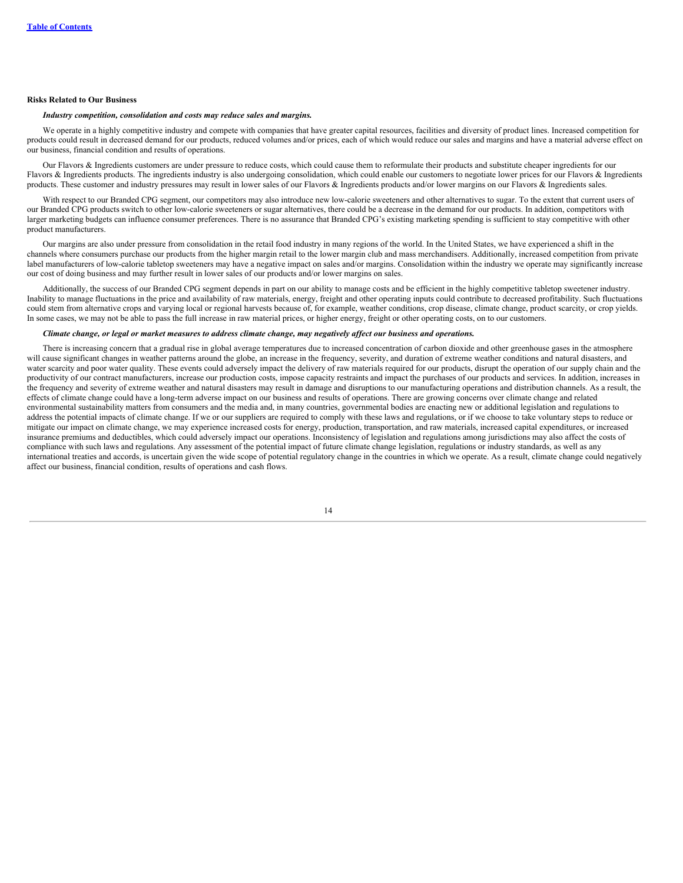### **Risks Related to Our Business**

### *Industry competition, consolidation and costs may reduce sales and margins.*

We operate in a highly competitive industry and compete with companies that have greater capital resources, facilities and diversity of product lines. Increased competition for products could result in decreased demand for our products, reduced volumes and/or prices, each of which would reduce our sales and margins and have a material adverse effect on our business, financial condition and results of operations.

Our Flavors & Ingredients customers are under pressure to reduce costs, which could cause them to reformulate their products and substitute cheaper ingredients for our Flavors & Ingredients products. The ingredients industry is also undergoing consolidation, which could enable our customers to negotiate lower prices for our Flavors & Ingredients products. These customer and industry pressures may result in lower sales of our Flavors & Ingredients products and/or lower margins on our Flavors & Ingredients sales.

With respect to our Branded CPG segment, our competitors may also introduce new low-calorie sweeteners and other alternatives to sugar. To the extent that current users of our Branded CPG products switch to other low-calorie sweeteners or sugar alternatives, there could be a decrease in the demand for our products. In addition, competitors with larger marketing budgets can influence consumer preferences. There is no assurance that Branded CPG's existing marketing spending is sufficient to stay competitive with other product manufacturers.

Our margins are also under pressure from consolidation in the retail food industry in many regions of the world. In the United States, we have experienced a shift in the channels where consumers purchase our products from the higher margin retail to the lower margin club and mass merchandisers. Additionally, increased competition from private label manufacturers of low-calorie tabletop sweeteners may have a negative impact on sales and/or margins. Consolidation within the industry we operate may significantly increase our cost of doing business and may further result in lower sales of our products and/or lower margins on sales.

Additionally, the success of our Branded CPG segment depends in part on our ability to manage costs and be efficient in the highly competitive tabletop sweetener industry. Inability to manage fluctuations in the price and availability of raw materials, energy, freight and other operating inputs could contribute to decreased profitability. Such fluctuations could stem from alternative crops and varying local or regional harvests because of, for example, weather conditions, crop disease, climate change, product scarcity, or crop yields. In some cases, we may not be able to pass the full increase in raw material prices, or higher energy, freight or other operating costs, on to our customers.

### Climate change, or legal or market measures to address climate change, may negatively affect our business and operations.

There is increasing concern that a gradual rise in global average temperatures due to increased concentration of carbon dioxide and other greenhouse gases in the atmosphere will cause significant changes in weather patterns around the globe, an increase in the frequency, severity, and duration of extreme weather conditions and natural disasters, and water scarcity and poor water quality. These events could adversely impact the delivery of raw materials required for our products, disrupt the operation of our supply chain and the productivity of our contract manufacturers, increase our production costs, impose capacity restraints and impact the purchases of our products and services. In addition, increases in the frequency and severity of extreme weather and natural disasters may result in damage and disruptions to our manufacturing operations and distribution channels. As a result, the effects of climate change could have a long-term adverse impact on our business and results of operations. There are growing concerns over climate change and related environmental sustainability matters from consumers and the media and, in many countries, governmental bodies are enacting new or additional legislation and regulations to address the potential impacts of climate change. If we or our suppliers are required to comply with these laws and regulations, or if we choose to take voluntary steps to reduce or mitigate our impact on climate change, we may experience increased costs for energy, production, transportation, and raw materials, increased capital expenditures, or increased insurance premiums and deductibles, which could adversely impact our operations. Inconsistency of legislation and regulations among jurisdictions may also affect the costs of compliance with such laws and regulations. Any assessment of the potential impact of future climate change legislation, regulations or industry standards, as well as any international treaties and accords, is uncertain given the wide scope of potential regulatory change in the countries in which we operate. As a result, climate change could negatively affect our business, financial condition, results of operations and cash flows.

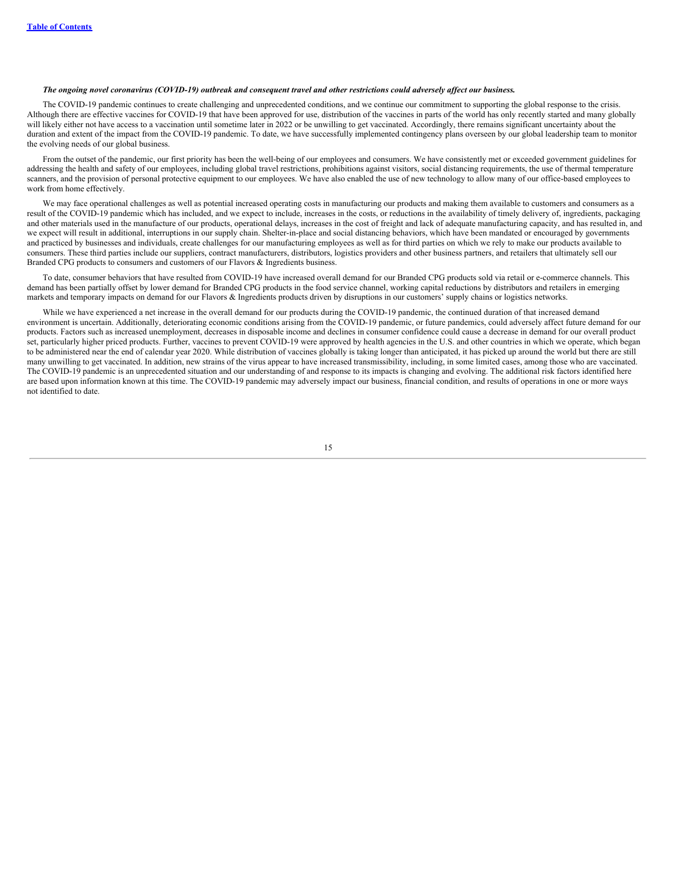## The ongoing novel coronavirus (COVID-19) outbreak and consequent travel and other restrictions could adversely affect our business.

The COVID-19 pandemic continues to create challenging and unprecedented conditions, and we continue our commitment to supporting the global response to the crisis. Although there are effective vaccines for COVID-19 that have been approved for use, distribution of the vaccines in parts of the world has only recently started and many globally will likely either not have access to a vaccination until sometime later in 2022 or be unwilling to get vaccinated. Accordingly, there remains significant uncertainty about the duration and extent of the impact from the COVID-19 pandemic. To date, we have successfully implemented contingency plans overseen by our global leadership team to monitor the evolving needs of our global business.

From the outset of the pandemic, our first priority has been the well-being of our employees and consumers. We have consistently met or exceeded government guidelines for addressing the health and safety of our employees, including global travel restrictions, prohibitions against visitors, social distancing requirements, the use of thermal temperature scanners, and the provision of personal protective equipment to our employees. We have also enabled the use of new technology to allow many of our office-based employees to work from home effectively.

We may face operational challenges as well as potential increased operating costs in manufacturing our products and making them available to customers and consumers as a result of the COVID-19 pandemic which has included, and we expect to include, increases in the costs, or reductions in the availability of timely delivery of, ingredients, packaging and other materials used in the manufacture of our products, operational delays, increases in the cost of freight and lack of adequate manufacturing capacity, and has resulted in, and we expect will result in additional, interruptions in our supply chain. Shelter-in-place and social distancing behaviors, which have been mandated or encouraged by governments and practiced by businesses and individuals, create challenges for our manufacturing employees as well as for third parties on which we rely to make our products available to consumers. These third parties include our suppliers, contract manufacturers, distributors, logistics providers and other business partners, and retailers that ultimately sell our Branded CPG products to consumers and customers of our Flavors & Ingredients business.

To date, consumer behaviors that have resulted from COVID-19 have increased overall demand for our Branded CPG products sold via retail or e-commerce channels. This demand has been partially offset by lower demand for Branded CPG products in the food service channel, working capital reductions by distributors and retailers in emerging markets and temporary impacts on demand for our Flavors & Ingredients products driven by disruptions in our customers' supply chains or logistics networks.

While we have experienced a net increase in the overall demand for our products during the COVID-19 pandemic, the continued duration of that increased demand environment is uncertain. Additionally, deteriorating economic conditions arising from the COVID-19 pandemic, or future pandemics, could adversely affect future demand for our products. Factors such as increased unemployment, decreases in disposable income and declines in consumer confidence could cause a decrease in demand for our overall product set, particularly higher priced products. Further, vaccines to prevent COVID-19 were approved by health agencies in the U.S. and other countries in which we operate, which began to be administered near the end of calendar year 2020. While distribution of vaccines globally is taking longer than anticipated, it has picked up around the world but there are still many unwilling to get vaccinated. In addition, new strains of the virus appear to have increased transmissibility, including, in some limited cases, among those who are vaccinated. The COVID-19 pandemic is an unprecedented situation and our understanding of and response to its impacts is changing and evolving. The additional risk factors identified here are based upon information known at this time. The COVID-19 pandemic may adversely impact our business, financial condition, and results of operations in one or more ways not identified to date.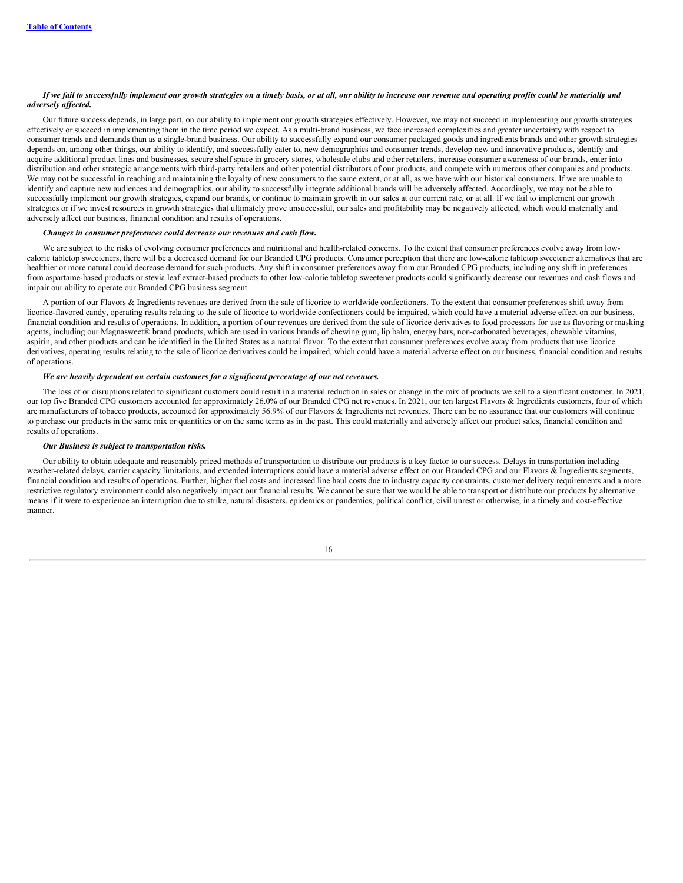### If we fail to successfully implement our growth strategies on a timely basis, or at all, our ability to increase our revenue and operating profits could be materially and *adversely af ected.*

Our future success depends, in large part, on our ability to implement our growth strategies effectively. However, we may not succeed in implementing our growth strategies effectively or succeed in implementing them in the time period we expect. As a multi-brand business, we face increased complexities and greater uncertainty with respect to consumer trends and demands than as a single-brand business. Our ability to successfully expand our consumer packaged goods and ingredients brands and other growth strategies depends on, among other things, our ability to identify, and successfully cater to, new demographics and consumer trends, develop new and innovative products, identify and acquire additional product lines and businesses, secure shelf space in grocery stores, wholesale clubs and other retailers, increase consumer awareness of our brands, enter into distribution and other strategic arrangements with third-party retailers and other potential distributors of our products, and compete with numerous other companies and products. We may not be successful in reaching and maintaining the loyalty of new consumers to the same extent, or at all, as we have with our historical consumers. If we are unable to identify and capture new audiences and demographics, our ability to successfully integrate additional brands will be adversely affected. Accordingly, we may not be able to successfully implement our growth strategies, expand our brands, or continue to maintain growth in our sales at our current rate, or at all. If we fail to implement our growth strategies or if we invest resources in growth strategies that ultimately prove unsuccessful, our sales and profitability may be negatively affected, which would materially and adversely affect our business, financial condition and results of operations.

### *Changes in consumer preferences could decrease our revenues and cash flow.*

We are subject to the risks of evolving consumer preferences and nutritional and health-related concerns. To the extent that consumer preferences evolve away from lowcalorie tabletop sweeteners, there will be a decreased demand for our Branded CPG products. Consumer perception that there are low-calorie tabletop sweetener alternatives that are healthier or more natural could decrease demand for such products. Any shift in consumer preferences away from our Branded CPG products, including any shift in preferences from aspartame-based products or stevia leaf extract-based products to other low-calorie tabletop sweetener products could significantly decrease our revenues and cash flows and impair our ability to operate our Branded CPG business segment.

A portion of our Flavors & Ingredients revenues are derived from the sale of licorice to worldwide confectioners. To the extent that consumer preferences shift away from licorice-flavored candy, operating results relating to the sale of licorice to worldwide confectioners could be impaired, which could have a material adverse effect on our business, financial condition and results of operations. In addition, a portion of our revenues are derived from the sale of licorice derivatives to food processors for use as flavoring or masking agents, including our Magnasweet® brand products, which are used in various brands of chewing gum, lip balm, energy bars, non-carbonated beverages, chewable vitamins, aspirin, and other products and can be identified in the United States as a natural flavor. To the extent that consumer preferences evolve away from products that use licorice derivatives, operating results relating to the sale of licorice derivatives could be impaired, which could have a material adverse effect on our business, financial condition and results of operations.

### *We are heavily dependent on certain customers for a significant percentage of our net revenues.*

The loss of or disruptions related to significant customers could result in a material reduction in sales or change in the mix of products we sell to a significant customer. In 2021, our top five Branded CPG customers accounted for approximately 26.0% of our Branded CPG net revenues. In 2021, our ten largest Flavors & Ingredients customers, four of which are manufacturers of tobacco products, accounted for approximately 56.9% of our Flavors & Ingredients net revenues. There can be no assurance that our customers will continue to purchase our products in the same mix or quantities or on the same terms as in the past. This could materially and adversely affect our product sales, financial condition and results of operations.

#### *Our Business is subject to transportation risks.*

Our ability to obtain adequate and reasonably priced methods of transportation to distribute our products is a key factor to our success. Delays in transportation including weather-related delays, carrier capacity limitations, and extended interruptions could have a material adverse effect on our Branded CPG and our Flavors & Ingredients segments, financial condition and results of operations. Further, higher fuel costs and increased line haul costs due to industry capacity constraints, customer delivery requirements and a more restrictive regulatory environment could also negatively impact our financial results. We cannot be sure that we would be able to transport or distribute our products by alternative means if it were to experience an interruption due to strike, natural disasters, epidemics or pandemics, political conflict, civil unrest or otherwise, in a timely and cost-effective manner.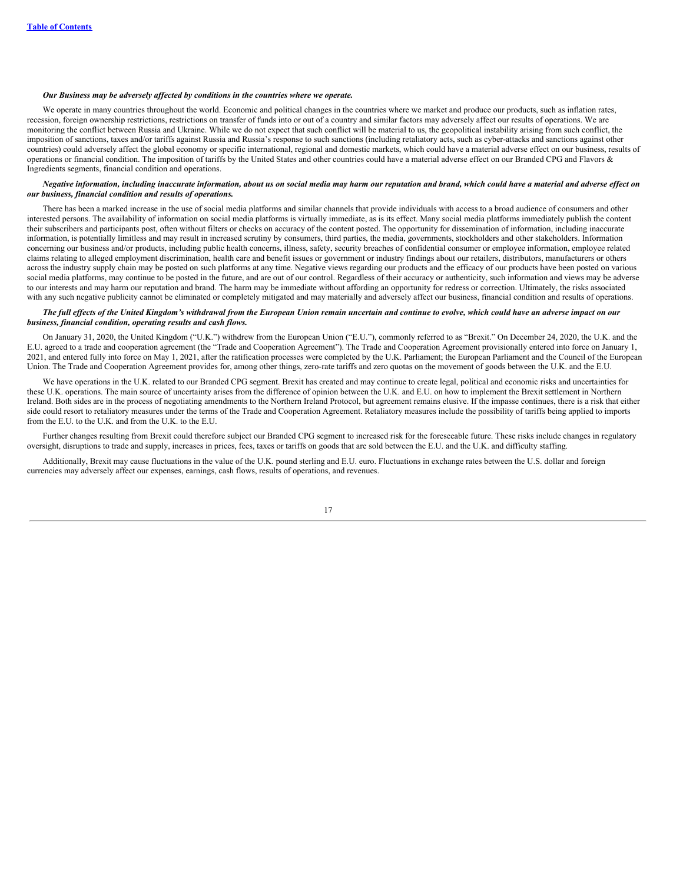### *Our Business may be adversely af ected by conditions in the countries where we operate.*

We operate in many countries throughout the world. Economic and political changes in the countries where we market and produce our products, such as inflation rates, recession, foreign ownership restrictions, restrictions on transfer of funds into or out of a country and similar factors may adversely affect our results of operations. We are monitoring the conflict between Russia and Ukraine. While we do not expect that such conflict will be material to us, the geopolitical instability arising from such conflict, the imposition of sanctions, taxes and/or tariffs against Russia and Russia's response to such sanctions (including retaliatory acts, such as cyber-attacks and sanctions against other countries) could adversely affect the global economy or specific international, regional and domestic markets, which could have a material adverse effect on our business, results of operations or financial condition. The imposition of tariffs by the United States and other countries could have a material adverse effect on our Branded CPG and Flavors & Ingredients segments, financial condition and operations.

### Negative information, including inaccurate information, about us on social media may harm our reputation and brand, which could have a material and adverse effect on *our business, financial condition and results of operations.*

There has been a marked increase in the use of social media platforms and similar channels that provide individuals with access to a broad audience of consumers and other interested persons. The availability of information on social media platforms is virtually immediate, as is its effect. Many social media platforms immediately publish the content their subscribers and participants post, often without filters or checks on accuracy of the content posted. The opportunity for dissemination of information, including inaccurate information, is potentially limitless and may result in increased scrutiny by consumers, third parties, the media, governments, stockholders and other stakeholders. Information concerning our business and/or products, including public health concerns, illness, safety, security breaches of confidential consumer or employee information, employee related claims relating to alleged employment discrimination, health care and benefit issues or government or industry findings about our retailers, distributors, manufacturers or others across the industry supply chain may be posted on such platforms at any time. Negative views regarding our products and the efficacy of our products have been posted on various social media platforms, may continue to be posted in the future, and are out of our control. Regardless of their accuracy or authenticity, such information and views may be adverse to our interests and may harm our reputation and brand. The harm may be immediate without affording an opportunity for redress or correction. Ultimately, the risks associated with any such negative publicity cannot be eliminated or completely mitigated and may materially and adversely affect our business, financial condition and results of operations.

### The full effects of the United Kingdom's withdrawal from the European Union remain uncertain and continue to evolve, which could have an adverse impact on our *business, financial condition, operating results and cash flows.*

On January 31, 2020, the United Kingdom ("U.K.") withdrew from the European Union ("E.U."), commonly referred to as "Brexit." On December 24, 2020, the U.K. and the E.U. agreed to a trade and cooperation agreement (the "Trade and Cooperation Agreement"). The Trade and Cooperation Agreement provisionally entered into force on January 1, 2021, and entered fully into force on May 1, 2021, after the ratification processes were completed by the U.K. Parliament; the European Parliament and the Council of the European Union. The Trade and Cooperation Agreement provides for, among other things, zero-rate tariffs and zero quotas on the movement of goods between the U.K. and the E.U.

We have operations in the U.K. related to our Branded CPG segment. Brexit has created and may continue to create legal, political and economic risks and uncertainties for these U.K. operations. The main source of uncertainty arises from the difference of opinion between the U.K. and E.U. on how to implement the Brexit settlement in Northern Ireland. Both sides are in the process of negotiating amendments to the Northern Ireland Protocol, but agreement remains elusive. If the impasse continues, there is a risk that either side could resort to retaliatory measures under the terms of the Trade and Cooperation Agreement. Retaliatory measures include the possibility of tariffs being applied to imports from the E.U. to the U.K. and from the U.K. to the E.U.

Further changes resulting from Brexit could therefore subject our Branded CPG segment to increased risk for the foreseeable future. These risks include changes in regulatory oversight, disruptions to trade and supply, increases in prices, fees, taxes or tariffs on goods that are sold between the E.U. and the U.K. and difficulty staffing.

Additionally, Brexit may cause fluctuations in the value of the U.K. pound sterling and E.U. euro. Fluctuations in exchange rates between the U.S. dollar and foreign currencies may adversely affect our expenses, earnings, cash flows, results of operations, and revenues.

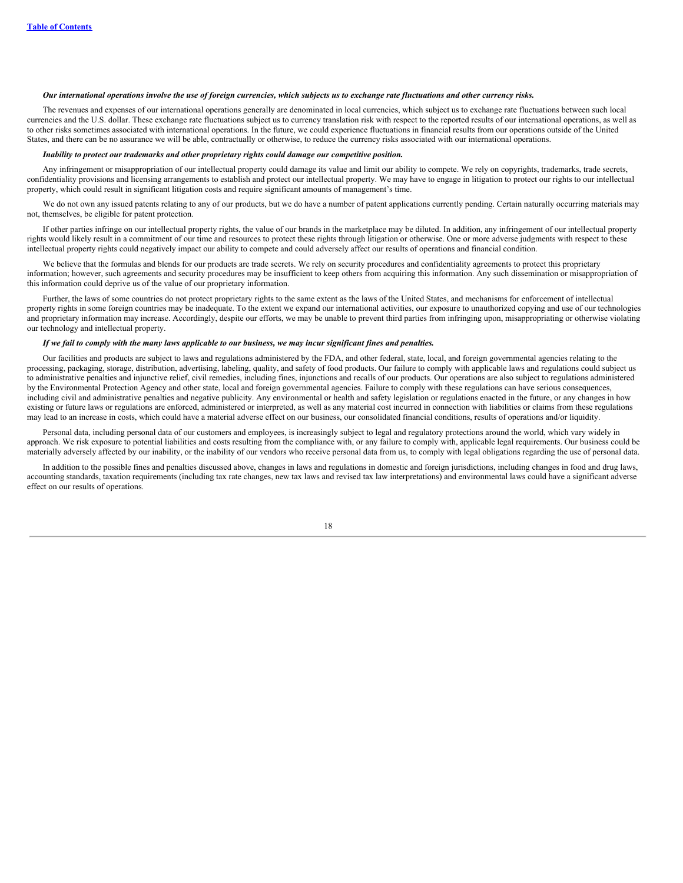### Our international operations involve the use of foreign currencies, which subjects us to exchange rate fluctuations and other currency risks.

The revenues and expenses of our international operations generally are denominated in local currencies, which subject us to exchange rate fluctuations between such local currencies and the U.S. dollar. These exchange rate fluctuations subject us to currency translation risk with respect to the reported results of our international operations, as well as to other risks sometimes associated with international operations. In the future, we could experience fluctuations in financial results from our operations outside of the United States, and there can be no assurance we will be able, contractually or otherwise, to reduce the currency risks associated with our international operations.

### *Inability to protect our trademarks and other proprietary rights could damage our competitive position.*

Any infringement or misappropriation of our intellectual property could damage its value and limit our ability to compete. We rely on copyrights, trademarks, trade secrets, confidentiality provisions and licensing arrangements to establish and protect our intellectual property. We may have to engage in litigation to protect our rights to our intellectual property, which could result in significant litigation costs and require significant amounts of management's time.

We do not own any issued patents relating to any of our products, but we do have a number of patent applications currently pending. Certain naturally occurring materials may not, themselves, be eligible for patent protection.

If other parties infringe on our intellectual property rights, the value of our brands in the marketplace may be diluted. In addition, any infringement of our intellectual property rights would likely result in a commitment of our time and resources to protect these rights through litigation or otherwise. One or more adverse judgments with respect to these intellectual property rights could negatively impact our ability to compete and could adversely affect our results of operations and financial condition.

We believe that the formulas and blends for our products are trade secrets. We rely on security procedures and confidentiality agreements to protect this proprietary information; however, such agreements and security procedures may be insufficient to keep others from acquiring this information. Any such dissemination or misappropriation of this information could deprive us of the value of our proprietary information.

Further, the laws of some countries do not protect proprietary rights to the same extent as the laws of the United States, and mechanisms for enforcement of intellectual property rights in some foreign countries may be inadequate. To the extent we expand our international activities, our exposure to unauthorized copying and use of our technologies and proprietary information may increase. Accordingly, despite our efforts, we may be unable to prevent third parties from infringing upon, misappropriating or otherwise violating our technology and intellectual property.

### If we fail to comply with the many laws applicable to our business, we may incur significant fines and penalties.

Our facilities and products are subject to laws and regulations administered by the FDA, and other federal, state, local, and foreign governmental agencies relating to the processing, packaging, storage, distribution, advertising, labeling, quality, and safety of food products. Our failure to comply with applicable laws and regulations could subject us to administrative penalties and injunctive relief, civil remedies, including fines, injunctions and recalls of our products. Our operations are also subject to regulations administered by the Environmental Protection Agency and other state, local and foreign governmental agencies. Failure to comply with these regulations can have serious consequences, including civil and administrative penalties and negative publicity. Any environmental or health and safety legislation or regulations enacted in the future, or any changes in how existing or future laws or regulations are enforced, administered or interpreted, as well as any material cost incurred in connection with liabilities or claims from these regulations may lead to an increase in costs, which could have a material adverse effect on our business, our consolidated financial conditions, results of operations and/or liquidity.

Personal data, including personal data of our customers and employees, is increasingly subject to legal and regulatory protections around the world, which vary widely in approach. We risk exposure to potential liabilities and costs resulting from the compliance with, or any failure to comply with, applicable legal requirements. Our business could be materially adversely affected by our inability, or the inability of our vendors who receive personal data from us, to comply with legal obligations regarding the use of personal data.

In addition to the possible fines and penalties discussed above, changes in laws and regulations in domestic and foreign jurisdictions, including changes in food and drug laws, accounting standards, taxation requirements (including tax rate changes, new tax laws and revised tax law interpretations) and environmental laws could have a significant adverse effect on our results of operations.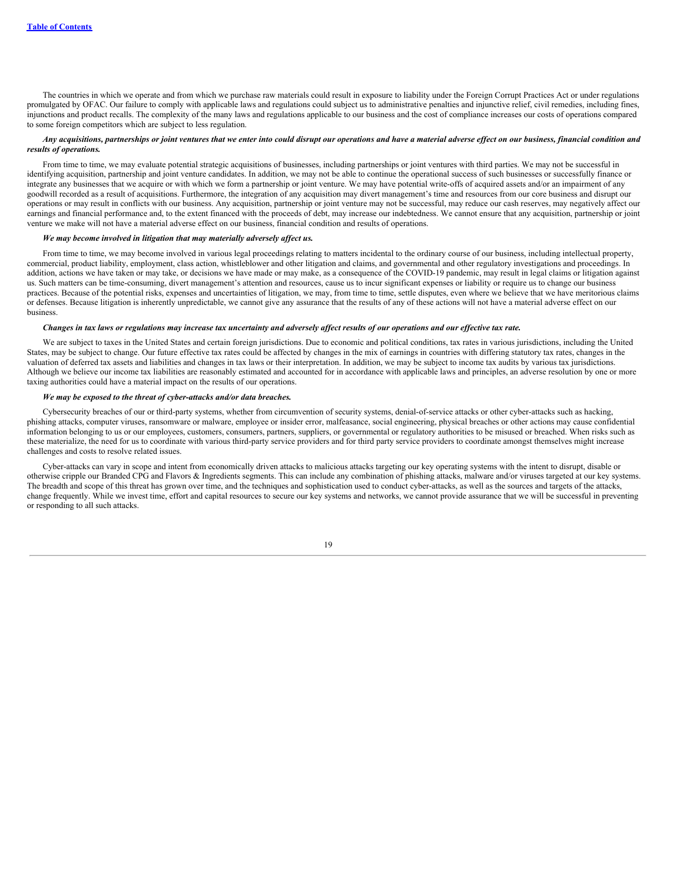The countries in which we operate and from which we purchase raw materials could result in exposure to liability under the Foreign Corrupt Practices Act or under regulations promulgated by OFAC. Our failure to comply with applicable laws and regulations could subject us to administrative penalties and injunctive relief, civil remedies, including fines, injunctions and product recalls. The complexity of the many laws and regulations applicable to our business and the cost of compliance increases our costs of operations compared to some foreign competitors which are subject to less regulation.

### Any acquisitions, partnerships or joint ventures that we enter into could disrupt our operations and have a material adverse effect on our business, financial condition and *results of operations.*

From time to time, we may evaluate potential strategic acquisitions of businesses, including partnerships or joint ventures with third parties. We may not be successful in identifying acquisition, partnership and joint venture candidates. In addition, we may not be able to continue the operational success of such businesses or successfully finance or integrate any businesses that we acquire or with which we form a partnership or joint venture. We may have potential write-offs of acquired assets and/or an impairment of any goodwill recorded as a result of acquisitions. Furthermore, the integration of any acquisition may divert management's time and resources from our core business and disrupt our operations or may result in conflicts with our business. Any acquisition, partnership or joint venture may not be successful, may reduce our cash reserves, may negatively affect our earnings and financial performance and, to the extent financed with the proceeds of debt, may increase our indebtedness. We cannot ensure that any acquisition, partnership or joint venture we make will not have a material adverse effect on our business, financial condition and results of operations.

### *We may become involved in litigation that may materially adversely af ect us.*

From time to time, we may become involved in various legal proceedings relating to matters incidental to the ordinary course of our business, including intellectual property, commercial, product liability, employment, class action, whistleblower and other litigation and claims, and governmental and other regulatory investigations and proceedings. In addition, actions we have taken or may take, or decisions we have made or may make, as a consequence of the COVID-19 pandemic, may result in legal claims or litigation against us. Such matters can be time-consuming, divert management's attention and resources, cause us to incur significant expenses or liability or require us to change our business practices. Because of the potential risks, expenses and uncertainties of litigation, we may, from time to time, settle disputes, even where we believe that we have meritorious claims or defenses. Because litigation is inherently unpredictable, we cannot give any assurance that the results of any of these actions will not have a material adverse effect on our business.

### Changes in tax laws or regulations may increase tax uncertainty and adversely affect results of our operations and our effective tax rate.

We are subject to taxes in the United States and certain foreign jurisdictions. Due to economic and political conditions, tax rates in various jurisdictions, including the United States, may be subject to change. Our future effective tax rates could be affected by changes in the mix of earnings in countries with differing statutory tax rates, changes in the valuation of deferred tax assets and liabilities and changes in tax laws or their interpretation. In addition, we may be subject to income tax audits by various tax jurisdictions. Although we believe our income tax liabilities are reasonably estimated and accounted for in accordance with applicable laws and principles, an adverse resolution by one or more taxing authorities could have a material impact on the results of our operations.

### *We may be exposed to the threat of cyber-attacks and/or data breaches.*

Cybersecurity breaches of our or third-party systems, whether from circumvention of security systems, denial-of-service attacks or other cyber-attacks such as hacking, phishing attacks, computer viruses, ransomware or malware, employee or insider error, malfeasance, social engineering, physical breaches or other actions may cause confidential information belonging to us or our employees, customers, consumers, partners, suppliers, or governmental or regulatory authorities to be misused or breached. When risks such as these materialize, the need for us to coordinate with various third-party service providers and for third party service providers to coordinate amongst themselves might increase challenges and costs to resolve related issues.

Cyber-attacks can vary in scope and intent from economically driven attacks to malicious attacks targeting our key operating systems with the intent to disrupt, disable or otherwise cripple our Branded CPG and Flavors & Ingredients segments. This can include any combination of phishing attacks, malware and/or viruses targeted at our key systems. The breadth and scope of this threat has grown over time, and the techniques and sophistication used to conduct cyber-attacks, as well as the sources and targets of the attacks, change frequently. While we invest time, effort and capital resources to secure our key systems and networks, we cannot provide assurance that we will be successful in preventing or responding to all such attacks.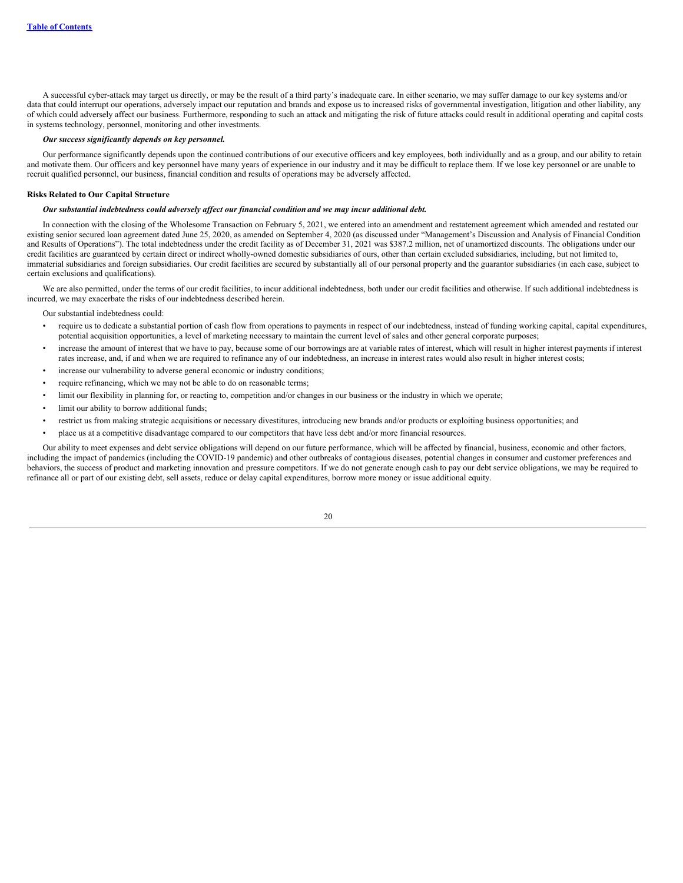A successful cyber-attack may target us directly, or may be the result of a third party's inadequate care. In either scenario, we may suffer damage to our key systems and/or data that could interrupt our operations, adversely impact our reputation and brands and expose us to increased risks of governmental investigation, litigation and other liability, any of which could adversely affect our business. Furthermore, responding to such an attack and mitigating the risk of future attacks could result in additional operating and capital costs in systems technology, personnel, monitoring and other investments.

## *Our success significantly depends on key personnel.*

Our performance significantly depends upon the continued contributions of our executive officers and key employees, both individually and as a group, and our ability to retain and motivate them. Our officers and key personnel have many years of experience in our industry and it may be difficult to replace them. If we lose key personnel or are unable to recruit qualified personnel, our business, financial condition and results of operations may be adversely affected.

### **Risks Related to Our Capital Structure**

### *Our substantial indebtedness could adversely af ect our financial condition and we may incur additional debt.*

In connection with the closing of the Wholesome Transaction on February 5, 2021, we entered into an amendment and restatement agreement which amended and restated our existing senior secured loan agreement dated June 25, 2020, as amended on September 4, 2020 (as discussed under "Management's Discussion and Analysis of Financial Condition and Results of Operations"). The total indebtedness under the credit facility as of December 31, 2021 was \$387.2 million, net of unamortized discounts. The obligations under our credit facilities are guaranteed by certain direct or indirect wholly-owned domestic subsidiaries of ours, other than certain excluded subsidiaries, including, but not limited to, immaterial subsidiaries and foreign subsidiaries. Our credit facilities are secured by substantially all of our personal property and the guarantor subsidiaries (in each case, subject to certain exclusions and qualifications).

We are also permitted, under the terms of our credit facilities, to incur additional indebtedness, both under our credit facilities and otherwise. If such additional indebtedness is incurred, we may exacerbate the risks of our indebtedness described herein.

Our substantial indebtedness could:

- require us to dedicate a substantial portion of cash flow from operations to payments in respect of our indebtedness, instead of funding working capital, capital expenditures, potential acquisition opportunities, a level of marketing necessary to maintain the current level of sales and other general corporate purposes;
- increase the amount of interest that we have to pay, because some of our borrowings are at variable rates of interest, which will result in higher interest payments if interest rates increase, and, if and when we are required to refinance any of our indebtedness, an increase in interest rates would also result in higher interest costs;
- increase our vulnerability to adverse general economic or industry conditions;
- require refinancing, which we may not be able to do on reasonable terms;
- limit our flexibility in planning for, or reacting to, competition and/or changes in our business or the industry in which we operate;
- limit our ability to borrow additional funds;
- restrict us from making strategic acquisitions or necessary divestitures, introducing new brands and/or products or exploiting business opportunities; and
- place us at a competitive disadvantage compared to our competitors that have less debt and/or more financial resources.

Our ability to meet expenses and debt service obligations will depend on our future performance, which will be affected by financial, business, economic and other factors, including the impact of pandemics (including the COVID-19 pandemic) and other outbreaks of contagious diseases, potential changes in consumer and customer preferences and behaviors, the success of product and marketing innovation and pressure competitors. If we do not generate enough cash to pay our debt service obligations, we may be required to refinance all or part of our existing debt, sell assets, reduce or delay capital expenditures, borrow more money or issue additional equity.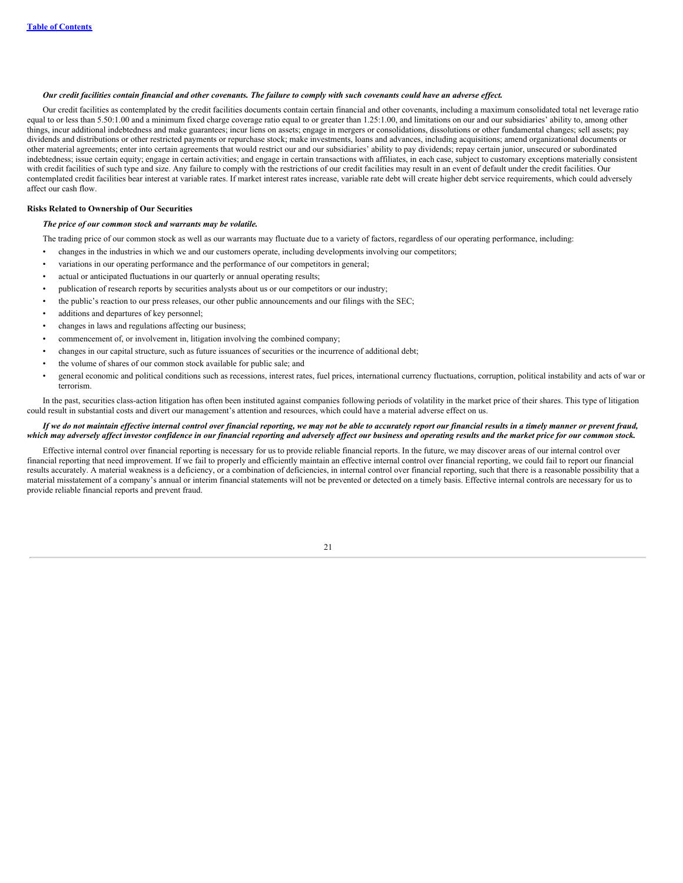### Our credit facilities contain financial and other covenants. The failure to comply with such covenants could have an adverse effect.

Our credit facilities as contemplated by the credit facilities documents contain certain financial and other covenants, including a maximum consolidated total net leverage ratio equal to or less than 5.50:1.00 and a minimum fixed charge coverage ratio equal to or greater than 1.25:1.00, and limitations on our and our subsidiaries' ability to, among other things, incur additional indebtedness and make guarantees; incur liens on assets; engage in mergers or consolidations, dissolutions or other fundamental changes; sell assets; pay dividends and distributions or other restricted payments or repurchase stock; make investments, loans and advances, including acquisitions; amend organizational documents or other material agreements; enter into certain agreements that would restrict our and our subsidiaries' ability to pay dividends; repay certain junior, unsecured or subordinated indebtedness; issue certain equity; engage in certain activities; and engage in certain transactions with affiliates, in each case, subject to customary exceptions materially consistent with credit facilities of such type and size. Any failure to comply with the restrictions of our credit facilities may result in an event of default under the credit facilities. Our contemplated credit facilities bear interest at variable rates. If market interest rates increase, variable rate debt will create higher debt service requirements, which could adversely affect our cash flow.

### **Risks Related to Ownership of Our Securities**

### *The price of our common stock and warrants may be volatile.*

The trading price of our common stock as well as our warrants may fluctuate due to a variety of factors, regardless of our operating performance, including:

- changes in the industries in which we and our customers operate, including developments involving our competitors;
- variations in our operating performance and the performance of our competitors in general;
- actual or anticipated fluctuations in our quarterly or annual operating results;
- publication of research reports by securities analysts about us or our competitors or our industry;
- the public's reaction to our press releases, our other public announcements and our filings with the SEC;
- additions and departures of key personnel;
- changes in laws and regulations affecting our business;
- commencement of, or involvement in, litigation involving the combined company;
- changes in our capital structure, such as future issuances of securities or the incurrence of additional debt;
- the volume of shares of our common stock available for public sale; and
- general economic and political conditions such as recessions, interest rates, fuel prices, international currency fluctuations, corruption, political instability and acts of war or terrorism.

In the past, securities class-action litigation has often been instituted against companies following periods of volatility in the market price of their shares. This type of litigation could result in substantial costs and divert our management's attention and resources, which could have a material adverse effect on us.

### If we do not maintain effective internal control over financial reporting, we may not be able to accurately report our financial results in a timely manner or prevent fraud, which may adversely affect investor confidence in our financial reporting and adversely affect our business and operating results and the market price for our common stock.

Effective internal control over financial reporting is necessary for us to provide reliable financial reports. In the future, we may discover areas of our internal control over financial reporting that need improvement. If we fail to properly and efficiently maintain an effective internal control over financial reporting, we could fail to report our financial results accurately. A material weakness is a deficiency, or a combination of deficiencies, in internal control over financial reporting, such that there is a reasonable possibility that a material misstatement of a company's annual or interim financial statements will not be prevented or detected on a timely basis. Effective internal controls are necessary for us to provide reliable financial reports and prevent fraud.

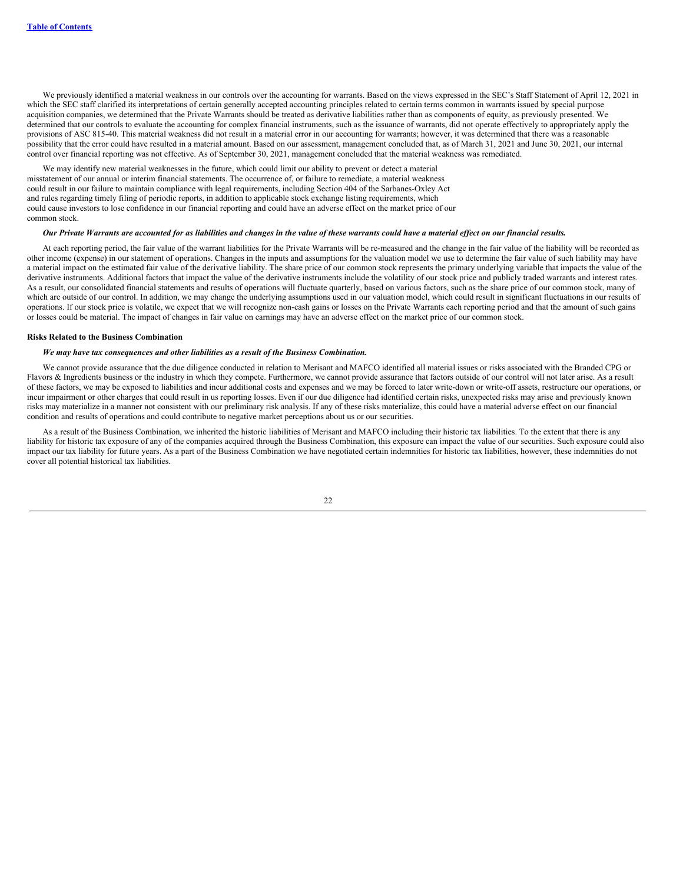We previously identified a material weakness in our controls over the accounting for warrants. Based on the views expressed in the SEC's Staff Statement of April 12, 2021 in which the SEC staff clarified its interpretations of certain generally accepted accounting principles related to certain terms common in warrants issued by special purpose acquisition companies, we determined that the Private Warrants should be treated as derivative liabilities rather than as components of equity, as previously presented. We determined that our controls to evaluate the accounting for complex financial instruments, such as the issuance of warrants, did not operate effectively to appropriately apply the provisions of ASC 815-40. This material weakness did not result in a material error in our accounting for warrants; however, it was determined that there was a reasonable possibility that the error could have resulted in a material amount. Based on our assessment, management concluded that, as of March 31, 2021 and June 30, 2021, our internal control over financial reporting was not effective. As of September 30, 2021, management concluded that the material weakness was remediated.

We may identify new material weaknesses in the future, which could limit our ability to prevent or detect a material misstatement of our annual or interim financial statements. The occurrence of, or failure to remediate, a material weakness could result in our failure to maintain compliance with legal requirements, including Section 404 of the Sarbanes-Oxley Act and rules regarding timely filing of periodic reports, in addition to applicable stock exchange listing requirements, which could cause investors to lose confidence in our financial reporting and could have an adverse effect on the market price of our common stock.

### Our Private Warrants are accounted for as liabilities and changes in the value of these warrants could have a material effect on our financial results.

At each reporting period, the fair value of the warrant liabilities for the Private Warrants will be re-measured and the change in the fair value of the liability will be recorded as other income (expense) in our statement of operations. Changes in the inputs and assumptions for the valuation model we use to determine the fair value of such liability may have a material impact on the estimated fair value of the derivative liability. The share price of our common stock represents the primary underlying variable that impacts the value of the derivative instruments. Additional factors that impact the value of the derivative instruments include the volatility of our stock price and publicly traded warrants and interest rates. As a result, our consolidated financial statements and results of operations will fluctuate quarterly, based on various factors, such as the share price of our common stock, many of which are outside of our control. In addition, we may change the underlying assumptions used in our valuation model, which could result in significant fluctuations in our results of operations. If our stock price is volatile, we expect that we will recognize non-cash gains or losses on the Private Warrants each reporting period and that the amount of such gains or losses could be material. The impact of changes in fair value on earnings may have an adverse effect on the market price of our common stock.

#### **Risks Related to the Business Combination**

#### *We may have tax consequences and other liabilities as a result of the Business Combination.*

We cannot provide assurance that the due diligence conducted in relation to Merisant and MAFCO identified all material issues or risks associated with the Branded CPG or Flavors & Ingredients business or the industry in which they compete. Furthermore, we cannot provide assurance that factors outside of our control will not later arise. As a result of these factors, we may be exposed to liabilities and incur additional costs and expenses and we may be forced to later write-down or write-off assets, restructure our operations, or incur impairment or other charges that could result in us reporting losses. Even if our due diligence had identified certain risks, unexpected risks may arise and previously known risks may materialize in a manner not consistent with our preliminary risk analysis. If any of these risks materialize, this could have a material adverse effect on our financial condition and results of operations and could contribute to negative market perceptions about us or our securities.

As a result of the Business Combination, we inherited the historic liabilities of Merisant and MAFCO including their historic tax liabilities. To the extent that there is any liability for historic tax exposure of any of the companies acquired through the Business Combination, this exposure can impact the value of our securities. Such exposure could also impact our tax liability for future years. As a part of the Business Combination we have negotiated certain indemnities for historic tax liabilities, however, these indemnities do not cover all potential historical tax liabilities.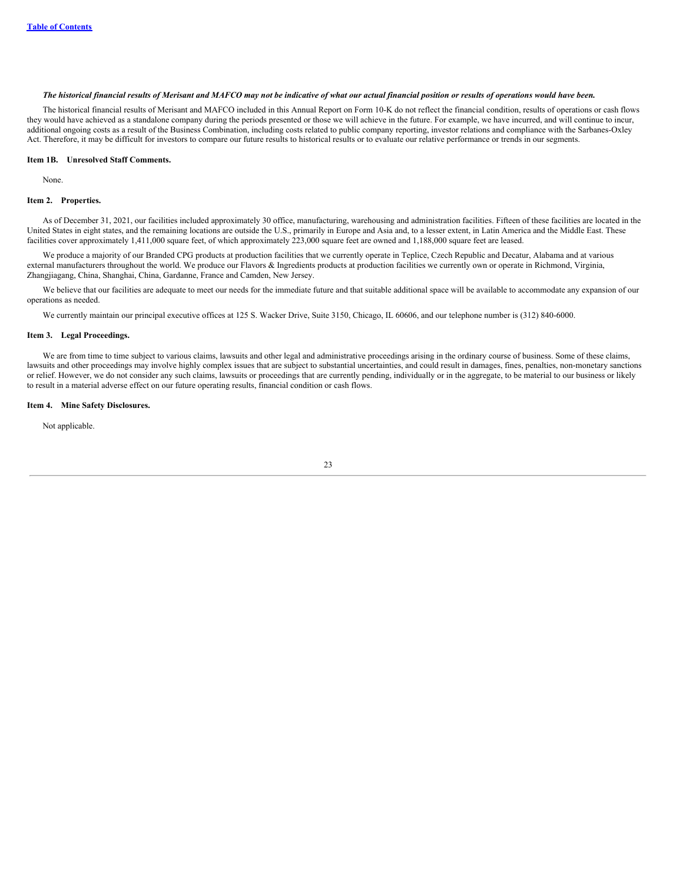### The historical financial results of Merisant and MAFCO may not be indicative of what our actual financial position or results of operations would have been.

The historical financial results of Merisant and MAFCO included in this Annual Report on Form 10-K do not reflect the financial condition, results of operations or cash flows they would have achieved as a standalone company during the periods presented or those we will achieve in the future. For example, we have incurred, and will continue to incur, additional ongoing costs as a result of the Business Combination, including costs related to public company reporting, investor relations and compliance with the Sarbanes-Oxley Act. Therefore, it may be difficult for investors to compare our future results to historical results or to evaluate our relative performance or trends in our segments.

### <span id="page-25-0"></span>**Item 1B. Unresolved Staff Comments.**

None.

### <span id="page-25-1"></span>**Item 2. Properties.**

As of December 31, 2021, our facilities included approximately 30 office, manufacturing, warehousing and administration facilities. Fifteen of these facilities are located in the United States in eight states, and the remaining locations are outside the U.S., primarily in Europe and Asia and, to a lesser extent, in Latin America and the Middle East. These facilities cover approximately 1,411,000 square feet, of which approximately 223,000 square feet are owned and 1,188,000 square feet are leased.

We produce a majority of our Branded CPG products at production facilities that we currently operate in Teplice, Czech Republic and Decatur, Alabama and at various external manufacturers throughout the world. We produce our Flavors & Ingredients products at production facilities we currently own or operate in Richmond, Virginia, Zhangjiagang, China, Shanghai, China, Gardanne, France and Camden, New Jersey.

We believe that our facilities are adequate to meet our needs for the immediate future and that suitable additional space will be available to accommodate any expansion of our operations as needed.

We currently maintain our principal executive offices at 125 S. Wacker Drive, Suite 3150, Chicago, IL 60606, and our telephone number is (312) 840-6000.

### <span id="page-25-2"></span>**Item 3. Legal Proceedings.**

We are from time to time subject to various claims, lawsuits and other legal and administrative proceedings arising in the ordinary course of business. Some of these claims, lawsuits and other proceedings may involve highly complex issues that are subject to substantial uncertainties, and could result in damages, fines, penalties, non-monetary sanctions or relief. However, we do not consider any such claims, lawsuits or proceedings that are currently pending, individually or in the aggregate, to be material to our business or likely to result in a material adverse effect on our future operating results, financial condition or cash flows.

#### <span id="page-25-3"></span>**Item 4. Mine Safety Disclosures.**

<span id="page-25-4"></span>Not applicable.

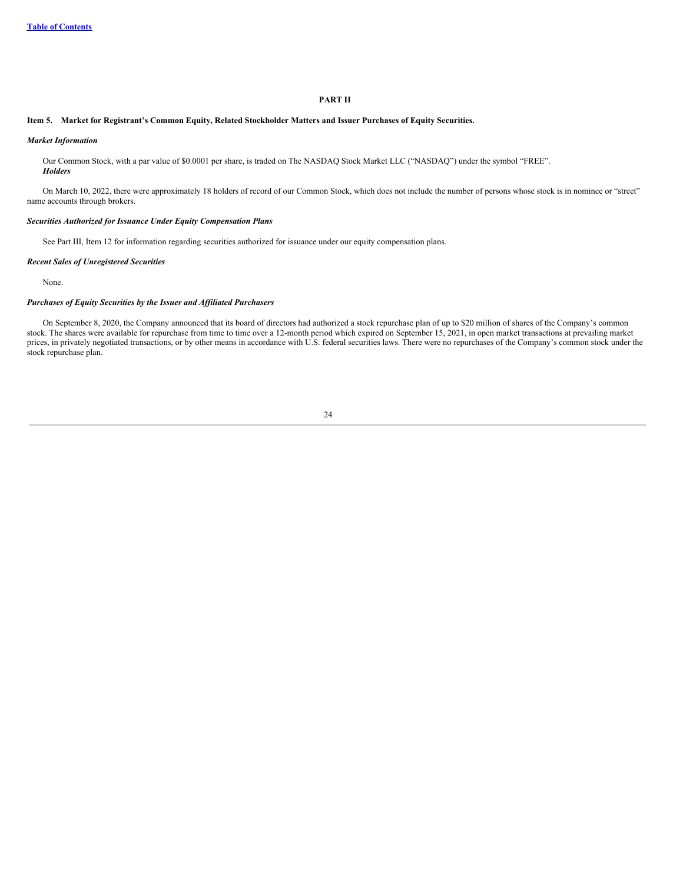### **PART II**

#### <span id="page-26-0"></span>Item 5. Market for Registrant's Common Equity, Related Stockholder Matters and Issuer Purchases of Equity Securities.

### *Market Information*

Our Common Stock, with a par value of \$0.0001 per share, is traded on The NASDAQ Stock Market LLC ("NASDAQ") under the symbol "FREE". *Holders*

On March 10, 2022, there were approximately 18 holders of record of our Common Stock, which does not include the number of persons whose stock is in nominee or "street" name accounts through brokers.

## *Securities Authorized for Issuance Under Equity Compensation Plans*

See Part III, Item 12 for information regarding securities authorized for issuance under our equity compensation plans.

### *Recent Sales of Unregistered Securities*

#### None.

### *Purchases of Equity Securities by the Issuer and Af iliated Purchasers*

On September 8, 2020, the Company announced that its board of directors had authorized a stock repurchase plan of up to \$20 million of shares of the Company's common stock. The shares were available for repurchase from time to time over a 12-month period which expired on September 15, 2021, in open market transactions at prevailing market prices, in privately negotiated transactions, or by other means in accordance with U.S. federal securities laws. There were no repurchases of the Company's common stock under the stock repurchase plan.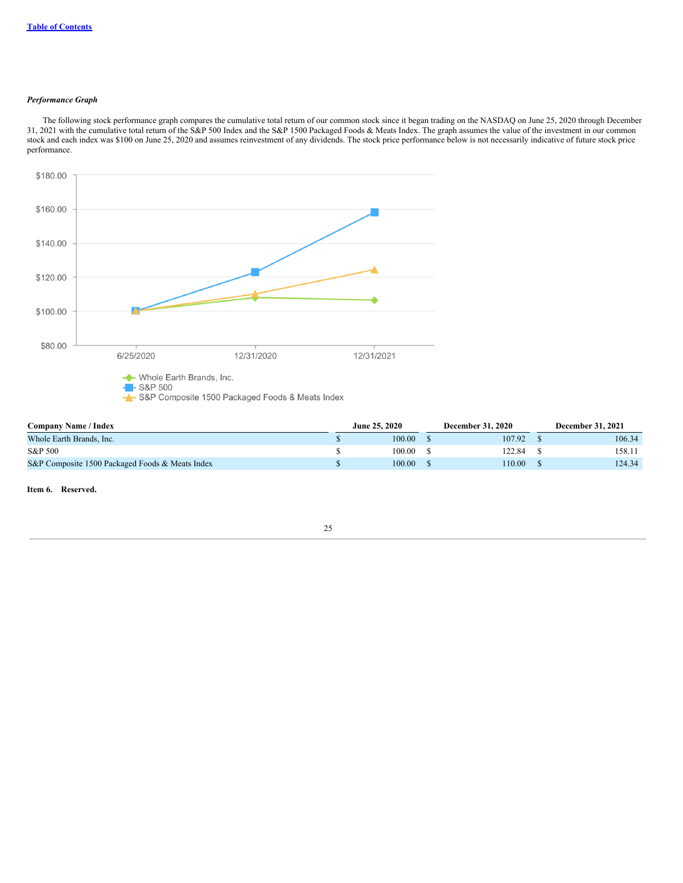## *Performance Graph*

The following stock performance graph compares the cumulative total return of our common stock since it began trading on the NASDAQ on June 25, 2020 through December 31, 2021 with the cumulative total return of the S&P 500 Index and the S&P 1500 Packaged Foods & Meats Index. The graph assumes the value of the investment in our common stock and each index was \$100 on June 25, 2020 and assumes reinvestment of any dividends. The stock price performance below is not necessarily indicative of future stock price performance.



| <b>Company Name / Index</b>                     | June 25, 2020 |        | <b>December 31, 2020</b> | December 31, 2021 |
|-------------------------------------------------|---------------|--------|--------------------------|-------------------|
| Whole Earth Brands, Inc.                        |               | 100.00 | 107.92                   | 106.34            |
| S&P 500                                         |               | 100.00 | 122.84                   | 158.11            |
| S&P Composite 1500 Packaged Foods & Meats Index |               | 100.00 | 110.00                   | 124.34            |

<span id="page-27-1"></span><span id="page-27-0"></span>**Item 6. Reserved.**

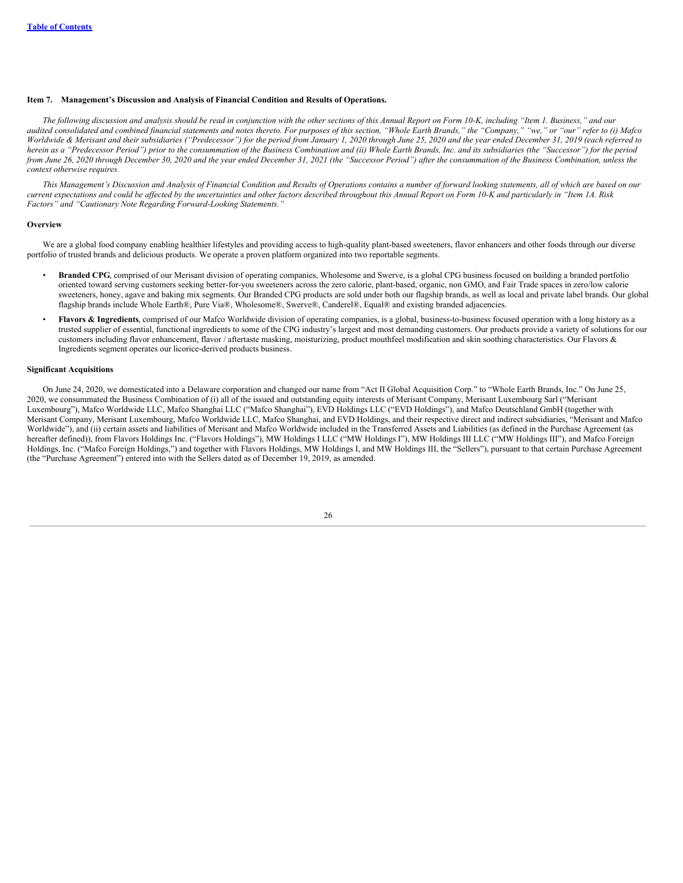### **Item 7. Management's Discussion and Analysis of Financial Condition and Results of Operations.**

The following discussion and analysis should be read in conjunction with the other sections of this Annual Report on Form 10-K, including "Item 1. Business," and our audited consolidated and combined financial statements and notes thereto. For purposes of this section, "Whole Earth Brands," the "Company," "we," or "our" refer to (i) Mafco Worldwide & Merisant and their subsidiaries ("Predecessor") for the period from January 1, 2020 through June 25, 2020 and the year ended December 31, 2019 (each referred to herein as a "Predecessor Period") prior to the consummation of the Business Combination and (ii) Whole Earth Brands, Inc. and its subsidiaries (the "Successor") for the period from June 26, 2020 through December 30, 2020 and the year ended December 31, 2021 (the "Successor Period") after the consummation of the Business Combination, unless the *context otherwise requires.*

This Management's Discussion and Analysis of Financial Condition and Results of Operations contains a number of forward looking statements, all of which are based on our current expectations and could be affected by the uncertainties and other factors described throughout this Annual Report on Form 10-K and particularly in "Item 1A. Risk *Factors" and "Cautionary Note Regarding Forward-Looking Statements."*

#### **Overview**

We are a global food company enabling healthier lifestyles and providing access to high-quality plant-based sweeteners, flavor enhancers and other foods through our diverse portfolio of trusted brands and delicious products. We operate a proven platform organized into two reportable segments.

- **Branded CPG**, comprised of our Merisant division of operating companies, Wholesome and Swerve, is a global CPG business focused on building a branded portfolio oriented toward serving customers seeking better-for-you sweeteners across the zero calorie, plant-based, organic, non GMO, and Fair Trade spaces in zero/low calorie sweeteners, honey, agave and baking mix segments. Our Branded CPG products are sold under both our flagship brands, as well as local and private label brands. Our global flagship brands include Whole Earth®, Pure Via®, Wholesome®, Swerve®, Canderel®, Equal® and existing branded adjacencies.
- **Flavors & Ingredients**, comprised of our Mafco Worldwide division of operating companies, is a global, business-to-business focused operation with a long history as a trusted supplier of essential, functional ingredients to some of the CPG industry's largest and most demanding customers. Our products provide a variety of solutions for our customers including flavor enhancement, flavor / aftertaste masking, moisturizing, product mouthfeel modification and skin soothing characteristics. Our Flavors & Ingredients segment operates our licorice-derived products business.

#### **Significant Acquisitions**

On June 24, 2020, we domesticated into a Delaware corporation and changed our name from "Act II Global Acquisition Corp." to "Whole Earth Brands, Inc." On June 25, 2020, we consummated the Business Combination of (i) all of the issued and outstanding equity interests of Merisant Company, Merisant Luxembourg Sarl ("Merisant Luxembourg"), Mafco Worldwide LLC, Mafco Shanghai LLC ("Mafco Shanghai"), EVD Holdings LLC ("EVD Holdings"), and Mafco Deutschland GmbH (together with Merisant Company, Merisant Luxembourg, Mafco Worldwide LLC, Mafco Shanghai, and EVD Holdings, and their respective direct and indirect subsidiaries, "Merisant and Mafco Worldwide"), and (ii) certain assets and liabilities of Merisant and Mafco Worldwide included in the Transferred Assets and Liabilities (as defined in the Purchase Agreement (as hereafter defined)), from Flavors Holdings Inc. ("Flavors Holdings"), MW Holdings I LLC ("MW Holdings III, MW Holdings III LLC ("MW Holdings III"), and Mafco Foreign Holdings, Inc. ("Mafco Foreign Holdings,") and together with Flavors Holdings, MW Holdings I, and MW Holdings III, the "Sellers"), pursuant to that certain Purchase Agreement (the "Purchase Agreement") entered into with the Sellers dated as of December 19, 2019, as amended.

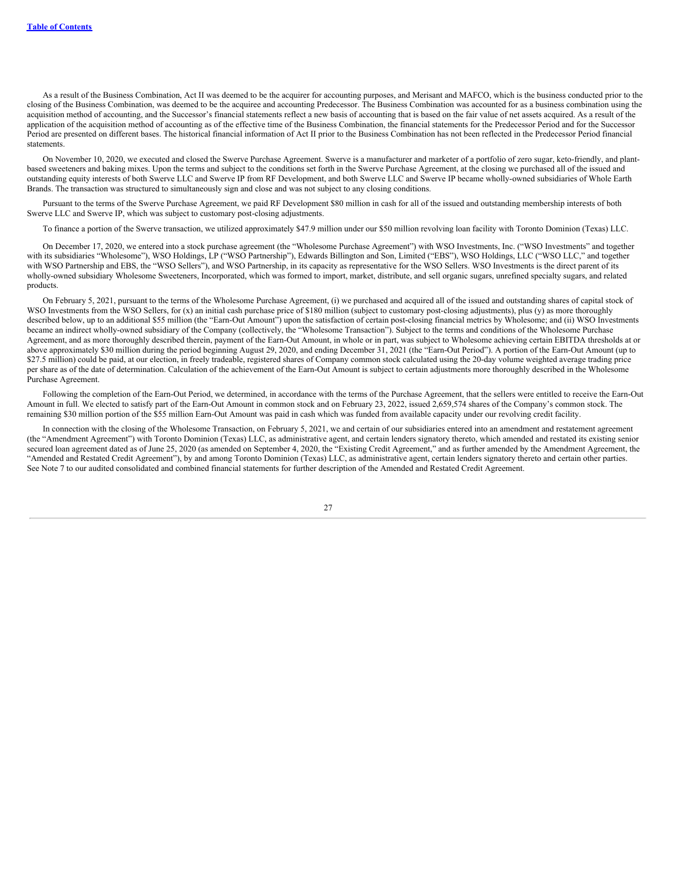As a result of the Business Combination, Act II was deemed to be the acquirer for accounting purposes, and Merisant and MAFCO, which is the business conducted prior to the closing of the Business Combination, was deemed to be the acquiree and accounting Predecessor. The Business Combination was accounted for as a business combination using the acquisition method of accounting, and the Successor's financial statements reflect a new basis of accounting that is based on the fair value of net assets acquired. As a result of the application of the acquisition method of accounting as of the effective time of the Business Combination, the financial statements for the Predecessor Period and for the Successor Period are presented on different bases. The historical financial information of Act II prior to the Business Combination has not been reflected in the Predecessor Period financial statements.

On November 10, 2020, we executed and closed the Swerve Purchase Agreement. Swerve is a manufacturer and marketer of a portfolio of zero sugar, keto-friendly, and plantbased sweeteners and baking mixes. Upon the terms and subject to the conditions set forth in the Swerve Purchase Agreement, at the closing we purchased all of the issued and outstanding equity interests of both Swerve LLC and Swerve IP from RF Development, and both Swerve LLC and Swerve IP became wholly-owned subsidiaries of Whole Earth Brands. The transaction was structured to simultaneously sign and close and was not subject to any closing conditions.

Pursuant to the terms of the Swerve Purchase Agreement, we paid RF Development \$80 million in cash for all of the issued and outstanding membership interests of both Swerve LLC and Swerve IP, which was subject to customary post-closing adjustments.

To finance a portion of the Swerve transaction, we utilized approximately \$47.9 million under our \$50 million revolving loan facility with Toronto Dominion (Texas) LLC.

On December 17, 2020, we entered into a stock purchase agreement (the "Wholesome Purchase Agreement") with WSO Investments, Inc. ("WSO Investments" and together with its subsidiaries "Wholesome"), WSO Holdings, LP ("WSO Partnership"), Edwards Billington and Son, Limited ("EBS"), WSO Holdings, LLC ("WSO LLC," and together with WSO Partnership and EBS, the "WSO Sellers"), and WSO Partnership, in its capacity as representative for the WSO Sellers. WSO Investments is the direct parent of its wholly-owned subsidiary Wholesome Sweeteners, Incorporated, which was formed to import, market, distribute, and sell organic sugars, unrefined specialty sugars, and related products.

On February 5, 2021, pursuant to the terms of the Wholesome Purchase Agreement, (i) we purchased and acquired all of the issued and outstanding shares of capital stock of WSO Investments from the WSO Sellers, for (x) an initial cash purchase price of \$180 million (subject to customary post-closing adjustments), plus (y) as more thoroughly described below, up to an additional \$55 million (the "Earn-Out Amount") upon the satisfaction of certain post-closing financial metrics by Wholesome; and (ii) WSO Investments became an indirect wholly-owned subsidiary of the Company (collectively, the "Wholesome Transaction"). Subject to the terms and conditions of the Wholesome Purchase Agreement, and as more thoroughly described therein, payment of the Earn-Out Amount, in whole or in part, was subject to Wholesome achieving certain EBITDA thresholds at or above approximately \$30 million during the period beginning August 29, 2020, and ending December 31, 2021 (the "Earn-Out Period"). A portion of the Earn-Out Amount (up to \$27.5 million) could be paid, at our election, in freely tradeable, registered shares of Company common stock calculated using the 20-day volume weighted average trading price per share as of the date of determination. Calculation of the achievement of the Earn-Out Amount is subject to certain adjustments more thoroughly described in the Wholesome Purchase Agreement.

Following the completion of the Earn-Out Period, we determined, in accordance with the terms of the Purchase Agreement, that the sellers were entitled to receive the Earn-Out Amount in full. We elected to satisfy part of the Earn-Out Amount in common stock and on February 23, 2022, issued 2,659,574 shares of the Company's common stock. The remaining \$30 million portion of the \$55 million Earn-Out Amount was paid in cash which was funded from available capacity under our revolving credit facility.

In connection with the closing of the Wholesome Transaction, on February 5, 2021, we and certain of our subsidiaries entered into an amendment and restatement agreement (the "Amendment Agreement") with Toronto Dominion (Texas) LLC, as administrative agent, and certain lenders signatory thereto, which amended and restated its existing senior secured loan agreement dated as of June 25, 2020 (as amended on September 4, 2020, the "Existing Credit Agreement," and as further amended by the Amendment Agreement, the "Amended and Restated Credit Agreement"), by and among Toronto Dominion (Texas) LLC, as administrative agent, certain lenders signatory thereto and certain other parties. See Note 7 to our audited consolidated and combined financial statements for further description of the Amended and Restated Credit Agreement.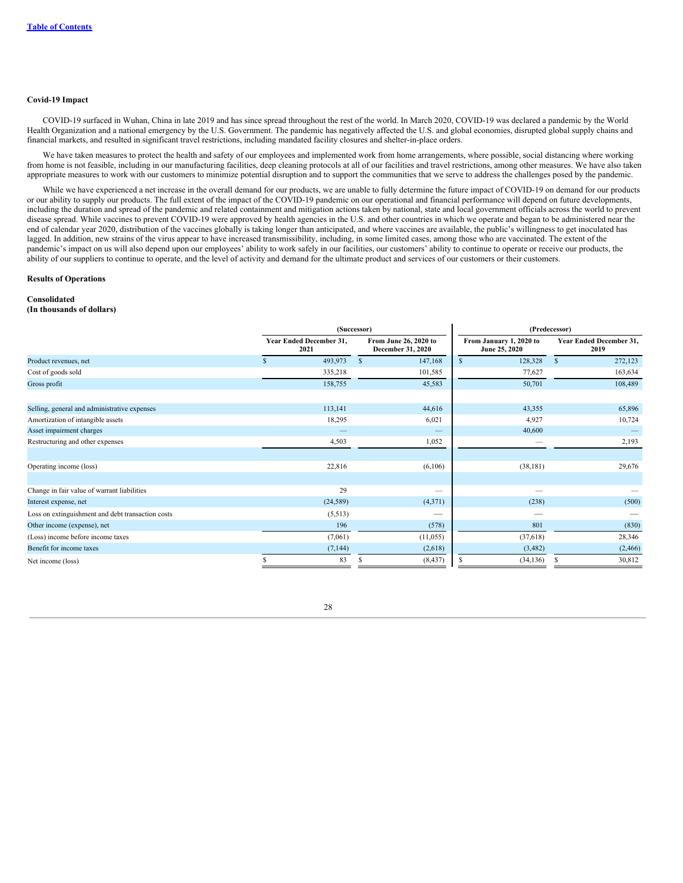### **Covid-19 Impact**

COVID-19 surfaced in Wuhan, China in late 2019 and has since spread throughout the rest of the world. In March 2020, COVID-19 was declared a pandemic by the World Health Organization and a national emergency by the U.S. Government. The pandemic has negatively affected the U.S. and global economies, disrupted global supply chains and financial markets, and resulted in significant travel restrictions, including mandated facility closures and shelter-in-place orders.

We have taken measures to protect the health and safety of our employees and implemented work from home arrangements, where possible, social distancing where working from home is not feasible, including in our manufacturing facilities, deep cleaning protocols at all of our facilities and travel restrictions, among other measures. We have also taken appropriate measures to work with our customers to minimize potential disruption and to support the communities that we serve to address the challenges posed by the pandemic.

While we have experienced a net increase in the overall demand for our products, we are unable to fully determine the future impact of COVID-19 on demand for our products or our ability to supply our products. The full extent of the impact of the COVID-19 pandemic on our operational and financial performance will depend on future developments, including the duration and spread of the pandemic and related containment and mitigation actions taken by national, state and local government officials across the world to prevent disease spread. While vaccines to prevent COVID-19 were approved by health agencies in the U.S. and other countries in which we operate and began to be administered near the end of calendar year 2020, distribution of the vaccines globally is taking longer than anticipated, and where vaccines are available, the public's willingness to get inoculated has lagged. In addition, new strains of the virus appear to have increased transmissibility, including, in some limited cases, among those who are vaccinated. The extent of the pandemic's impact on us will also depend upon our employees' ability to work safely in our facilities, our customers' ability to continue to operate or receive our products, the ability of our suppliers to continue to operate, and the level of activity and demand for the ultimate product and services of our customers or their customers.

### **Results of Operations**

#### **Consolidated**

**(In thousands of dollars)**

|                                                   |                                 | (Successor)                                | (Predecessor)                            |                                 |  |  |
|---------------------------------------------------|---------------------------------|--------------------------------------------|------------------------------------------|---------------------------------|--|--|
|                                                   | Year Ended December 31,<br>2021 | From June 26, 2020 to<br>December 31, 2020 | From January 1, 2020 to<br>June 25, 2020 | Year Ended December 31,<br>2019 |  |  |
| Product revenues, net                             | 493,973<br>$\mathbf{s}$         | $\mathbb{S}$<br>147,168                    | $\mathcal{S}$<br>128,328                 | $\mathbf{s}$<br>272,123         |  |  |
| Cost of goods sold                                | 335,218                         | 101,585                                    | 77,627                                   | 163,634                         |  |  |
| Gross profit                                      | 158,755                         | 45,583                                     | 50,701                                   | 108,489                         |  |  |
| Selling, general and administrative expenses      | 113,141                         | 44,616                                     | 43,355                                   | 65,896                          |  |  |
| Amortization of intangible assets                 | 18,295                          | 6,021                                      | 4,927                                    | 10,724                          |  |  |
| Asset impairment charges                          |                                 |                                            | 40,600                                   |                                 |  |  |
| Restructuring and other expenses                  | 4,503                           | 1,052                                      |                                          | 2,193                           |  |  |
| Operating income (loss)                           | 22,816                          | (6,106)                                    | (38, 181)                                | 29,676                          |  |  |
| Change in fair value of warrant liabilities       | 29                              | -                                          |                                          |                                 |  |  |
| Interest expense, net                             | (24, 589)                       | (4,371)                                    | (238)                                    | (500)                           |  |  |
| Loss on extinguishment and debt transaction costs | (5,513)                         |                                            |                                          |                                 |  |  |
| Other income (expense), net                       | 196                             | (578)                                      | 801                                      | (830)                           |  |  |
| (Loss) income before income taxes                 | (7,061)                         | (11,055)                                   | (37, 618)                                | 28,346                          |  |  |
| Benefit for income taxes                          | (7, 144)                        | (2,618)                                    | (3,482)                                  | (2, 466)                        |  |  |
| Net income (loss)                                 | 83                              | (8, 437)                                   | (34, 136)                                | 30,812                          |  |  |

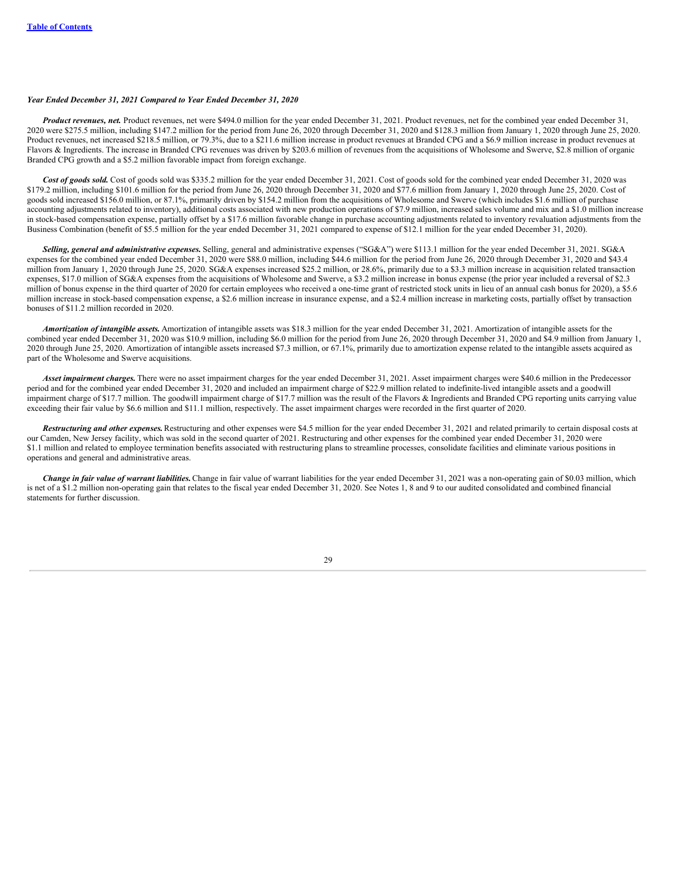### *Year Ended December 31, 2021 Compared to Year Ended December 31, 2020*

*Product revenues, net.* Product revenues, net were \$494.0 million for the year ended December 31, 2021. Product revenues, net for the combined year ended December 31, 2020 were \$275.5 million, including \$147.2 million for the period from June 26, 2020 through December 31, 2020 and \$128.3 million from January 1, 2020 through June 25, 2020. Product revenues, net increased \$218.5 million, or 79.3%, due to a \$211.6 million increase in product revenues at Branded CPG and a \$6.9 million increase in product revenues at Flavors & Ingredients. The increase in Branded CPG revenues was driven by \$203.6 million of revenues from the acquisitions of Wholesome and Swerve, \$2.8 million of organic Branded CPG growth and a \$5.2 million favorable impact from foreign exchange.

Cost of goods sold. Cost of goods sold was \$335.2 million for the year ended December 31, 2021. Cost of goods sold for the combined year ended December 31, 2020 was \$179.2 million, including \$101.6 million for the period from June 26, 2020 through December 31, 2020 and \$77.6 million from January 1, 2020 through June 25, 2020. Cost of goods sold increased \$156.0 million, or 87.1%, primarily driven by \$154.2 million from the acquisitions of Wholesome and Swerve (which includes \$1.6 million of purchase accounting adjustments related to inventory), additional costs associated with new production operations of \$7.9 million, increased sales volume and mix and a \$1.0 million increase in stock-based compensation expense, partially offset by a \$17.6 million favorable change in purchase accounting adjustments related to inventory revaluation adjustments from the Business Combination (benefit of \$5.5 million for the year ended December 31, 2021 compared to expense of \$12.1 million for the year ended December 31, 2020).

*Selling, general and administrative expenses.* Selling, general and administrative expenses ("SG&A") were \$113.1 million for the year ended December 31, 2021. SG&A expenses for the combined year ended December 31, 2020 were \$88.0 million, including \$44.6 million for the period from June 26, 2020 through December 31, 2020 and \$43.4 million from January 1, 2020 through June 25, 2020. SG&A expenses increased \$25.2 million, or 28.6%, primarily due to a \$3.3 million increase in acquisition related transaction expenses, \$17.0 million of SG&A expenses from the acquisitions of Wholesome and Swerve, a \$3.2 million increase in bonus expense (the prior year included a reversal of \$2.3 million of bonus expense in the third quarter of 2020 for certain employees who received a one-time grant of restricted stock units in lieu of an annual cash bonus for 2020), a \$5.6 million increase in stock-based compensation expense, a \$2.6 million increase in insurance expense, and a \$2.4 million increase in marketing costs, partially offset by transaction bonuses of \$11.2 million recorded in 2020.

*Amortization of intangible assets.* Amortization of intangible assets was \$18.3 million for the year ended December 31, 2021. Amortization of intangible assets for the combined year ended December 31, 2020 was \$10.9 million, including \$6.0 million for the period from June 26, 2020 through December 31, 2020 and \$4.9 million from January 1, 2020 through June 25, 2020. Amortization of intangible assets increased \$7.3 million, or 67.1%, primarily due to amortization expense related to the intangible assets acquired as part of the Wholesome and Swerve acquisitions.

*Asset impairment charges.* There were no asset impairment charges for the year ended December 31, 2021. Asset impairment charges were \$40.6 million in the Predecessor period and for the combined year ended December 31, 2020 and included an impairment charge of \$22.9 million related to indefinite-lived intangible assets and a goodwill impairment charge of \$17.7 million. The goodwill impairment charge of \$17.7 million was the result of the Flavors & Ingredients and Branded CPG reporting units carrying value exceeding their fair value by \$6.6 million and \$11.1 million, respectively. The asset impairment charges were recorded in the first quarter of 2020.

Restructuring and other expenses. Restructuring and other expenses were \$4.5 million for the year ended December 31, 2021 and related primarily to certain disposal costs at our Camden, New Jersey facility, which was sold in the second quarter of 2021. Restructuring and other expenses for the combined year ended December 31, 2020 were \$1.1 million and related to employee termination benefits associated with restructuring plans to streamline processes, consolidate facilities and eliminate various positions in operations and general and administrative areas.

*Change in fair value of warrant liabilities.*Change in fair value of warrant liabilities for the year ended December 31, 2021 was a non-operating gain of \$0.03 million, which is net of a \$1.2 million non-operating gain that relates to the fiscal year ended December 31, 2020. See Notes 1, 8 and 9 to our audited consolidated and combined financial statements for further discussion.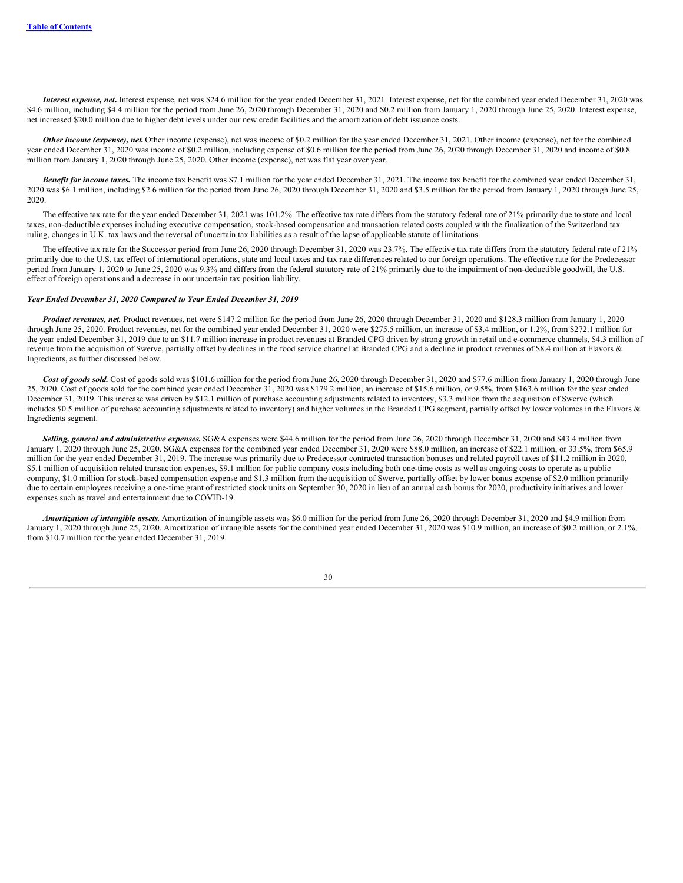*Interest expense, net***.** Interest expense, net was \$24.6 million for the year ended December 31, 2021. Interest expense, net for the combined year ended December 31, 2020 was \$4.6 million, including \$4.4 million for the period from June 26, 2020 through December 31, 2020 and \$0.2 million from January 1, 2020 through June 25, 2020. Interest expense, net increased \$20.0 million due to higher debt levels under our new credit facilities and the amortization of debt issuance costs.

*Other income (expense), net.* Other income (expense), net was income of \$0.2 million for the year ended December 31, 2021. Other income (expense), net for the combined year ended December 31, 2020 was income of \$0.2 million, including expense of \$0.6 million for the period from June 26, 2020 through December 31, 2020 and income of \$0.8 million from January 1, 2020 through June 25, 2020. Other income (expense), net was flat year over year.

*Benefit for income taxes.* The income tax benefit was \$7.1 million for the year ended December 31, 2021. The income tax benefit for the combined year ended December 31, 2020 was \$6.1 million, including \$2.6 million for the period from June 26, 2020 through December 31, 2020 and \$3.5 million for the period from January 1, 2020 through June 25, 2020.

The effective tax rate for the year ended December 31, 2021 was 101.2%. The effective tax rate differs from the statutory federal rate of 21% primarily due to state and local taxes, non-deductible expenses including executive compensation, stock-based compensation and transaction related costs coupled with the finalization of the Switzerland tax ruling, changes in U.K. tax laws and the reversal of uncertain tax liabilities as a result of the lapse of applicable statute of limitations.

The effective tax rate for the Successor period from June 26, 2020 through December 31, 2020 was 23.7%. The effective tax rate differs from the statutory federal rate of 21% primarily due to the U.S. tax effect of international operations, state and local taxes and tax rate differences related to our foreign operations. The effective rate for the Predecessor period from January 1, 2020 to June 25, 2020 was 9.3% and differs from the federal statutory rate of 21% primarily due to the impairment of non-deductible goodwill, the U.S. effect of foreign operations and a decrease in our uncertain tax position liability.

#### *Year Ended December 31, 2020 Compared to Year Ended December 31, 2019*

*Product revenues, net.* Product revenues, net were \$147.2 million for the period from June 26, 2020 through December 31, 2020 and \$128.3 million from January 1, 2020 through June 25, 2020. Product revenues, net for the combined year ended December 31, 2020 were \$275.5 million, an increase of \$3.4 million, or 1.2%, from \$272.1 million for the year ended December 31, 2019 due to an \$11.7 million increase in product revenues at Branded CPG driven by strong growth in retail and e-commerce channels, \$4.3 million of revenue from the acquisition of Swerve, partially offset by declines in the food service channel at Branded CPG and a decline in product revenues of \$8.4 million at Flavors & Ingredients, as further discussed below.

*Cost of goods sold.* Cost of goods sold was \$101.6 million for the period from June 26, 2020 through December 31, 2020 and \$77.6 million from January 1, 2020 through June 25, 2020. Cost of goods sold for the combined year ended December 31, 2020 was \$179.2 million, an increase of \$15.6 million, or 9.5%, from \$163.6 million for the year ended December 31, 2019. This increase was driven by \$12.1 million of purchase accounting adjustments related to inventory, \$3.3 million from the acquisition of Swerve (which includes \$0.5 million of purchase accounting adjustments related to inventory) and higher volumes in the Branded CPG segment, partially offset by lower volumes in the Flavors & Ingredients segment.

*Selling, general and administrative expenses.* SG&A expenses were \$44.6 million for the period from June 26, 2020 through December 31, 2020 and \$43.4 million from January 1, 2020 through June 25, 2020. SG&A expenses for the combined year ended December 31, 2020 were \$88.0 million, an increase of \$22.1 million, or 33.5%, from \$65.9 million for the year ended December 31, 2019. The increase was primarily due to Predecessor contracted transaction bonuses and related payroll taxes of \$11.2 million in 2020, \$5.1 million of acquisition related transaction expenses, \$9.1 million for public company costs including both one-time costs as well as ongoing costs to operate as a public company, \$1.0 million for stock-based compensation expense and \$1.3 million from the acquisition of Swerve, partially offset by lower bonus expense of \$2.0 million primarily due to certain employees receiving a one-time grant of restricted stock units on September 30, 2020 in lieu of an annual cash bonus for 2020, productivity initiatives and lower expenses such as travel and entertainment due to COVID-19.

*Amortization of intangible assets.* Amortization of intangible assets was \$6.0 million for the period from June 26, 2020 through December 31, 2020 and \$4.9 million from January 1, 2020 through June 25, 2020. Amortization of intangible assets for the combined year ended December 31, 2020 was \$10.9 million, an increase of \$0.2 million, or 2.1%, from \$10.7 million for the year ended December 31, 2019.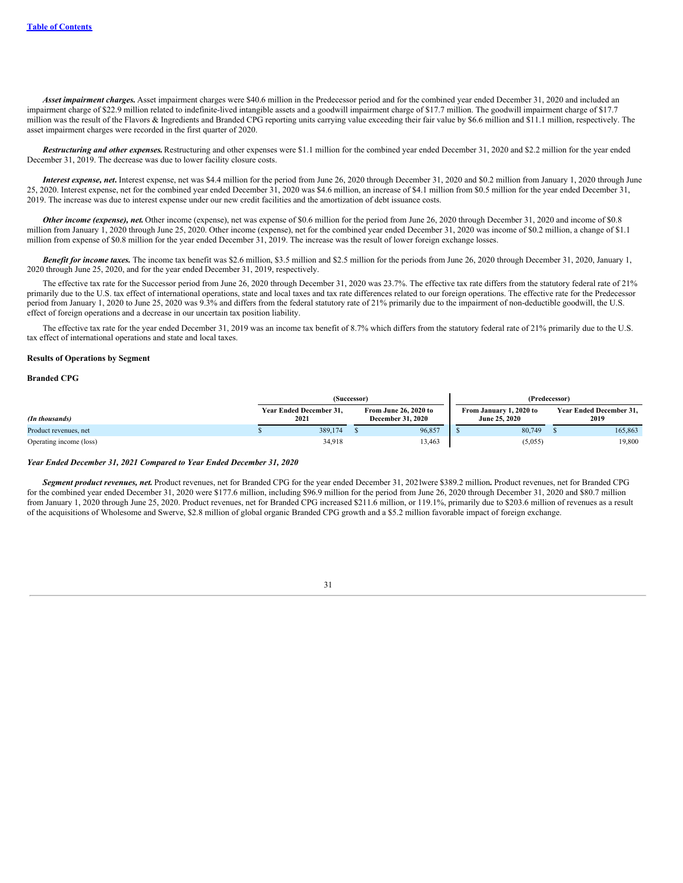*Asset impairment charges.* Asset impairment charges were \$40.6 million in the Predecessor period and for the combined year ended December 31, 2020 and included an impairment charge of \$22.9 million related to indefinite-lived intangible assets and a goodwill impairment charge of \$17.7 million. The goodwill impairment charge of \$17.7 million was the result of the Flavors & Ingredients and Branded CPG reporting units carrying value exceeding their fair value by \$6.6 million and \$11.1 million, respectively. The asset impairment charges were recorded in the first quarter of 2020.

*Restructuring and other expenses.*Restructuring and other expenses were \$1.1 million for the combined year ended December 31, 2020 and \$2.2 million for the year ended December 31, 2019. The decrease was due to lower facility closure costs.

*Interest expense, net***.** Interest expense, net was \$4.4 million for the period from June 26, 2020 through December 31, 2020 and \$0.2 million from January 1, 2020 through June 25, 2020. Interest expense, net for the combined year ended December 31, 2020 was \$4.6 million, an increase of \$4.1 million from \$0.5 million for the year ended December 31, 2019. The increase was due to interest expense under our new credit facilities and the amortization of debt issuance costs.

*Other income (expense), net.* Other income (expense), net was expense of \$0.6 million for the period from June 26, 2020 through December 31, 2020 and income of \$0.8 million from January 1, 2020 through June 25, 2020. Other income (expense), net for the combined year ended December 31, 2020 was income of \$0.2 million, a change of \$1.1 million from expense of \$0.8 million for the year ended December 31, 2019. The increase was the result of lower foreign exchange losses.

**Benefit for income taxes.** The income tax benefit was \$2.6 million, \$3.5 million and \$2.5 million for the periods from June 26, 2020 through December 31, 2020, January 1, 2020 through June 25, 2020, and for the year ended December 31, 2019, respectively.

The effective tax rate for the Successor period from June 26, 2020 through December 31, 2020 was 23.7%. The effective tax rate differs from the statutory federal rate of 21% primarily due to the U.S. tax effect of international operations, state and local taxes and tax rate differences related to our foreign operations. The effective rate for the Predecessor period from January 1, 2020 to June 25, 2020 was 9.3% and differs from the federal statutory rate of 21% primarily due to the impairment of non-deductible goodwill, the U.S. effect of foreign operations and a decrease in our uncertain tax position liability.

The effective tax rate for the year ended December 31, 2019 was an income tax benefit of 8.7% which differs from the statutory federal rate of 21% primarily due to the U.S. tax effect of international operations and state and local taxes.

### **Results of Operations by Segment**

### **Branded CPG**

|                         | (Successor)                            |  | (Predecessor)                                     |                                          |         |                                 |         |
|-------------------------|----------------------------------------|--|---------------------------------------------------|------------------------------------------|---------|---------------------------------|---------|
| (In thousands)          | <b>Year Ended December 31.</b><br>2021 |  | From June 26, 2020 to<br><b>December 31, 2020</b> | From January 1, 2020 to<br>June 25, 2020 |         | Year Ended December 31,<br>2019 |         |
| Product revenues, net   | 389,174                                |  | 96,857                                            |                                          | 80,749  |                                 | 165,863 |
| Operating income (loss) | 34.918                                 |  | 13.463                                            |                                          | (5,055) |                                 | 19,800  |

### *Year Ended December 31, 2021 Compared to Year Ended December 31, 2020*

*Segment product revenues, net.* Product revenues, net for Branded CPG for the year ended December 31, 2021were \$389.2 million*.* Product revenues, net for Branded CPG for the combined year ended December 31, 2020 were \$177.6 million, including \$96.9 million for the period from June 26, 2020 through December 31, 2020 and \$80.7 million from January 1, 2020 through June 25, 2020. Product revenues, net for Branded CPG increased \$211.6 million, or 119.1%, primarily due to \$203.6 million of revenues as a result of the acquisitions of Wholesome and Swerve, \$2.8 million of global organic Branded CPG growth and a \$5.2 million favorable impact of foreign exchange.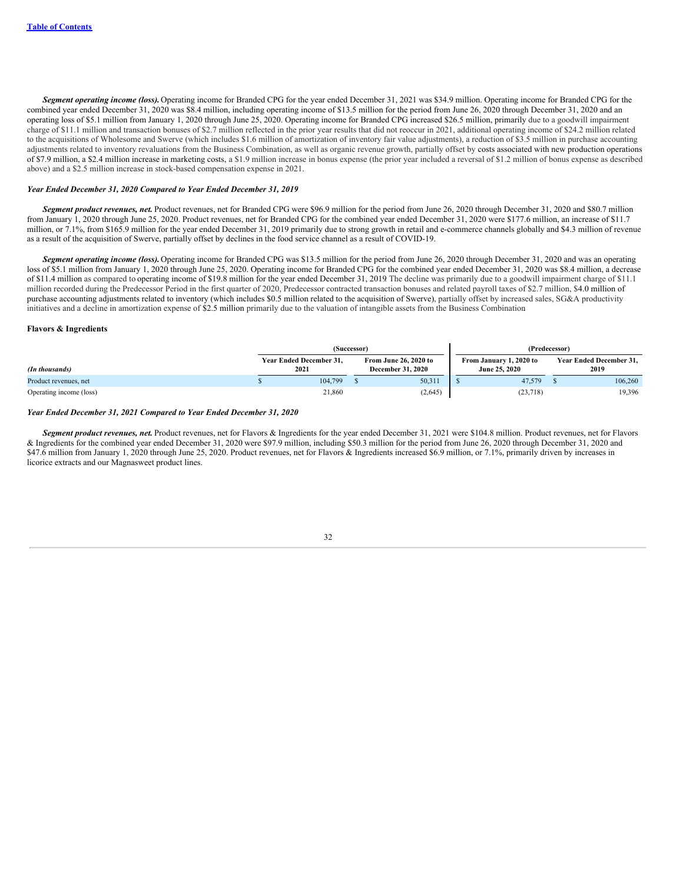*Segment operating income (loss).* Operating income for Branded CPG for the year ended December 31, 2021 was \$34.9 million. Operating income for Branded CPG for the combined year ended December 31, 2020 was \$8.4 million, including operating income of \$13.5 million for the period from June 26, 2020 through December 31, 2020 and an operating loss of \$5.1 million from January 1, 2020 through June 25, 2020. Operating income for Branded CPG increased \$26.5 million, primarily due to a goodwill impairment charge of \$11.1 million and transaction bonuses of \$2.7 million reflected in the prior year results that did not reoccur in 2021, additional operating income of \$24.2 million related to the acquisitions of Wholesome and Swerve (which includes \$1.6 million of amortization of inventory fair value adjustments), a reduction of \$3.5 million in purchase accounting adjustments related to inventory revaluations from the Business Combination, as well as organic revenue growth, partially offset by costs associated with new production operations of \$7.9 million, a \$2.4 million increase in marketing costs, a \$1.9 million increase in bonus expense (the prior year included a reversal of \$1.2 million of bonus expense as described above) and a \$2.5 million increase in stock-based compensation expense in 2021.

### *Year Ended December 31, 2020 Compared to Year Ended December 31, 2019*

*Segment product revenues, net.* Product revenues, net for Branded CPG were \$96.9 million for the period from June 26, 2020 through December 31, 2020 and \$80.7 million from January 1, 2020 through June 25, 2020. Product revenues, net for Branded CPG for the combined year ended December 31, 2020 were \$177.6 million, an increase of \$11.7 million, or 7.1%, from \$165.9 million for the year ended December 31, 2019 primarily due to strong growth in retail and e-commerce channels globally and \$4.3 million of revenue as a result of the acquisition of Swerve, partially offset by declines in the food service channel as a result of COVID-19.

*Segment operating income (loss).* Operating income for Branded CPG was \$13.5 million for the period from June 26, 2020 through December 31, 2020 and was an operating loss of \$5.1 million from January 1, 2020 through June 25, 2020. Operating income for Branded CPG for the combined year ended December 31, 2020 was \$8.4 million, a decrease of \$11.4 million as compared to operating income of \$19.8 million for the year ended December 31, 2019. The decline was primarily due to a goodwill impairment charge of \$11.1 million recorded during the Predecessor Period in the first quarter of 2020, Predecessor contracted transaction bonuses and related payroll taxes of \$2.7 million, \$4.0 million of purchase accounting adjustments related to inventory (which includes \$0.5 million related to the acquisition of Swerve), partially offset by increased sales, SG&A productivity initiatives and a decline in amortization expense of \$2.5 million primarily due to the valuation of intangible assets from the Business Combination

### **Flavors & Ingredients**

|                         | (Successor)                            |         |                                                   |                                                 | (Predecessor) |                                 |  |         |
|-------------------------|----------------------------------------|---------|---------------------------------------------------|-------------------------------------------------|---------------|---------------------------------|--|---------|
| (In thousands)          | <b>Year Ended December 31.</b><br>2021 |         | From June 26, 2020 to<br><b>December 31, 2020</b> | From January 1, 2020 to<br><b>June 25, 2020</b> |               | Year Ended December 31,<br>2019 |  |         |
| Product revenues, net   |                                        | 104,799 |                                                   | 50.311                                          |               | 47,579                          |  | 106,260 |
| Operating income (loss) |                                        | 21.860  |                                                   | (2,645)                                         |               | (23,718)                        |  | 19.396  |

## *Year Ended December 31, 2021 Compared to Year Ended December 31, 2020*

*Segment product revenues, net.* Product revenues, net for Flavors & Ingredients for the year ended December 31, 2021 were \$104.8 million. Product revenues, net for Flavors & Ingredients for the combined year ended December 31, 2020 were \$97.9 million, including \$50.3 million for the period from June 26, 2020 through December 31, 2020 and \$47.6 million from January 1, 2020 through June 25, 2020. Product revenues, net for Flavors & Ingredients increased \$6.9 million, or 7.1%, primarily driven by increases in licorice extracts and our Magnasweet product lines.

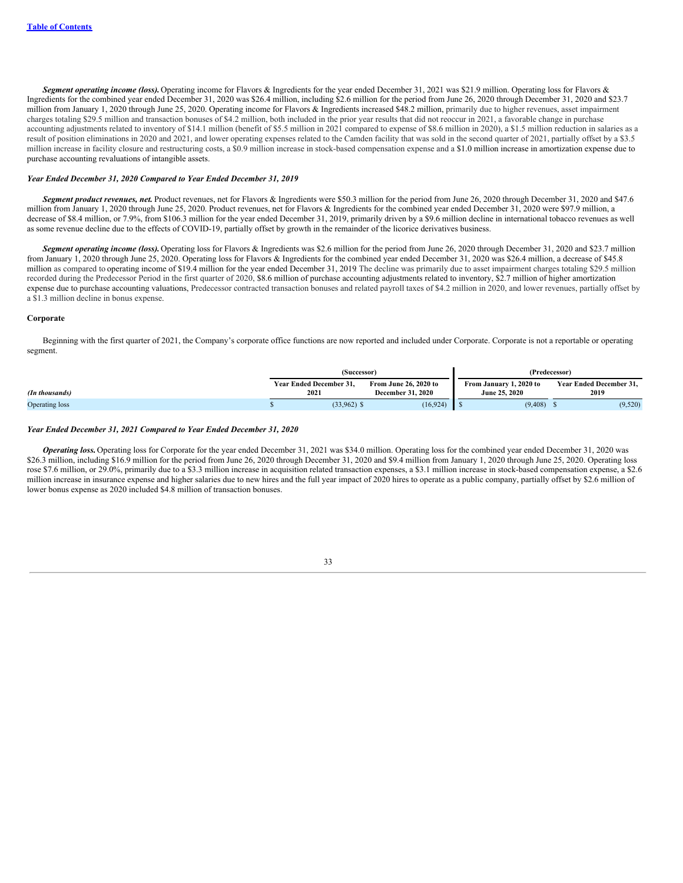*Segment operating income (loss).* Operating income for Flavors & Ingredients for the year ended December 31, 2021 was \$21.9 million. Operating loss for Flavors & Ingredients for the combined year ended December 31, 2020 was \$26.4 million, including \$2.6 million for the period from June 26, 2020 through December 31, 2020 and \$23.7 million from January 1, 2020 through June 25, 2020. Operating income for Flavors & Ingredients increased \$48.2 million, primarily due to higher revenues, asset impairment charges totaling \$29.5 million and transaction bonuses of \$4.2 million, both included in the prior year results that did not reoccur in 2021, a favorable change in purchase accounting adjustments related to inventory of \$14.1 million (benefit of \$5.5 million in 2021 compared to expense of \$8.6 million in 2020), a \$1.5 million reduction in salaries as a result of position eliminations in 2020 and 2021, and lower operating expenses related to the Camden facility that was sold in the second quarter of 2021, partially offset by a \$3.5 million increase in facility closure and restructuring costs, a \$0.9 million increase in stock-based compensation expense and a \$1.0 million increase in amortization expense due to purchase accounting revaluations of intangible assets.

### *Year Ended December 31, 2020 Compared to Year Ended December 31, 2019*

*Segment product revenues, net.* Product revenues, net for Flavors & Ingredients were \$50.3 million for the period from June 26, 2020 through December 31, 2020 and \$47.6 million from January 1, 2020 through June 25, 2020. Product revenues, net for Flavors & Ingredients for the combined year ended December 31, 2020 were \$97.9 million, a decrease of \$8.4 million, or 7.9%, from \$106.3 million for the year ended December 31, 2019, primarily driven by a \$9.6 million decline in international tobacco revenues as well as some revenue decline due to the effects of COVID-19, partially offset by growth in the remainder of the licorice derivatives business.

*Segment operating income (loss).* Operating loss for Flavors & Ingredients was \$2.6 million for the period from June 26, 2020 through December 31, 2020 and \$23.7 million from January 1, 2020 through June 25, 2020. Operating loss for Flavors & Ingredients for the combined year ended December 31, 2020 was \$26.4 million, a decrease of \$45.8 million as compared to operating income of \$19.4 million for the year ended December 31, 2019. The decline was primarily due to asset impairment charges totaling \$29.5 million recorded during the Predecessor Period in the first quarter of 2020, \$8.6 million of purchase accounting adjustments related to inventory, \$2.7 million of higher amortization expense due to purchase accounting valuations, Predecessor contracted transaction bonuses and related payroll taxes of \$4.2 million in 2020, and lower revenues, partially offset by a \$1.3 million decline in bonus expense.

### **Corporate**

Beginning with the first quarter of 2021, the Company's corporate office functions are now reported and included under Corporate. Corporate is not a reportable or operating segment.

|                | (Successor)                            | (Predecessor)                                            |  |                                          |  |                                        |  |
|----------------|----------------------------------------|----------------------------------------------------------|--|------------------------------------------|--|----------------------------------------|--|
| (In thousands) | <b>Year Ended December 31.</b><br>2021 | <b>From June 26, 2020 to</b><br><b>December 31, 2020</b> |  | From January 1, 2020 to<br>June 25, 2020 |  | <b>Year Ended December 31.</b><br>2019 |  |
| Operating loss | $(33,962)$ \$                          | (16, 924)                                                |  | (9, 408)                                 |  | (9,520)                                |  |

### *Year Ended December 31, 2021 Compared to Year Ended December 31, 2020*

*Operating loss***.** Operating loss for Corporate for the year ended December 31, 2021 was \$34.0 million. Operating loss for the combined year ended December 31, 2020 was \$26.3 million, including \$16.9 million for the period from June 26, 2020 through December 31, 2020 and \$9.4 million from January 1, 2020 through June 25, 2020. Operating loss rose \$7.6 million, or 29.0%, primarily due to a \$3.3 million increase in acquisition related transaction expenses, a \$3.1 million increase in stock-based compensation expense, a \$2.6 million increase in insurance expense and higher salaries due to new hires and the full year impact of 2020 hires to operate as a public company, partially offset by \$2.6 million of lower bonus expense as 2020 included \$4.8 million of transaction bonuses.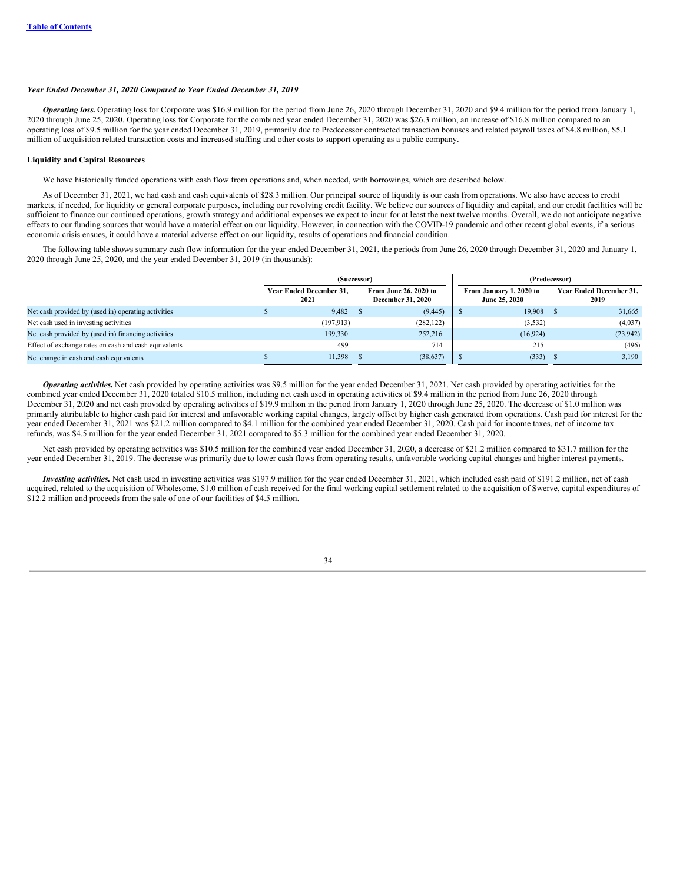#### *Year Ended December 31, 2020 Compared to Year Ended December 31, 2019*

*Operating loss.* Operating loss for Corporate was \$16.9 million for the period from June 26, 2020 through December 31, 2020 and \$9.4 million for the period from January 1, 2020 through June 25, 2020. Operating loss for Corporate for the combined year ended December 31, 2020 was \$26.3 million, an increase of \$16.8 million compared to an operating loss of \$9.5 million for the year ended December 31, 2019, primarily due to Predecessor contracted transaction bonuses and related payroll taxes of \$4.8 million, \$5.1 million of acquisition related transaction costs and increased staffing and other costs to support operating as a public company.

### **Liquidity and Capital Resources**

We have historically funded operations with cash flow from operations and, when needed, with borrowings, which are described below.

As of December 31, 2021, we had cash and cash equivalents of \$28.3 million. Our principal source of liquidity is our cash from operations. We also have access to credit markets, if needed, for liquidity or general corporate purposes, including our revolving credit facility. We believe our sources of liquidity and capital, and our credit facilities will be sufficient to finance our continued operations, growth strategy and additional expenses we expect to incur for at least the next twelve months. Overall, we do not anticipate negative effects to our funding sources that would have a material effect on our liquidity. However, in connection with the COVID-19 pandemic and other recent global events, if a serious economic crisis ensues, it could have a material adverse effect on our liquidity, results of operations and financial condition.

The following table shows summary cash flow information for the year ended December 31, 2021, the periods from June 26, 2020 through December 31, 2020 and January 1, 2020 through June 25, 2020, and the year ended December 31, 2019 (in thousands):

|                                                       |                                        | (Successor)                                              | (Predecessor)                            |                                 |  |  |
|-------------------------------------------------------|----------------------------------------|----------------------------------------------------------|------------------------------------------|---------------------------------|--|--|
|                                                       | <b>Year Ended December 31.</b><br>2021 | <b>From June 26, 2020 to</b><br><b>December 31, 2020</b> | From January 1, 2020 to<br>June 25, 2020 | Year Ended December 31,<br>2019 |  |  |
| Net cash provided by (used in) operating activities   | 9.482                                  | (9, 445)                                                 | 19,908                                   | 31,665                          |  |  |
| Net cash used in investing activities                 | (197, 913)                             | (282, 122)                                               | (3, 532)                                 | (4,037)                         |  |  |
| Net cash provided by (used in) financing activities   | 199,330                                | 252,216                                                  | (16, 924)                                | (23,942)                        |  |  |
| Effect of exchange rates on cash and cash equivalents | 499                                    | 714                                                      | 215                                      | (496)                           |  |  |
| Net change in cash and cash equivalents               | 11.398                                 | (38, 637)                                                | (333)                                    | 3.190                           |  |  |

*Operating activities.* Net cash provided by operating activities was \$9.5 million for the year ended December 31, 2021. Net cash provided by operating activities for the combined year ended December 31, 2020 totaled \$10.5 million, including net cash used in operating activities of \$9.4 million in the period from June 26, 2020 through December 31, 2020 and net cash provided by operating activities of \$19.9 million in the period from January 1, 2020 through June 25, 2020. The decrease of \$1.0 million was primarily attributable to higher cash paid for interest and unfavorable working capital changes, largely offset by higher cash generated from operations. Cash paid for interest for the year ended December 31, 2021 was \$21.2 million compared to \$4.1 million for the combined year ended December 31, 2020. Cash paid for income taxes, net of income tax refunds, was \$4.5 million for the year ended December 31, 2021 compared to \$5.3 million for the combined year ended December 31, 2020.

Net cash provided by operating activities was \$10.5 million for the combined year ended December 31, 2020, a decrease of \$21.2 million compared to \$31.7 million for the year ended December 31, 2019. The decrease was primarily due to lower cash flows from operating results, unfavorable working capital changes and higher interest payments.

*Investing activities.* Net cash used in investing activities was \$197.9 million for the year ended December 31, 2021, which included cash paid of \$191.2 million, net of cash acquired, related to the acquisition of Wholesome, \$1.0 million of cash received for the final working capital settlement related to the acquisition of Swerve, capital expenditures of \$12.2 million and proceeds from the sale of one of our facilities of \$4.5 million.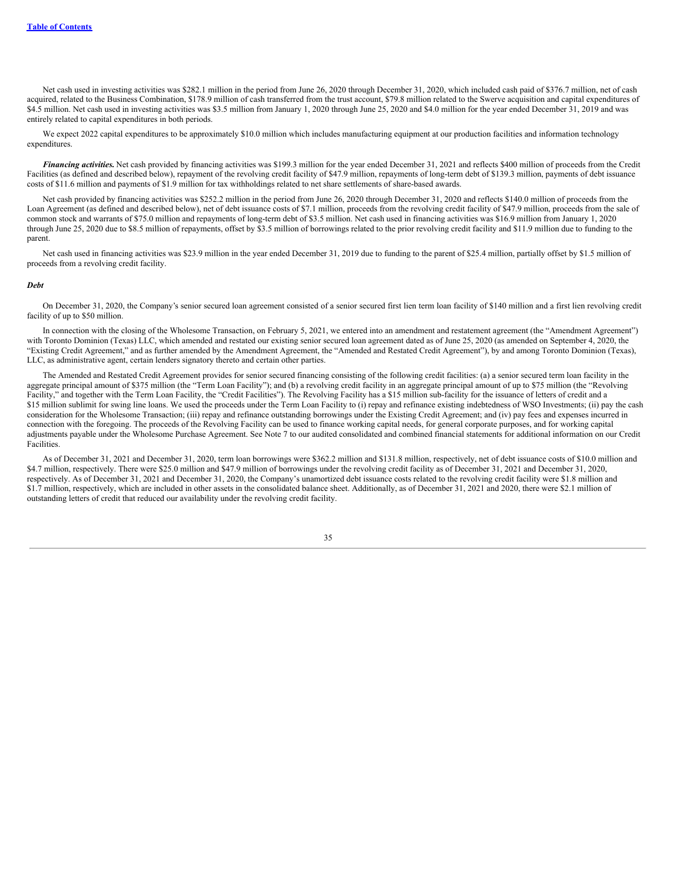Net cash used in investing activities was \$282.1 million in the period from June 26, 2020 through December 31, 2020, which included cash paid of \$376.7 million, net of cash acquired, related to the Business Combination, \$178.9 million of cash transferred from the trust account, \$79.8 million related to the Swerve acquisition and capital expenditures of \$4.5 million. Net cash used in investing activities was \$3.5 million from January 1, 2020 through June 25, 2020 and \$4.0 million for the year ended December 31, 2019 and was entirely related to capital expenditures in both periods.

We expect 2022 capital expenditures to be approximately \$10.0 million which includes manufacturing equipment at our production facilities and information technology expenditures.

Financing activities. Net cash provided by financing activities was \$199.3 million for the year ended December 31, 2021 and reflects \$400 million of proceeds from the Credit Facilities (as defined and described below), repayment of the revolving credit facility of \$47.9 million, repayments of long-term debt of \$139.3 million, payments of debt issuance costs of \$11.6 million and payments of \$1.9 million for tax withholdings related to net share settlements of share-based awards.

Net cash provided by financing activities was \$252.2 million in the period from June 26, 2020 through December 31, 2020 and reflects \$140.0 million of proceeds from the Loan Agreement (as defined and described below), net of debt issuance costs of \$7.1 million, proceeds from the revolving credit facility of \$47.9 million, proceeds from the sale of common stock and warrants of \$75.0 million and repayments of long-term debt of \$3.5 million. Net cash used in financing activities was \$16.9 million from January 1, 2020 through June 25, 2020 due to \$8.5 million of repayments, offset by \$3.5 million of borrowings related to the prior revolving credit facility and \$11.9 million due to funding to the parent.

Net cash used in financing activities was \$23.9 million in the year ended December 31, 2019 due to funding to the parent of \$25.4 million, partially offset by \$1.5 million of proceeds from a revolving credit facility.

#### *Debt*

On December 31, 2020, the Company's senior secured loan agreement consisted of a senior secured first lien term loan facility of \$140 million and a first lien revolving credit facility of up to \$50 million.

In connection with the closing of the Wholesome Transaction, on February 5, 2021, we entered into an amendment and restatement agreement (the "Amendment Agreement") with Toronto Dominion (Texas) LLC, which amended and restated our existing senior secured loan agreement dated as of June 25, 2020 (as amended on September 4, 2020, the "Existing Credit Agreement," and as further amended by the Amendment Agreement, the "Amended and Restated Credit Agreement"), by and among Toronto Dominion (Texas), LLC, as administrative agent, certain lenders signatory thereto and certain other parties.

The Amended and Restated Credit Agreement provides for senior secured financing consisting of the following credit facilities: (a) a senior secured term loan facility in the aggregate principal amount of \$375 million (the "Term Loan Facility"); and (b) a revolving credit facility in an aggregate principal amount of up to \$75 million (the "Revolving Facility," and together with the Term Loan Facility, the "Credit Facilities"). The Revolving Facility has a \$15 million sub-facility for the issuance of letters of credit and a \$15 million sublimit for swing line loans. We used the proceeds under the Term Loan Facility to (i) repay and refinance existing indebtedness of WSO Investments; (ii) pay the cash consideration for the Wholesome Transaction; (iii) repay and refinance outstanding borrowings under the Existing Credit Agreement; and (iv) pay fees and expenses incurred in connection with the foregoing. The proceeds of the Revolving Facility can be used to finance working capital needs, for general corporate purposes, and for working capital adjustments payable under the Wholesome Purchase Agreement. See Note 7 to our audited consolidated and combined financial statements for additional information on our Credit Facilities.

As of December 31, 2021 and December 31, 2020, term loan borrowings were \$362.2 million and \$131.8 million, respectively, net of debt issuance costs of \$10.0 million and \$4.7 million, respectively. There were \$25.0 million and \$47.9 million of borrowings under the revolving credit facility as of December 31, 2021 and December 31, 2020, respectively. As of December 31, 2021 and December 31, 2020, the Company's unamortized debt issuance costs related to the revolving credit facility were \$1.8 million and \$1.7 million, respectively, which are included in other assets in the consolidated balance sheet. Additionally, as of December 31, 2021 and 2020, there were \$2.1 million of outstanding letters of credit that reduced our availability under the revolving credit facility.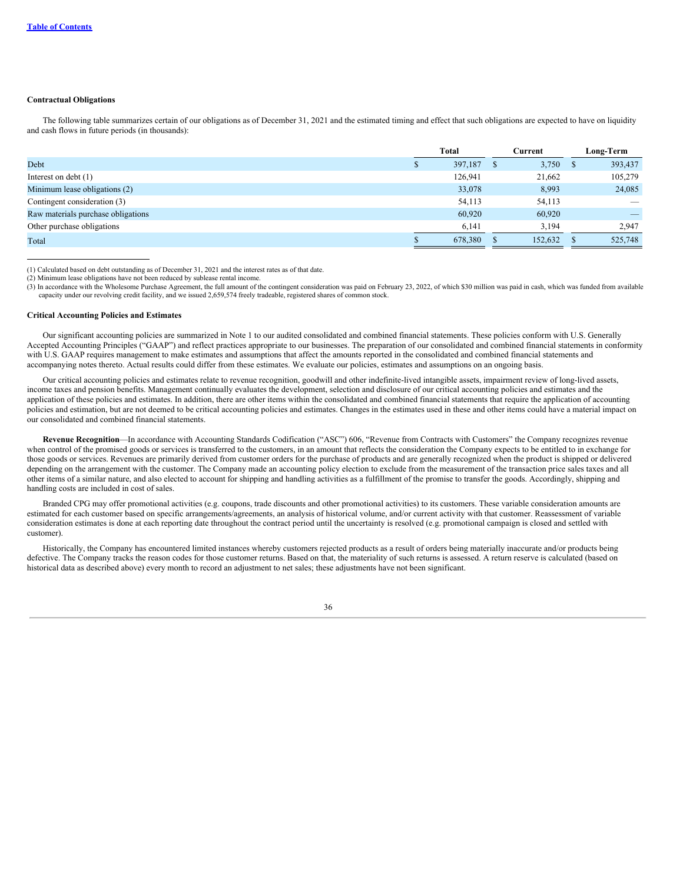#### **Contractual Obligations**

The following table summarizes certain of our obligations as of December 31, 2021 and the estimated timing and effect that such obligations are expected to have on liquidity and cash flows in future periods (in thousands):

|                                    | <b>Total</b> |     | Current |    | Long-Term                      |
|------------------------------------|--------------|-----|---------|----|--------------------------------|
| Debt                               | 397,187      | - 8 | 3,750   | Ъ. | 393,437                        |
| Interest on debt $(1)$             | 126,941      |     | 21.662  |    | 105,279                        |
| Minimum lease obligations (2)      | 33,078       |     | 8,993   |    | 24,085                         |
| Contingent consideration (3)       | 54,113       |     | 54,113  |    | $\overbrace{\hspace{25mm}}^{}$ |
| Raw materials purchase obligations | 60,920       |     | 60,920  |    |                                |
| Other purchase obligations         | 6.141        |     | 3.194   |    | 2,947                          |
| Total                              | 678,380      |     | 152,632 |    | 525,748                        |

(1) Calculated based on debt outstanding as of December 31, 2021 and the interest rates as of that date.

(3) In accordance with the Wholesome Purchase Agreement, the full amount of the contingent consideration was paid on February 23, 2022, of which \$30 million was paid in cash, which was funded from available capacity under our revolving credit facility, and we issued 2,659,574 freely tradeable, registered shares of common stock.

#### **Critical Accounting Policies and Estimates**

Our significant accounting policies are summarized in Note 1 to our audited consolidated and combined financial statements. These policies conform with U.S. Generally Accepted Accounting Principles ("GAAP") and reflect practices appropriate to our businesses. The preparation of our consolidated and combined financial statements in conformity with U.S. GAAP requires management to make estimates and assumptions that affect the amounts reported in the consolidated and combined financial statements and accompanying notes thereto. Actual results could differ from these estimates. We evaluate our policies, estimates and assumptions on an ongoing basis.

Our critical accounting policies and estimates relate to revenue recognition, goodwill and other indefinite-lived intangible assets, impairment review of long-lived assets, income taxes and pension benefits. Management continually evaluates the development, selection and disclosure of our critical accounting policies and estimates and the application of these policies and estimates. In addition, there are other items within the consolidated and combined financial statements that require the application of accounting policies and estimation, but are not deemed to be critical accounting policies and estimates. Changes in the estimates used in these and other items could have a material impact on our consolidated and combined financial statements.

**Revenue Recognition**—In accordance with Accounting Standards Codification ("ASC") 606, "Revenue from Contracts with Customers" the Company recognizes revenue when control of the promised goods or services is transferred to the customers, in an amount that reflects the consideration the Company expects to be entitled to in exchange for those goods or services. Revenues are primarily derived from customer orders for the purchase of products and are generally recognized when the product is shipped or delivered depending on the arrangement with the customer. The Company made an accounting policy election to exclude from the measurement of the transaction price sales taxes and all other items of a similar nature, and also elected to account for shipping and handling activities as a fulfillment of the promise to transfer the goods. Accordingly, shipping and handling costs are included in cost of sales.

Branded CPG may offer promotional activities (e.g. coupons, trade discounts and other promotional activities) to its customers. These variable consideration amounts are estimated for each customer based on specific arrangements/agreements, an analysis of historical volume, and/or current activity with that customer. Reassessment of variable consideration estimates is done at each reporting date throughout the contract period until the uncertainty is resolved (e.g. promotional campaign is closed and settled with customer).

Historically, the Company has encountered limited instances whereby customers rejected products as a result of orders being materially inaccurate and/or products being defective. The Company tracks the reason codes for those customer returns. Based on that, the materiality of such returns is assessed. A return reserve is calculated (based on historical data as described above) every month to record an adjustment to net sales; these adjustments have not been significant.

<sup>(2)</sup> Minimum lease obligations have not been reduced by sublease rental income.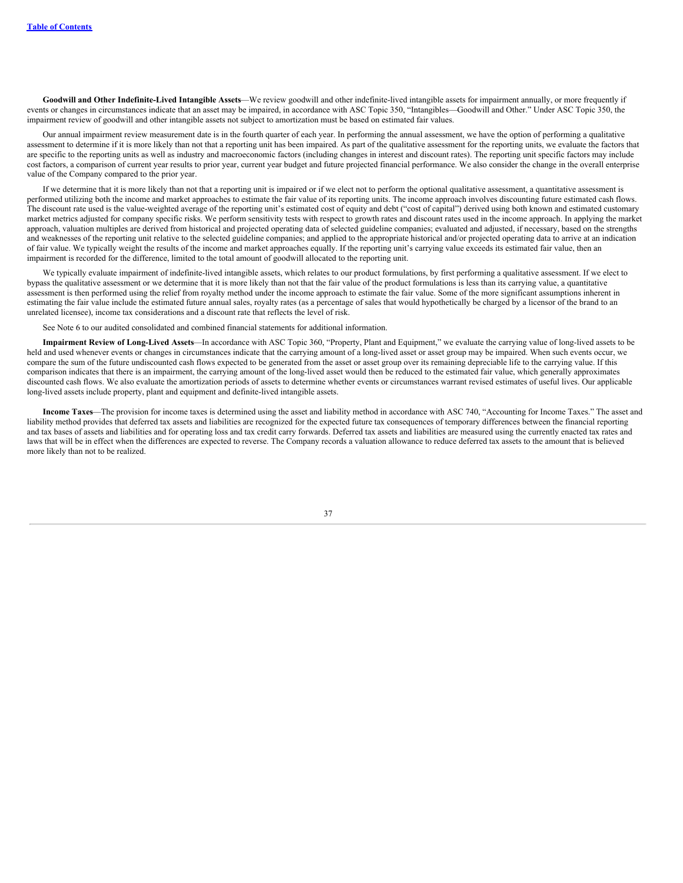**Goodwill and Other Indefinite-Lived Intangible Assets**—We review goodwill and other indefinite-lived intangible assets for impairment annually, or more frequently if events or changes in circumstances indicate that an asset may be impaired, in accordance with ASC Topic 350, "Intangibles—Goodwill and Other." Under ASC Topic 350, the impairment review of goodwill and other intangible assets not subject to amortization must be based on estimated fair values.

Our annual impairment review measurement date is in the fourth quarter of each year. In performing the annual assessment, we have the option of performing a qualitative assessment to determine if it is more likely than not that a reporting unit has been impaired. As part of the qualitative assessment for the reporting units, we evaluate the factors that are specific to the reporting units as well as industry and macroeconomic factors (including changes in interest and discount rates). The reporting unit specific factors may include cost factors, a comparison of current year results to prior year, current year budget and future projected financial performance. We also consider the change in the overall enterprise value of the Company compared to the prior year.

If we determine that it is more likely than not that a reporting unit is impaired or if we elect not to perform the optional qualitative assessment, a quantitative assessment is performed utilizing both the income and market approaches to estimate the fair value of its reporting units. The income approach involves discounting future estimated cash flows. The discount rate used is the value-weighted average of the reporting unit's estimated cost of equity and debt ("cost of capital") derived using both known and estimated customary market metrics adjusted for company specific risks. We perform sensitivity tests with respect to growth rates and discount rates used in the income approach. In applying the market approach, valuation multiples are derived from historical and projected operating data of selected guideline companies; evaluated and adjusted, if necessary, based on the strengths and weaknesses of the reporting unit relative to the selected guideline companies; and applied to the appropriate historical and/or projected operating data to arrive at an indication of fair value. We typically weight the results of the income and market approaches equally. If the reporting unit's carrying value exceeds its estimated fair value, then an impairment is recorded for the difference, limited to the total amount of goodwill allocated to the reporting unit.

We typically evaluate impairment of indefinite-lived intangible assets, which relates to our product formulations, by first performing a qualitative assessment. If we elect to bypass the qualitative assessment or we determine that it is more likely than not that the fair value of the product formulations is less than its carrying value, a quantitative assessment is then performed using the relief from royalty method under the income approach to estimate the fair value. Some of the more significant assumptions inherent in estimating the fair value include the estimated future annual sales, royalty rates (as a percentage of sales that would hypothetically be charged by a licensor of the brand to an unrelated licensee), income tax considerations and a discount rate that reflects the level of risk.

See Note 6 to our audited consolidated and combined financial statements for additional information.

**Impairment Review of Long-Lived Assets**—In accordance with ASC Topic 360, "Property, Plant and Equipment," we evaluate the carrying value of long-lived assets to be held and used whenever events or changes in circumstances indicate that the carrying amount of a long-lived asset or asset group may be impaired. When such events occur, we compare the sum of the future undiscounted cash flows expected to be generated from the asset or asset group over its remaining depreciable life to the carrying value. If this comparison indicates that there is an impairment, the carrying amount of the long-lived asset would then be reduced to the estimated fair value, which generally approximates discounted cash flows. We also evaluate the amortization periods of assets to determine whether events or circumstances warrant revised estimates of useful lives. Our applicable long-lived assets include property, plant and equipment and definite-lived intangible assets.

**Income Taxes**—The provision for income taxes is determined using the asset and liability method in accordance with ASC 740, "Accounting for Income Taxes." The asset and liability method provides that deferred tax assets and liabilities are recognized for the expected future tax consequences of temporary differences between the financial reporting and tax bases of assets and liabilities and for operating loss and tax credit carry forwards. Deferred tax assets and liabilities are measured using the currently enacted tax rates and laws that will be in effect when the differences are expected to reverse. The Company records a valuation allowance to reduce deferred tax assets to the amount that is believed more likely than not to be realized.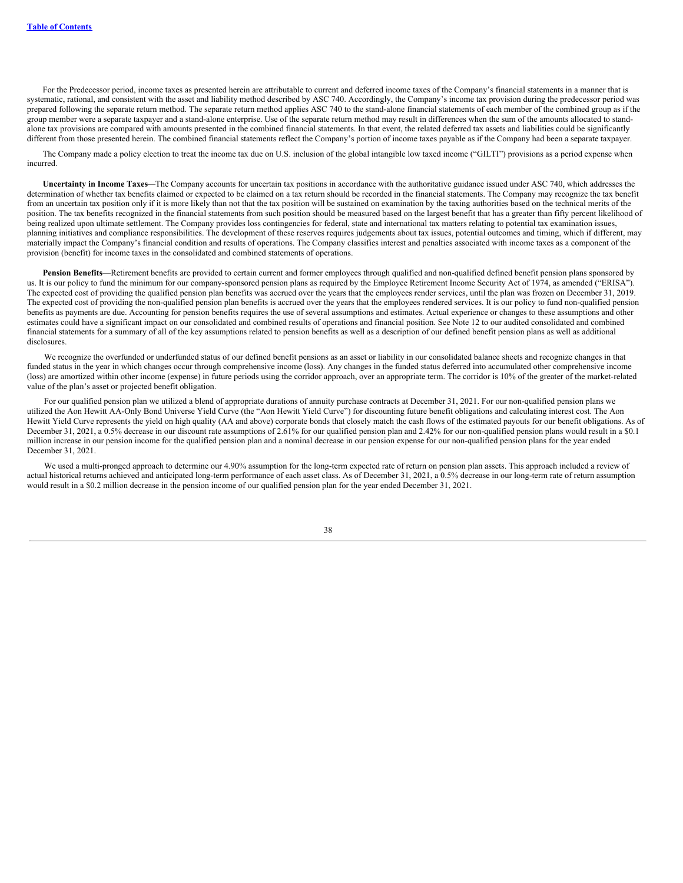For the Predecessor period, income taxes as presented herein are attributable to current and deferred income taxes of the Company's financial statements in a manner that is systematic, rational, and consistent with the asset and liability method described by ASC 740. Accordingly, the Company's income tax provision during the predecessor period was prepared following the separate return method. The separate return method applies ASC 740 to the stand-alone financial statements of each member of the combined group as if the group member were a separate taxpayer and a stand-alone enterprise. Use of the separate return method may result in differences when the sum of the amounts allocated to standalone tax provisions are compared with amounts presented in the combined financial statements. In that event, the related deferred tax assets and liabilities could be significantly different from those presented herein. The combined financial statements reflect the Company's portion of income taxes payable as if the Company had been a separate taxpayer.

The Company made a policy election to treat the income tax due on U.S. inclusion of the global intangible low taxed income ("GILTI") provisions as a period expense when incurred.

Uncertainty in Income Taxes—The Company accounts for uncertain tax positions in accordance with the authoritative guidance issued under ASC 740, which addresses the determination of whether tax benefits claimed or expected to be claimed on a tax return should be recorded in the financial statements. The Company may recognize the tax benefit from an uncertain tax position only if it is more likely than not that the tax position will be sustained on examination by the taxing authorities based on the technical merits of the position. The tax benefits recognized in the financial statements from such position should be measured based on the largest benefit that has a greater than fifty percent likelihood of being realized upon ultimate settlement. The Company provides loss contingencies for federal, state and international tax matters relating to potential tax examination issues, planning initiatives and compliance responsibilities. The development of these reserves requires judgements about tax issues, potential outcomes and timing, which if different, may materially impact the Company's financial condition and results of operations. The Company classifies interest and penalties associated with income taxes as a component of the provision (benefit) for income taxes in the consolidated and combined statements of operations.

Pension Benefits—Retirement benefits are provided to certain current and former employees through qualified and non-qualified defined benefit pension plans sponsored by us. It is our policy to fund the minimum for our company-sponsored pension plans as required by the Employee Retirement Income Security Act of 1974, as amended ("ERISA"). The expected cost of providing the qualified pension plan benefits was accrued over the years that the employees render services, until the plan was frozen on December 31, 2019. The expected cost of providing the non-qualified pension plan benefits is accrued over the years that the employees rendered services. It is our policy to fund non-qualified pension benefits as payments are due. Accounting for pension benefits requires the use of several assumptions and estimates. Actual experience or changes to these assumptions and other estimates could have a significant impact on our consolidated and combined results of operations and financial position. See Note 12 to our audited consolidated and combined financial statements for a summary of all of the key assumptions related to pension benefits as well as a description of our defined benefit pension plans as well as additional disclosures.

We recognize the overfunded or underfunded status of our defined benefit pensions as an asset or liability in our consolidated balance sheets and recognize changes in that funded status in the year in which changes occur through comprehensive income (loss). Any changes in the funded status deferred into accumulated other comprehensive income (loss) are amortized within other income (expense) in future periods using the corridor approach, over an appropriate term. The corridor is 10% of the greater of the market-related value of the plan's asset or projected benefit obligation.

For our qualified pension plan we utilized a blend of appropriate durations of annuity purchase contracts at December 31, 2021. For our non-qualified pension plans we utilized the Aon Hewitt AA-Only Bond Universe Yield Curve (the "Aon Hewitt Yield Curve") for discounting future benefit obligations and calculating interest cost. The Aon Hewitt Yield Curve represents the yield on high quality (AA and above) corporate bonds that closely match the cash flows of the estimated payouts for our benefit obligations. As of December 31, 2021, a 0.5% decrease in our discount rate assumptions of 2.61% for our qualified pension plan and 2.42% for our non-qualified pension plans would result in a \$0.1 million increase in our pension income for the qualified pension plan and a nominal decrease in our pension expense for our non-qualified pension plans for the year ended December 31, 2021.

We used a multi-pronged approach to determine our 4.90% assumption for the long-term expected rate of return on pension plan assets. This approach included a review of actual historical returns achieved and anticipated long-term performance of each asset class. As of December 31, 2021, a 0.5% decrease in our long-term rate of return assumption would result in a \$0.2 million decrease in the pension income of our qualified pension plan for the year ended December 31, 2021.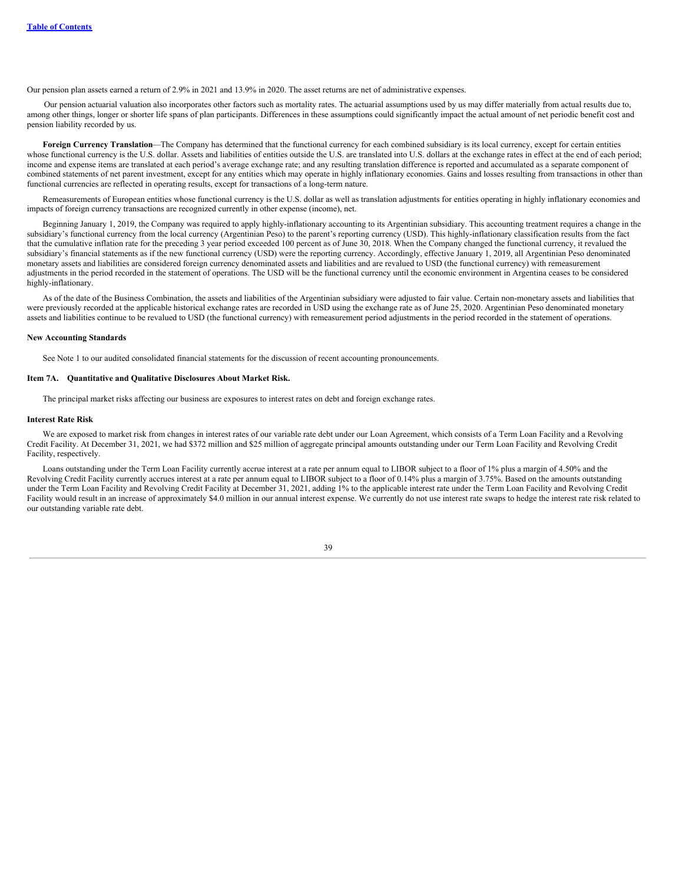Our pension plan assets earned a return of 2.9% in 2021 and 13.9% in 2020. The asset returns are net of administrative expenses.

Our pension actuarial valuation also incorporates other factors such as mortality rates. The actuarial assumptions used by us may differ materially from actual results due to, among other things, longer or shorter life spans of plan participants. Differences in these assumptions could significantly impact the actual amount of net periodic benefit cost and pension liability recorded by us.

**Foreign Currency Translation**—The Company has determined that the functional currency for each combined subsidiary is its local currency, except for certain entities whose functional currency is the U.S. dollar. Assets and liabilities of entities outside the U.S. are translated into U.S. dollars at the exchange rates in effect at the end of each period; income and expense items are translated at each period's average exchange rate; and any resulting translation difference is reported and accumulated as a separate component of combined statements of net parent investment, except for any entities which may operate in highly inflationary economies. Gains and losses resulting from transactions in other than functional currencies are reflected in operating results, except for transactions of a long-term nature.

Remeasurements of European entities whose functional currency is the U.S. dollar as well as translation adjustments for entities operating in highly inflationary economies and impacts of foreign currency transactions are recognized currently in other expense (income), net.

Beginning January 1, 2019, the Company was required to apply highly-inflationary accounting to its Argentinian subsidiary. This accounting treatment requires a change in the subsidiary's functional currency from the local currency (Argentinian Peso) to the parent's reporting currency (USD). This highly-inflationary classification results from the fact that the cumulative inflation rate for the preceding 3 year period exceeded 100 percent as of June 30, 2018. When the Company changed the functional currency, it revalued the subsidiary's financial statements as if the new functional currency (USD) were the reporting currency. Accordingly, effective January 1, 2019, all Argentinian Peso denominated monetary assets and liabilities are considered foreign currency denominated assets and liabilities and are revalued to USD (the functional currency) with remeasurement adjustments in the period recorded in the statement of operations. The USD will be the functional currency until the economic environment in Argentina ceases to be considered highly-inflationary.

As of the date of the Business Combination, the assets and liabilities of the Argentinian subsidiary were adjusted to fair value. Certain non-monetary assets and liabilities that were previously recorded at the applicable historical exchange rates are recorded in USD using the exchange rate as of June 25, 2020. Argentinian Peso denominated monetary assets and liabilities continue to be revalued to USD (the functional currency) with remeasurement period adjustments in the period recorded in the statement of operations.

#### **New Accounting Standards**

See Note 1 to our audited consolidated financial statements for the discussion of recent accounting pronouncements.

#### **Item 7A. Quantitative and Qualitative Disclosures About Market Risk.**

The principal market risks affecting our business are exposures to interest rates on debt and foreign exchange rates.

#### **Interest Rate Risk**

We are exposed to market risk from changes in interest rates of our variable rate debt under our Loan Agreement, which consists of a Term Loan Facility and a Revolving Credit Facility. At December 31, 2021, we had \$372 million and \$25 million of aggregate principal amounts outstanding under our Term Loan Facility and Revolving Credit Facility, respectively.

Loans outstanding under the Term Loan Facility currently accrue interest at a rate per annum equal to LIBOR subject to a floor of 1% plus a margin of 4.50% and the Revolving Credit Facility currently accrues interest at a rate per annum equal to LIBOR subject to a floor of 0.14% plus a margin of 3.75%. Based on the amounts outstanding under the Term Loan Facility and Revolving Credit Facility at December 31, 2021, adding 1% to the applicable interest rate under the Term Loan Facility and Revolving Credit Facility would result in an increase of approximately \$4.0 million in our annual interest expense. We currently do not use interest rate swaps to hedge the interest rate risk related to our outstanding variable rate debt.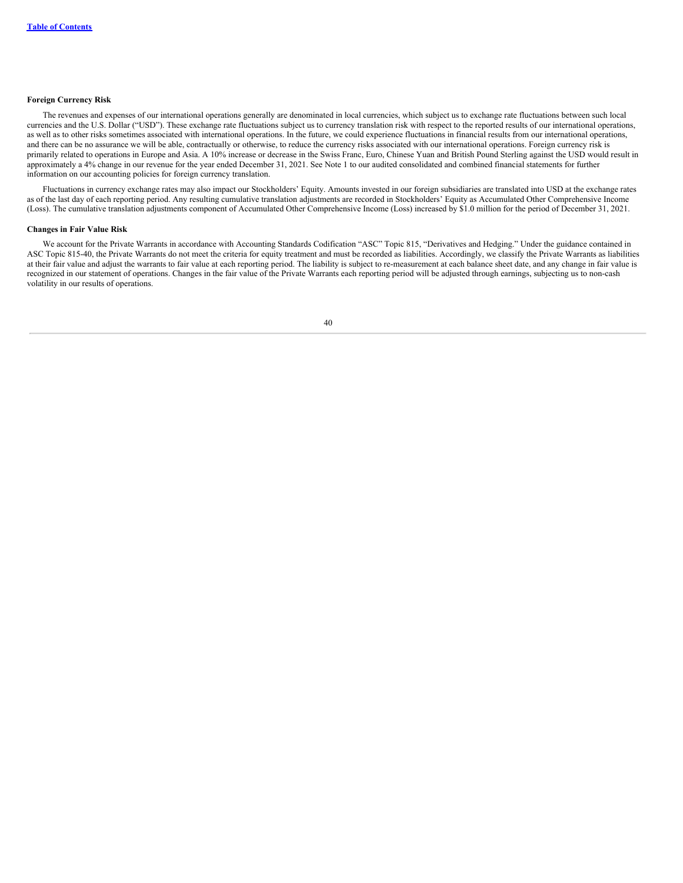#### **Foreign Currency Risk**

The revenues and expenses of our international operations generally are denominated in local currencies, which subject us to exchange rate fluctuations between such local currencies and the U.S. Dollar ("USD"). These exchange rate fluctuations subject us to currency translation risk with respect to the reported results of our international operations, as well as to other risks sometimes associated with international operations. In the future, we could experience fluctuations in financial results from our international operations, and there can be no assurance we will be able, contractually or otherwise, to reduce the currency risks associated with our international operations. Foreign currency risk is primarily related to operations in Europe and Asia. A 10% increase or decrease in the Swiss Franc, Euro, Chinese Yuan and British Pound Sterling against the USD would result in approximately a 4% change in our revenue for the year ended December 31, 2021. See Note 1 to our audited consolidated and combined financial statements for further information on our accounting policies for foreign currency translation.

Fluctuations in currency exchange rates may also impact our Stockholders' Equity. Amounts invested in our foreign subsidiaries are translated into USD at the exchange rates as of the last day of each reporting period. Any resulting cumulative translation adjustments are recorded in Stockholders' Equity as Accumulated Other Comprehensive Income (Loss). The cumulative translation adjustments component of Accumulated Other Comprehensive Income (Loss) increased by \$1.0 million for the period of December 31, 2021.

#### **Changes in Fair Value Risk**

We account for the Private Warrants in accordance with Accounting Standards Codification "ASC" Topic 815, "Derivatives and Hedging." Under the guidance contained in ASC Topic 815-40, the Private Warrants do not meet the criteria for equity treatment and must be recorded as liabilities. Accordingly, we classify the Private Warrants as liabilities at their fair value and adjust the warrants to fair value at each reporting period. The liability is subject to re-measurement at each balance sheet date, and any change in fair value is recognized in our statement of operations. Changes in the fair value of the Private Warrants each reporting period will be adjusted through earnings, subjecting us to non-cash volatility in our results of operations.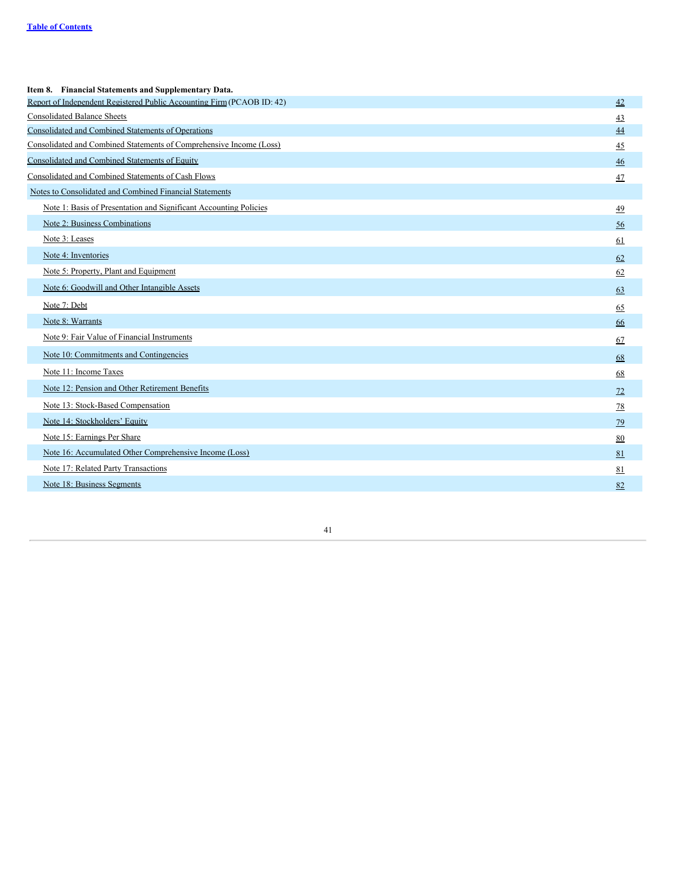| Item 8. Financial Statements and Supplementary Data.                   |    |
|------------------------------------------------------------------------|----|
| Report of Independent Registered Public Accounting Firm (PCAOB ID: 42) | 42 |
| <b>Consolidated Balance Sheets</b>                                     | 43 |
| Consolidated and Combined Statements of Operations                     | 44 |
| Consolidated and Combined Statements of Comprehensive Income (Loss)    | 45 |
| Consolidated and Combined Statements of Equity                         | 46 |
| Consolidated and Combined Statements of Cash Flows                     | 47 |
| Notes to Consolidated and Combined Financial Statements                |    |
| Note 1: Basis of Presentation and Significant Accounting Policies      | 49 |
| Note 2: Business Combinations                                          | 56 |
| Note 3: Leases                                                         | 61 |
| Note 4: Inventories                                                    | 62 |
| Note 5: Property, Plant and Equipment                                  | 62 |
| Note 6: Goodwill and Other Intangible Assets                           | 63 |
| Note 7: Debt                                                           | 65 |
| Note 8: Warrants                                                       | 66 |
| Note 9: Fair Value of Financial Instruments                            | 67 |
| Note 10: Commitments and Contingencies                                 | 68 |
| Note 11: Income Taxes                                                  | 68 |
| Note 12: Pension and Other Retirement Benefits                         | 72 |
| Note 13: Stock-Based Compensation                                      | 78 |
| Note 14: Stockholders' Equity                                          | 79 |
| Note 15: Earnings Per Share                                            | 80 |
| Note 16: Accumulated Other Comprehensive Income (Loss)                 | 81 |
| Note 17: Related Party Transactions                                    | 81 |
| Note 18: Business Segments                                             | 82 |

<span id="page-43-0"></span>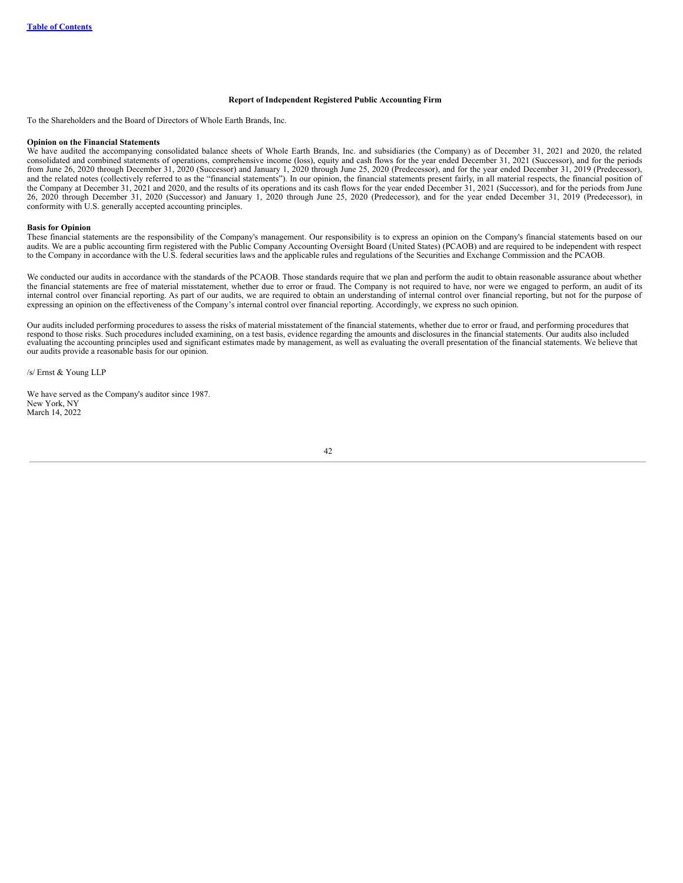#### **Report of Independent Registered Public Accounting Firm**

To the Shareholders and the Board of Directors of Whole Earth Brands, Inc.

#### **Opinion on the Financial Statements**

We have audited the accompanying consolidated balance sheets of Whole Earth Brands, Inc. and subsidiaries (the Company) as of December 31, 2021 and 2020, the related consolidated and combined statements of operations, comprehensive income (loss), equity and cash flows for the year ended December 31, 2021 (Successor), and for the periods from June 26, 2020 through December 31, 2020 (Successor) and January 1, 2020 through June 25, 2020 (Predecessor), and for the year ended December 31, 2019 (Predecessor), and the related notes (collectively referred to as the "financial statements"). In our opinion, the financial statements present fairly, in all material respects, the financial position of the Company at December 31, 2021 and 2020, and the results of its operations and its cash flows for the year ended December 31, 2021 (Successor), and for the periods from June 26, 2020 through December 31, 2020 (Successor) and January 1, 2020 through June 25, 2020 (Predecessor), and for the year ended December 31, 2019 (Predecessor), in conformity with U.S. generally accepted accounting principles.

#### **Basis for Opinion**

These financial statements are the responsibility of the Company's management. Our responsibility is to express an opinion on the Company's financial statements based on our audits. We are a public accounting firm registered with the Public Company Accounting Oversight Board (United States) (PCAOB) and are required to be independent with respect to the Company in accordance with the U.S. federal securities laws and the applicable rules and regulations of the Securities and Exchange Commission and the PCAOB.

We conducted our audits in accordance with the standards of the PCAOB. Those standards require that we plan and perform the audit to obtain reasonable assurance about whether the financial statements are free of material misstatement, whether due to error or fraud. The Company is not required to have, nor were we engaged to perform, an audit of its internal control over financial reporting. As part of our audits, we are required to obtain an understanding of internal control over financial reporting, but not for the purpose of expressing an opinion on the effectiveness of the Company's internal control over financial reporting. Accordingly, we express no such opinion.

Our audits included performing procedures to assess the risks of material misstatement of the financial statements, whether due to error or fraud, and performing procedures that respond to those risks. Such procedures included examining, on a test basis, evidence regarding the amounts and disclosures in the financial statements. Our audits also included evaluating the accounting principles used and significant estimates made by management, as well as evaluating the overall presentation of the financial statements. We believe that our audits provide a reasonable basis for our opinion.

/s/ Ernst & Young LLP

<span id="page-44-0"></span>We have served as the Company's auditor since 1987. New York, NY March 14, 2022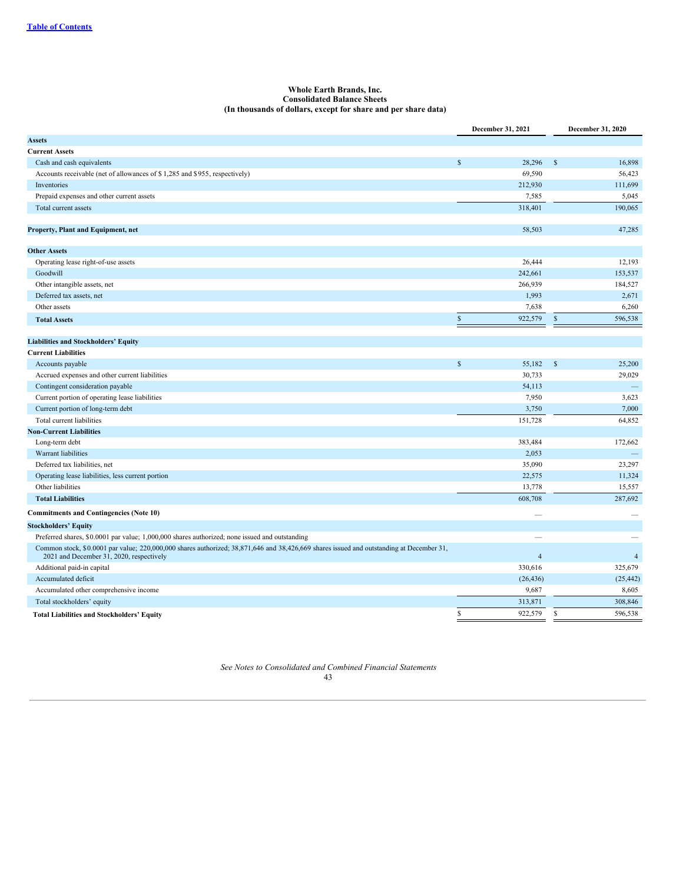#### **Whole Earth Brands, Inc. Consolidated Balance Sheets (In thousands of dollars, except for share and per share data)**

|                                                                                                                                                                                      |              | December 31, 2021 |              | December 31, 2020        |
|--------------------------------------------------------------------------------------------------------------------------------------------------------------------------------------|--------------|-------------------|--------------|--------------------------|
| <b>Assets</b>                                                                                                                                                                        |              |                   |              |                          |
| <b>Current Assets</b>                                                                                                                                                                |              |                   |              |                          |
| Cash and cash equivalents                                                                                                                                                            | $\mathbb{S}$ | 28,296            | $\mathbb{S}$ | 16,898                   |
| Accounts receivable (net of allowances of \$1,285 and \$955, respectively)                                                                                                           |              | 69,590            |              | 56,423                   |
| Inventories                                                                                                                                                                          |              | 212,930           |              | 111,699                  |
| Prepaid expenses and other current assets                                                                                                                                            |              | 7,585             |              | 5,045                    |
| Total current assets                                                                                                                                                                 |              | 318,401           |              | 190,065                  |
| Property, Plant and Equipment, net                                                                                                                                                   |              | 58,503            |              | 47,285                   |
|                                                                                                                                                                                      |              |                   |              |                          |
| <b>Other Assets</b>                                                                                                                                                                  |              |                   |              |                          |
| Operating lease right-of-use assets                                                                                                                                                  |              | 26,444            |              | 12,193                   |
| Goodwill                                                                                                                                                                             |              | 242,661           |              | 153,537                  |
| Other intangible assets, net                                                                                                                                                         |              | 266,939           |              | 184,527                  |
| Deferred tax assets, net                                                                                                                                                             |              | 1,993             |              | 2,671                    |
| Other assets                                                                                                                                                                         |              | 7,638             |              | 6,260                    |
| <b>Total Assets</b>                                                                                                                                                                  | $\mathsf{s}$ | 922,579           | $\mathbb{S}$ | 596,538                  |
| <b>Liabilities and Stockholders' Equity</b>                                                                                                                                          |              |                   |              |                          |
| <b>Current Liabilities</b>                                                                                                                                                           |              |                   |              |                          |
| Accounts payable                                                                                                                                                                     | $\mathbb{S}$ | 55,182            | $\mathbb{S}$ | 25,200                   |
| Accrued expenses and other current liabilities                                                                                                                                       |              | 30,733            |              | 29,029                   |
| Contingent consideration payable                                                                                                                                                     |              | 54,113            |              | $\equiv$                 |
| Current portion of operating lease liabilities                                                                                                                                       |              | 7,950             |              | 3,623                    |
| Current portion of long-term debt                                                                                                                                                    |              | 3,750             |              | 7,000                    |
| Total current liabilities                                                                                                                                                            |              | 151,728           |              | 64,852                   |
| <b>Non-Current Liabilities</b>                                                                                                                                                       |              |                   |              |                          |
| Long-term debt                                                                                                                                                                       |              | 383,484           |              | 172,662                  |
| Warrant liabilities                                                                                                                                                                  |              | 2,053             |              | $\overline{\phantom{a}}$ |
| Deferred tax liabilities, net                                                                                                                                                        |              | 35,090            |              | 23,297                   |
| Operating lease liabilities, less current portion                                                                                                                                    |              | 22,575            |              | 11,324                   |
| Other liabilities                                                                                                                                                                    |              | 13,778            |              | 15,557                   |
| <b>Total Liabilities</b>                                                                                                                                                             |              | 608,708           |              | 287.692                  |
| <b>Commitments and Contingencies (Note 10)</b>                                                                                                                                       |              |                   |              |                          |
| <b>Stockholders' Equity</b>                                                                                                                                                          |              |                   |              |                          |
| Preferred shares, \$0.0001 par value; 1,000,000 shares authorized; none issued and outstanding                                                                                       |              |                   |              |                          |
| Common stock, \$0.0001 par value; 220,000,000 shares authorized; 38,871,646 and 38,426,669 shares issued and outstanding at December 31,<br>2021 and December 31, 2020, respectively |              | $\overline{4}$    |              | $\overline{4}$           |
| Additional paid-in capital                                                                                                                                                           |              | 330,616           |              | 325,679                  |
| Accumulated deficit                                                                                                                                                                  |              | (26, 436)         |              | (25, 442)                |
| Accumulated other comprehensive income                                                                                                                                               |              | 9,687             |              | 8,605                    |
| Total stockholders' equity                                                                                                                                                           |              | 313,871           |              | 308,846                  |
| <b>Total Liabilities and Stockholders' Equity</b>                                                                                                                                    | $\mathbb S$  | 922,579           | \$           | 596,538                  |

<span id="page-45-0"></span>*See Notes to Consolidated and Combined Financial Statements* 43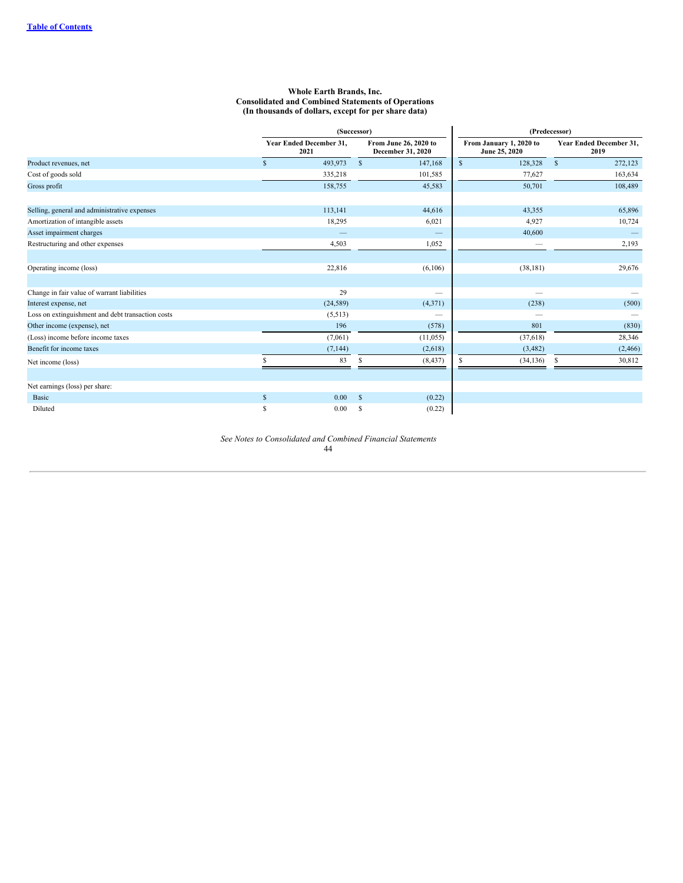#### **Whole Earth Brands, Inc. Consolidated and Combined Statements of Operations (In thousands of dollars, except for per share data)**

|                                                   |              | (Successor)                     |              |                                                   |              | (Predecessor)<br>Year Ended December 31,<br>2019<br>$\mathbb{S}$<br>272,123<br>163,634 |     |          |
|---------------------------------------------------|--------------|---------------------------------|--------------|---------------------------------------------------|--------------|----------------------------------------------------------------------------------------|-----|----------|
|                                                   |              | Year Ended December 31,<br>2021 |              | From June 26, 2020 to<br><b>December 31, 2020</b> |              | From January 1, 2020 to<br>June 25, 2020                                               |     |          |
| Product revenues, net                             | $\mathbf{s}$ | 493,973                         | $\mathbb{S}$ | 147,168                                           | $\mathbb{S}$ | 128,328                                                                                |     |          |
| Cost of goods sold                                |              | 335,218                         |              | 101,585                                           |              | 77,627                                                                                 |     |          |
| Gross profit                                      |              | 158,755                         |              | 45,583                                            |              | 50,701                                                                                 |     | 108,489  |
| Selling, general and administrative expenses      |              | 113,141                         |              | 44,616                                            |              | 43,355                                                                                 |     | 65,896   |
| Amortization of intangible assets                 |              | 18,295                          |              | 6,021                                             |              | 4,927                                                                                  |     | 10,724   |
| Asset impairment charges                          |              |                                 |              |                                                   |              | 40,600                                                                                 |     |          |
| Restructuring and other expenses                  |              | 4,503                           |              | 1,052                                             |              |                                                                                        |     | 2,193    |
| Operating income (loss)                           |              | 22,816                          |              | (6,106)                                           |              | (38, 181)                                                                              |     | 29,676   |
| Change in fair value of warrant liabilities       |              | 29                              |              |                                                   |              |                                                                                        |     |          |
| Interest expense, net                             |              | (24, 589)                       |              | (4,371)                                           |              | (238)                                                                                  |     | (500)    |
| Loss on extinguishment and debt transaction costs |              | (5,513)                         |              |                                                   |              |                                                                                        |     |          |
| Other income (expense), net                       |              | 196                             |              | (578)                                             |              | 801                                                                                    |     | (830)    |
| (Loss) income before income taxes                 |              | (7,061)                         |              | (11,055)                                          |              | (37, 618)                                                                              |     | 28,346   |
| Benefit for income taxes                          |              | (7, 144)                        |              | (2,618)                                           |              | (3,482)                                                                                |     | (2, 466) |
| Net income (loss)                                 |              | 83                              |              | (8, 437)                                          |              | (34, 136)                                                                              | \$. | 30,812   |
|                                                   |              |                                 |              |                                                   |              |                                                                                        |     |          |
| Net earnings (loss) per share:                    |              |                                 |              |                                                   |              |                                                                                        |     |          |
| <b>Basic</b>                                      | $\mathsf{s}$ | 0.00                            | $\mathbb{S}$ | (0.22)                                            |              |                                                                                        |     |          |
| Diluted                                           |              | 0.00                            | S            | (0.22)                                            |              |                                                                                        |     |          |

<span id="page-46-0"></span>*See Notes to Consolidated and Combined Financial Statements*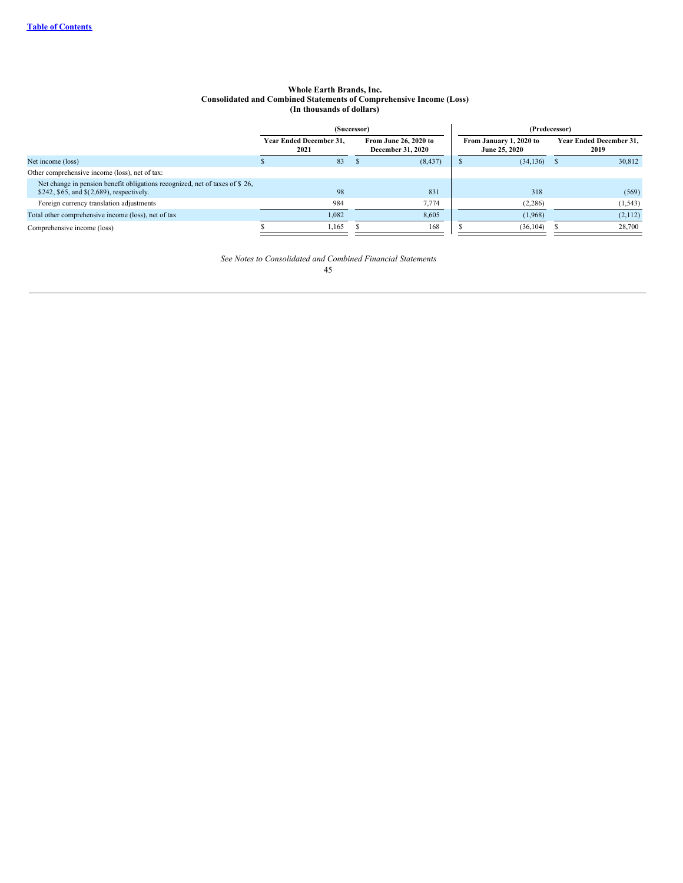#### **Whole Earth Brands, Inc. Consolidated and Combined Statements of Comprehensive Income (Loss) (In thousands of dollars)**

<span id="page-47-0"></span>

|                                                                                                                            |                                 | (Successor) |                                                          | (Predecessor)                            |  |                                 |  |
|----------------------------------------------------------------------------------------------------------------------------|---------------------------------|-------------|----------------------------------------------------------|------------------------------------------|--|---------------------------------|--|
|                                                                                                                            | Year Ended December 31,<br>2021 |             | <b>From June 26, 2020 to</b><br><b>December 31, 2020</b> | From January 1, 2020 to<br>June 25, 2020 |  | Year Ended December 31,<br>2019 |  |
| Net income (loss)                                                                                                          | 83                              |             | (8, 437)                                                 | (34, 136)                                |  | 30,812                          |  |
| Other comprehensive income (loss), net of tax:                                                                             |                                 |             |                                                          |                                          |  |                                 |  |
| Net change in pension benefit obligations recognized, net of taxes of \$26,<br>\$242, \$65, and $$(2,689)$ , respectively. | 98                              |             | 831                                                      | 318                                      |  | (569)                           |  |
| Foreign currency translation adjustments                                                                                   | 984                             |             | 7.774                                                    | (2, 286)                                 |  | (1, 543)                        |  |
| Total other comprehensive income (loss), net of tax                                                                        | 1,082                           |             | 8,605                                                    | (1,968)                                  |  | (2,112)                         |  |
| Comprehensive income (loss)                                                                                                | 1.165                           |             | 168                                                      | (36.104)                                 |  | 28,700                          |  |
|                                                                                                                            |                                 |             |                                                          |                                          |  |                                 |  |

*See Notes to Consolidated and Combined Financial Statements*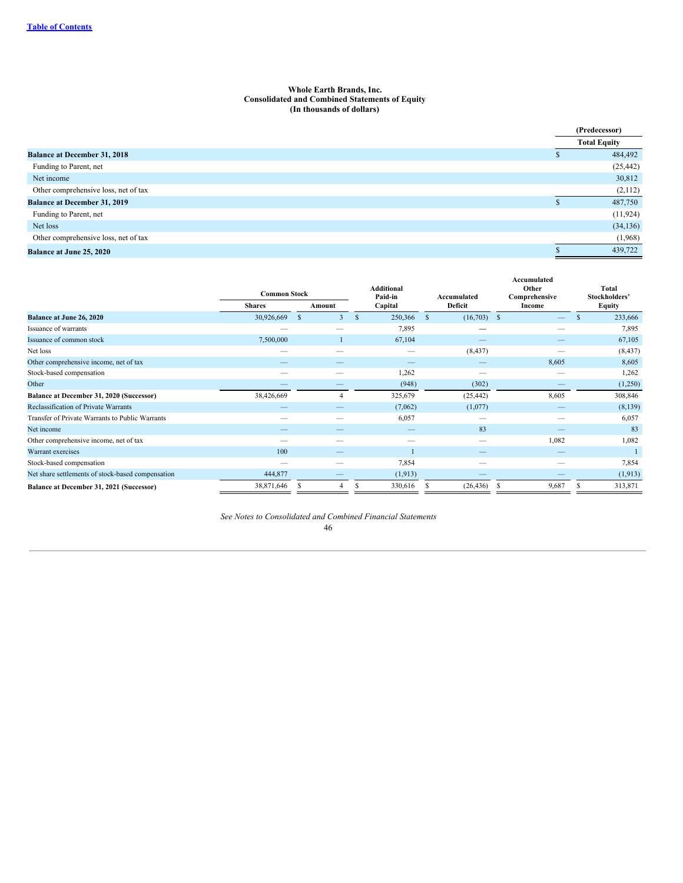#### **Whole Earth Brands, Inc. Consolidated and Combined Statements of Equity (In thousands of dollars)**

|                                      | (Predecessor)       |
|--------------------------------------|---------------------|
|                                      | <b>Total Equity</b> |
| <b>Balance at December 31, 2018</b>  | 484,492             |
| Funding to Parent, net               | (25, 442)           |
| Net income                           | 30,812              |
| Other comprehensive loss, net of tax | (2,112)             |
| <b>Balance at December 31, 2019</b>  | 487,750             |
| Funding to Parent, net               | (11, 924)           |
| Net loss                             | (34, 136)           |
| Other comprehensive loss, net of tax | (1,968)             |
| <b>Balance at June 25, 2020</b>      | 439,722             |

|                                                   |               | <b>Common Stock</b> |                |               | <b>Additional</b><br>Paid-in |              | Accumulated   |     | Accumulated<br>Other<br>Comprehensive |    | Total<br>Stockholders' |
|---------------------------------------------------|---------------|---------------------|----------------|---------------|------------------------------|--------------|---------------|-----|---------------------------------------|----|------------------------|
|                                                   | <b>Shares</b> |                     | Amount         |               | Capital                      |              | Deficit       |     | Income                                |    | Equity                 |
| Balance at June 26, 2020                          | 30,926,669    | <b>S</b>            | $\overline{3}$ | <sup>\$</sup> | 250,366                      | $\mathbf{s}$ | $(16,703)$ \$ |     |                                       |    | 233,666                |
| Issuance of warrants                              |               |                     |                |               | 7,895                        |              | -             |     |                                       |    | 7,895                  |
| Issuance of common stock                          | 7,500,000     |                     |                |               | 67,104                       |              |               |     |                                       |    | 67,105                 |
| Net loss                                          |               |                     |                |               |                              |              | (8, 437)      |     |                                       |    | (8, 437)               |
| Other comprehensive income, net of tax            |               |                     |                |               |                              |              |               |     | 8,605                                 |    | 8,605                  |
| Stock-based compensation                          |               |                     |                |               | 1,262                        |              | -             |     |                                       |    | 1,262                  |
| Other                                             |               |                     |                |               | (948)                        |              | (302)         |     |                                       |    | (1,250)                |
| Balance at December 31, 2020 (Successor)          | 38,426,669    |                     | 4              |               | 325,679                      |              | (25, 442)     |     | 8,605                                 |    | 308,846                |
| Reclassification of Private Warrants              |               |                     |                |               | (7,062)                      |              | (1,077)       |     |                                       |    | (8,139)                |
| Transfer of Private Warrants to Public Warrants   |               |                     |                |               | 6,057                        |              |               |     |                                       |    | 6,057                  |
| Net income                                        |               |                     | __             |               | –                            |              | 83            |     |                                       |    | 83                     |
| Other comprehensive income, net of tax            | --            |                     | __             |               | -                            |              |               |     | 1,082                                 |    | 1,082                  |
| Warrant exercises                                 | 100           |                     |                |               |                              |              |               |     |                                       |    |                        |
| Stock-based compensation                          |               |                     |                |               | 7,854                        |              |               |     |                                       |    | 7,854                  |
| Net share settlements of stock-based compensation | 444,877       |                     |                |               | (1, 913)                     |              |               |     |                                       |    | (1, 913)               |
| Balance at December 31, 2021 (Successor)          | 38,871,646    | D.                  | 4              | S             | 330,616                      | -S           | (26, 436)     | \$. | 9,687                                 | D. | 313,871                |

<span id="page-48-0"></span>*See Notes to Consolidated and Combined Financial Statements*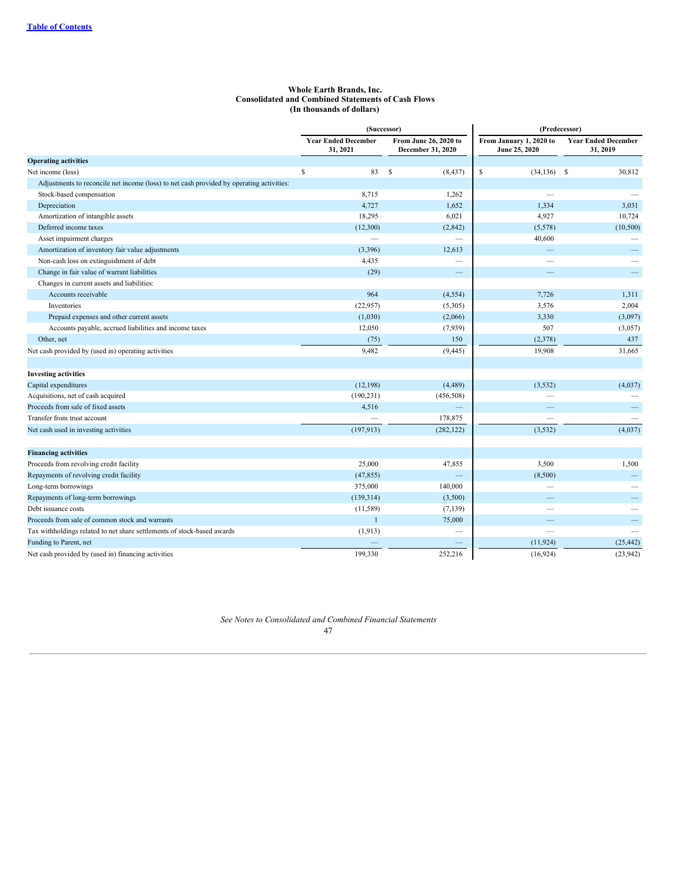#### **Whole Earth Brands, Inc. Consolidated and Combined Statements of Cash Flows (In thousands of dollars)**

|                                                                                          |                                        | (Successor)                                | (Predecessor)                            | <b>Year Ended December</b><br>31, 2019<br>30,812<br>3,031<br>10,724<br>(10, 500)<br>-<br>1,311<br>2,004<br>(3,097)<br>(3,057)<br>437<br>31,665<br>(4,037) |  |  |
|------------------------------------------------------------------------------------------|----------------------------------------|--------------------------------------------|------------------------------------------|-----------------------------------------------------------------------------------------------------------------------------------------------------------|--|--|
|                                                                                          | <b>Year Ended December</b><br>31, 2021 | From June 26, 2020 to<br>December 31, 2020 | From January 1, 2020 to<br>June 25, 2020 |                                                                                                                                                           |  |  |
| <b>Operating activities</b>                                                              |                                        |                                            |                                          |                                                                                                                                                           |  |  |
| Net income (loss)                                                                        | S<br>83                                | <sup>S</sup><br>(8, 437)                   | \$<br>$(34, 136)$ \$                     |                                                                                                                                                           |  |  |
| Adjustments to reconcile net income (loss) to net cash provided by operating activities: |                                        |                                            |                                          |                                                                                                                                                           |  |  |
| Stock-based compensation                                                                 | 8,715                                  | 1,262                                      |                                          |                                                                                                                                                           |  |  |
| Depreciation                                                                             | 4,727                                  | 1,652                                      | 1,334                                    |                                                                                                                                                           |  |  |
| Amortization of intangible assets                                                        | 18,295                                 | 6,021                                      | 4,927                                    |                                                                                                                                                           |  |  |
| Deferred income taxes                                                                    | (12,300)                               | (2,842)                                    | (5,578)                                  |                                                                                                                                                           |  |  |
| Asset impairment charges                                                                 |                                        |                                            | 40,600                                   |                                                                                                                                                           |  |  |
| Amortization of inventory fair value adjustments                                         | (3,396)                                | 12,613                                     | $\qquad \qquad -$                        |                                                                                                                                                           |  |  |
| Non-cash loss on extinguishment of debt                                                  | 4,435                                  |                                            |                                          |                                                                                                                                                           |  |  |
| Change in fair value of warrant liabilities                                              | (29)                                   |                                            |                                          |                                                                                                                                                           |  |  |
| Changes in current assets and liabilities:                                               |                                        |                                            |                                          |                                                                                                                                                           |  |  |
| Accounts receivable                                                                      | 964                                    | (4, 554)                                   | 7,726                                    |                                                                                                                                                           |  |  |
| Inventories                                                                              | (22,957)                               | (5,305)                                    | 3,576                                    |                                                                                                                                                           |  |  |
| Prepaid expenses and other current assets                                                | (1,030)                                | (2,066)                                    | 3,330                                    |                                                                                                                                                           |  |  |
| Accounts payable, accrued liabilities and income taxes                                   | 12,050                                 | (7,939)                                    | 507                                      |                                                                                                                                                           |  |  |
| Other, net                                                                               | (75)                                   | 150                                        | (2,378)                                  |                                                                                                                                                           |  |  |
| Net cash provided by (used in) operating activities                                      | 9,482                                  | (9, 445)                                   | 19,908                                   |                                                                                                                                                           |  |  |
| <b>Investing activities</b>                                                              |                                        |                                            |                                          |                                                                                                                                                           |  |  |
| Capital expenditures                                                                     | (12, 198)                              | (4, 489)                                   | (3, 532)                                 |                                                                                                                                                           |  |  |
| Acquisitions, net of cash acquired                                                       | (190, 231)                             | (456, 508)                                 |                                          |                                                                                                                                                           |  |  |
| Proceeds from sale of fixed assets                                                       | 4,516                                  |                                            |                                          |                                                                                                                                                           |  |  |
| Transfer from trust account                                                              |                                        | 178,875                                    |                                          |                                                                                                                                                           |  |  |
| Net cash used in investing activities                                                    | (197, 913)                             | (282, 122)                                 | (3,532)                                  | (4,037)                                                                                                                                                   |  |  |
| <b>Financing activities</b>                                                              |                                        |                                            |                                          |                                                                                                                                                           |  |  |
| Proceeds from revolving credit facility                                                  | 25,000                                 | 47,855                                     | 3,500                                    | 1,500                                                                                                                                                     |  |  |
| Repayments of revolving credit facility                                                  | (47, 855)                              |                                            | (8,500)                                  |                                                                                                                                                           |  |  |
| Long-term borrowings                                                                     | 375,000                                | 140,000                                    |                                          |                                                                                                                                                           |  |  |
| Repayments of long-term borrowings                                                       | (139, 314)                             | (3,500)                                    |                                          |                                                                                                                                                           |  |  |
| Debt issuance costs                                                                      | (11, 589)                              | (7, 139)                                   |                                          |                                                                                                                                                           |  |  |
| Proceeds from sale of common stock and warrants                                          |                                        | 75,000                                     |                                          |                                                                                                                                                           |  |  |
| Tax withholdings related to net share settlements of stock-based awards                  | (1, 913)                               |                                            |                                          |                                                                                                                                                           |  |  |
| Funding to Parent, net                                                                   |                                        |                                            | (11, 924)                                | (25, 442)                                                                                                                                                 |  |  |
| Net cash provided by (used in) financing activities                                      | 199.330                                | 252,216                                    | (16,924)                                 | (23,942)                                                                                                                                                  |  |  |

*See Notes to Consolidated and Combined Financial Statements* 47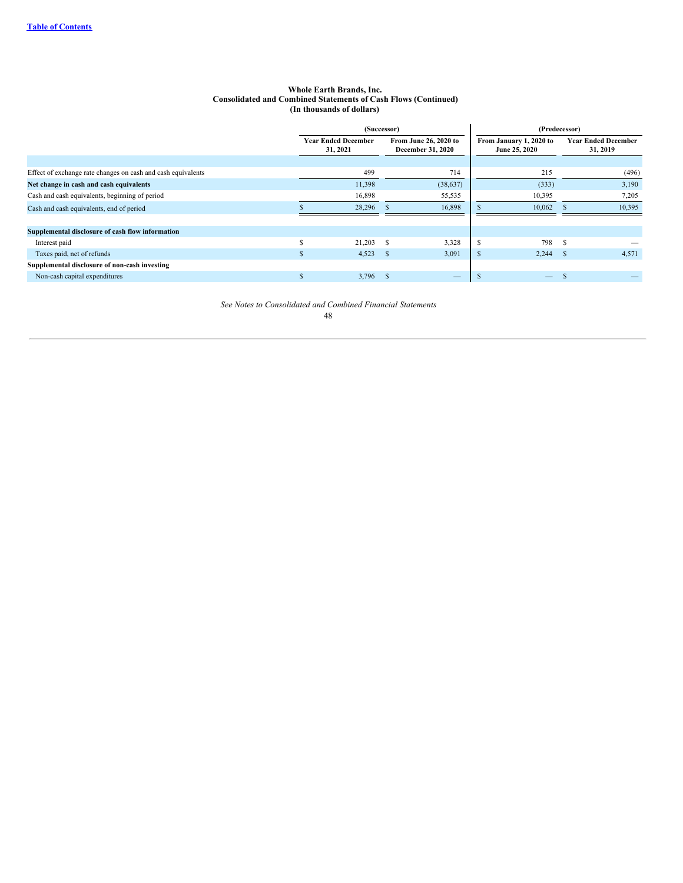#### **Whole Earth Brands, Inc. Consolidated and Combined Statements of Cash Flows (Continued) (In thousands of dollars)**

|                                                              |   |                                        | (Successor)                                |          | (Predecessor)                            |   |                                        |  |
|--------------------------------------------------------------|---|----------------------------------------|--------------------------------------------|----------|------------------------------------------|---|----------------------------------------|--|
|                                                              |   | <b>Year Ended December</b><br>31, 2021 | From June 26, 2020 to<br>December 31, 2020 |          | From January 1, 2020 to<br>June 25, 2020 |   | <b>Year Ended December</b><br>31, 2019 |  |
|                                                              |   |                                        |                                            |          |                                          |   |                                        |  |
| Effect of exchange rate changes on cash and cash equivalents |   | 499                                    |                                            | 714      | 215                                      |   | (496)                                  |  |
| Net change in cash and cash equivalents                      |   | 11,398                                 |                                            | (38,637) | (333)                                    |   | 3,190                                  |  |
| Cash and cash equivalents, beginning of period               |   | 16,898                                 |                                            | 55,535   | 10,395                                   |   | 7,205                                  |  |
| Cash and cash equivalents, end of period                     |   | 28,296                                 |                                            | 16,898   | 10,062                                   |   | 10,395                                 |  |
| Supplemental disclosure of cash flow information             |   |                                        |                                            |          |                                          |   |                                        |  |
| Interest paid                                                | S | 21,203                                 | - \$                                       | 3,328    | 798                                      | S |                                        |  |
| Taxes paid, net of refunds                                   | × | 4,523                                  | $\sqrt{s}$                                 | 3,091    | 2,244                                    | S | 4,571                                  |  |
| Supplemental disclosure of non-cash investing                |   |                                        |                                            |          |                                          |   |                                        |  |
| Non-cash capital expenditures                                |   | 3,796                                  |                                            |          |                                          |   |                                        |  |

<span id="page-50-0"></span>*See Notes to Consolidated and Combined Financial Statements*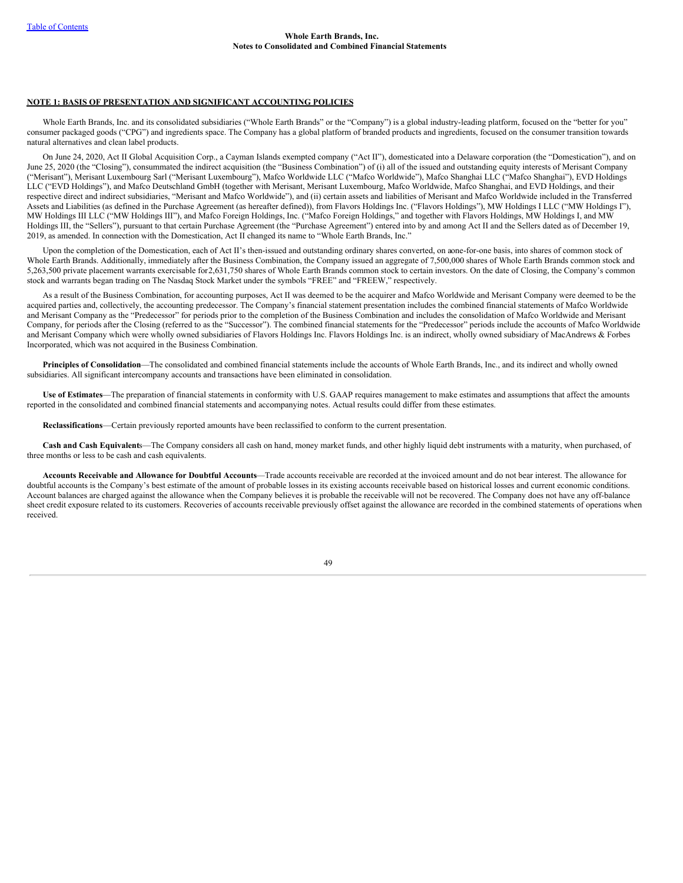#### <span id="page-51-0"></span>**NOTE 1: BASIS OF PRESENTATION AND SIGNIFICANT ACCOUNTING POLICIES**

Whole Earth Brands, Inc. and its consolidated subsidiaries ("Whole Earth Brands" or the "Company") is a global industry-leading platform, focused on the "better for you" consumer packaged goods ("CPG") and ingredients space. The Company has a global platform of branded products and ingredients, focused on the consumer transition towards natural alternatives and clean label products.

On June 24, 2020, Act II Global Acquisition Corp., a Cayman Islands exempted company ("Act II"), domesticated into a Delaware corporation (the "Domestication"), and on June 25, 2020 (the "Closing"), consummated the indirect acquisition (the "Business Combination") of (i) all of the issued and outstanding equity interests of Merisant Company ("Merisant"), Merisant Luxembourg Sarl ("Merisant Luxembourg"), Mafco Worldwide LLC ("Mafco Worldwide"), Mafco Shanghai LLC ("Mafco Shanghai"), EVD Holdings LLC ("EVD Holdings"), and Mafco Deutschland GmbH (together with Merisant, Merisant Luxembourg, Mafco Worldwide, Mafco Shanghai, and EVD Holdings, and their respective direct and indirect subsidiaries, "Merisant and Mafco Worldwide"), and (ii) certain assets and liabilities of Merisant and Mafco Worldwide included in the Transferred Assets and Liabilities (as defined in the Purchase Agreement (as hereafter defined)), from Flavors Holdings Inc. ("Flavors Holdings"), MW Holdings I LLC ("MW Holdings I"), MW Holdings III LLC ("MW Holdings III"), and Mafco Foreign Holdings, Inc. ("Mafco Foreign Holdings," and together with Flavors Holdings, MW Holdings I, and MW Holdings III, the "Sellers"), pursuant to that certain Purchase Agreement (the "Purchase Agreement") entered into by and among Act II and the Sellers dated as of December 19, 2019, as amended. In connection with the Domestication, Act II changed its name to "Whole Earth Brands, Inc."

Upon the completion of the Domestication, each of Act II's then-issued and outstanding ordinary shares converted, on aone-for-one basis, into shares of common stock of Whole Earth Brands. Additionally, immediately after the Business Combination, the Company issued an aggregate of 7,500,000 shares of Whole Earth Brands common stock and 5,263,500 private placement warrants exercisable for2,631,750 shares of Whole Earth Brands common stock to certain investors. On the date of Closing, the Company's common stock and warrants began trading on The Nasdaq Stock Market under the symbols "FREE" and "FREEW," respectively.

As a result of the Business Combination, for accounting purposes, Act II was deemed to be the acquirer and Mafco Worldwide and Merisant Company were deemed to be the acquired parties and, collectively, the accounting predecessor. The Company's financial statement presentation includes the combined financial statements of Mafco Worldwide and Merisant Company as the "Predecessor" for periods prior to the completion of the Business Combination and includes the consolidation of Mafco Worldwide and Merisant Company, for periods after the Closing (referred to as the "Successor"). The combined financial statements for the "Predecessor" periods include the accounts of Mafco Worldwide and Merisant Company which were wholly owned subsidiaries of Flavors Holdings Inc. Flavors Holdings Inc. is an indirect, wholly owned subsidiary of MacAndrews & Forbes Incorporated, which was not acquired in the Business Combination.

**Principles of Consolidation**—The consolidated and combined financial statements include the accounts of Whole Earth Brands, Inc., and its indirect and wholly owned subsidiaries. All significant intercompany accounts and transactions have been eliminated in consolidation.

**Use of Estimates**—The preparation of financial statements in conformity with U.S. GAAP requires management to make estimates and assumptions that affect the amounts reported in the consolidated and combined financial statements and accompanying notes. Actual results could differ from these estimates.

**Reclassifications**—Certain previously reported amounts have been reclassified to conform to the current presentation.

**Cash and Cash Equivalent**s—The Company considers all cash on hand, money market funds, and other highly liquid debt instruments with a maturity, when purchased, of three months or less to be cash and cash equivalents.

**Accounts Receivable and Allowance for Doubtful Accounts**—Trade accounts receivable are recorded at the invoiced amount and do not bear interest. The allowance for doubtful accounts is the Company's best estimate of the amount of probable losses in its existing accounts receivable based on historical losses and current economic conditions. Account balances are charged against the allowance when the Company believes it is probable the receivable will not be recovered. The Company does not have any off-balance sheet credit exposure related to its customers. Recoveries of accounts receivable previously offset against the allowance are recorded in the combined statements of operations when received.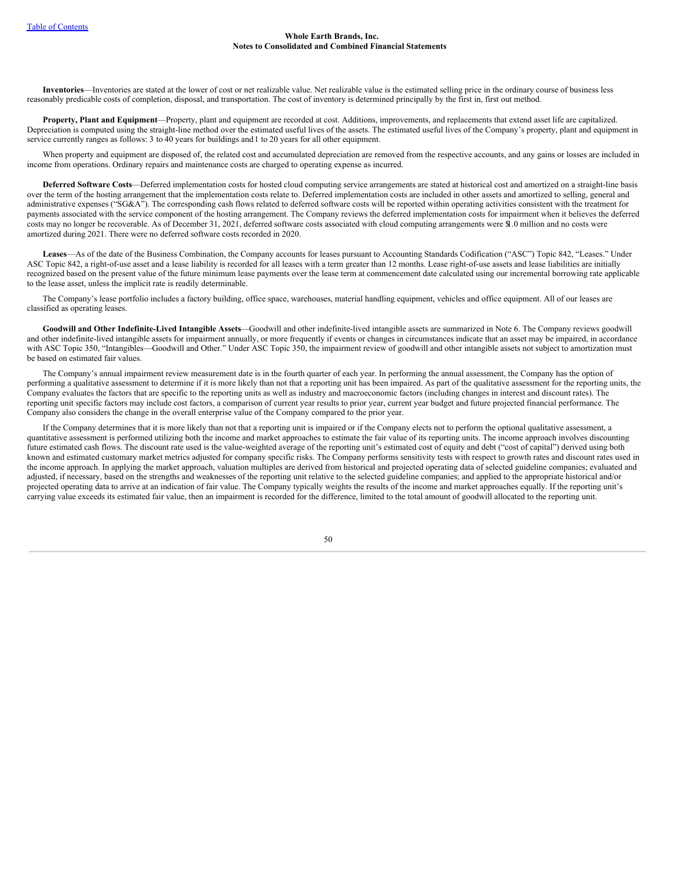**Inventories**—Inventories are stated at the lower of cost or net realizable value. Net realizable value is the estimated selling price in the ordinary course of business less reasonably predicable costs of completion, disposal, and transportation. The cost of inventory is determined principally by the first in, first out method.

**Property, Plant and Equipment**—Property, plant and equipment are recorded at cost. Additions, improvements, and replacements that extend asset life are capitalized. Depreciation is computed using the straight-line method over the estimated useful lives of the assets. The estimated useful lives of the Company's property, plant and equipment in service currently ranges as follows: 3 to 40 years for buildings and 1 to 20 years for all other equipment.

When property and equipment are disposed of, the related cost and accumulated depreciation are removed from the respective accounts, and any gains or losses are included in income from operations. Ordinary repairs and maintenance costs are charged to operating expense as incurred.

**Deferred Software Costs**—Deferred implementation costs for hosted cloud computing service arrangements are stated at historical cost and amortized on a straight-line basis over the term of the hosting arrangement that the implementation costs relate to. Deferred implementation costs are included in other assets and amortized to selling, general and administrative expenses ("SG&A"). The corresponding cash flows related to deferred software costs will be reported within operating activities consistent with the treatment for payments associated with the service component of the hosting arrangement. The Company reviews the deferred implementation costs for impairment when it believes the deferred costs may no longer be recoverable. As of December 31, 2021, deferred software costs associated with cloud computing arrangements were \$1.0 million and no costs were amortized during 2021. There were no deferred software costs recorded in 2020.

**Leases**—As of the date of the Business Combination, the Company accounts for leases pursuant to Accounting Standards Codification ("ASC") Topic 842, "Leases." Under ASC Topic 842, a right-of-use asset and a lease liability is recorded for all leases with a term greater than 12 months. Lease right-of-use assets and lease liabilities are initially recognized based on the present value of the future minimum lease payments over the lease term at commencement date calculated using our incremental borrowing rate applicable to the lease asset, unless the implicit rate is readily determinable.

The Company's lease portfolio includes a factory building, office space, warehouses, material handling equipment, vehicles and office equipment. All of our leases are classified as operating leases.

**Goodwill and Other Indefinite-Lived Intangible Assets**—Goodwill and other indefinite-lived intangible assets are summarized in Note 6. The Company reviews goodwill and other indefinite-lived intangible assets for impairment annually, or more frequently if events or changes in circumstances indicate that an asset may be impaired, in accordance with ASC Topic 350, "Intangibles—Goodwill and Other." Under ASC Topic 350, the impairment review of goodwill and other intangible assets not subject to amortization must be based on estimated fair values.

The Company's annual impairment review measurement date is in the fourth quarter of each year. In performing the annual assessment, the Company has the option of performing a qualitative assessment to determine if it is more likely than not that a reporting unit has been impaired. As part of the qualitative assessment for the reporting units, the Company evaluates the factors that are specific to the reporting units as well as industry and macroeconomic factors (including changes in interest and discount rates). The reporting unit specific factors may include cost factors, a comparison of current year results to prior year, current year budget and future projected financial performance. The Company also considers the change in the overall enterprise value of the Company compared to the prior year.

If the Company determines that it is more likely than not that a reporting unit is impaired or if the Company elects not to perform the optional qualitative assessment, a quantitative assessment is performed utilizing both the income and market approaches to estimate the fair value of its reporting units. The income approach involves discounting future estimated cash flows. The discount rate used is the value-weighted average of the reporting unit's estimated cost of equity and debt ("cost of capital") derived using both known and estimated customary market metrics adjusted for company specific risks. The Company performs sensitivity tests with respect to growth rates and discount rates used in the income approach. In applying the market approach, valuation multiples are derived from historical and projected operating data of selected guideline companies; evaluated and adjusted, if necessary, based on the strengths and weaknesses of the reporting unit relative to the selected guideline companies; and applied to the appropriate historical and/or projected operating data to arrive at an indication of fair value. The Company typically weights the results of the income and market approaches equally. If the reporting unit's carrying value exceeds its estimated fair value, then an impairment is recorded for the difference, limited to the total amount of goodwill allocated to the reporting unit.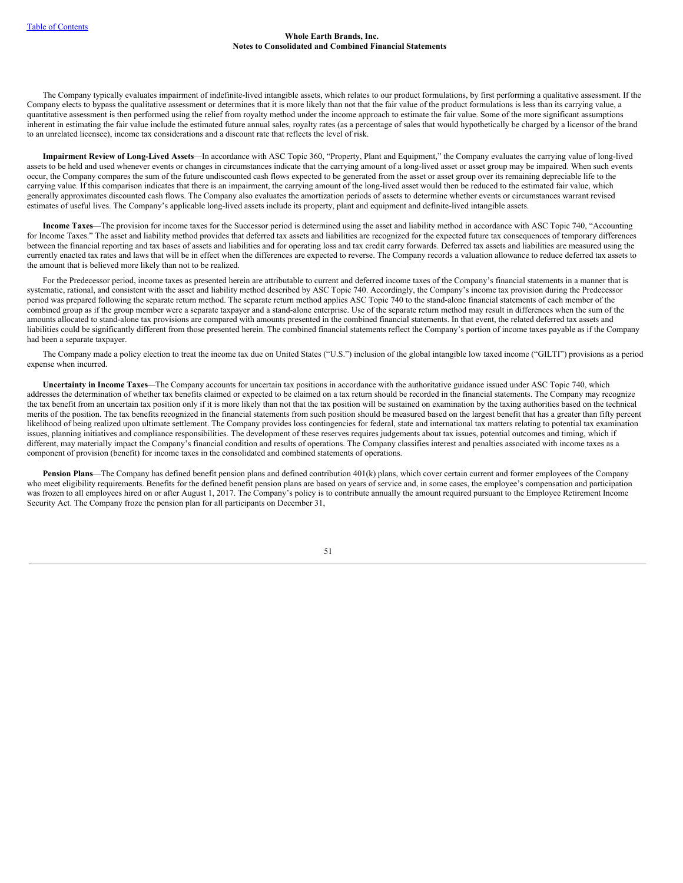The Company typically evaluates impairment of indefinite-lived intangible assets, which relates to our product formulations, by first performing a qualitative assessment. If the Company elects to bypass the qualitative assessment or determines that it is more likely than not that the fair value of the product formulations is less than its carrying value, a quantitative assessment is then performed using the relief from royalty method under the income approach to estimate the fair value. Some of the more significant assumptions inherent in estimating the fair value include the estimated future annual sales, royalty rates (as a percentage of sales that would hypothetically be charged by a licensor of the brand to an unrelated licensee), income tax considerations and a discount rate that reflects the level of risk.

**Impairment Review of Long-Lived Assets**—In accordance with ASC Topic 360, "Property, Plant and Equipment," the Company evaluates the carrying value of long-lived assets to be held and used whenever events or changes in circumstances indicate that the carrying amount of a long-lived asset or asset group may be impaired. When such events occur, the Company compares the sum of the future undiscounted cash flows expected to be generated from the asset or asset group over its remaining depreciable life to the carrying value. If this comparison indicates that there is an impairment, the carrying amount of the long-lived asset would then be reduced to the estimated fair value, which generally approximates discounted cash flows. The Company also evaluates the amortization periods of assets to determine whether events or circumstances warrant revised estimates of useful lives. The Company's applicable long-lived assets include its property, plant and equipment and definite-lived intangible assets.

**Income Taxes**—The provision for income taxes for the Successor period is determined using the asset and liability method in accordance with ASC Topic 740, "Accounting for Income Taxes." The asset and liability method provides that deferred tax assets and liabilities are recognized for the expected future tax consequences of temporary differences between the financial reporting and tax bases of assets and liabilities and for operating loss and tax credit carry forwards. Deferred tax assets and liabilities are measured using the currently enacted tax rates and laws that will be in effect when the differences are expected to reverse. The Company records a valuation allowance to reduce deferred tax assets to the amount that is believed more likely than not to be realized.

For the Predecessor period, income taxes as presented herein are attributable to current and deferred income taxes of the Company's financial statements in a manner that is systematic, rational, and consistent with the asset and liability method described by ASC Topic 740. Accordingly, the Company's income tax provision during the Predecessor period was prepared following the separate return method. The separate return method applies ASC Topic 740 to the stand-alone financial statements of each member of the combined group as if the group member were a separate taxpayer and a stand-alone enterprise. Use of the separate return method may result in differences when the sum of the amounts allocated to stand-alone tax provisions are compared with amounts presented in the combined financial statements. In that event, the related deferred tax assets and liabilities could be significantly different from those presented herein. The combined financial statements reflect the Company's portion of income taxes payable as if the Company had been a separate taxpayer.

The Company made a policy election to treat the income tax due on United States ("U.S.") inclusion of the global intangible low taxed income ("GILTI") provisions as a period expense when incurred.

**Uncertainty in Income Taxes**—The Company accounts for uncertain tax positions in accordance with the authoritative guidance issued under ASC Topic 740, which addresses the determination of whether tax benefits claimed or expected to be claimed on a tax return should be recorded in the financial statements. The Company may recognize the tax benefit from an uncertain tax position only if it is more likely than not that the tax position will be sustained on examination by the taxing authorities based on the technical merits of the position. The tax benefits recognized in the financial statements from such position should be measured based on the largest benefit that has a greater than fifty percent likelihood of being realized upon ultimate settlement. The Company provides loss contingencies for federal, state and international tax matters relating to potential tax examination issues, planning initiatives and compliance responsibilities. The development of these reserves requires judgements about tax issues, potential outcomes and timing, which if different, may materially impact the Company's financial condition and results of operations. The Company classifies interest and penalties associated with income taxes as a component of provision (benefit) for income taxes in the consolidated and combined statements of operations.

**Pension Plans**—The Company has defined benefit pension plans and defined contribution 401(k) plans, which cover certain current and former employees of the Company who meet eligibility requirements. Benefits for the defined benefit pension plans are based on years of service and, in some cases, the employee's compensation and participation was frozen to all employees hired on or after August 1, 2017. The Company's policy is to contribute annually the amount required pursuant to the Employee Retirement Income Security Act. The Company froze the pension plan for all participants on December 31,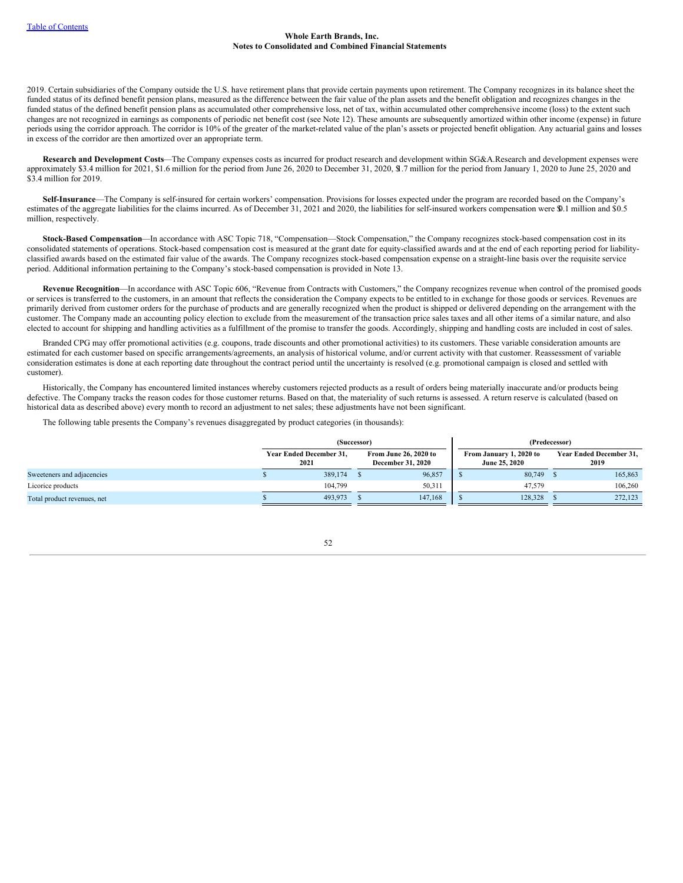2019. Certain subsidiaries of the Company outside the U.S. have retirement plans that provide certain payments upon retirement. The Company recognizes in its balance sheet the funded status of its defined benefit pension plans, measured as the difference between the fair value of the plan assets and the benefit obligation and recognizes changes in the funded status of the defined benefit pension plans as accumulated other comprehensive loss, net of tax, within accumulated other comprehensive income (loss) to the extent such changes are not recognized in earnings as components of periodic net benefit cost (see Note 12). These amounts are subsequently amortized within other income (expense) in future periods using the corridor approach. The corridor is 10% of the greater of the market-related value of the plan's assets or projected benefit obligation. Any actuarial gains and losses in excess of the corridor are then amortized over an appropriate term.

**Research and Development Costs**—The Company expenses costs as incurred for product research and development within SG&A.Research and development expenses were approximately \$3.4 million for 2021, \$1.6 million for the period from June 26, 2020 to December 31, 2020, \$1.7 million for the period from January 1, 2020 to June 25, 2020 and \$3.4 million for 2019.

**Self-Insurance**—The Company is self-insured for certain workers' compensation. Provisions for losses expected under the program are recorded based on the Company's estimates of the aggregate liabilities for the claims incurred. As of December 31, 2021 and 2020, the liabilities for self-insured workers compensation were \$0.1 million and \$0.5 million, respectively.

**Stock-Based Compensation**—In accordance with ASC Topic 718, "Compensation—Stock Compensation," the Company recognizes stock-based compensation cost in its consolidated statements of operations. Stock-based compensation cost is measured at the grant date for equity-classified awards and at the end of each reporting period for liabilityclassified awards based on the estimated fair value of the awards. The Company recognizes stock-based compensation expense on a straight-line basis over the requisite service period. Additional information pertaining to the Company's stock-based compensation is provided in Note 13.

**Revenue Recognition**—In accordance with ASC Topic 606, "Revenue from Contracts with Customers," the Company recognizes revenue when control of the promised goods or services is transferred to the customers, in an amount that reflects the consideration the Company expects to be entitled to in exchange for those goods or services. Revenues are primarily derived from customer orders for the purchase of products and are generally recognized when the product is shipped or delivered depending on the arrangement with the customer. The Company made an accounting policy election to exclude from the measurement of the transaction price sales taxes and all other items of a similar nature, and also elected to account for shipping and handling activities as a fulfillment of the promise to transfer the goods. Accordingly, shipping and handling costs are included in cost of sales.

Branded CPG may offer promotional activities (e.g. coupons, trade discounts and other promotional activities) to its customers. These variable consideration amounts are estimated for each customer based on specific arrangements/agreements, an analysis of historical volume, and/or current activity with that customer. Reassessment of variable consideration estimates is done at each reporting date throughout the contract period until the uncertainty is resolved (e.g. promotional campaign is closed and settled with customer).

Historically, the Company has encountered limited instances whereby customers rejected products as a result of orders being materially inaccurate and/or products being defective. The Company tracks the reason codes for those customer returns. Based on that, the materiality of such returns is assessed. A return reserve is calculated (based on historical data as described above) every month to record an adjustment to net sales; these adjustments have not been significant.

The following table presents the Company's revenues disaggregated by product categories (in thousands):

|                             |                                 | (Successor) |                                                          |         |                                                 | (Predecessor) |  |                                 |  |
|-----------------------------|---------------------------------|-------------|----------------------------------------------------------|---------|-------------------------------------------------|---------------|--|---------------------------------|--|
|                             | Year Ended December 31,<br>2021 |             | <b>From June 26, 2020 to</b><br><b>December 31, 2020</b> |         | From January 1, 2020 to<br><b>June 25, 2020</b> |               |  | Year Ended December 31,<br>2019 |  |
| Sweeteners and adjacencies  |                                 | 389,174     |                                                          | 96,857  |                                                 | 80,749        |  | 165,863                         |  |
| Licorice products           |                                 | 104.799     |                                                          | 50,311  |                                                 | 47.579        |  | 106.260                         |  |
| Total product revenues, net |                                 | 493.973     |                                                          | 147,168 |                                                 | 128,328       |  | 272,123                         |  |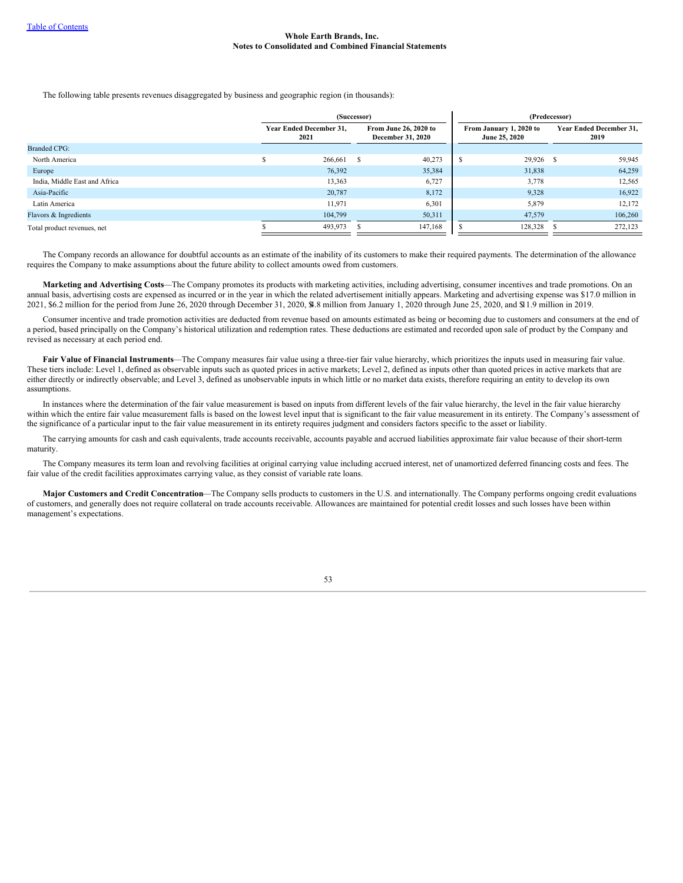The following table presents revenues disaggregated by business and geographic region (in thousands):

|                               |                                 | (Successor)                                       | (Predecessor)                            |                                 |  |  |  |
|-------------------------------|---------------------------------|---------------------------------------------------|------------------------------------------|---------------------------------|--|--|--|
|                               | Year Ended December 31,<br>2021 | <b>From June 26, 2020 to</b><br>December 31, 2020 | From January 1, 2020 to<br>June 25, 2020 | Year Ended December 31,<br>2019 |  |  |  |
| <b>Branded CPG:</b>           |                                 |                                                   |                                          |                                 |  |  |  |
| North America                 | 266,661                         | 40,273<br>£.                                      | 29,926                                   | 59,945                          |  |  |  |
| Europe                        | 76,392                          | 35,384                                            | 31,838                                   | 64,259                          |  |  |  |
| India, Middle East and Africa | 13,363                          | 6,727                                             | 3,778                                    | 12,565                          |  |  |  |
| Asia-Pacific                  | 20,787                          | 8,172                                             | 9,328                                    | 16,922                          |  |  |  |
| Latin America                 | 11,971                          | 6,301                                             | 5,879                                    | 12,172                          |  |  |  |
| Flavors & Ingredients         | 104,799                         | 50,311                                            | 47,579                                   | 106,260                         |  |  |  |
| Total product revenues, net   | 493,973                         | 147,168                                           | 128,328                                  | 272,123                         |  |  |  |

The Company records an allowance for doubtful accounts as an estimate of the inability of its customers to make their required payments. The determination of the allowance requires the Company to make assumptions about the future ability to collect amounts owed from customers.

**Marketing and Advertising Costs**—The Company promotes its products with marketing activities, including advertising, consumer incentives and trade promotions. On an annual basis, advertising costs are expensed as incurred or in the year in which the related advertisement initially appears. Marketing and advertising expense was \$17.0 million in 2021, \$6.2 million for the period from June 26, 2020 through December 31, 2020, \$4.8 million from January 1, 2020 through June 25, 2020, and \$11.9 million in 2019.

Consumer incentive and trade promotion activities are deducted from revenue based on amounts estimated as being or becoming due to customers and consumers at the end of a period, based principally on the Company's historical utilization and redemption rates. These deductions are estimated and recorded upon sale of product by the Company and revised as necessary at each period end.

**Fair Value of Financial Instruments**—The Company measures fair value using a three-tier fair value hierarchy, which prioritizes the inputs used in measuring fair value. These tiers include: Level 1, defined as observable inputs such as quoted prices in active markets; Level 2, defined as inputs other than quoted prices in active markets that are either directly or indirectly observable; and Level 3, defined as unobservable inputs in which little or no market data exists, therefore requiring an entity to develop its own assumptions.

In instances where the determination of the fair value measurement is based on inputs from different levels of the fair value hierarchy, the level in the fair value hierarchy within which the entire fair value measurement falls is based on the lowest level input that is significant to the fair value measurement in its entirety. The Company's assessment of the significance of a particular input to the fair value measurement in its entirety requires judgment and considers factors specific to the asset or liability.

The carrying amounts for cash and cash equivalents, trade accounts receivable, accounts payable and accrued liabilities approximate fair value because of their short-term maturity.

The Company measures its term loan and revolving facilities at original carrying value including accrued interest, net of unamortized deferred financing costs and fees. The fair value of the credit facilities approximates carrying value, as they consist of variable rate loans.

**Major Customers and Credit Concentration**—The Company sells products to customers in the U.S. and internationally. The Company performs ongoing credit evaluations of customers, and generally does not require collateral on trade accounts receivable. Allowances are maintained for potential credit losses and such losses have been within management's expectations.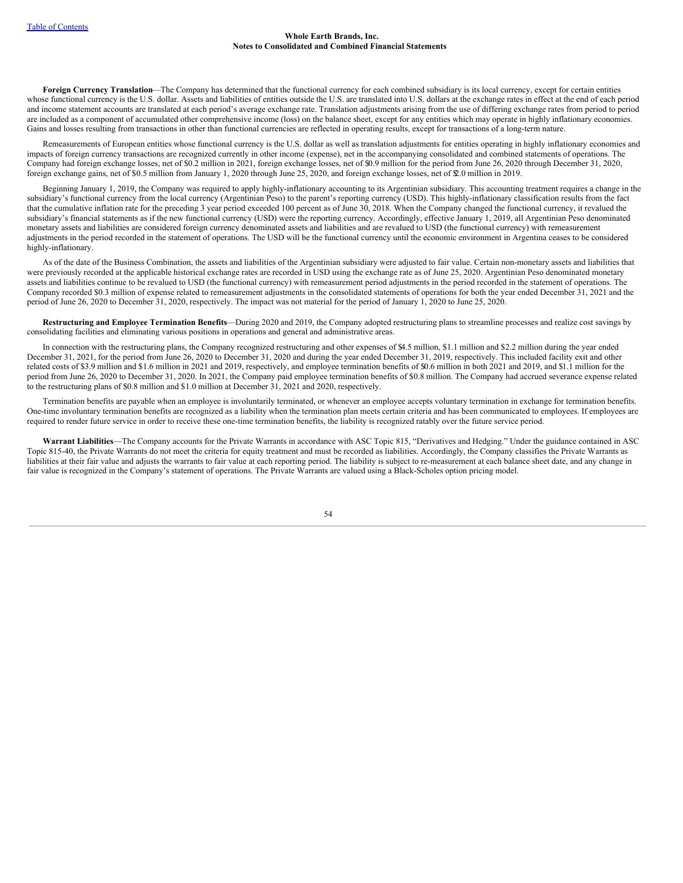**Foreign Currency Translation**—The Company has determined that the functional currency for each combined subsidiary is its local currency, except for certain entities whose functional currency is the U.S. dollar. Assets and liabilities of entities outside the U.S. are translated into U.S. dollars at the exchange rates in effect at the end of each period and income statement accounts are translated at each period's average exchange rate. Translation adjustments arising from the use of differing exchange rates from period to period are included as a component of accumulated other comprehensive income (loss) on the balance sheet, except for any entities which may operate in highly inflationary economies. Gains and losses resulting from transactions in other than functional currencies are reflected in operating results, except for transactions of a long-term nature.

Remeasurements of European entities whose functional currency is the U.S. dollar as well as translation adjustments for entities operating in highly inflationary economies and impacts of foreign currency transactions are recognized currently in other income (expense), net in the accompanying consolidated and combined statements of operations. The Company had foreign exchange losses, net of \$0.2 million in 2021, foreign exchange losses, net of \$0.9 million for the period from June 26, 2020 through December 31, 2020, foreign exchange gains, net of \$0.5 million from January 1, 2020 through June 25, 2020, and foreign exchange losses, net of \$2.0 million in 2019.

Beginning January 1, 2019, the Company was required to apply highly-inflationary accounting to its Argentinian subsidiary. This accounting treatment requires a change in the subsidiary's functional currency from the local currency (Argentinian Peso) to the parent's reporting currency (USD). This highly-inflationary classification results from the fact that the cumulative inflation rate for the preceding 3 year period exceeded 100 percent as of June 30, 2018. When the Company changed the functional currency, it revalued the subsidiary's financial statements as if the new functional currency (USD) were the reporting currency. Accordingly, effective January 1, 2019, all Argentinian Peso denominated monetary assets and liabilities are considered foreign currency denominated assets and liabilities and are revalued to USD (the functional currency) with remeasurement adjustments in the period recorded in the statement of operations. The USD will be the functional currency until the economic environment in Argentina ceases to be considered highly-inflationary.

As of the date of the Business Combination, the assets and liabilities of the Argentinian subsidiary were adjusted to fair value. Certain non-monetary assets and liabilities that were previously recorded at the applicable historical exchange rates are recorded in USD using the exchange rate as of June 25, 2020. Argentinian Peso denominated monetary assets and liabilities continue to be revalued to USD (the functional currency) with remeasurement period adjustments in the period recorded in the statement of operations. The Company recorded \$0.3 million of expense related to remeasurement adjustments in the consolidated statements of operations for both the year ended December 31, 2021 and the period of June 26, 2020 to December 31, 2020, respectively. The impact was not material for the period of January 1, 2020 to June 25, 2020.

**Restructuring and Employee Termination Benefits**—During 2020 and 2019, the Company adopted restructuring plans to streamline processes and realize cost savings by consolidating facilities and eliminating various positions in operations and general and administrative areas.

In connection with the restructuring plans, the Company recognized restructuring and other expenses of \$4.5 million, \$1.1 million and \$2.2 million during the year ended December 31, 2021, for the period from June 26, 2020 to December 31, 2020 and during the year ended December 31, 2019, respectively. This included facility exit and other related costs of \$3.9 million and \$1.6 million in 2021 and 2019, respectively, and employee termination benefits of \$0.6 million in both 2021 and 2019, and \$1.1 million for the period from June 26, 2020 to December 31, 2020. In 2021, the Company paid employee termination benefits of \$0.8 million. The Company had accrued severance expense related to the restructuring plans of \$0.8 million and \$1.0 million at December 31, 2021 and 2020, respectively.

Termination benefits are payable when an employee is involuntarily terminated, or whenever an employee accepts voluntary termination in exchange for termination benefits. One-time involuntary termination benefits are recognized as a liability when the termination plan meets certain criteria and has been communicated to employees. If employees are required to render future service in order to receive these one-time termination benefits, the liability is recognized ratably over the future service period.

**Warrant Liabilities**—The Company accounts for the Private Warrants in accordance with ASC Topic 815, "Derivatives and Hedging." Under the guidance contained in ASC Topic 815-40, the Private Warrants do not meet the criteria for equity treatment and must be recorded as liabilities. Accordingly, the Company classifies the Private Warrants as liabilities at their fair value and adjusts the warrants to fair value at each reporting period. The liability is subject to re-measurement at each balance sheet date, and any change in fair value is recognized in the Company's statement of operations. The Private Warrants are valued using a Black-Scholes option pricing model.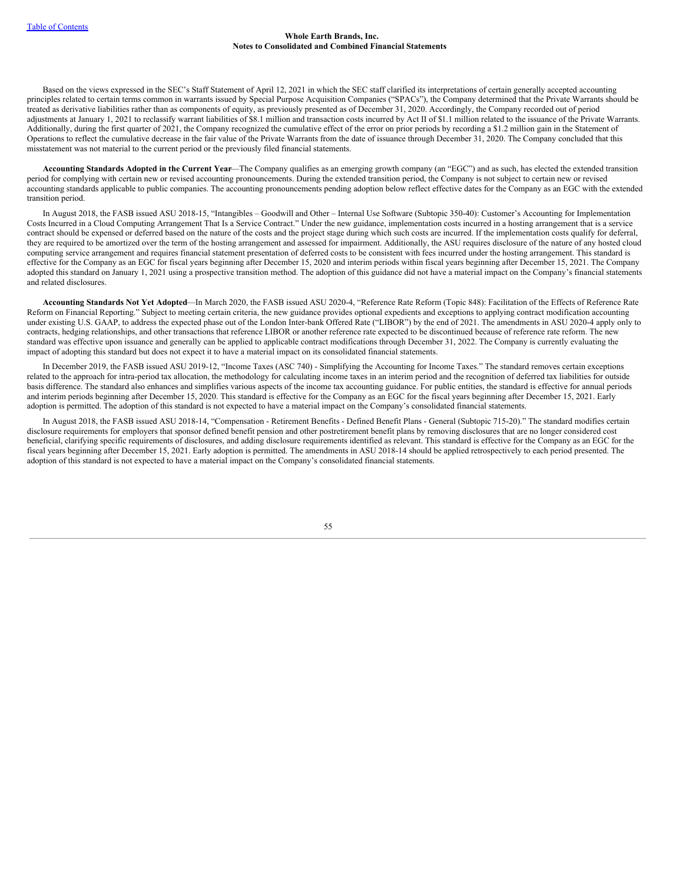Based on the views expressed in the SEC's Staff Statement of April 12, 2021 in which the SEC staff clarified its interpretations of certain generally accepted accounting principles related to certain terms common in warrants issued by Special Purpose Acquisition Companies ("SPACs"), the Company determined that the Private Warrants should be treated as derivative liabilities rather than as components of equity, as previously presented as of December 31, 2020. Accordingly, the Company recorded out of period adjustments at January 1, 2021 to reclassify warrant liabilities of \$8.1 million and transaction costs incurred by Act II of \$1.1 million related to the issuance of the Private Warrants. Additionally, during the first quarter of 2021, the Company recognized the cumulative effect of the error on prior periods by recording a \$1.2 million gain in the Statement of Operations to reflect the cumulative decrease in the fair value of the Private Warrants from the date of issuance through December 31, 2020. The Company concluded that this misstatement was not material to the current period or the previously filed financial statements.

**Accounting Standards Adopted in the Current Year**—The Company qualifies as an emerging growth company (an "EGC") and as such, has elected the extended transition period for complying with certain new or revised accounting pronouncements. During the extended transition period, the Company is not subject to certain new or revised accounting standards applicable to public companies. The accounting pronouncements pending adoption below reflect effective dates for the Company as an EGC with the extended transition period.

In August 2018, the FASB issued ASU 2018-15, "Intangibles – Goodwill and Other – Internal Use Software (Subtopic 350-40): Customer's Accounting for Implementation Costs Incurred in a Cloud Computing Arrangement That Is a Service Contract." Under the new guidance, implementation costs incurred in a hosting arrangement that is a service contract should be expensed or deferred based on the nature of the costs and the project stage during which such costs are incurred. If the implementation costs qualify for deferral, they are required to be amortized over the term of the hosting arrangement and assessed for impairment. Additionally, the ASU requires disclosure of the nature of any hosted cloud computing service arrangement and requires financial statement presentation of deferred costs to be consistent with fees incurred under the hosting arrangement. This standard is effective for the Company as an EGC for fiscal years beginning after December 15, 2020 and interim periods within fiscal years beginning after December 15, 2021. The Company adopted this standard on January 1, 2021 using a prospective transition method. The adoption of this guidance did not have a material impact on the Company's financial statements and related disclosures.

**Accounting Standards Not Yet Adopted**—In March 2020, the FASB issued ASU 2020-4, "Reference Rate Reform (Topic 848): Facilitation of the Effects of Reference Rate Reform on Financial Reporting." Subject to meeting certain criteria, the new guidance provides optional expedients and exceptions to applying contract modification accounting under existing U.S. GAAP, to address the expected phase out of the London Inter-bank Offered Rate ("LIBOR") by the end of 2021. The amendments in ASU 2020-4 apply only to contracts, hedging relationships, and other transactions that reference LIBOR or another reference rate expected to be discontinued because of reference rate reform. The new standard was effective upon issuance and generally can be applied to applicable contract modifications through December 31, 2022. The Company is currently evaluating the impact of adopting this standard but does not expect it to have a material impact on its consolidated financial statements.

In December 2019, the FASB issued ASU 2019-12, "Income Taxes (ASC 740) - Simplifying the Accounting for Income Taxes." The standard removes certain exceptions related to the approach for intra-period tax allocation, the methodology for calculating income taxes in an interim period and the recognition of deferred tax liabilities for outside basis difference. The standard also enhances and simplifies various aspects of the income tax accounting guidance. For public entities, the standard is effective for annual periods and interim periods beginning after December 15, 2020. This standard is effective for the Company as an EGC for the fiscal years beginning after December 15, 2021. Early adoption is permitted. The adoption of this standard is not expected to have a material impact on the Company's consolidated financial statements.

In August 2018, the FASB issued ASU 2018-14, "Compensation - Retirement Benefits - Defined Benefit Plans - General (Subtopic 715-20)." The standard modifies certain disclosure requirements for employers that sponsor defined benefit pension and other postretirement benefit plans by removing disclosures that are no longer considered cost beneficial, clarifying specific requirements of disclosures, and adding disclosure requirements identified as relevant. This standard is effective for the Company as an EGC for the fiscal years beginning after December 15, 2021. Early adoption is permitted. The amendments in ASU 2018-14 should be applied retrospectively to each period presented. The adoption of this standard is not expected to have a material impact on the Company's consolidated financial statements.

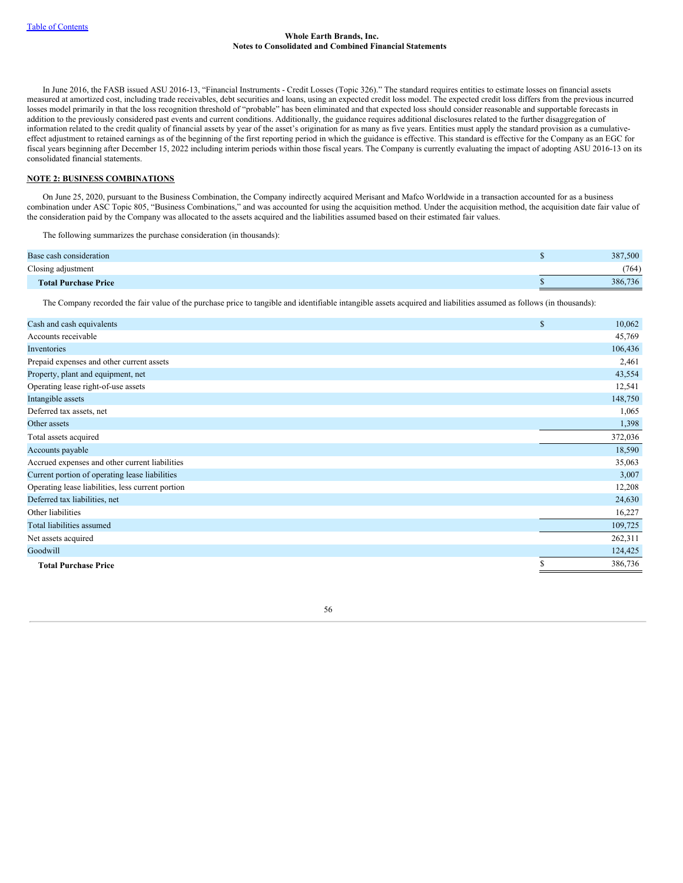In June 2016, the FASB issued ASU 2016-13, "Financial Instruments - Credit Losses (Topic 326)." The standard requires entities to estimate losses on financial assets measured at amortized cost, including trade receivables, debt securities and loans, using an expected credit loss model. The expected credit loss differs from the previous incurred losses model primarily in that the loss recognition threshold of "probable" has been eliminated and that expected loss should consider reasonable and supportable forecasts in addition to the previously considered past events and current conditions. Additionally, the guidance requires additional disclosures related to the further disaggregation of information related to the credit quality of financial assets by year of the asset's origination for as many as five years. Entities must apply the standard provision as a cumulativeeffect adjustment to retained earnings as of the beginning of the first reporting period in which the guidance is effective. This standard is effective for the Company as an EGC for fiscal years beginning after December 15, 2022 including interim periods within those fiscal years. The Company is currently evaluating the impact of adopting ASU 2016-13 on its consolidated financial statements.

# <span id="page-58-0"></span>**NOTE 2: BUSINESS COMBINATIONS**

On June 25, 2020, pursuant to the Business Combination, the Company indirectly acquired Merisant and Mafco Worldwide in a transaction accounted for as a business combination under ASC Topic 805, "Business Combinations," and was accounted for using the acquisition method. Under the acquisition method, the acquisition date fair value of the consideration paid by the Company was allocated to the assets acquired and the liabilities assumed based on their estimated fair values.

The following summarizes the purchase consideration (in thousands):

| Base cash consideration     | 387,500 |
|-----------------------------|---------|
| Closing adjustment          | (764)   |
| <b>Total Purchase Price</b> | 386,736 |

The Company recorded the fair value of the purchase price to tangible and identifiable intangible assets acquired and liabilities assumed as follows (in thousands):

| Cash and cash equivalents                         | $\$$ | 10,062  |
|---------------------------------------------------|------|---------|
| Accounts receivable                               |      | 45,769  |
| Inventories                                       |      | 106,436 |
| Prepaid expenses and other current assets         |      | 2,461   |
| Property, plant and equipment, net                |      | 43,554  |
| Operating lease right-of-use assets               |      | 12,541  |
| Intangible assets                                 |      | 148,750 |
| Deferred tax assets, net                          |      | 1,065   |
| Other assets                                      |      | 1,398   |
| Total assets acquired                             |      | 372,036 |
| Accounts payable                                  |      | 18,590  |
| Accrued expenses and other current liabilities    |      | 35,063  |
| Current portion of operating lease liabilities    |      | 3,007   |
| Operating lease liabilities, less current portion |      | 12,208  |
| Deferred tax liabilities, net                     |      | 24,630  |
| Other liabilities                                 |      | 16,227  |
| Total liabilities assumed                         |      | 109,725 |
| Net assets acquired                               |      | 262,311 |
| Goodwill                                          |      | 124,425 |
| <b>Total Purchase Price</b>                       | \$   | 386,736 |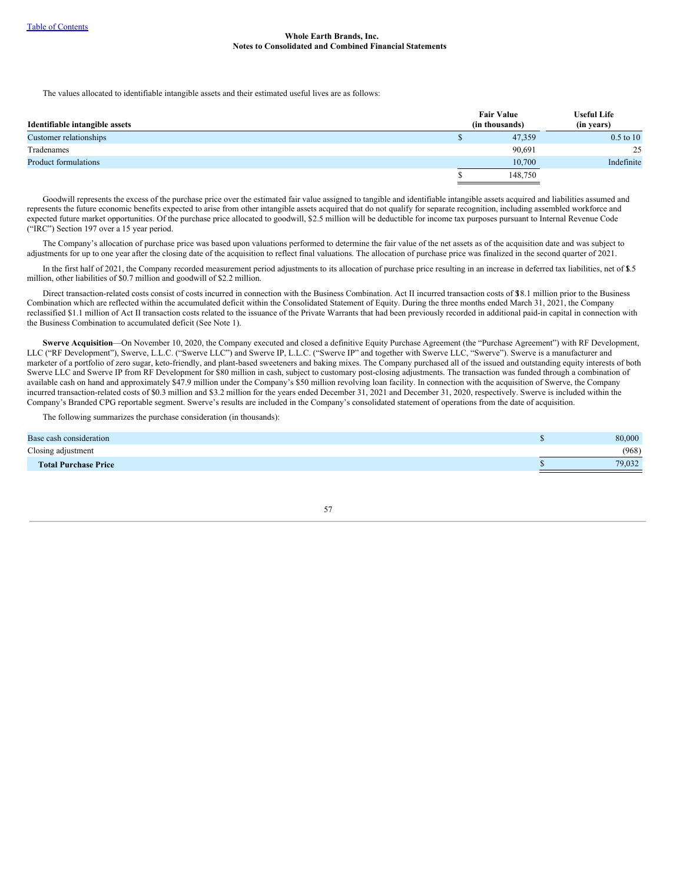The values allocated to identifiable intangible assets and their estimated useful lives are as follows:

| Identifiable intangible assets | <b>Fair Value</b><br>(in thousands) |         | <b>Useful Life</b><br>(in years) |  |
|--------------------------------|-------------------------------------|---------|----------------------------------|--|
| Customer relationships         |                                     | 47,359  | $0.5$ to $10$                    |  |
| Tradenames                     |                                     | 90,691  | 25                               |  |
| Product formulations           |                                     | 10,700  | Indefinite                       |  |
|                                |                                     | 148,750 |                                  |  |

Goodwill represents the excess of the purchase price over the estimated fair value assigned to tangible and identifiable intangible assets acquired and liabilities assumed and represents the future economic benefits expected to arise from other intangible assets acquired that do not qualify for separate recognition, including assembled workforce and expected future market opportunities. Of the purchase price allocated to goodwill, \$2.5 million will be deductible for income tax purposes pursuant to Internal Revenue Code ("IRC") Section 197 over a 15 year period.

The Company's allocation of purchase price was based upon valuations performed to determine the fair value of the net assets as of the acquisition date and was subject to adjustments for up to one year after the closing date of the acquisition to reflect final valuations. The allocation of purchase price was finalized in the second quarter of 2021.

In the first half of 2021, the Company recorded measurement period adjustments to its allocation of purchase price resulting in an increase in deferred tax liabilities, net of \$.5 million, other liabilities of \$0.7 million and goodwill of \$2.2 million.

Direct transaction-related costs consist of costs incurred in connection with the Business Combination. Act II incurred transaction costs of \$18.1 million prior to the Business Combination which are reflected within the accumulated deficit within the Consolidated Statement of Equity. During the three months ended March 31, 2021, the Company reclassified \$1.1 million of Act II transaction costs related to the issuance of the Private Warrants that had been previously recorded in additional paid-in capital in connection with the Business Combination to accumulated deficit (See Note 1).

**Swerve Acquisition**—On November 10, 2020, the Company executed and closed a definitive Equity Purchase Agreement (the "Purchase Agreement") with RF Development, LLC ("RF Development"), Swerve, L.L.C. ("Swerve LLC") and Swerve IP, L.L.C. ("Swerve IP" and together with Swerve LLC, "Swerve"). Swerve is a manufacturer and marketer of a portfolio of zero sugar, keto-friendly, and plant-based sweeteners and baking mixes. The Company purchased all of the issued and outstanding equity interests of both Swerve LLC and Swerve IP from RF Development for \$80 million in cash, subject to customary post-closing adjustments. The transaction was funded through a combination of available cash on hand and approximately \$47.9 million under the Company's \$50 million revolving loan facility. In connection with the acquisition of Swerve, the Company incurred transaction-related costs of \$0.3 million and \$3.2 million for the years ended December 31, 2021 and December 31, 2020, respectively. Swerve is included within the Company's Branded CPG reportable segment. Swerve's results are included in the Company's consolidated statement of operations from the date of acquisition.

The following summarizes the purchase consideration (in thousands):

| Base cash consideration     | 80,000 |
|-----------------------------|--------|
| Closing adjustment          | (968)  |
| <b>Total Purchase Price</b> | 79,032 |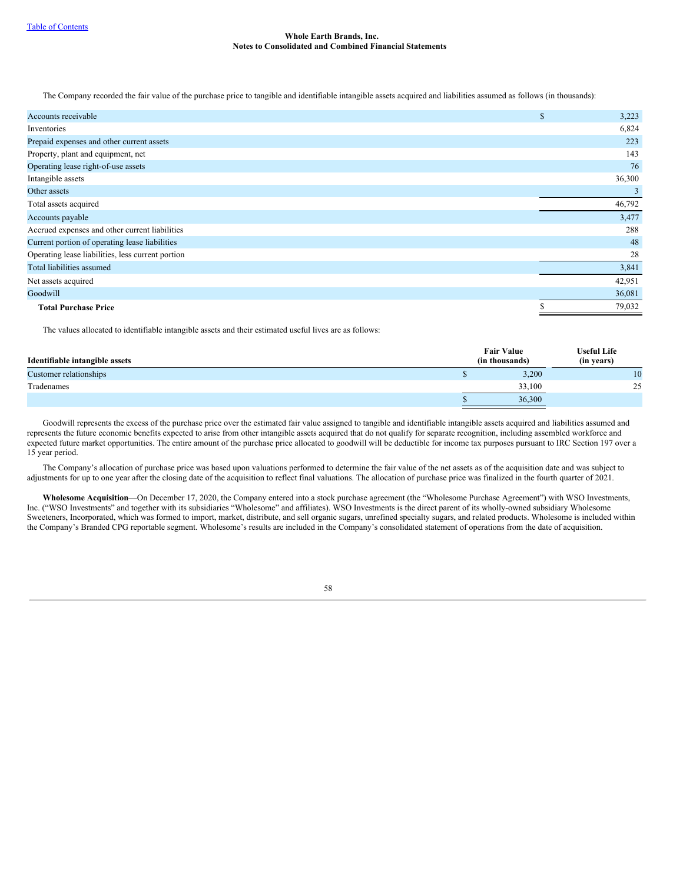The Company recorded the fair value of the purchase price to tangible and identifiable intangible assets acquired and liabilities assumed as follows (in thousands):

| Accounts receivable                               | <sup>\$</sup> | 3,223  |
|---------------------------------------------------|---------------|--------|
| Inventories                                       |               | 6,824  |
| Prepaid expenses and other current assets         |               | 223    |
| Property, plant and equipment, net                |               | 143    |
| Operating lease right-of-use assets               |               | 76     |
| Intangible assets                                 |               | 36,300 |
| Other assets                                      |               | 3      |
| Total assets acquired                             |               | 46,792 |
| Accounts payable                                  |               | 3,477  |
| Accrued expenses and other current liabilities    |               | 288    |
| Current portion of operating lease liabilities    |               | 48     |
| Operating lease liabilities, less current portion |               | 28     |
| Total liabilities assumed                         |               | 3,841  |
| Net assets acquired                               |               | 42,951 |
| Goodwill                                          |               | 36,081 |
| <b>Total Purchase Price</b>                       |               | 79,032 |
|                                                   |               |        |

The values allocated to identifiable intangible assets and their estimated useful lives are as follows:

| Identifiable intangible assets | <b>Fair Value</b><br>(in thousands) | <b>Useful Life</b><br>(in years) |
|--------------------------------|-------------------------------------|----------------------------------|
| Customer relationships         | 3,200                               | 10                               |
| Tradenames                     | 33,100                              | 25                               |
|                                | 36,300                              |                                  |

Goodwill represents the excess of the purchase price over the estimated fair value assigned to tangible and identifiable intangible assets acquired and liabilities assumed and represents the future economic benefits expected to arise from other intangible assets acquired that do not qualify for separate recognition, including assembled workforce and expected future market opportunities. The entire amount of the purchase price allocated to goodwill will be deductible for income tax purposes pursuant to IRC Section 197 over a 15 year period.

The Company's allocation of purchase price was based upon valuations performed to determine the fair value of the net assets as of the acquisition date and was subject to adjustments for up to one year after the closing date of the acquisition to reflect final valuations. The allocation of purchase price was finalized in the fourth quarter of 2021.

**Wholesome Acquisition**—On December 17, 2020, the Company entered into a stock purchase agreement (the "Wholesome Purchase Agreement") with WSO Investments, Inc. ("WSO Investments" and together with its subsidiaries "Wholesome" and affiliates). WSO Investments is the direct parent of its wholly-owned subsidiary Wholesome Sweeteners, Incorporated, which was formed to import, market, distribute, and sell organic sugars, unrefined specialty sugars, and related products. Wholesome is included within the Company's Branded CPG reportable segment. Wholesome's results are included in the Company's consolidated statement of operations from the date of acquisition.

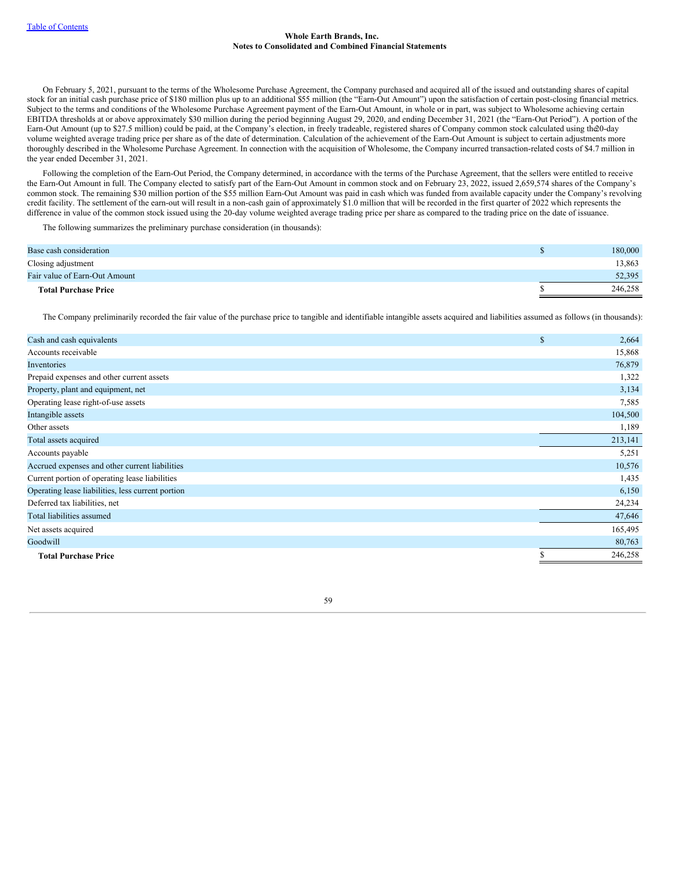On February 5, 2021, pursuant to the terms of the Wholesome Purchase Agreement, the Company purchased and acquired all of the issued and outstanding shares of capital stock for an initial cash purchase price of \$180 million plus up to an additional \$55 million (the "Earn-Out Amount") upon the satisfaction of certain post-closing financial metrics. Subject to the terms and conditions of the Wholesome Purchase Agreement payment of the Earn-Out Amount, in whole or in part, was subject to Wholesome achieving certain EBITDA thresholds at or above approximately \$30 million during the period beginning August 29, 2020, and ending December 31, 2021 (the "Earn-Out Period"). A portion of the Earn-Out Amount (up to \$27.5 million) could be paid, at the Company's election, in freely tradeable, registered shares of Company common stock calculated using the20-day volume weighted average trading price per share as of the date of determination. Calculation of the achievement of the Earn-Out Amount is subject to certain adjustments more thoroughly described in the Wholesome Purchase Agreement. In connection with the acquisition of Wholesome, the Company incurred transaction-related costs of \$4.7 million in the year ended December 31, 2021.

Following the completion of the Earn-Out Period, the Company determined, in accordance with the terms of the Purchase Agreement, that the sellers were entitled to receive the Earn-Out Amount in full. The Company elected to satisfy part of the Earn-Out Amount in common stock and on February 23, 2022, issued 2,659,574 shares of the Company's common stock. The remaining \$30 million portion of the \$55 million Earn-Out Amount was paid in cash which was funded from available capacity under the Company's revolving credit facility. The settlement of the earn-out will result in a non-cash gain of approximately \$1.0 million that will be recorded in the first quarter of 2022 which represents the difference in value of the common stock issued using the 20-day volume weighted average trading price per share as compared to the trading price on the date of issuance.

The following summarizes the preliminary purchase consideration (in thousands):

| Base cash consideration       | 180,000 |
|-------------------------------|---------|
| Closing adjustment            | 13,863  |
| Fair value of Earn-Out Amount | 52,395  |
| <b>Total Purchase Price</b>   | 246,258 |

The Company preliminarily recorded the fair value of the purchase price to tangible and identifiable intangible assets acquired and liabilities assumed as follows (in thousands):

| Cash and cash equivalents                         | <sup>\$</sup> | 2,664   |
|---------------------------------------------------|---------------|---------|
| Accounts receivable                               |               | 15,868  |
| Inventories                                       |               | 76,879  |
| Prepaid expenses and other current assets         |               | 1,322   |
| Property, plant and equipment, net                |               | 3,134   |
| Operating lease right-of-use assets               |               | 7,585   |
| Intangible assets                                 |               | 104,500 |
| Other assets                                      |               | 1,189   |
| Total assets acquired                             |               | 213,141 |
| Accounts payable                                  |               | 5,251   |
| Accrued expenses and other current liabilities    |               | 10,576  |
| Current portion of operating lease liabilities    |               | 1,435   |
| Operating lease liabilities, less current portion |               | 6,150   |
| Deferred tax liabilities, net                     |               | 24,234  |
| Total liabilities assumed                         |               | 47,646  |
| Net assets acquired                               |               | 165,495 |
| Goodwill                                          |               | 80,763  |
| <b>Total Purchase Price</b>                       |               | 246,258 |
|                                                   |               |         |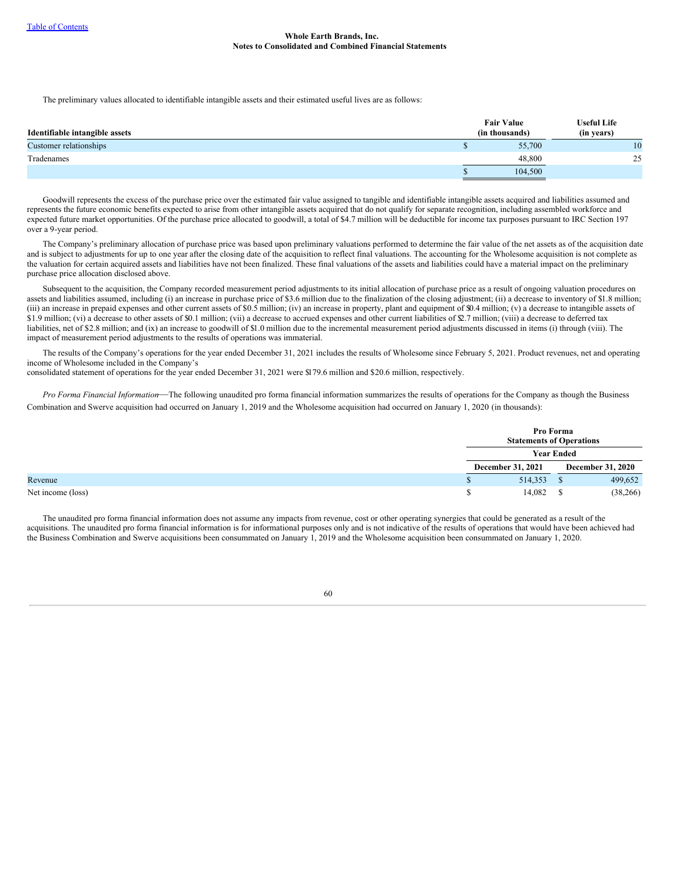The preliminary values allocated to identifiable intangible assets and their estimated useful lives are as follows:

| Identifiable intangible assets | <b>Fair Value</b><br>(in thousands) | <b>Useful Life</b><br>(in years) |
|--------------------------------|-------------------------------------|----------------------------------|
| Customer relationships         | 55,700                              | 10                               |
| Tradenames                     | 48,800                              | 25                               |
|                                | 104,500                             |                                  |

Goodwill represents the excess of the purchase price over the estimated fair value assigned to tangible and identifiable intangible assets acquired and liabilities assumed and represents the future economic benefits expected to arise from other intangible assets acquired that do not qualify for separate recognition, including assembled workforce and expected future market opportunities. Of the purchase price allocated to goodwill, a total of \$4.7 million will be deductible for income tax purposes pursuant to IRC Section 197 over a 9-year period.

The Company's preliminary allocation of purchase price was based upon preliminary valuations performed to determine the fair value of the net assets as of the acquisition date and is subject to adjustments for up to one year after the closing date of the acquisition to reflect final valuations. The accounting for the Wholesome acquisition is not complete as the valuation for certain acquired assets and liabilities have not been finalized. These final valuations of the assets and liabilities could have a material impact on the preliminary purchase price allocation disclosed above.

Subsequent to the acquisition, the Company recorded measurement period adjustments to its initial allocation of purchase price as a result of ongoing valuation procedures on assets and liabilities assumed, including (i) an increase in purchase price of \$3.6 million due to the finalization of the closing adjustment; (ii) a decrease to inventory of \$1.8 million; (iii) an increase in prepaid expenses and other current assets of \$0.5 million; (iv) an increase in property, plant and equipment of \$0.4 million; (v) a decrease to intangible assets of \$1.9 million; (vi) a decrease to other assets of \$0.1 million; (vii) a decrease to accrued expenses and other current liabilities of \$2.7 million; (viii) a decrease to deferred tax liabilities, net of \$2.8 million; and (ix) an increase to goodwill of \$1.0 million due to the incremental measurement period adjustments discussed in items (i) through (viii). The impact of measurement period adjustments to the results of operations was immaterial.

The results of the Company's operations for the year ended December 31, 2021 includes the results of Wholesome since February 5, 2021. Product revenues, net and operating income of Wholesome included in the Company's

consolidated statement of operations for the year ended December 31, 2021 were \$179.6 million and \$20.6 million, respectively.

*Pro Forma Financial Information*—The following unaudited pro forma financial information summarizes the results of operations for the Company as though the Business Combination and Swerve acquisition had occurred on January 1, 2019 and the Wholesome acquisition had occurred on January 1, 2020 (in thousands):

|  | <b>Statements of Operations</b> | Pro Forma |                   |
|--|---------------------------------|-----------|-------------------|
|  | <b>Year Ended</b>               |           |                   |
|  | December 31, 2021               |           | December 31, 2020 |
|  | 514,353                         |           | 499,652           |
|  | 14,082                          |           | (38, 266)         |

The unaudited pro forma financial information does not assume any impacts from revenue, cost or other operating synergies that could be generated as a result of the acquisitions. The unaudited pro forma financial information is for informational purposes only and is not indicative of the results of operations that would have been achieved had the Business Combination and Swerve acquisitions been consummated on January 1, 2019 and the Wholesome acquisition been consummated on January 1, 2020.

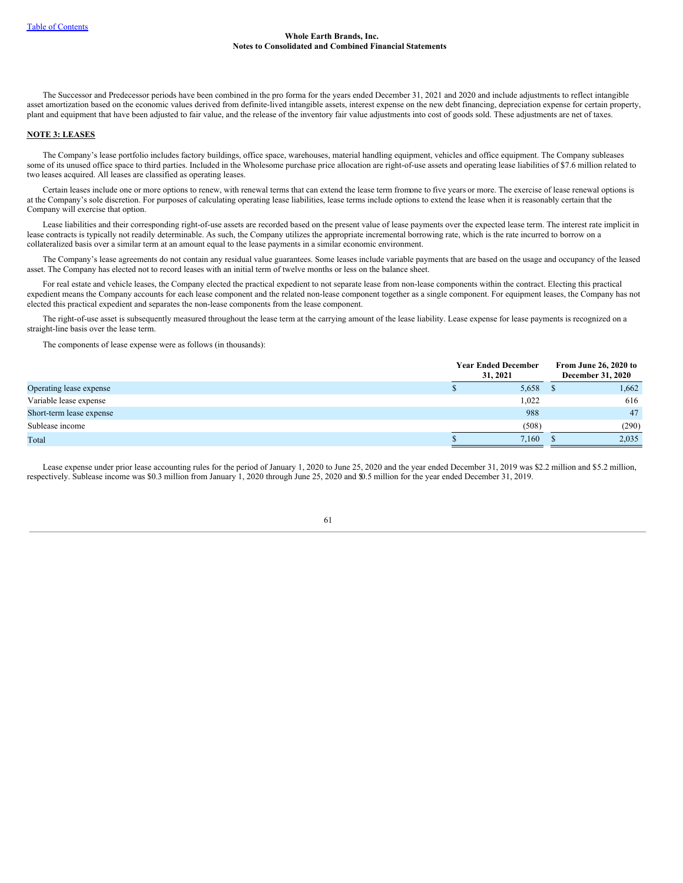The Successor and Predecessor periods have been combined in the pro forma for the years ended December 31, 2021 and 2020 and include adjustments to reflect intangible asset amortization based on the economic values derived from definite-lived intangible assets, interest expense on the new debt financing, depreciation expense for certain property, plant and equipment that have been adjusted to fair value, and the release of the inventory fair value adjustments into cost of goods sold. These adjustments are net of taxes.

#### <span id="page-63-0"></span>**NOTE 3: LEASES**

The Company's lease portfolio includes factory buildings, office space, warehouses, material handling equipment, vehicles and office equipment. The Company subleases some of its unused office space to third parties. Included in the Wholesome purchase price allocation are right-of-use assets and operating lease liabilities of \$7.6 million related to two leases acquired. All leases are classified as operating leases.

Certain leases include one or more options to renew, with renewal terms that can extend the lease term fromone to five years or more. The exercise of lease renewal options is at the Company's sole discretion. For purposes of calculating operating lease liabilities, lease terms include options to extend the lease when it is reasonably certain that the Company will exercise that option.

Lease liabilities and their corresponding right-of-use assets are recorded based on the present value of lease payments over the expected lease term. The interest rate implicit in lease contracts is typically not readily determinable. As such, the Company utilizes the appropriate incremental borrowing rate, which is the rate incurred to borrow on a collateralized basis over a similar term at an amount equal to the lease payments in a similar economic environment.

The Company's lease agreements do not contain any residual value guarantees. Some leases include variable payments that are based on the usage and occupancy of the leased asset. The Company has elected not to record leases with an initial term of twelve months or less on the balance sheet.

For real estate and vehicle leases, the Company elected the practical expedient to not separate lease from non-lease components within the contract. Electing this practical expedient means the Company accounts for each lease component and the related non-lease component together as a single component. For equipment leases, the Company has not elected this practical expedient and separates the non-lease components from the lease component.

The right-of-use asset is subsequently measured throughout the lease term at the carrying amount of the lease liability. Lease expense for lease payments is recognized on a straight-line basis over the lease term.

The components of lease expense were as follows (in thousands):

|                          | <b>Year Ended December</b><br>31, 2021 | <b>From June 26, 2020 to</b><br><b>December 31, 2020</b> |  |
|--------------------------|----------------------------------------|----------------------------------------------------------|--|
| Operating lease expense  | 5,658                                  | 1,662                                                    |  |
| Variable lease expense   | 1,022                                  | 616                                                      |  |
| Short-term lease expense | 988                                    | 47                                                       |  |
| Sublease income          | (508)                                  | (290)                                                    |  |
| Total                    | 7,160                                  | 2,035                                                    |  |

Lease expense under prior lease accounting rules for the period of January 1, 2020 to June 25, 2020 and the year ended December 31, 2019 was \$2.2 million and \$5.2 million, respectively. Sublease income was \$0.3 million from January 1, 2020 through June 25, 2020 and \$0.5 million for the year ended December 31, 2019.

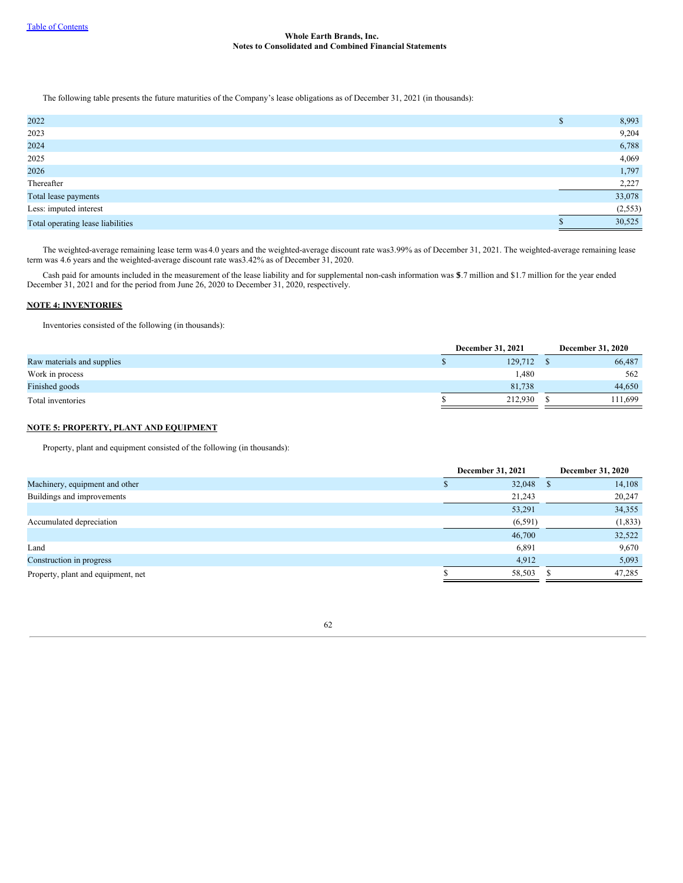The following table presents the future maturities of the Company's lease obligations as of December 31, 2021 (in thousands):

| 2022                              | Ф | 8,993    |
|-----------------------------------|---|----------|
| 2023                              |   | 9,204    |
| 2024                              |   | 6,788    |
| 2025                              |   | 4,069    |
| 2026                              |   | 1,797    |
| Thereafter                        |   | 2,227    |
| Total lease payments              |   | 33,078   |
| Less: imputed interest            |   | (2, 553) |
| Total operating lease liabilities |   | 30,525   |

The weighted-average remaining lease term was4.0 years and the weighted-average discount rate was3.99% as of December 31, 2021. The weighted-average remaining lease term was 4.6 years and the weighted-average discount rate was3.42% as of December 31, 2020.

Cash paid for amounts included in the measurement of the lease liability and for supplemental non-cash information was \$5.7 million and \$1.7 million for the year ended December 31, 2021 and for the period from June 26, 2020 to December 31, 2020, respectively.

### <span id="page-64-0"></span>**NOTE 4: INVENTORIES**

Inventories consisted of the following (in thousands):

|                            | <b>December 31, 2021</b> | <b>December 31, 2020</b> |
|----------------------------|--------------------------|--------------------------|
| Raw materials and supplies | 129,712                  | 66,487                   |
| Work in process            | 1.480                    | 562                      |
| Finished goods             | 81.738                   | 44,650                   |
| Total inventories          | 212,930                  | 111.699                  |

## <span id="page-64-1"></span>**NOTE 5: PROPERTY, PLANT AND EQUIPMENT**

Property, plant and equipment consisted of the following (in thousands):

<span id="page-64-2"></span>

|                                    | December 31, 2021 | <b>December 31, 2020</b> |
|------------------------------------|-------------------|--------------------------|
| Machinery, equipment and other     | 32,048            | 14,108                   |
| Buildings and improvements         | 21,243            | 20,247                   |
|                                    | 53,291            | 34,355                   |
| Accumulated depreciation           | (6,591)           | (1, 833)                 |
|                                    | 46,700            | 32,522                   |
| Land                               | 6,891             | 9,670                    |
| Construction in progress           | 4,912             | 5,093                    |
| Property, plant and equipment, net | 58,503            | 47,285                   |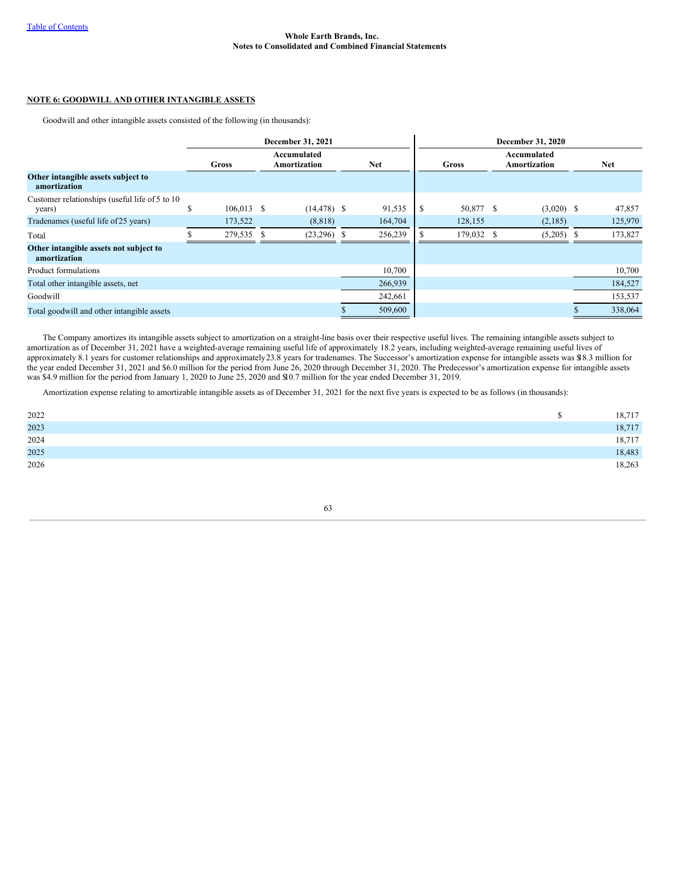#### **NOTE 6: GOODWILL AND OTHER INTANGIBLE ASSETS**

Goodwill and other intangible assets consisted of the following (in thousands):

|                                                          | December 31, 2021 |              |  |                             |            |                 | December 31, 2020           |              |         |  |  |  |            |
|----------------------------------------------------------|-------------------|--------------|--|-----------------------------|------------|-----------------|-----------------------------|--------------|---------|--|--|--|------------|
|                                                          |                   | Gross        |  | Accumulated<br>Amortization | <b>Net</b> | <b>Gross</b>    | Accumulated<br>Amortization |              |         |  |  |  | <b>Net</b> |
| Other intangible assets subject to<br>amortization       |                   |              |  |                             |            |                 |                             |              |         |  |  |  |            |
| Customer relationships (useful life of 5 to 10<br>years) | S                 | $106,013$ \$ |  | $(14, 478)$ \$              | 91,535     | \$<br>50,877 \$ |                             | $(3,020)$ \$ | 47,857  |  |  |  |            |
| Tradenames (useful life of 25 years)                     |                   | 173,522      |  | (8, 818)                    | 164,704    | 128,155         |                             | (2,185)      | 125,970 |  |  |  |            |
| Total                                                    |                   | 279,535 \$   |  | $(23,296)$ \$               | 256,239    | 179,032 \$      |                             | $(5,205)$ \$ | 173,827 |  |  |  |            |
| Other intangible assets not subject to<br>amortization   |                   |              |  |                             |            |                 |                             |              |         |  |  |  |            |
| Product formulations                                     |                   |              |  |                             | 10,700     |                 |                             |              | 10,700  |  |  |  |            |
| Total other intangible assets, net                       |                   |              |  |                             | 266,939    |                 |                             |              | 184,527 |  |  |  |            |
| Goodwill                                                 |                   |              |  |                             | 242,661    |                 |                             |              | 153,537 |  |  |  |            |
| Total goodwill and other intangible assets               |                   |              |  |                             | 509,600    |                 |                             |              | 338,064 |  |  |  |            |

The Company amortizes its intangible assets subject to amortization on a straight-line basis over their respective useful lives. The remaining intangible assets subject to amortization as of December 31, 2021 have a weighted-average remaining useful life of approximately 18.2 years, including weighted-average remaining useful lives of approximately 8.1 years for customer relationships and approximately23.8 years for tradenames. The Successor's amortization expense for intangible assets was \$18.3 million for the year ended December 31, 2021 and \$6.0 million for the period from June 26, 2020 through December 31, 2020. The Predecessor's amortization expense for intangible assets was \$4.9 million for the period from January 1, 2020 to June 25, 2020 and \$10.7 million for the year ended December 31, 2019.

Amortization expense relating to amortizable intangible assets as of December 31, 2021 for the next five years is expected to be as follows (in thousands):

| 2022 | J. | 18,717 |
|------|----|--------|
| 2023 |    | 18,717 |
| 2024 |    | 18,717 |
| 2025 |    | 18,483 |
| 2026 |    | 18,263 |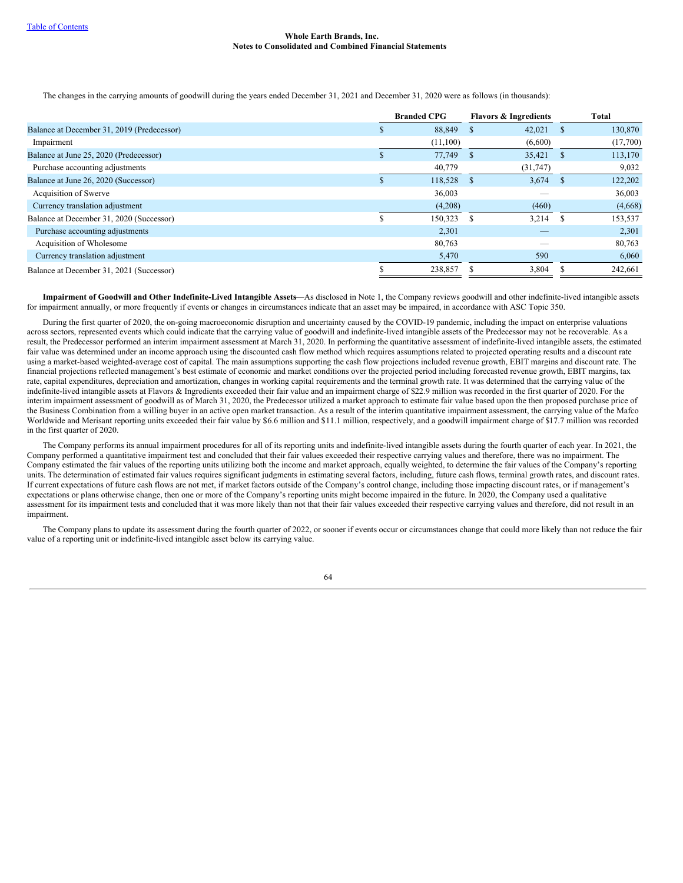The changes in the carrying amounts of goodwill during the years ended December 31, 2021 and December 31, 2020 were as follows (in thousands):

|                                            | <b>Branded CPG</b> |              | <b>Flavors &amp; Ingredients</b> |     | <b>Total</b> |
|--------------------------------------------|--------------------|--------------|----------------------------------|-----|--------------|
| Balance at December 31, 2019 (Predecessor) | 88,849             |              | 42.021                           |     | 130,870      |
| Impairment                                 | (11,100)           |              | (6,600)                          |     | (17,700)     |
| Balance at June 25, 2020 (Predecessor)     | 77,749             |              | 35,421                           | \$. | 113,170      |
| Purchase accounting adjustments            | 40,779             |              | (31, 747)                        |     | 9,032        |
| Balance at June 26, 2020 (Successor)       | 118,528            | <sup>S</sup> | 3,674                            | \$. | 122,202      |
| Acquisition of Swerve                      | 36,003             |              |                                  |     | 36,003       |
| Currency translation adjustment            | (4,208)            |              | (460)                            |     | (4,668)      |
| Balance at December 31, 2020 (Successor)   | 150,323            |              | 3,214                            |     | 153,537      |
| Purchase accounting adjustments            | 2,301              |              |                                  |     | 2,301        |
| Acquisition of Wholesome                   | 80,763             |              |                                  |     | 80,763       |
| Currency translation adjustment            | 5,470              |              | 590                              |     | 6,060        |
| Balance at December 31, 2021 (Successor)   | 238,857            |              | 3,804                            |     | 242,661      |

**Impairment of Goodwill and Other Indefinite-Lived Intangible Assets**—As disclosed in Note 1, the Company reviews goodwill and other indefinite-lived intangible assets for impairment annually, or more frequently if events or changes in circumstances indicate that an asset may be impaired, in accordance with ASC Topic 350.

During the first quarter of 2020, the on-going macroeconomic disruption and uncertainty caused by the COVID-19 pandemic, including the impact on enterprise valuations across sectors, represented events which could indicate that the carrying value of goodwill and indefinite-lived intangible assets of the Predecessor may not be recoverable. As a result, the Predecessor performed an interim impairment assessment at March 31, 2020. In performing the quantitative assessment of indefinite-lived intangible assets, the estimated fair value was determined under an income approach using the discounted cash flow method which requires assumptions related to projected operating results and a discount rate using a market-based weighted-average cost of capital. The main assumptions supporting the cash flow projections included revenue growth, EBIT margins and discount rate. The financial projections reflected management's best estimate of economic and market conditions over the projected period including forecasted revenue growth, EBIT margins, tax rate, capital expenditures, depreciation and amortization, changes in working capital requirements and the terminal growth rate. It was determined that the carrying value of the indefinite-lived intangible assets at Flavors & Ingredients exceeded their fair value and an impairment charge of \$22.9 million was recorded in the first quarter of 2020. For the interim impairment assessment of goodwill as of March 31, 2020, the Predecessor utilized a market approach to estimate fair value based upon the then proposed purchase price of the Business Combination from a willing buyer in an active open market transaction. As a result of the interim quantitative impairment assessment, the carrying value of the Mafco Worldwide and Merisant reporting units exceeded their fair value by \$6.6 million and \$11.1 million, respectively, and a goodwill impairment charge of \$17.7 million was recorded in the first quarter of 2020.

The Company performs its annual impairment procedures for all of its reporting units and indefinite-lived intangible assets during the fourth quarter of each year. In 2021, the Company performed a quantitative impairment test and concluded that their fair values exceeded their respective carrying values and therefore, there was no impairment. The Company estimated the fair values of the reporting units utilizing both the income and market approach, equally weighted, to determine the fair values of the Company's reporting units. The determination of estimated fair values requires significant judgments in estimating several factors, including, future cash flows, terminal growth rates, and discount rates. If current expectations of future cash flows are not met, if market factors outside of the Company's control change, including those impacting discount rates, or if management's expectations or plans otherwise change, then one or more of the Company's reporting units might become impaired in the future. In 2020, the Company used a qualitative assessment for its impairment tests and concluded that it was more likely than not that their fair values exceeded their respective carrying values and therefore, did not result in an impairment.

<span id="page-66-0"></span>The Company plans to update its assessment during the fourth quarter of 2022, or sooner if events occur or circumstances change that could more likely than not reduce the fair value of a reporting unit or indefinite-lived intangible asset below its carrying value.

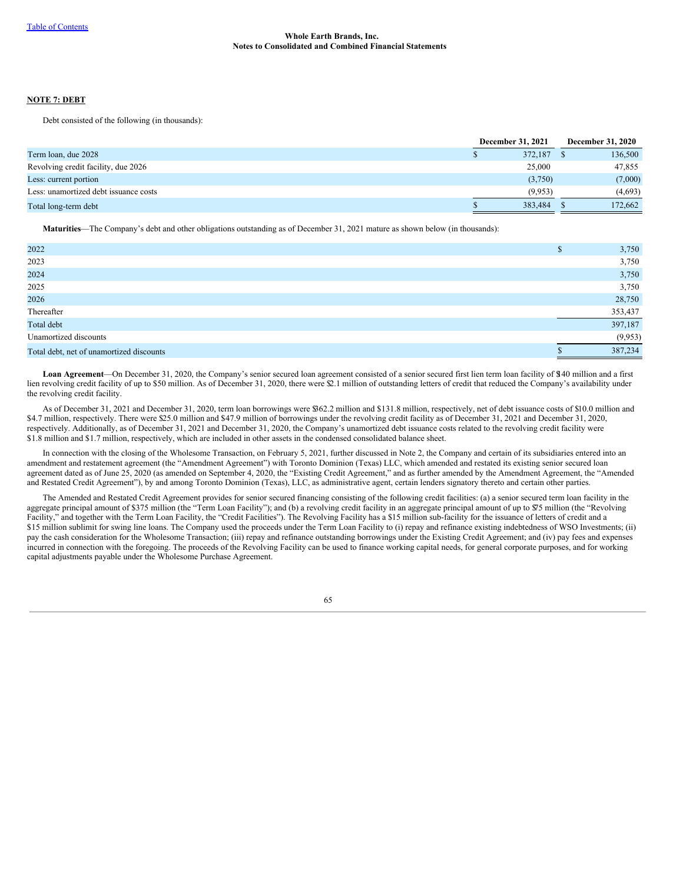### **NOTE 7: DEBT**

Debt consisted of the following (in thousands):

|                                       | December 31, 2021 | <b>December 31, 2020</b> |
|---------------------------------------|-------------------|--------------------------|
| Term loan, due 2028                   | 372,187           | 136,500                  |
| Revolving credit facility, due 2026   | 25,000            | 47,855                   |
| Less: current portion                 | (3,750)           | (7,000)                  |
| Less: unamortized debt issuance costs | (9,953)           | (4,693)                  |
| Total long-term debt                  | 383,484           | 172,662                  |

**Maturities**—The Company's debt and other obligations outstanding as of December 31, 2021 mature as shown below (in thousands):

| 2022                                     | ۰D | 3,750   |
|------------------------------------------|----|---------|
| 2023                                     |    | 3,750   |
| 2024                                     |    | 3,750   |
| 2025                                     |    | 3,750   |
| 2026                                     |    | 28,750  |
| Thereafter                               |    | 353,437 |
| Total debt                               |    | 397,187 |
| Unamortized discounts                    |    | (9,953) |
| Total debt, net of unamortized discounts |    | 387,234 |
|                                          |    |         |

**Loan Agreement**—On December 31, 2020, the Company's senior secured loan agreement consisted of a senior secured first lien term loan facility of \$140 million and a first lien revolving credit facility of up to \$50 million. As of December 31, 2020, there were \$2.1 million of outstanding letters of credit that reduced the Company's availability under the revolving credit facility.

As of December 31, 2021 and December 31, 2020, term loan borrowings were \$362.2 million and \$131.8 million, respectively, net of debt issuance costs of \$10.0 million and \$4.7 million, respectively. There were \$25.0 million and \$47.9 million of borrowings under the revolving credit facility as of December 31, 2021 and December 31, 2020, respectively. Additionally, as of December 31, 2021 and December 31, 2020, the Company's unamortized debt issuance costs related to the revolving credit facility were \$1.8 million and \$1.7 million, respectively, which are included in other assets in the condensed consolidated balance sheet.

In connection with the closing of the Wholesome Transaction, on February 5, 2021, further discussed in Note 2, the Company and certain of its subsidiaries entered into an amendment and restatement agreement (the "Amendment Agreement") with Toronto Dominion (Texas) LLC, which amended and restated its existing senior secured loan agreement dated as of June 25, 2020 (as amended on September 4, 2020, the "Existing Credit Agreement," and as further amended by the Amendment Agreement, the "Amended and Restated Credit Agreement"), by and among Toronto Dominion (Texas), LLC, as administrative agent, certain lenders signatory thereto and certain other parties.

The Amended and Restated Credit Agreement provides for senior secured financing consisting of the following credit facilities: (a) a senior secured term loan facility in the aggregate principal amount of \$375 million (the "Term Loan Facility"); and (b) a revolving credit facility in an aggregate principal amount of up to \$75 million (the "Revolving Facility," and together with the Term Loan Facility, the "Credit Facilities"). The Revolving Facility has a \$15 million sub-facility for the issuance of letters of credit and a \$15 million sublimit for swing line loans. The Company used the proceeds under the Term Loan Facility to (i) repay and refinance existing indebtedness of WSO Investments; (ii) pay the cash consideration for the Wholesome Transaction; (iii) repay and refinance outstanding borrowings under the Existing Credit Agreement; and (iv) pay fees and expenses incurred in connection with the foregoing. The proceeds of the Revolving Facility can be used to finance working capital needs, for general corporate purposes, and for working capital adjustments payable under the Wholesome Purchase Agreement.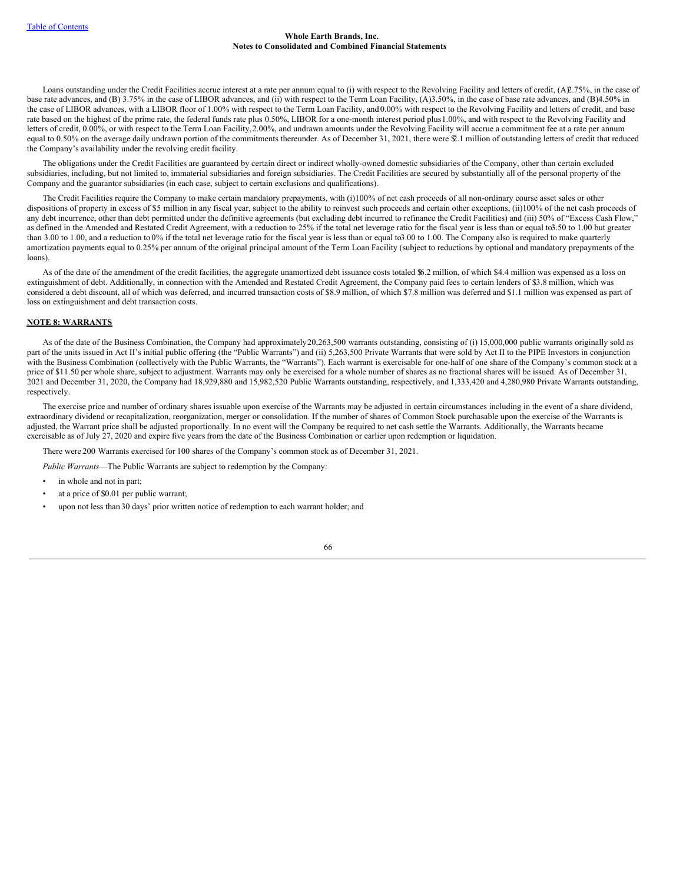Loans outstanding under the Credit Facilities accrue interest at a rate per annum equal to (i) with respect to the Revolving Facility and letters of credit, (A)2.75%, in the case of base rate advances, and (B) 3.75% in the case of LIBOR advances, and (ii) with respect to the Term Loan Facility, (A)3.50%, in the case of base rate advances, and (B)4.50% in the case of LIBOR advances, with a LIBOR floor of 1.00% with respect to the Term Loan Facility, and 0.00% with respect to the Revolving Facility and letters of credit, and base rate based on the highest of the prime rate, the federal funds rate plus 0.50%, LIBOR for a one-month interest period plus 1.00%, and with respect to the Revolving Facility and letters of credit, 0.00%, or with respect to the Term Loan Facility,2.00%, and undrawn amounts under the Revolving Facility will accrue a commitment fee at a rate per annum equal to 0.50% on the average daily undrawn portion of the commitments thereunder. As of December 31, 2021, there were \$2.1 million of outstanding letters of credit that reduced the Company's availability under the revolving credit facility.

The obligations under the Credit Facilities are guaranteed by certain direct or indirect wholly-owned domestic subsidiaries of the Company, other than certain excluded subsidiaries, including, but not limited to, immaterial subsidiaries and foreign subsidiaries. The Credit Facilities are secured by substantially all of the personal property of the Company and the guarantor subsidiaries (in each case, subject to certain exclusions and qualifications).

The Credit Facilities require the Company to make certain mandatory prepayments, with (i)100% of net cash proceeds of all non-ordinary course asset sales or other dispositions of property in excess of \$5 million in any fiscal year, subject to the ability to reinvest such proceeds and certain other exceptions, (ii)100% of the net cash proceeds of any debt incurrence, other than debt permitted under the definitive agreements (but excluding debt incurred to refinance the Credit Facilities) and (iii) 50% of "Excess Cash Flow," as defined in the Amended and Restated Credit Agreement, with a reduction to 25% if the total net leverage ratio for the fiscal year is less than or equal to 3.50 to 1.00 but greater than 3.00 to 1.00, and a reduction to 0% if the total net leverage ratio for the fiscal year is less than or equal to3.00 to 1.00. The Company also is required to make quarterly amortization payments equal to 0.25% per annum of the original principal amount of the Term Loan Facility (subject to reductions by optional and mandatory prepayments of the loans).

As of the date of the amendment of the credit facilities, the aggregate unamortized debt issuance costs totaled \$6.2 million, of which \$4.4 million was expensed as a loss on extinguishment of debt. Additionally, in connection with the Amended and Restated Credit Agreement, the Company paid fees to certain lenders of \$3.8 million, which was considered a debt discount, all of which was deferred, and incurred transaction costs of \$8.9 million, of which \$7.8 million was deferred and \$1.1 million was expensed as part of loss on extinguishment and debt transaction costs.

#### <span id="page-68-0"></span>**NOTE 8: WARRANTS**

As of the date of the Business Combination, the Company had approximately20,263,500 warrants outstanding, consisting of (i) 15,000,000 public warrants originally sold as part of the units issued in Act II's initial public offering (the "Public Warrants") and (ii) 5,263,500 Private Warrants that were sold by Act II to the PIPE Investors in conjunction with the Business Combination (collectively with the Public Warrants, the "Warrants"). Each warrant is exercisable for one-half of one share of the Company's common stock at a price of \$11.50 per whole share, subject to adjustment. Warrants may only be exercised for a whole number of shares as no fractional shares will be issued. As of December 31, 2021 and December 31, 2020, the Company had 18,929,880 and 15,982,520 Public Warrants outstanding, respectively, and 1,333,420 and 4,280,980 Private Warrants outstanding, respectively.

The exercise price and number of ordinary shares issuable upon exercise of the Warrants may be adjusted in certain circumstances including in the event of a share dividend, extraordinary dividend or recapitalization, reorganization, merger or consolidation. If the number of shares of Common Stock purchasable upon the exercise of the Warrants is adjusted, the Warrant price shall be adjusted proportionally. In no event will the Company be required to net cash settle the Warrants. Additionally, the Warrants became exercisable as of July 27, 2020 and expire five yearsfrom the date of the Business Combination or earlier upon redemption or liquidation.

There were 200 Warrants exercised for 100 shares of the Company's common stock as of December 31, 2021.

*Public Warrants*—The Public Warrants are subject to redemption by the Company:

- in whole and not in part;
- at a price of \$0.01 per public warrant;
- upon not less than 30 days' prior written notice of redemption to each warrant holder; and

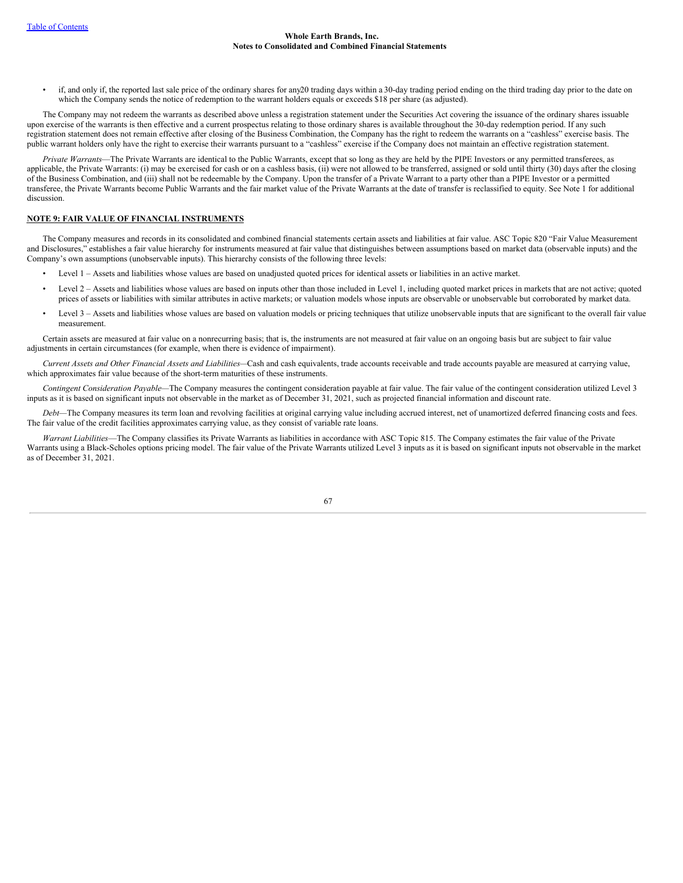• if, and only if, the reported last sale price of the ordinary shares for any20 trading days within a 30-day trading period ending on the third trading day prior to the date on which the Company sends the notice of redemption to the warrant holders equals or exceeds \$18 per share (as adjusted).

The Company may not redeem the warrants as described above unless a registration statement under the Securities Act covering the issuance of the ordinary shares issuable upon exercise of the warrants is then effective and a current prospectus relating to those ordinary shares is available throughout the 30-day redemption period. If any such registration statement does not remain effective after closing of the Business Combination, the Company has the right to redeem the warrants on a "cashless" exercise basis. The public warrant holders only have the right to exercise their warrants pursuant to a "cashless" exercise if the Company does not maintain an effective registration statement.

*Private Warrants*—The Private Warrants are identical to the Public Warrants, except that so long as they are held by the PIPE Investors or any permitted transferees, as applicable, the Private Warrants: (i) may be exercised for cash or on a cashless basis, (ii) were not allowed to be transferred, assigned or sold until thirty (30) days after the closing of the Business Combination, and (iii) shall not be redeemable by the Company. Upon the transfer of a Private Warrant to a party other than a PIPE Investor or a permitted transferee, the Private Warrants become Public Warrants and the fair market value of the Private Warrants at the date of transfer is reclassified to equity. See Note 1 for additional discussion.

### <span id="page-69-0"></span>**NOTE 9: FAIR VALUE OF FINANCIAL INSTRUMENTS**

The Company measures and records in its consolidated and combined financial statements certain assets and liabilities at fair value. ASC Topic 820 "Fair Value Measurement and Disclosures," establishes a fair value hierarchy for instruments measured at fair value that distinguishes between assumptions based on market data (observable inputs) and the Company's own assumptions (unobservable inputs). This hierarchy consists of the following three levels:

- Level 1 Assets and liabilities whose values are based on unadjusted quoted prices for identical assets or liabilities in an active market.
- Level 2 Assets and liabilities whose values are based on inputs other than those included in Level 1, including quoted market prices in markets that are not active; quoted prices of assets or liabilities with similar attributes in active markets; or valuation models whose inputs are observable or unobservable but corroborated by market data.
- Level 3 Assets and liabilities whose values are based on valuation models or pricing techniques that utilize unobservable inputs that are significant to the overall fair value measurement.

Certain assets are measured at fair value on a nonrecurring basis; that is, the instruments are not measured at fair value on an ongoing basis but are subject to fair value adjustments in certain circumstances (for example, when there is evidence of impairment).

Current Assets and Other Financial Assets and Liabilities-Cash and cash equivalents, trade accounts receivable and trade accounts payable are measured at carrying value, which approximates fair value because of the short-term maturities of these instruments.

*Contingent Consideration Payable—*The Company measures the contingent consideration payable at fair value. The fair value of the contingent consideration utilized Level 3 inputs as it is based on significant inputs not observable in the market as of December 31, 2021, such as projected financial information and discount rate.

*Debt—*The Company measures its term loan and revolving facilities at original carrying value including accrued interest, net of unamortized deferred financing costs and fees. The fair value of the credit facilities approximates carrying value, as they consist of variable rate loans.

*Warrant Liabilities*—The Company classifies its Private Warrants as liabilities in accordance with ASC Topic 815. The Company estimates the fair value of the Private Warrants using a Black-Scholes options pricing model. The fair value of the Private Warrants utilized Level 3 inputs as it is based on significant inputs not observable in the market as of December 31, 2021.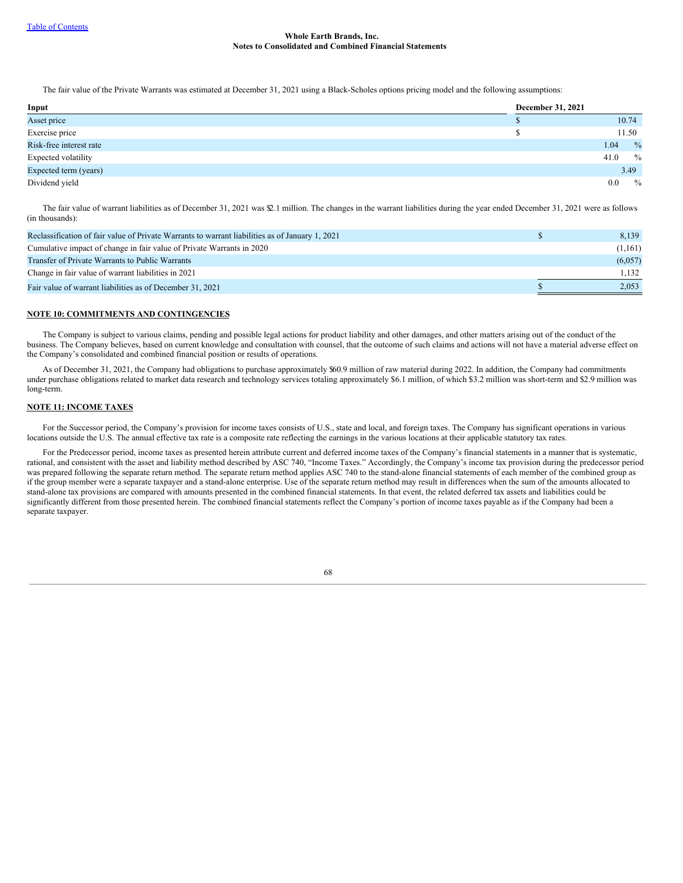The fair value of the Private Warrants was estimated at December 31, 2021 using a Black-Scholes options pricing model and the following assumptions:

| Input                   | December 31, 2021 |                       |
|-------------------------|-------------------|-----------------------|
| Asset price             |                   | 10.74                 |
| Exercise price          |                   | 11.50                 |
| Risk-free interest rate |                   | $\frac{0}{0}$<br>1.04 |
| Expected volatility     |                   | $\%$<br>41.0          |
| Expected term (years)   |                   | 3.49                  |
| Dividend yield          |                   | $\%$<br>0.0           |

The fair value of warrant liabilities as of December 31, 2021 was \$2.1 million. The changes in the warrant liabilities during the year ended December 31, 2021 were as follows (in thousands):

| Cumulative impact of change in fair value of Private Warrants in 2020 | (1,161) |
|-----------------------------------------------------------------------|---------|
| Transfer of Private Warrants to Public Warrants                       | (6,057) |
| Change in fair value of warrant liabilities in 2021                   | 1.132   |
| Fair value of warrant liabilities as of December 31, 2021             | 2.053   |

#### <span id="page-70-0"></span>**NOTE 10: COMMITMENTS AND CONTINGENCIES**

The Company is subject to various claims, pending and possible legal actions for product liability and other damages, and other matters arising out of the conduct of the business. The Company believes, based on current knowledge and consultation with counsel, that the outcome of such claims and actions will not have a material adverse effect on the Company's consolidated and combined financial position or results of operations.

As of December 31, 2021, the Company had obligations to purchase approximately \$60.9 million of raw material during 2022. In addition, the Company had commitments under purchase obligations related to market data research and technology services totaling approximately \$6.1 million, of which \$3.2 million was short-term and \$2.9 million was long-term.

#### <span id="page-70-1"></span>**NOTE 11: INCOME TAXES**

For the Successor period, the Company's provision for income taxes consists of U.S., state and local, and foreign taxes. The Company has significant operations in various locations outside the U.S. The annual effective tax rate is a composite rate reflecting the earnings in the various locations at their applicable statutory tax rates.

For the Predecessor period, income taxes as presented herein attribute current and deferred income taxes of the Company's financial statements in a manner that is systematic, rational, and consistent with the asset and liability method described by ASC 740, "Income Taxes." Accordingly, the Company's income tax provision during the predecessor period was prepared following the separate return method. The separate return method applies ASC 740 to the stand-alone financial statements of each member of the combined group as if the group member were a separate taxpayer and a stand-alone enterprise. Use of the separate return method may result in differences when the sum of the amounts allocated to stand-alone tax provisions are compared with amounts presented in the combined financial statements. In that event, the related deferred tax assets and liabilities could be significantly different from those presented herein. The combined financial statements reflect the Company's portion of income taxes payable as if the Company had been a separate taxpayer.

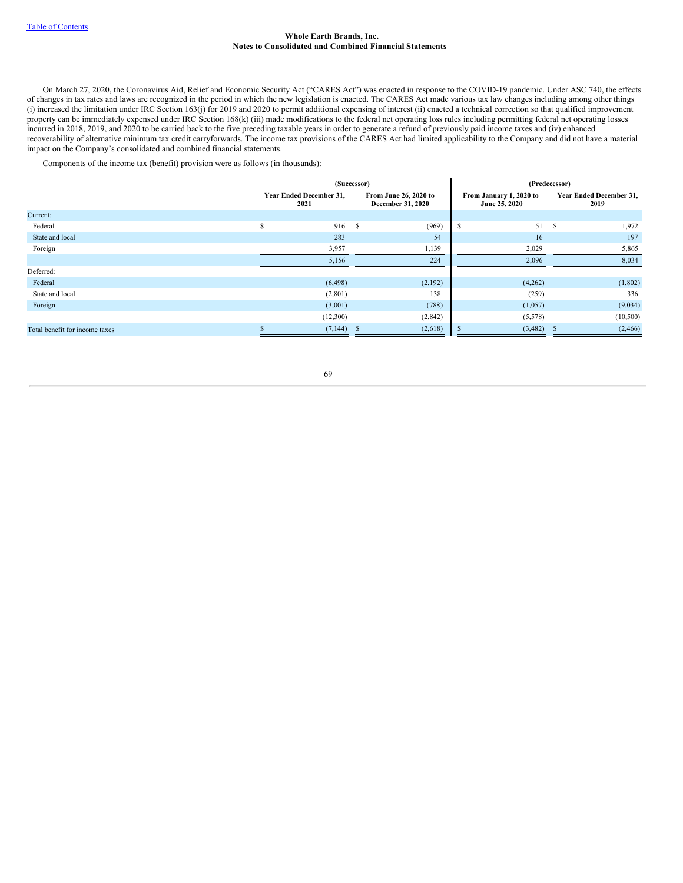On March 27, 2020, the Coronavirus Aid, Relief and Economic Security Act ("CARES Act") was enacted in response to the COVID-19 pandemic. Under ASC 740, the effects of changes in tax rates and laws are recognized in the period in which the new legislation is enacted. The CARES Act made various tax law changes including among other things (i) increased the limitation under IRC Section 163(j) for 2019 and 2020 to permit additional expensing of interest (ii) enacted a technical correction so that qualified improvement property can be immediately expensed under IRC Section 168(k) (iii) made modifications to the federal net operating loss rules including permitting federal net operating losses incurred in 2018, 2019, and 2020 to be carried back to the five preceding taxable years in order to generate a refund of previously paid income taxes and (iv) enhanced recoverability of alternative minimum tax credit carryforwards. The income tax provisions of the CARES Act had limited applicability to the Company and did not have a material impact on the Company's consolidated and combined financial statements.

Components of the income tax (benefit) provision were as follows (in thousands):

|                                 |                                            | (Predecessor)                            |                                 |  |  |
|---------------------------------|--------------------------------------------|------------------------------------------|---------------------------------|--|--|
| Year Ended December 31,<br>2021 | From June 26, 2020 to<br>December 31, 2020 | From January 1, 2020 to<br>June 25, 2020 | Year Ended December 31,<br>2019 |  |  |
|                                 |                                            |                                          |                                 |  |  |
| S                               | S<br>(969)                                 | 51<br>\$.                                | S<br>1,972                      |  |  |
| 283                             | 54                                         | 16                                       | 197                             |  |  |
| 3,957                           | 1,139                                      | 2,029                                    | 5,865                           |  |  |
| 5,156                           | 224                                        | 2,096                                    | 8,034                           |  |  |
|                                 |                                            |                                          |                                 |  |  |
| (6, 498)                        | (2,192)                                    | (4,262)                                  | (1,802)                         |  |  |
| (2,801)                         | 138                                        | (259)                                    | 336                             |  |  |
| (3,001)                         | (788)                                      | (1,057)                                  | (9,034)                         |  |  |
| (12,300)                        | (2,842)                                    | (5,578)                                  | (10,500)                        |  |  |
| (7,144)                         | (2,618)                                    | (3,482)                                  | (2, 466)                        |  |  |
|                                 |                                            | (Successor)<br>916                       |                                 |  |  |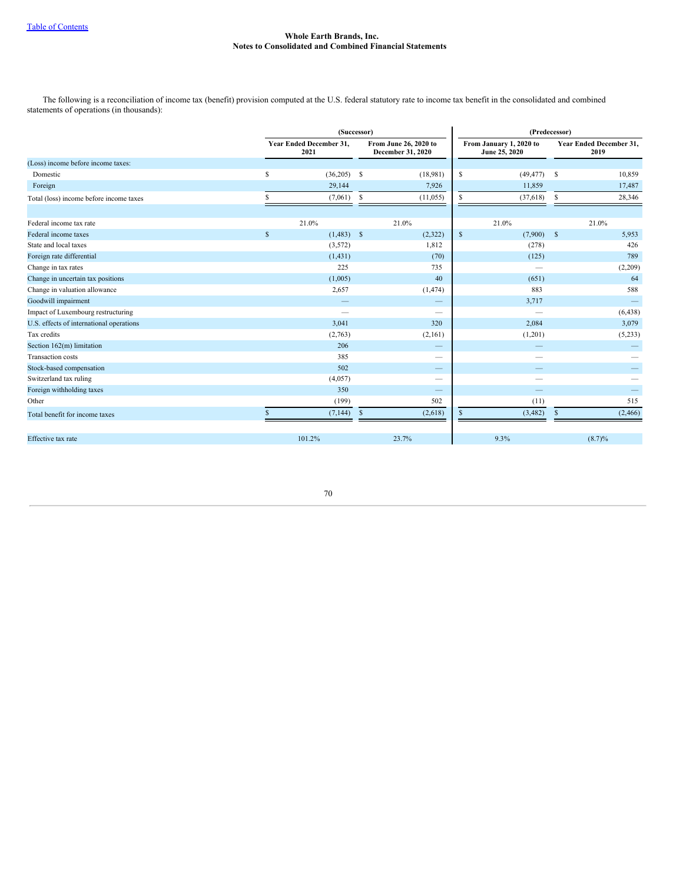The following is a reconciliation of income tax (benefit) provision computed at the U.S. federal statutory rate to income tax benefit in the consolidated and combined statements of operations (in thousands):

|                                          | (Successor)   |                                 |               | (Predecessor)                              |    |                                          |              |                                 |
|------------------------------------------|---------------|---------------------------------|---------------|--------------------------------------------|----|------------------------------------------|--------------|---------------------------------|
|                                          |               | Year Ended December 31,<br>2021 |               | From June 26, 2020 to<br>December 31, 2020 |    | From January 1, 2020 to<br>June 25, 2020 |              | Year Ended December 31,<br>2019 |
| (Loss) income before income taxes:       |               |                                 |               |                                            |    |                                          |              |                                 |
| Domestic                                 | S             | $(36,205)$ \$                   |               | (18,981)                                   | S  | (49, 477)                                | S            | 10,859                          |
| Foreign                                  |               | 29,144                          |               | 7,926                                      |    | 11,859                                   |              | 17,487                          |
| Total (loss) income before income taxes  | S             | (7,061)                         | <sup>S</sup>  | (11, 055)                                  | S. | (37, 618)                                | <sup>S</sup> | 28,346                          |
| Federal income tax rate                  |               | 21.0%                           |               | 21.0%                                      |    | 21.0%                                    |              | 21.0%                           |
| Federal income taxes                     | $\mathbf S$   | $(1,483)$ \$                    |               | (2,322)                                    | S  | (7,900)                                  | $\mathbb{S}$ | 5.953                           |
| State and local taxes                    |               | (3,572)                         |               | 1,812                                      |    | (278)                                    |              | 426                             |
| Foreign rate differential                |               | (1, 431)                        |               | (70)                                       |    | (125)                                    |              | 789                             |
| Change in tax rates                      |               | 225                             |               | 735                                        |    | -                                        |              | (2,209)                         |
| Change in uncertain tax positions        |               | (1,005)                         |               | 40                                         |    | (651)                                    |              | 64                              |
| Change in valuation allowance            |               | 2,657                           |               | (1, 474)                                   |    | 883                                      |              | 588                             |
| Goodwill impairment                      |               |                                 |               |                                            |    | 3,717                                    |              |                                 |
| Impact of Luxembourg restructuring       |               |                                 |               |                                            |    |                                          |              | (6, 438)                        |
| U.S. effects of international operations |               | 3,041                           |               | 320                                        |    | 2,084                                    |              | 3,079                           |
| Tax credits                              |               | (2,763)                         |               | (2,161)                                    |    | (1,201)                                  |              | (5,233)                         |
| Section 162(m) limitation                |               | 206                             |               |                                            |    |                                          |              |                                 |
| Transaction costs                        |               | 385                             |               |                                            |    |                                          |              |                                 |
| Stock-based compensation                 |               | 502                             |               | $\qquad \qquad -$                          |    |                                          |              |                                 |
| Switzerland tax ruling                   |               | (4,057)                         |               | $\overline{\phantom{a}}$                   |    |                                          |              |                                 |
| Foreign withholding taxes                |               | 350                             |               | $\qquad \qquad -$                          |    | –                                        |              |                                 |
| Other                                    |               | (199)                           |               | 502                                        |    | (11)                                     |              | 515                             |
| Total benefit for income taxes           | $\mathcal{S}$ | (7, 144)                        | <sup>\$</sup> | (2,618)                                    | ¢  | (3, 482)                                 | S            | (2, 466)                        |
| Effective tax rate                       |               | 101.2%                          |               | 23.7%                                      |    | 9.3%                                     |              | $(8.7)\%$                       |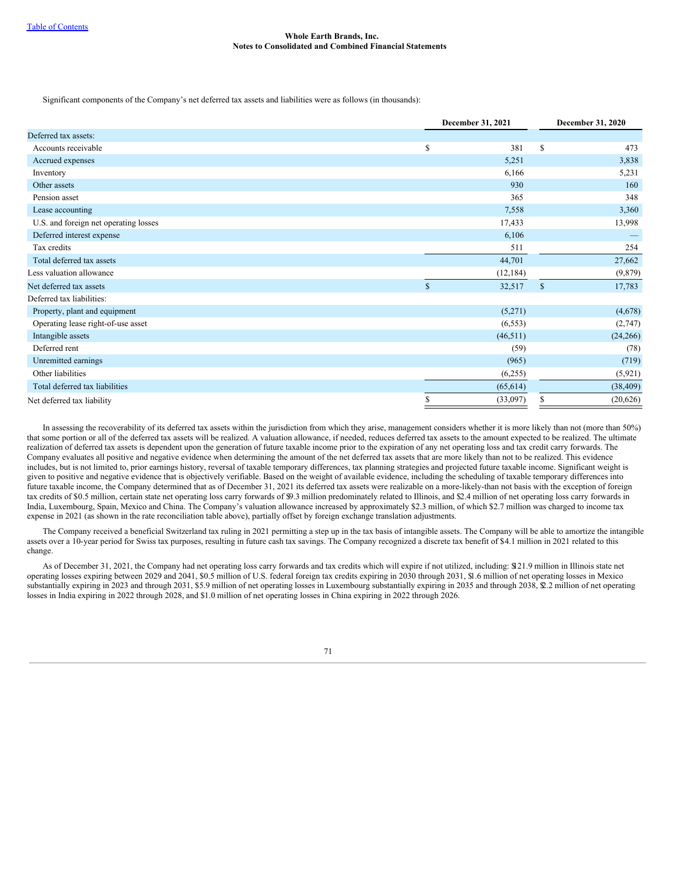Significant components of the Company's net deferred tax assets and liabilities were as follows (in thousands):

|                                       | December 31, 2021 |              | December 31, 2020 |
|---------------------------------------|-------------------|--------------|-------------------|
| Deferred tax assets:                  |                   |              |                   |
| Accounts receivable                   | \$<br>381         | $\mathbb{S}$ | 473               |
| Accrued expenses                      | 5,251             |              | 3,838             |
| Inventory                             | 6,166             |              | 5,231             |
| Other assets                          | 930               |              | 160               |
| Pension asset                         | 365               |              | 348               |
| Lease accounting                      | 7,558             |              | 3,360             |
| U.S. and foreign net operating losses | 17,433            |              | 13,998            |
| Deferred interest expense             | 6,106             |              |                   |
| Tax credits                           | 511               |              | 254               |
| Total deferred tax assets             | 44,701            |              | 27,662            |
| Less valuation allowance              | (12, 184)         |              | (9,879)           |
| Net deferred tax assets               | \$<br>32,517      | $\mathbb{S}$ | 17,783            |
| Deferred tax liabilities:             |                   |              |                   |
| Property, plant and equipment         | (5,271)           |              | (4,678)           |
| Operating lease right-of-use asset    | (6, 553)          |              | (2,747)           |
| Intangible assets                     | (46,511)          |              | (24, 266)         |
| Deferred rent                         | (59)              |              | (78)              |
| Unremitted earnings                   | (965)             |              | (719)             |
| Other liabilities                     | (6,255)           |              | (5,921)           |
| Total deferred tax liabilities        | (65, 614)         |              | (38, 409)         |
| Net deferred tax liability            | \$<br>(33,097)    | \$           | (20,626)          |

In assessing the recoverability of its deferred tax assets within the jurisdiction from which they arise, management considers whether it is more likely than not (more than 50%) that some portion or all of the deferred tax assets will be realized. A valuation allowance, if needed, reduces deferred tax assets to the amount expected to be realized. The ultimate realization of deferred tax assets is dependent upon the generation of future taxable income prior to the expiration of any net operating loss and tax credit carry forwards. The Company evaluates all positive and negative evidence when determining the amount of the net deferred tax assets that are more likely than not to be realized. This evidence includes, but is not limited to, prior earnings history, reversal of taxable temporary differences, tax planning strategies and projected future taxable income. Significant weight is given to positive and negative evidence that is objectively verifiable. Based on the weight of available evidence, including the scheduling of taxable temporary differences into future taxable income, the Company determined that as of December 31, 2021 its deferred tax assets were realizable on a more-likely-than not basis with the exception of foreign tax credits of \$0.5 million, certain state net operating loss carry forwards of \$9.3 million predominately related to Illinois, and \$2.4 million of net operating loss carry forwards in India, Luxembourg, Spain, Mexico and China. The Company's valuation allowance increased by approximately \$2.3 million, of which \$2.7 million was charged to income tax expense in 2021 (as shown in the rate reconciliation table above), partially offset by foreign exchange translation adjustments.

The Company received a beneficial Switzerland tax ruling in 2021 permitting a step up in the tax basis of intangible assets. The Company will be able to amortize the intangible assets over a 10-year period for Swiss tax purposes, resulting in future cash tax savings. The Company recognized a discrete tax benefit of \$4.1 million in 2021 related to this change.

As of December 31, 2021, the Company had net operating loss carry forwards and tax credits which will expire if not utilized, including: \$121.9 million in Illinois state net operating losses expiring between 2029 and 2041, \$0.5 million of U.S. federal foreign tax credits expiring in 2030 through 2031, \$1.6 million of net operating losses in Mexico substantially expiring in 2023 and through 2031, \$5.9 million of net operating losses in Luxembourg substantially expiring in 2035 and through 2038, \$2.2 million of net operating losses in India expiring in 2022 through 2028, and \$1.0 million of net operating losses in China expiring in 2022 through 2026.

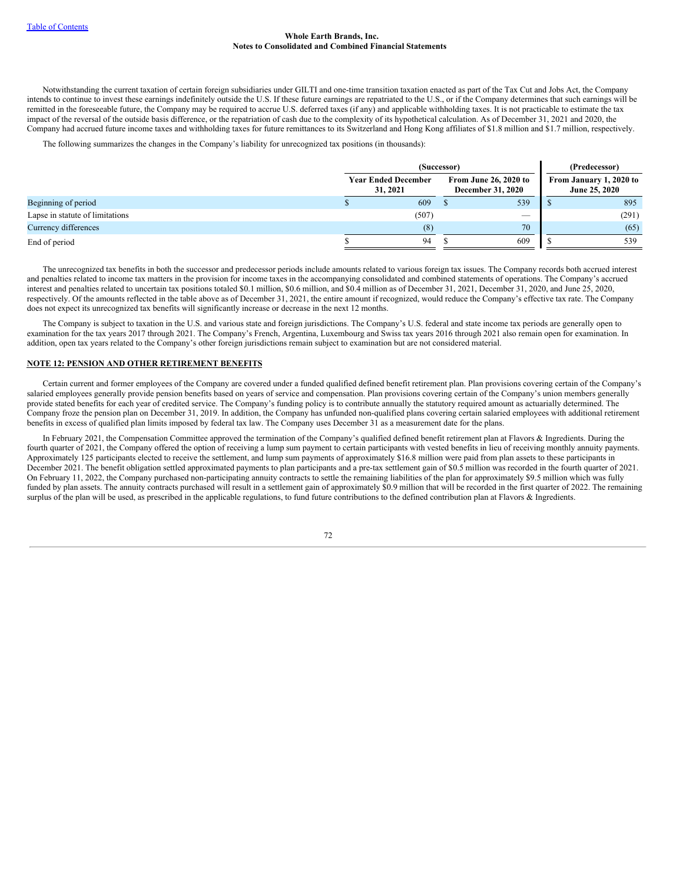Notwithstanding the current taxation of certain foreign subsidiaries under GILTI and one-time transition taxation enacted as part of the Tax Cut and Jobs Act, the Company intends to continue to invest these earnings indefinitely outside the U.S. If these future earnings are repatriated to the U.S., or if the Company determines that such earnings will be remitted in the foreseeable future, the Company may be required to accrue U.S. deferred taxes (if any) and applicable withholding taxes. It is not practicable to estimate the tax impact of the reversal of the outside basis difference, or the repatriation of cash due to the complexity of its hypothetical calculation. As of December 31, 2021 and 2020, the Company had accrued future income taxes and withholding taxes for future remittances to its Switzerland and Hong Kong affiliates of \$1.8 million and \$1.7 million, respectively.

The following summarizes the changes in the Company's liability for unrecognized tax positions (in thousands):

|                                 | (Successor)                            | (Predecessor)                                     |                                          |
|---------------------------------|----------------------------------------|---------------------------------------------------|------------------------------------------|
|                                 | <b>Year Ended December</b><br>31, 2021 | From June 26, 2020 to<br><b>December 31, 2020</b> | From January 1, 2020 to<br>June 25, 2020 |
| Beginning of period             | 609                                    | 539                                               | 895                                      |
| Lapse in statute of limitations | (507)                                  | $\hspace{0.1mm}-\hspace{0.1mm}$                   | (291)                                    |
| Currency differences            | (8)                                    | 70                                                | (65)                                     |
| End of period                   | 94                                     | 609                                               | 539                                      |

The unrecognized tax benefits in both the successor and predecessor periods include amounts related to various foreign tax issues. The Company records both accrued interest and penalties related to income tax matters in the provision for income taxes in the accompanying consolidated and combined statements of operations. The Company's accrued interest and penalties related to uncertain tax positions totaled \$0.1 million, \$0.6 million, and \$0.4 million as of December 31, 2021, December 31, 2020, and June 25, 2020, respectively. Of the amounts reflected in the table above as of December 31, 2021, the entire amount if recognized, would reduce the Company's effective tax rate. The Company does not expect its unrecognized tax benefits will significantly increase or decrease in the next 12 months.

The Company is subject to taxation in the U.S. and various state and foreign jurisdictions. The Company's U.S. federal and state income tax periods are generally open to examination for the tax years 2017 through 2021. The Company's French, Argentina, Luxembourg and Swiss tax years 2016 through 2021 also remain open for examination. In addition, open tax years related to the Company's other foreign jurisdictions remain subject to examination but are not considered material.

# **NOTE 12: PENSION AND OTHER RETIREMENT BENEFITS**

Certain current and former employees of the Company are covered under a funded qualified defined benefit retirement plan. Plan provisions covering certain of the Company's salaried employees generally provide pension benefits based on years of service and compensation. Plan provisions covering certain of the Company's union members generally provide stated benefits for each year of credited service. The Company's funding policy is to contribute annually the statutory required amount as actuarially determined. The Company froze the pension plan on December 31, 2019. In addition, the Company has unfunded non-qualified plans covering certain salaried employees with additional retirement benefits in excess of qualified plan limits imposed by federal tax law. The Company uses December 31 as a measurement date for the plans.

In February 2021, the Compensation Committee approved the termination of the Company's qualified defined benefit retirement plan at Flavors & Ingredients. During the fourth quarter of 2021, the Company offered the option of receiving a lump sum payment to certain participants with vested benefits in lieu of receiving monthly annuity payments. Approximately 125 participants elected to receive the settlement, and lump sum payments of approximately \$16.8 million were paid from plan assets to these participants in December 2021. The benefit obligation settled approximated payments to plan participants and a pre-tax settlement gain of \$0.5 million was recorded in the fourth quarter of 2021. On February 11, 2022, the Company purchased non-participating annuity contracts to settle the remaining liabilities of the plan for approximately \$9.5 million which was fully funded by plan assets. The annuity contracts purchased will result in a settlement gain of approximately \$0.9 million that will be recorded in the first quarter of 2022. The remaining surplus of the plan will be used, as prescribed in the applicable regulations, to fund future contributions to the defined contribution plan at Flavors & Ingredients.

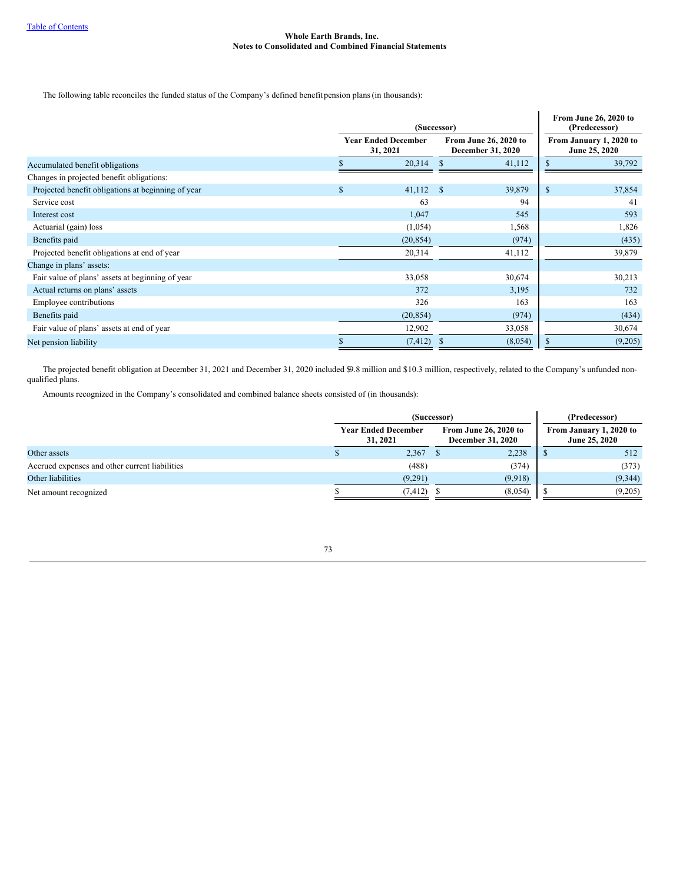The following table reconciles the funded status of the Company's defined benefitpension plans(in thousands):

|                                                    | (Successor)                            |    |                                            | From June 26, 2020 to<br>(Predecessor) |                                          |
|----------------------------------------------------|----------------------------------------|----|--------------------------------------------|----------------------------------------|------------------------------------------|
|                                                    | <b>Year Ended December</b><br>31, 2021 |    | From June 26, 2020 to<br>December 31, 2020 |                                        | From January 1, 2020 to<br>June 25, 2020 |
| Accumulated benefit obligations                    | 20,314                                 | -S | 41,112                                     | \$.                                    | 39,792                                   |
| Changes in projected benefit obligations:          |                                        |    |                                            |                                        |                                          |
| Projected benefit obligations at beginning of year | \$<br>$41,112$ \$                      |    | 39,879                                     | \$                                     | 37,854                                   |
| Service cost                                       | 63                                     |    | 94                                         |                                        | 41                                       |
| Interest cost                                      | 1,047                                  |    | 545                                        |                                        | 593                                      |
| Actuarial (gain) loss                              | (1,054)                                |    | 1,568                                      |                                        | 1,826                                    |
| Benefits paid                                      | (20, 854)                              |    | (974)                                      |                                        | (435)                                    |
| Projected benefit obligations at end of year       | 20,314                                 |    | 41,112                                     |                                        | 39,879                                   |
| Change in plans' assets:                           |                                        |    |                                            |                                        |                                          |
| Fair value of plans' assets at beginning of year   | 33,058                                 |    | 30,674                                     |                                        | 30,213                                   |
| Actual returns on plans' assets                    | 372                                    |    | 3,195                                      |                                        | 732                                      |
| Employee contributions                             | 326                                    |    | 163                                        |                                        | 163                                      |
| Benefits paid                                      | (20, 854)                              |    | (974)                                      |                                        | (434)                                    |
| Fair value of plans' assets at end of year         | 12,902                                 |    | 33,058                                     |                                        | 30,674                                   |
| Net pension liability                              | (7, 412)                               | Ъ  | (8,054)                                    | S                                      | (9,205)                                  |

The projected benefit obligation at December 31, 2021 and December 31, 2020 included \$9.8 million and \$10.3 million, respectively, related to the Company's unfunded nonqualified plans.

Amounts recognized in the Company's consolidated and combined balance sheets consisted of (in thousands):

|                                                | (Successor) |                                        |  |                                                          | (Predecessor) |                                          |
|------------------------------------------------|-------------|----------------------------------------|--|----------------------------------------------------------|---------------|------------------------------------------|
|                                                |             | <b>Year Ended December</b><br>31, 2021 |  | <b>From June 26, 2020 to</b><br><b>December 31, 2020</b> |               | From January 1, 2020 to<br>June 25, 2020 |
| Other assets                                   |             | 2,367                                  |  | 2,238                                                    |               | 512                                      |
| Accrued expenses and other current liabilities |             | (488)                                  |  | (374)                                                    |               | (373)                                    |
| Other liabilities                              |             | (9,291)                                |  | (9.918)                                                  |               | (9, 344)                                 |
| Net amount recognized                          |             | (7, 412)                               |  | (8,054)                                                  |               | (9,205)                                  |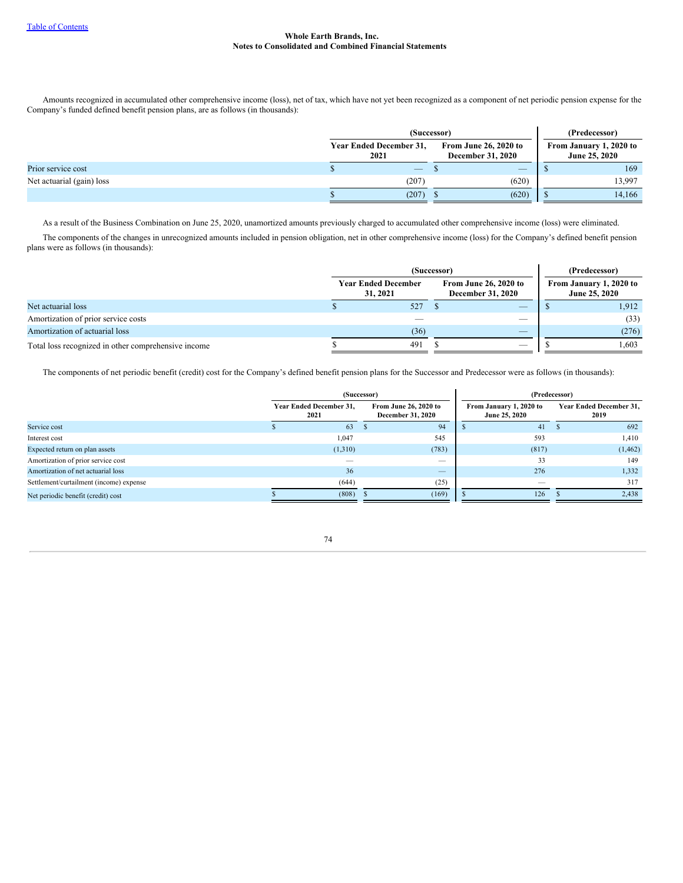Amounts recognized in accumulated other comprehensive income (loss), net of tax, which have not yet been recognized as a component of net periodic pension expense for the Company's funded defined benefit pension plans, are as follows (in thousands):

|                           | (Successor)                     |  |                                                          | (Predecessor) |                                          |
|---------------------------|---------------------------------|--|----------------------------------------------------------|---------------|------------------------------------------|
|                           | Year Ended December 31,<br>2021 |  | <b>From June 26, 2020 to</b><br><b>December 31, 2020</b> |               | From January 1, 2020 to<br>June 25, 2020 |
| Prior service cost        | $\hspace{0.1mm}-\hspace{0.1mm}$ |  | $\hspace{0.1mm}-\hspace{0.1mm}$                          |               | 169                                      |
| Net actuarial (gain) loss | (207)                           |  | (620)                                                    |               | 13.997                                   |
|                           | (207)                           |  | (620)                                                    |               | 14,166                                   |

As a result of the Business Combination on June 25, 2020, unamortized amounts previously charged to accumulated other comprehensive income (loss) were eliminated.

The components of the changes in unrecognized amounts included in pension obligation, net in other comprehensive income (loss) for the Company's defined benefit pension plans were as follows (in thousands):

|                                                     | (Successor)                            |  |                                                          |  | (Predecessor)                            |  |
|-----------------------------------------------------|----------------------------------------|--|----------------------------------------------------------|--|------------------------------------------|--|
|                                                     | <b>Year Ended December</b><br>31, 2021 |  | <b>From June 26, 2020 to</b><br><b>December 31, 2020</b> |  | From January 1, 2020 to<br>June 25, 2020 |  |
| Net actuarial loss                                  | 527                                    |  | $\overline{\phantom{m}}$                                 |  | 1,912                                    |  |
| Amortization of prior service costs                 |                                        |  | $\overbrace{\hspace{25mm}}^{}$                           |  | (33)                                     |  |
| Amortization of actuarial loss                      | (36)                                   |  | $\overline{\phantom{a}}$                                 |  | (276)                                    |  |
| Total loss recognized in other comprehensive income | 491                                    |  | $\overbrace{\hspace{25mm}}^{}$                           |  | .603                                     |  |

The components of net periodic benefit (credit) cost for the Company's defined benefit pension plans for the Successor and Predecessor were as follows (in thousands):

|                                         | (Successor) |                                        |  | (Predecessor)                                     |  |                                          |  |                                 |
|-----------------------------------------|-------------|----------------------------------------|--|---------------------------------------------------|--|------------------------------------------|--|---------------------------------|
|                                         |             | <b>Year Ended December 31.</b><br>2021 |  | From June 26, 2020 to<br><b>December 31, 2020</b> |  | From January 1, 2020 to<br>June 25, 2020 |  | Year Ended December 31,<br>2019 |
| Service cost                            |             | 63                                     |  | 94                                                |  | 41                                       |  | 692                             |
| Interest cost                           |             | 1,047                                  |  | 545                                               |  | 593                                      |  | 1,410                           |
| Expected return on plan assets          |             | (1,310)                                |  | (783)                                             |  | (817)                                    |  | (1, 462)                        |
| Amortization of prior service cost      |             |                                        |  | $\overline{\phantom{a}}$                          |  | 33                                       |  | 149                             |
| Amortization of net actuarial loss      |             | 36                                     |  |                                                   |  | 276                                      |  | 1,332                           |
| Settlement/curtailment (income) expense |             | (644)                                  |  | (25)                                              |  | -                                        |  | 317                             |
| Net periodic benefit (credit) cost      |             | (808)                                  |  | (169)                                             |  | 126                                      |  | 2,438                           |

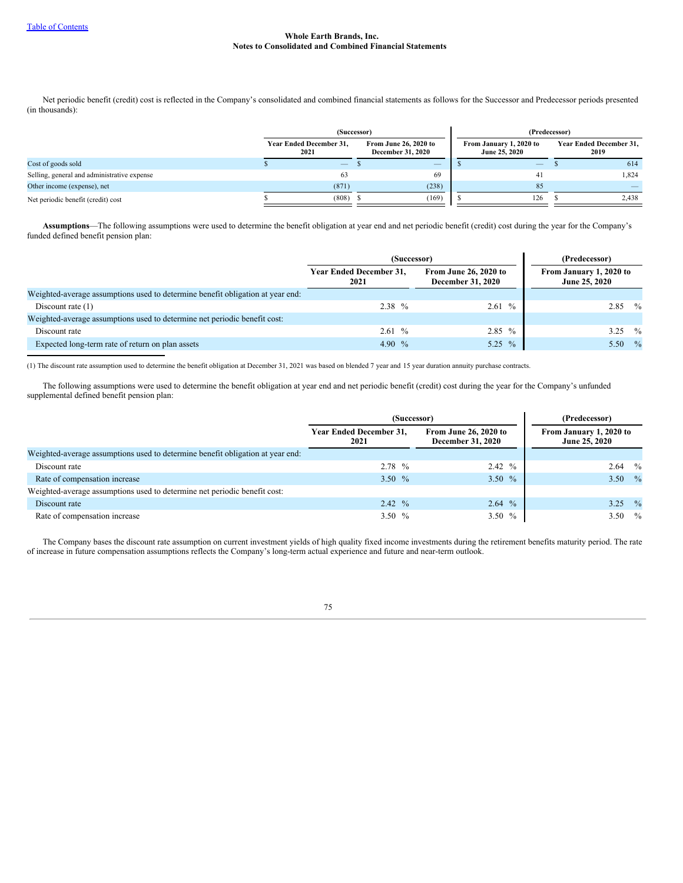Net periodic benefit (credit) cost is reflected in the Company's consolidated and combined financial statements as follows for the Successor and Predecessor periods presented (in thousands):

|                                             |                                 | (Successor)                                       | (Predecessor)                                   |                                 |  |  |
|---------------------------------------------|---------------------------------|---------------------------------------------------|-------------------------------------------------|---------------------------------|--|--|
|                                             | Year Ended December 31,<br>2021 | From June 26, 2020 to<br><b>December 31, 2020</b> | From January 1, 2020 to<br><b>June 25, 2020</b> | Year Ended December 31,<br>2019 |  |  |
| Cost of goods sold                          |                                 |                                                   |                                                 | 614                             |  |  |
| Selling, general and administrative expense | 63                              | 69                                                | 41                                              | 1,824                           |  |  |
| Other income (expense), net                 | (871)                           | (238)                                             | 85                                              |                                 |  |  |
| Net periodic benefit (credit) cost          | (808)                           | (169)                                             | 126                                             | 2,438                           |  |  |

**Assumptions**—The following assumptions were used to determine the benefit obligation at year end and net periodic benefit (credit) cost during the year for the Company's funded defined benefit pension plan:

|                                                                                | (Successor)                     | (Predecessor)                                     |                                          |
|--------------------------------------------------------------------------------|---------------------------------|---------------------------------------------------|------------------------------------------|
|                                                                                | Year Ended December 31,<br>2021 | From June 26, 2020 to<br><b>December 31, 2020</b> | From January 1, 2020 to<br>June 25, 2020 |
| Weighted-average assumptions used to determine benefit obligation at year end: |                                 |                                                   |                                          |
| Discount rate $(1)$                                                            | $2.38\%$                        | $2.61\%$                                          | 2.85<br>$\frac{0}{0}$                    |
| Weighted-average assumptions used to determine net periodic benefit cost:      |                                 |                                                   |                                          |
| Discount rate                                                                  | $2.61\%$                        | $2.85\%$                                          | 3.25<br>$\%$                             |
| Expected long-term rate of return on plan assets                               | 4.90 $\%$                       | $5.25\%$                                          | 5.50<br>$\frac{0}{0}$                    |

(1) The discount rate assumption used to determine the benefit obligation at December 31, 2021 was based on blended 7 year and 15 year duration annuity purchase contracts.

The following assumptions were used to determine the benefit obligation at year end and net periodic benefit (credit) cost during the year for the Company's unfunded supplemental defined benefit pension plan:

|                                                                                | (Successor)                            | (Predecessor)                                            |                                          |
|--------------------------------------------------------------------------------|----------------------------------------|----------------------------------------------------------|------------------------------------------|
|                                                                                | <b>Year Ended December 31.</b><br>2021 | <b>From June 26, 2020 to</b><br><b>December 31, 2020</b> | From January 1, 2020 to<br>June 25, 2020 |
| Weighted-average assumptions used to determine benefit obligation at year end: |                                        |                                                          |                                          |
| Discount rate                                                                  | $2.78\%$                               | $2.42\%$                                                 | 2.64<br>$\frac{0}{0}$                    |
| Rate of compensation increase                                                  | 3.50 $\%$                              | 3.50 $%$                                                 | 3.50<br>$\frac{0}{0}$                    |
| Weighted-average assumptions used to determine net periodic benefit cost:      |                                        |                                                          |                                          |
| Discount rate                                                                  | $2.42\%$                               | $2.64\%$                                                 | $\frac{0}{0}$<br>3.25                    |
| Rate of compensation increase                                                  | 3.50 $%$                               | 3.50 $%$                                                 | 3.50<br>$\frac{0}{0}$                    |

The Company bases the discount rate assumption on current investment yields of high quality fixed income investments during the retirement benefits maturity period. The rate of increase in future compensation assumptions reflects the Company's long-term actual experience and future and near-term outlook.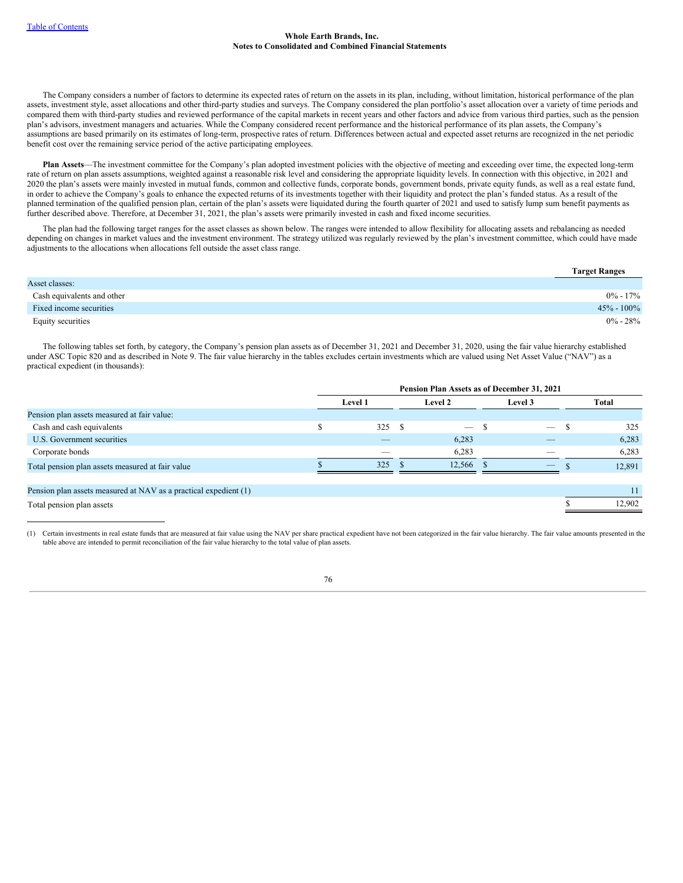The Company considers a number of factors to determine its expected rates of return on the assets in its plan, including, without limitation, historical performance of the plan assets, investment style, asset allocations and other third-party studies and surveys. The Company considered the plan portfolio's asset allocation over a variety of time periods and compared them with third-party studies and reviewed performance of the capital markets in recent years and other factors and advice from various third parties, such as the pension plan's advisors, investment managers and actuaries. While the Company considered recent performance and the historical performance of its plan assets, the Company's assumptions are based primarily on its estimates of long-term, prospective rates of return. Differences between actual and expected asset returns are recognized in the net periodic benefit cost over the remaining service period of the active participating employees.

**Plan Assets**—The investment committee for the Company's plan adopted investment policies with the objective of meeting and exceeding over time, the expected long-term rate of return on plan assets assumptions, weighted against a reasonable risk level and considering the appropriate liquidity levels. In connection with this objective, in 2021 and 2020 the plan's assets were mainly invested in mutual funds, common and collective funds, corporate bonds, government bonds, private equity funds, as well as a real estate fund, in order to achieve the Company's goals to enhance the expected returns of its investments together with their liquidity and protect the plan's funded status. As a result of the planned termination of the qualified pension plan, certain of the plan's assets were liquidated during the fourth quarter of 2021 and used to satisfy lump sum benefit payments as further described above. Therefore, at December 31, 2021, the plan's assets were primarily invested in cash and fixed income securities.

The plan had the following target ranges for the asset classes as shown below. The ranges were intended to allow flexibility for allocating assets and rebalancing as needed depending on changes in market values and the investment environment. The strategy utilized was regularly reviewed by the plan's investment committee, which could have made adjustments to the allocations when allocations fell outside the asset class range.

|                            | <b>Target Ranges</b> |
|----------------------------|----------------------|
| Asset classes:             |                      |
| Cash equivalents and other | $0\% - 17\%$         |
| Fixed income securities    | $45\% - 100\%$       |
| Equity securities          | $0\%$ - 28%          |

The following tables set forth, by category, the Company's pension plan assets as of December 31, 2021 and December 31, 2020, using the fair value hierarchy established under ASC Topic 820 and as described in Note 9. The fair value hierarchy in the tables excludes certain investments which are valued using Net Asset Value ("NAV") as a practical expedient (in thousands):

|                                                                  | Pension Plan Assets as of December 31, 2021 |                          |     |                |  |         |  |        |
|------------------------------------------------------------------|---------------------------------------------|--------------------------|-----|----------------|--|---------|--|--------|
|                                                                  |                                             | Level 1                  |     | <b>Level 2</b> |  | Level 3 |  | Total  |
| Pension plan assets measured at fair value:                      |                                             |                          |     |                |  |         |  |        |
| Cash and cash equivalents                                        |                                             | 325                      | - S |                |  |         |  | 325    |
| U.S. Government securities                                       |                                             | $\overline{\phantom{a}}$ |     | 6,283          |  |         |  | 6,283  |
| Corporate bonds                                                  |                                             |                          |     | 6,283          |  |         |  | 6,283  |
| Total pension plan assets measured at fair value                 |                                             | 325                      |     | 12,566 \$      |  | __      |  | 12,891 |
|                                                                  |                                             |                          |     |                |  |         |  |        |
| Pension plan assets measured at NAV as a practical expedient (1) |                                             |                          |     |                |  |         |  | 11     |
| Total pension plan assets                                        |                                             |                          |     |                |  |         |  | 12,902 |

(1) Certain investments in real estate funds that are measured at fair value using the NAV per share practical expedient have not been categorized in the fair value hierarchy. The fair value amounts presented in the table above are intended to permit reconciliation of the fair value hierarchy to the total value of plan assets.

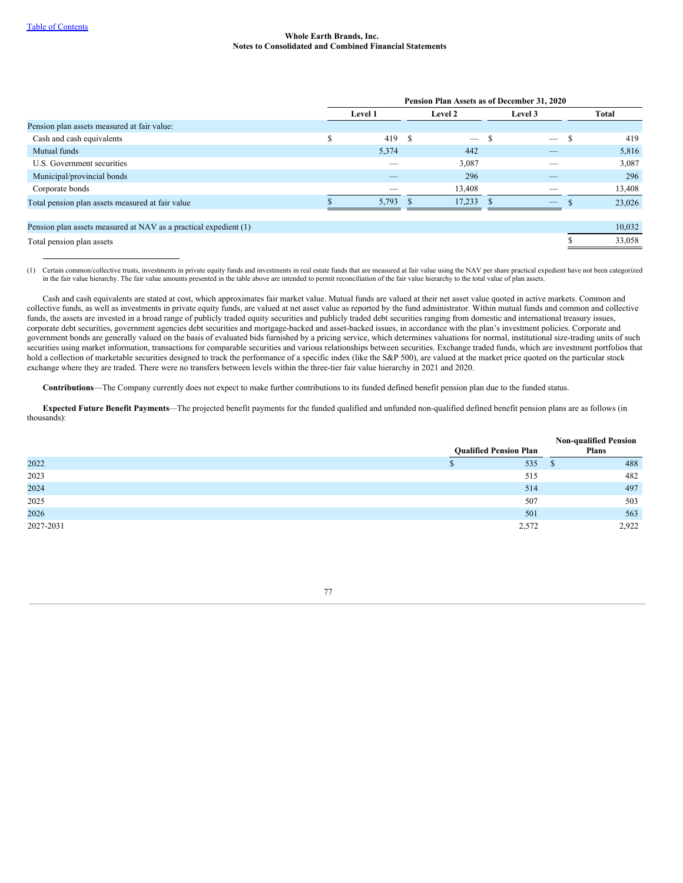|                                                                  |     | Pension Plan Assets as of December 31, 2020 |   |                          |    |                                   |    |        |
|------------------------------------------------------------------|-----|---------------------------------------------|---|--------------------------|----|-----------------------------------|----|--------|
|                                                                  |     | Level 1                                     |   | Level 2                  |    | Level 3                           |    | Total  |
| Pension plan assets measured at fair value:                      |     |                                             |   |                          |    |                                   |    |        |
| Cash and cash equivalents                                        | \$. | 419                                         | S | $\overline{\phantom{0}}$ | S  | $\overbrace{\phantom{aaaaa}}^{x}$ | -S | 419    |
| Mutual funds                                                     |     | 5,374                                       |   | 442                      |    |                                   |    | 5,816  |
| U.S. Government securities                                       |     |                                             |   | 3,087                    |    |                                   |    | 3,087  |
| Municipal/provincial bonds                                       |     |                                             |   | 296                      |    |                                   |    | 296    |
| Corporate bonds                                                  |     | _                                           |   | 13,408                   |    |                                   |    | 13,408 |
| Total pension plan assets measured at fair value                 |     | 5,793                                       |   | 17.233                   | -S |                                   |    | 23,026 |
|                                                                  |     |                                             |   |                          |    |                                   |    |        |
| Pension plan assets measured at NAV as a practical expedient (1) |     |                                             |   |                          |    |                                   |    | 10,032 |
| Total pension plan assets                                        |     |                                             |   |                          |    |                                   |    | 33,058 |

(1) Certain common/collective trusts, investments in private equity funds and investments in real estate funds that are measured at fair value using the NAV per share practical expedient have not been categorized in the fair value hierarchy. The fair value amounts presented in the table above are intended to permit reconciliation of the fair value hierarchy to the total value of plan assets.

Cash and cash equivalents are stated at cost, which approximates fair market value. Mutual funds are valued at their net asset value quoted in active markets. Common and collective funds, as well as investments in private equity funds, are valued at net asset value as reported by the fund administrator. Within mutual funds and common and collective funds, the assets are invested in a broad range of publicly traded equity securities and publicly traded debt securities ranging from domestic and international treasury issues, corporate debt securities, government agencies debt securities and mortgage-backed and asset-backed issues, in accordance with the plan's investment policies. Corporate and government bonds are generally valued on the basis of evaluated bids furnished by a pricing service, which determines valuations for normal, institutional size-trading units of such securities using market information, transactions for comparable securities and various relationships between securities. Exchange traded funds, which are investment portfolios that hold a collection of marketable securities designed to track the performance of a specific index (like the S&P 500), are valued at the market price quoted on the particular stock exchange where they are traded. There were no transfers between levels within the three-tier fair value hierarchy in 2021 and 2020.

**Contributions**—The Company currently does not expect to make further contributions to its funded defined benefit pension plan due to the funded status.

**Expected Future Benefit Payments**—The projected benefit payments for the funded qualified and unfunded non-qualified defined benefit pension plans are as follows (in thousands):

|           |                               | <b>Non-qualified Pension</b> |
|-----------|-------------------------------|------------------------------|
|           | <b>Oualified Pension Plan</b> | <b>Plans</b>                 |
| 2022      | 535                           | 488<br>- 5                   |
| 2023      | 515                           | 482                          |
| 2024      | 514                           | 497                          |
| 2025      | 507                           | 503                          |
| 2026      | 501                           | 563                          |
| 2027-2031 | 2,572                         | 2,922                        |
|           |                               |                              |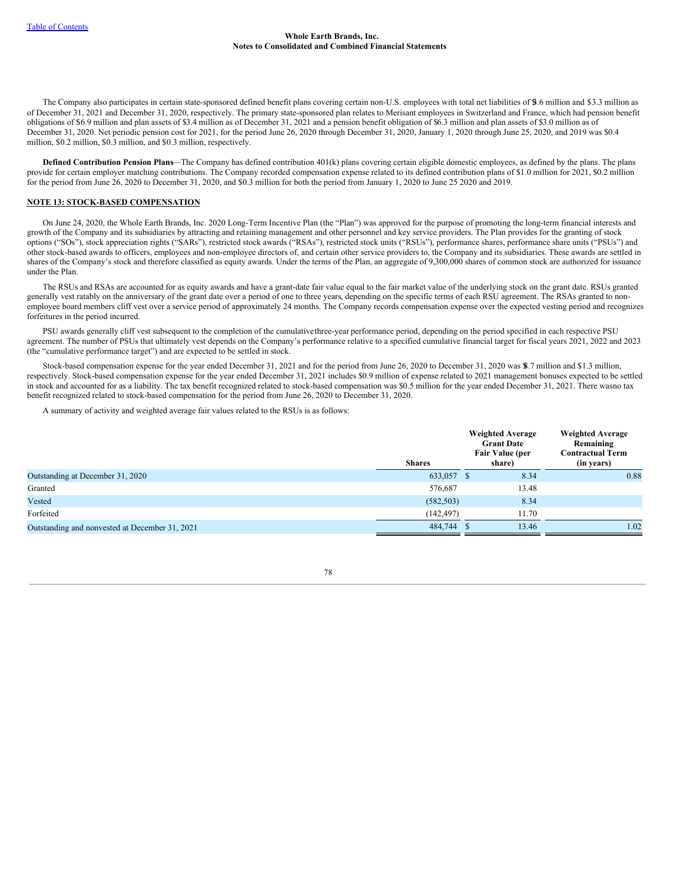The Company also participates in certain state-sponsored defined benefit plans covering certain non-U.S. employees with total net liabilities of \$.6 million and \$3.3 million as of December 31, 2021 and December 31, 2020, respectively. The primary state-sponsored plan relates to Merisant employees in Switzerland and France, which had pension benefit obligations of \$6.9 million and plan assets of \$3.4 million as of December 31, 2021 and a pension benefit obligation of \$6.3 million and plan assets of \$3.0 million as of December 31, 2020. Net periodic pension cost for 2021, for the period June 26, 2020 through December 31, 2020, January 1, 2020 through June 25, 2020, and 2019 was \$0.4 million, \$0.2 million, \$0.3 million, and \$0.3 million, respectively.

**Defined Contribution Pension Plans**—The Company has defined contribution 401(k) plans covering certain eligible domestic employees, as defined by the plans. The plans provide for certain employer matching contributions. The Company recorded compensation expense related to its defined contribution plans of \$1.0 million for 2021, \$0.2 million for the period from June 26, 2020 to December 31, 2020, and \$0.3 million for both the period from January 1, 2020 to June 25 2020 and 2019.

### **NOTE 13: STOCK-BASED COMPENSATION**

On June 24, 2020, the Whole Earth Brands, Inc. 2020 Long-Term Incentive Plan (the "Plan") was approved for the purpose of promoting the long-term financial interests and growth of the Company and its subsidiaries by attracting and retaining management and other personnel and key service providers. The Plan provides for the granting of stock options ("SOs"), stock appreciation rights ("SARs"), restricted stock awards ("RSAs"), restricted stock units ("RSUs"), performance shares, performance share units ("PSUs") and other stock-based awards to officers, employees and non-employee directors of, and certain other service providers to, the Company and its subsidiaries. These awards are settled in shares of the Company's stock and therefore classified as equity awards. Under the terms of the Plan, an aggregate of 9,300,000 shares of common stock are authorized for issuance under the Plan.

The RSUs and RSAs are accounted for as equity awards and have a grant-date fair value equal to the fair market value of the underlying stock on the grant date. RSUs granted generally vest ratably on the anniversary of the grant date over a period of one to three years, depending on the specific terms of each RSU agreement. The RSAs granted to nonemployee board members cliff vest over a service period of approximately 24 months. The Company records compensation expense over the expected vesting period and recognizes forfeitures in the period incurred.

PSU awards generally cliff vest subsequent to the completion of the cumulativethree-year performance period, depending on the period specified in each respective PSU agreement. The number of PSUs that ultimately vest depends on the Company's performance relative to a specified cumulative financial target for fiscal years 2021, 2022 and 2023 (the "cumulative performance target") and are expected to be settled in stock.

Stock-based compensation expense for the year ended December 31, 2021 and for the period from June 26, 2020 to December 31, 2020 was \$.7 million and \$1.3 million, respectively. Stock-based compensation expense for the year ended December 31, 2021 includes \$0.9 million of expense related to 2021 management bonuses expected to be settled in stock and accounted for as a liability. The tax benefit recognized related to stock-based compensation was \$0.5 million for the year ended December 31, 2021. There wasno tax benefit recognized related to stock-based compensation for the period from June 26, 2020 to December 31, 2020.

A summary of activity and weighted average fair values related to the RSUs is as follows:

|                                                | <b>Shares</b> | <b>Weighted Average</b><br><b>Grant Date</b><br><b>Fair Value (per</b><br>share) | <b>Weighted Average</b><br>Remaining<br><b>Contractual Term</b><br>(in years) |
|------------------------------------------------|---------------|----------------------------------------------------------------------------------|-------------------------------------------------------------------------------|
| Outstanding at December 31, 2020               | 633,057 \$    | 8.34                                                                             | 0.88                                                                          |
| Granted                                        | 576,687       | 13.48                                                                            |                                                                               |
| Vested                                         | (582, 503)    | 8.34                                                                             |                                                                               |
| Forfeited                                      | (142, 497)    | 11.70                                                                            |                                                                               |
| Outstanding and nonvested at December 31, 2021 | 484,744       | 13.46                                                                            | 1.02                                                                          |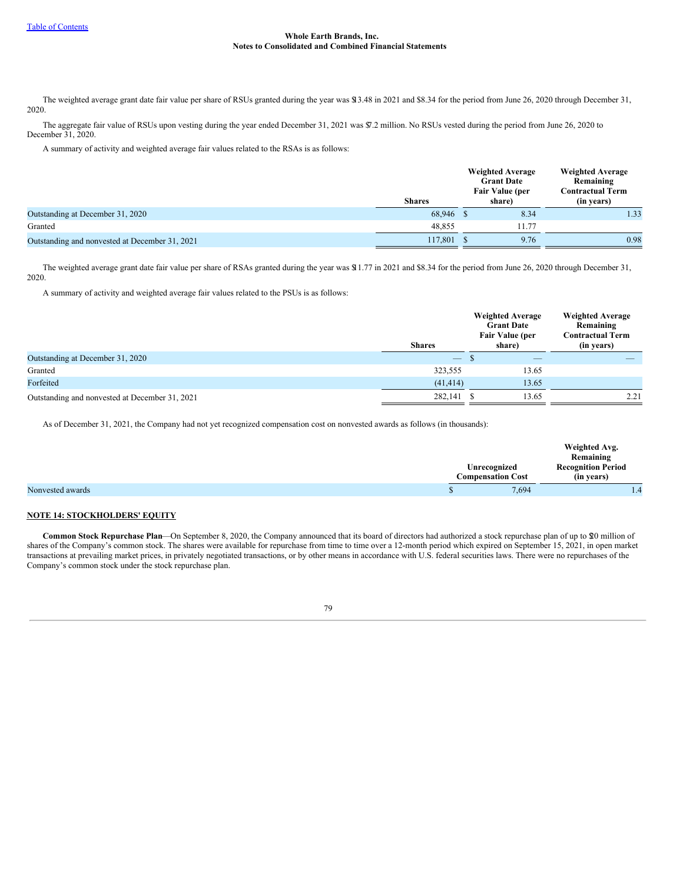The weighted average grant date fair value per share of RSUs granted during the year was \$13.48 in 2021 and \$8.34 for the period from June 26, 2020 through December 31, 2020.

The aggregate fair value of RSUs upon vesting during the year ended December 31, 2021 was \$7.2 million. No RSUs vested during the period from June 26, 2020 to December 31, 2020.

A summary of activity and weighted average fair values related to the RSAs is as follows:

|                                                | <b>Shares</b> | <b>Weighted Average</b><br><b>Grant Date</b><br><b>Fair Value (per</b><br>share) | <b>Weighted Average</b><br>Remaining<br><b>Contractual Term</b><br>(in years) |
|------------------------------------------------|---------------|----------------------------------------------------------------------------------|-------------------------------------------------------------------------------|
| Outstanding at December 31, 2020               | 68,946        | 8.34                                                                             | 1.33                                                                          |
| Granted                                        | 48.855        | 11.77                                                                            |                                                                               |
| Outstanding and nonvested at December 31, 2021 | 117,801       | 9.76                                                                             | 0.98                                                                          |

The weighted average grant date fair value per share of RSAs granted during the year was \$1.77 in 2021 and \$8.34 for the period from June 26, 2020 through December 31, 2020.

A summary of activity and weighted average fair values related to the PSUs is as follows:

|                                                | <b>Shares</b>                   | <b>Weighted Average</b><br><b>Grant Date</b><br>Fair Value (per<br>share) | <b>Weighted Average</b><br>Remaining<br><b>Contractual Term</b><br>(in years) |
|------------------------------------------------|---------------------------------|---------------------------------------------------------------------------|-------------------------------------------------------------------------------|
| Outstanding at December 31, 2020               | $\hspace{0.1mm}-\hspace{0.1mm}$ | $\overline{\phantom{a}}$                                                  |                                                                               |
| Granted                                        | 323,555                         | 13.65                                                                     |                                                                               |
| Forfeited                                      | (41, 414)                       | 13.65                                                                     |                                                                               |
| Outstanding and nonvested at December 31, 2021 | 282,141                         | 13.65                                                                     | 2.21                                                                          |

As of December 31, 2021, the Company had not yet recognized compensation cost on nonvested awards as follows (in thousands):

|                  |                                          | Weighted Avg.<br>Remaining              |
|------------------|------------------------------------------|-----------------------------------------|
|                  | Unrecognized<br><b>Compensation Cost</b> | <b>Recognition Period</b><br>(in years) |
| Nonvested awards | 7,694                                    | 1.4                                     |

# **NOTE 14: STOCKHOLDERS' EQUITY**

**Common Stock Repurchase Plan**—On September 8, 2020, the Company announced that its board of directors had authorized a stock repurchase plan of up to \$20 million of shares of the Company's common stock. The shares were available for repurchase from time to time over a 12-month period which expired on September 15, 2021, in open market transactions at prevailing market prices, in privately negotiated transactions, or by other means in accordance with U.S. federal securities laws. There were no repurchases of the Company's common stock under the stock repurchase plan.

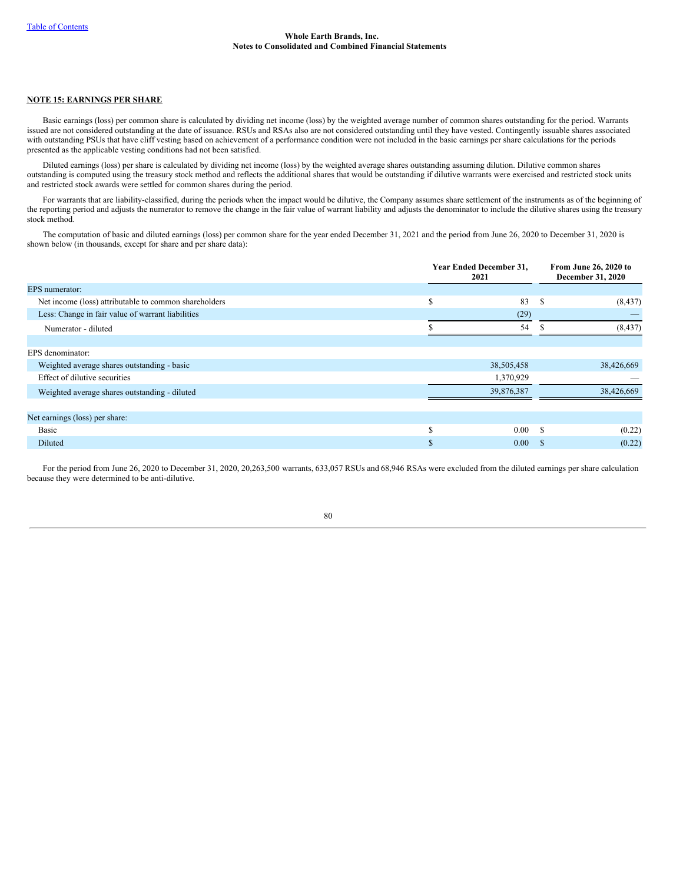# **NOTE 15: EARNINGS PER SHARE**

Basic earnings (loss) per common share is calculated by dividing net income (loss) by the weighted average number of common shares outstanding for the period. Warrants issued are not considered outstanding at the date of issuance. RSUs and RSAs also are not considered outstanding until they have vested. Contingently issuable shares associated with outstanding PSUs that have cliff vesting based on achievement of a performance condition were not included in the basic earnings per share calculations for the periods presented as the applicable vesting conditions had not been satisfied.

Diluted earnings (loss) per share is calculated by dividing net income (loss) by the weighted average shares outstanding assuming dilution. Dilutive common shares outstanding is computed using the treasury stock method and reflects the additional shares that would be outstanding if dilutive warrants were exercised and restricted stock units and restricted stock awards were settled for common shares during the period.

For warrants that are liability-classified, during the periods when the impact would be dilutive, the Company assumes share settlement of the instruments as of the beginning of the reporting period and adjusts the numerator to remove the change in the fair value of warrant liability and adjusts the denominator to include the dilutive shares using the treasury stock method.

The computation of basic and diluted earnings (loss) per common share for the year ended December 31, 2021 and the period from June 26, 2020 to December 31, 2020 is shown below (in thousands, except for share and per share data):

|                                                       |    | <b>Year Ended December 31,</b><br>2021 |     | From June 26, 2020 to<br><b>December 31, 2020</b> |  |
|-------------------------------------------------------|----|----------------------------------------|-----|---------------------------------------------------|--|
| EPS numerator:                                        |    |                                        |     |                                                   |  |
| Net income (loss) attributable to common shareholders | S  | 83                                     | \$. | (8, 437)                                          |  |
| Less: Change in fair value of warrant liabilities     |    | (29)                                   |     |                                                   |  |
| Numerator - diluted                                   |    | 54                                     |     | (8, 437)                                          |  |
|                                                       |    |                                        |     |                                                   |  |
| EPS denominator:                                      |    |                                        |     |                                                   |  |
| Weighted average shares outstanding - basic           |    | 38,505,458                             |     | 38,426,669                                        |  |
| Effect of dilutive securities                         |    | 1,370,929                              |     |                                                   |  |
| Weighted average shares outstanding - diluted         |    | 39,876,387                             |     | 38,426,669                                        |  |
|                                                       |    |                                        |     |                                                   |  |
| Net earnings (loss) per share:                        |    |                                        |     |                                                   |  |
| Basic                                                 | ė  | 0.00                                   | \$. | (0.22)                                            |  |
| Diluted                                               | a. | 0.00                                   |     | (0.22)                                            |  |

For the period from June 26, 2020 to December 31, 2020, 20,263,500 warrants, 633,057 RSUs and 68,946 RSAs were excluded from the diluted earnings per share calculation because they were determined to be anti-dilutive.

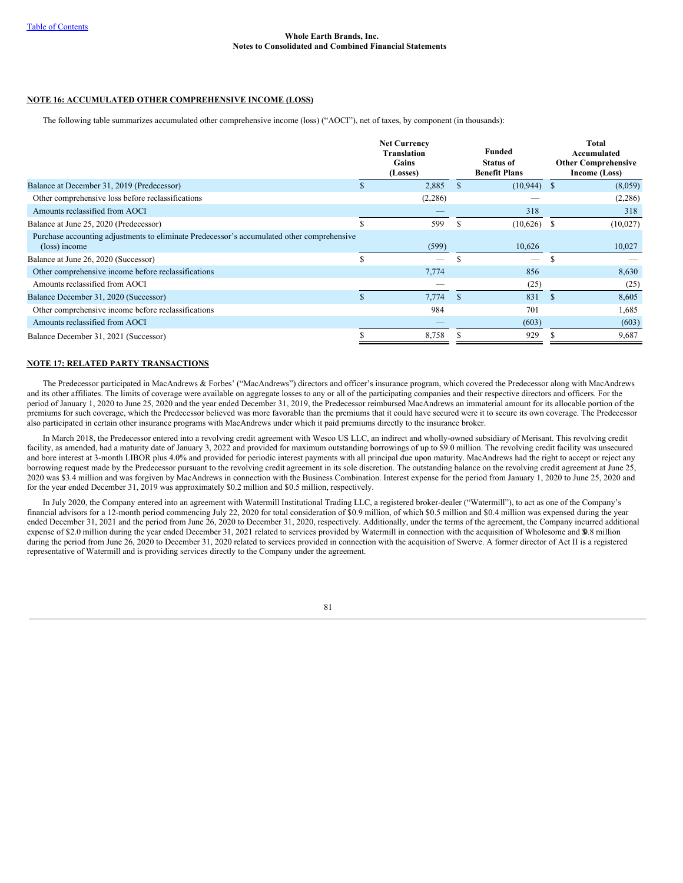# **NOTE 16: ACCUMULATED OTHER COMPREHENSIVE INCOME (LOSS)**

The following table summarizes accumulated other comprehensive income (loss) ("AOCI"), net of taxes, by component (in thousands):

|                                                                                                             |   | <b>Net Currency</b><br><b>Translation</b><br>Gains<br>(Losses) |               | Funded<br><b>Status of</b><br><b>Benefit Plans</b> |    | Total<br>Accumulated<br><b>Other Comprehensive</b><br>Income (Loss) |
|-------------------------------------------------------------------------------------------------------------|---|----------------------------------------------------------------|---------------|----------------------------------------------------|----|---------------------------------------------------------------------|
| Balance at December 31, 2019 (Predecessor)                                                                  | ж | 2,885                                                          | -S            | $(10,944)$ \$                                      |    | (8,059)                                                             |
| Other comprehensive loss before reclassifications                                                           |   | (2,286)                                                        |               |                                                    |    | (2,286)                                                             |
| Amounts reclassified from AOCI                                                                              |   |                                                                |               | 318                                                |    | 318                                                                 |
| Balance at June 25, 2020 (Predecessor)                                                                      | э | 599                                                            |               | $(10,626)$ \$                                      |    | (10,027)                                                            |
| Purchase accounting adjustments to eliminate Predecessor's accumulated other comprehensive<br>(loss) income |   | (599)                                                          |               | 10,626                                             |    | 10,027                                                              |
| Balance at June 26, 2020 (Successor)                                                                        | S |                                                                |               |                                                    |    |                                                                     |
| Other comprehensive income before reclassifications                                                         |   | 7,774                                                          |               | 856                                                |    | 8,630                                                               |
| Amounts reclassified from AOCI                                                                              |   |                                                                |               | (25)                                               |    | (25)                                                                |
| Balance December 31, 2020 (Successor)                                                                       |   | 7,774                                                          | <sup>\$</sup> | 831                                                | -8 | 8,605                                                               |
| Other comprehensive income before reclassifications                                                         |   | 984                                                            |               | 701                                                |    | 1,685                                                               |
| Amounts reclassified from AOCI                                                                              |   |                                                                |               | (603)                                              |    | (603)                                                               |
| Balance December 31, 2021 (Successor)                                                                       |   | 8,758                                                          |               | 929                                                |    | 9,687                                                               |

### **NOTE 17: RELATED PARTY TRANSACTIONS**

The Predecessor participated in MacAndrews & Forbes' ("MacAndrews") directors and officer's insurance program, which covered the Predecessor along with MacAndrews and its other affiliates. The limits of coverage were available on aggregate losses to any or all of the participating companies and their respective directors and officers. For the period of January 1, 2020 to June 25, 2020 and the year ended December 31, 2019, the Predecessor reimbursed MacAndrews an immaterial amount for its allocable portion of the premiums for such coverage, which the Predecessor believed was more favorable than the premiums that it could have secured were it to secure its own coverage. The Predecessor also participated in certain other insurance programs with MacAndrews under which it paid premiums directly to the insurance broker.

In March 2018, the Predecessor entered into a revolving credit agreement with Wesco US LLC, an indirect and wholly-owned subsidiary of Merisant. This revolving credit facility, as amended, had a maturity date of January 3, 2022 and provided for maximum outstanding borrowings of up to \$9.0 million. The revolving credit facility was unsecured and bore interest at 3-month LIBOR plus 4.0% and provided for periodic interest payments with all principal due upon maturity. MacAndrews had the right to accept or reject any borrowing request made by the Predecessor pursuant to the revolving credit agreement in its sole discretion. The outstanding balance on the revolving credit agreement at June 25, 2020 was \$3.4 million and was forgiven by MacAndrews in connection with the Business Combination. Interest expense for the period from January 1, 2020 to June 25, 2020 and for the year ended December 31, 2019 was approximately \$0.2 million and \$0.5 million, respectively.

In July 2020, the Company entered into an agreement with Watermill Institutional Trading LLC, a registered broker-dealer ("Watermill"), to act as one of the Company's financial advisors for a 12-month period commencing July 22, 2020 for total consideration of \$0.9 million, of which \$0.5 million and \$0.4 million was expensed during the year ended December 31, 2021 and the period from June 26, 2020 to December 31, 2020, respectively. Additionally, under the terms of the agreement, the Company incurred additional expense of \$2.0 million during the year ended December 31, 2021 related to services provided by Watermill in connection with the acquisition of Wholesome and \$0.8 million during the period from June 26, 2020 to December 31, 2020 related to services provided in connection with the acquisition of Swerve. A former director of Act II is a registered representative of Watermill and is providing services directly to the Company under the agreement.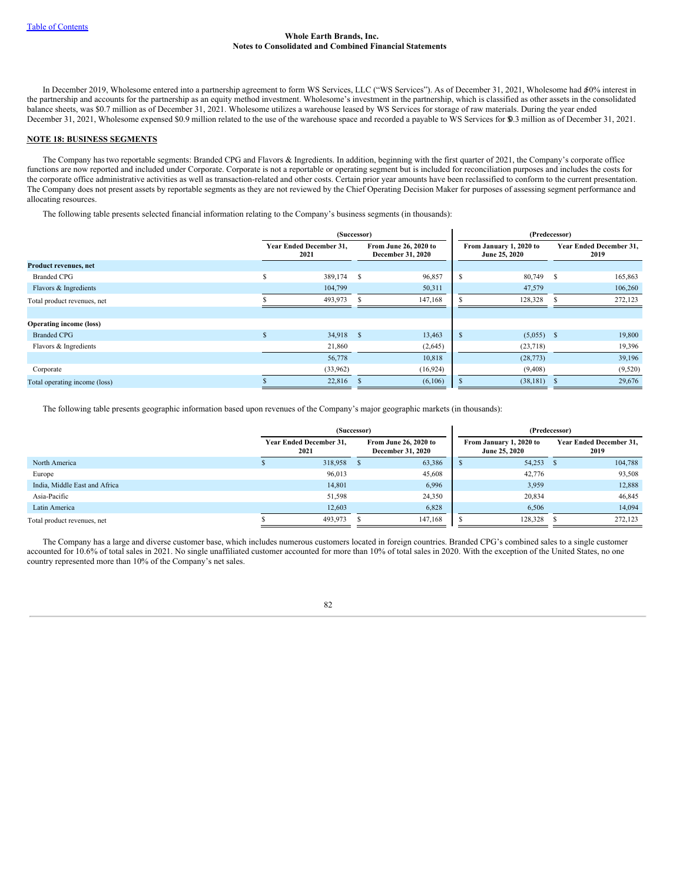In December 2019, Wholesome entered into a partnership agreement to form WS Services, LLC ("WS Services"). As of December 31, 2021, Wholesome had  $50\%$  interest in the partnership and accounts for the partnership as an equity method investment. Wholesome's investment in the partnership, which is classified as other assets in the consolidated balance sheets, was \$0.7 million as of December 31, 2021. Wholesome utilizes a warehouse leased by WS Services for storage of raw materials. During the year ended December 31, 2021, Wholesome expensed \$0.9 million related to the use of the warehouse space and recorded a payable to WS Services for \$0.3 million as of December 31, 2021.

### **NOTE 18: BUSINESS SEGMENTS**

The Company hastwo reportable segments: Branded CPG and Flavors & Ingredients. In addition, beginning with the first quarter of 2021, the Company's corporate office functions are now reported and included under Corporate. Corporate is not a reportable or operating segment but is included for reconciliation purposes and includes the costs for the corporate office administrative activities as well as transaction-related and other costs. Certain prior year amounts have been reclassified to conform to the current presentation. The Company does not present assets by reportable segments as they are not reviewed by the Chief Operating Decision Maker for purposes of assessing segment performance and allocating resources.

The following table presents selected financial information relating to the Company's business segments (in thousands):

|                                |                                 | (Successor)                                       | (Predecessor)                            |                                 |  |  |
|--------------------------------|---------------------------------|---------------------------------------------------|------------------------------------------|---------------------------------|--|--|
|                                | Year Ended December 31,<br>2021 | <b>From June 26, 2020 to</b><br>December 31, 2020 | From January 1, 2020 to<br>June 25, 2020 | Year Ended December 31,<br>2019 |  |  |
| Product revenues, net          |                                 |                                                   |                                          |                                 |  |  |
| <b>Branded CPG</b>             | S<br>389,174                    | S<br>96,857                                       | 80,749                                   | <sup>S</sup><br>165,863         |  |  |
| Flavors & Ingredients          | 104,799                         | 50,311                                            | 47,579                                   | 106,260                         |  |  |
| Total product revenues, net    | 493,973                         | 147,168                                           | 128,328                                  | 272,123                         |  |  |
|                                |                                 |                                                   |                                          |                                 |  |  |
| <b>Operating income (loss)</b> |                                 |                                                   |                                          |                                 |  |  |
| <b>Branded CPG</b>             | $\mathbf{s}$<br>34,918 \$       | 13,463                                            | $(5,055)$ \$<br>$\mathcal{S}$            | 19,800                          |  |  |
| Flavors & Ingredients          | 21,860                          | (2,645)                                           | (23,718)                                 | 19,396                          |  |  |
|                                | 56,778                          | 10,818                                            | (28, 773)                                | 39,196                          |  |  |
| Corporate                      | (33,962)                        | (16, 924)                                         | (9,408)                                  | (9,520)                         |  |  |
| Total operating income (loss)  | 22,816                          | (6,106)                                           | (38,181)                                 | 29,676<br>-8                    |  |  |

The following table presents geographic information based upon revenues of the Company's major geographic markets (in thousands):

|                               |                                 | (Successor)                                       | (Predecessor)                            |                                 |  |  |
|-------------------------------|---------------------------------|---------------------------------------------------|------------------------------------------|---------------------------------|--|--|
|                               | Year Ended December 31,<br>2021 | From June 26, 2020 to<br><b>December 31, 2020</b> | From January 1, 2020 to<br>June 25, 2020 | Year Ended December 31,<br>2019 |  |  |
| North America                 | 318,958                         | 63,386                                            | 54,253                                   | 104,788                         |  |  |
| Europe                        | 96,013                          | 45,608                                            | 42,776                                   | 93,508                          |  |  |
| India, Middle East and Africa | 14,801                          | 6,996                                             | 3,959                                    | 12,888                          |  |  |
| Asia-Pacific                  | 51,598                          | 24,350                                            | 20,834                                   | 46,845                          |  |  |
| Latin America                 | 12.603                          | 6,828                                             | 6,506                                    | 14.094                          |  |  |
| Total product revenues, net   | 493,973                         | 147,168                                           | 128,328                                  | 272,123                         |  |  |

The Company has a large and diverse customer base, which includes numerous customers located in foreign countries. Branded CPG's combined sales to a single customer accounted for 10.6% of total sales in 2021. No single unaffiliated customer accounted for more than 10% of total sales in 2020. With the exception of the United States, no one country represented more than 10% of the Company's net sales.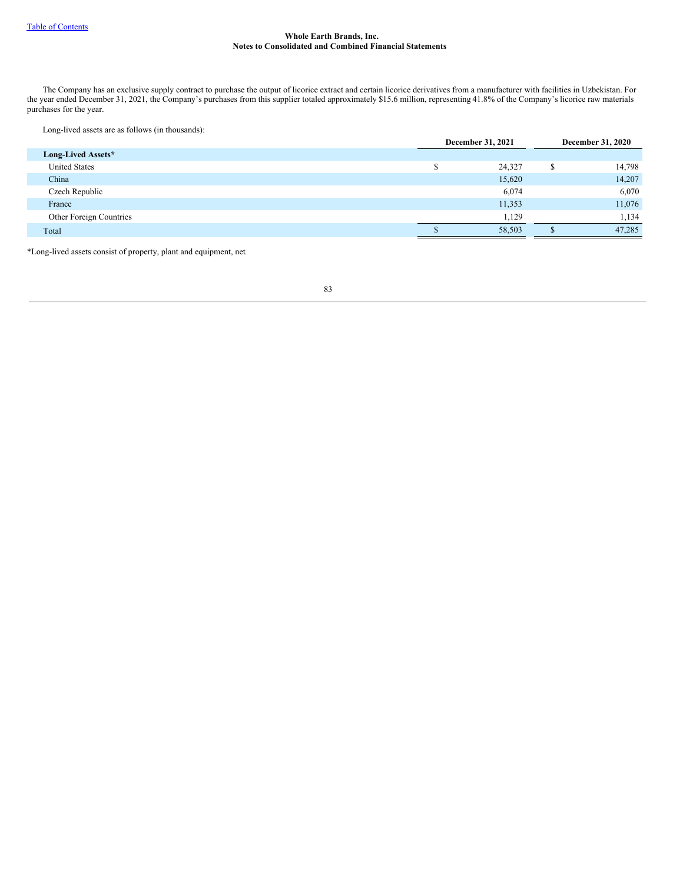The Company has an exclusive supply contract to purchase the output of licorice extract and certain licorice derivatives from a manufacturer with facilities in Uzbekistan. For the year ended December 31, 2021, the Company's purchases from this supplier totaled approximately \$15.6 million, representing 41.8% of the Company's licorice raw materials purchases for the year.

Long-lived assets are as follows (in thousands):

|                         |   | <b>December 31, 2021</b> |   | December 31, 2020 |  |
|-------------------------|---|--------------------------|---|-------------------|--|
| Long-Lived Assets*      |   |                          |   |                   |  |
| <b>United States</b>    | D | 24,327                   | ጦ | 14,798            |  |
| China                   |   | 15,620                   |   | 14,207            |  |
| Czech Republic          |   | 6,074                    |   | 6,070             |  |
| France                  |   | 11,353                   |   | 11,076            |  |
| Other Foreign Countries |   | 1,129                    |   | 1,134             |  |
| Total                   |   | 58,503                   |   | 47,285            |  |
|                         |   |                          |   |                   |  |

\*Long-lived assets consist of property, plant and equipment, net.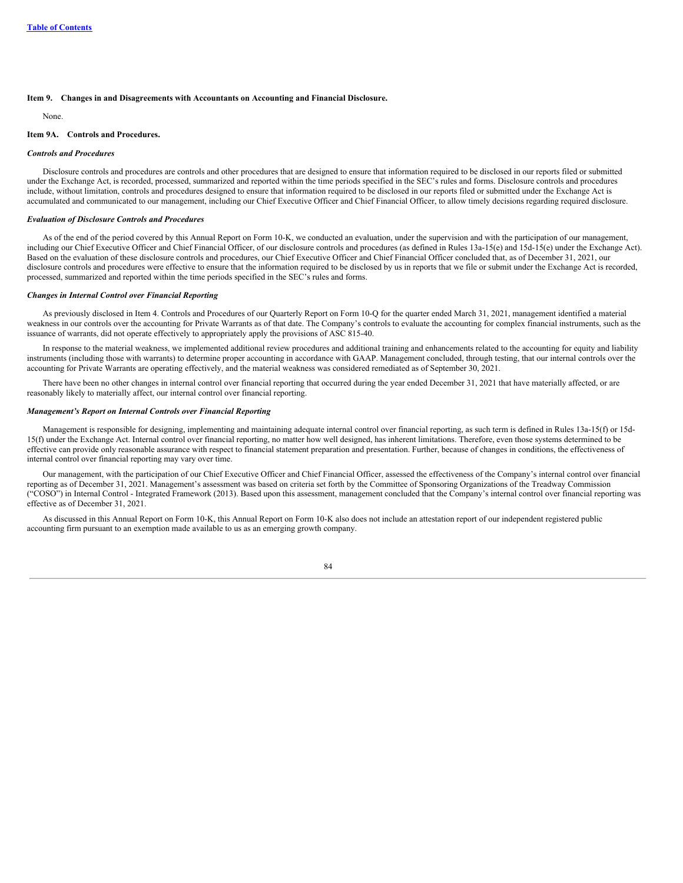### **Item 9. Changes in and Disagreements with Accountants on Accounting and Financial Disclosure.**

None.

### **Item 9A. Controls and Procedures.**

### *Controls and Procedures*

Disclosure controls and procedures are controls and other procedures that are designed to ensure that information required to be disclosed in our reports filed or submitted under the Exchange Act, is recorded, processed, summarized and reported within the time periods specified in the SEC's rules and forms. Disclosure controls and procedures include, without limitation, controls and procedures designed to ensure that information required to be disclosed in our reports filed or submitted under the Exchange Act is accumulated and communicated to our management, including our Chief Executive Officer and Chief Financial Officer, to allow timely decisions regarding required disclosure.

### *Evaluation of Disclosure Controls and Procedures*

As of the end of the period covered by this Annual Report on Form 10-K, we conducted an evaluation, under the supervision and with the participation of our management, including our Chief Executive Officer and Chief Financial Officer, of our disclosure controls and procedures (as defined in Rules 13a-15(e) and 15d-15(e) under the Exchange Act). Based on the evaluation of these disclosure controls and procedures, our Chief Executive Officer and Chief Financial Officer concluded that, as of December 31, 2021, our disclosure controls and procedures were effective to ensure that the information required to be disclosed by us in reports that we file or submit under the Exchange Act is recorded, processed, summarized and reported within the time periods specified in the SEC's rules and forms.

### *Changes in Internal Control over Financial Reporting*

As previously disclosed in Item 4. Controls and Procedures of our Quarterly Report on Form 10-Q for the quarter ended March 31, 2021, management identified a material weakness in our controls over the accounting for Private Warrants as of that date. The Company's controls to evaluate the accounting for complex financial instruments, such as the issuance of warrants, did not operate effectively to appropriately apply the provisions of ASC 815-40.

In response to the material weakness, we implemented additional review procedures and additional training and enhancements related to the accounting for equity and liability instruments (including those with warrants) to determine proper accounting in accordance with GAAP. Management concluded, through testing, that our internal controls over the accounting for Private Warrants are operating effectively, and the material weakness was considered remediated as of September 30, 2021.

There have been no other changes in internal control over financial reporting that occurred during the year ended December 31, 2021 that have materially affected, or are reasonably likely to materially affect, our internal control over financial reporting.

### *Management's Report on Internal Controls over Financial Reporting*

Management is responsible for designing, implementing and maintaining adequate internal control over financial reporting, as such term is defined in Rules 13a-15(f) or 15d-15(f) under the Exchange Act. Internal control over financial reporting, no matter how well designed, has inherent limitations. Therefore, even those systems determined to be effective can provide only reasonable assurance with respect to financial statement preparation and presentation. Further, because of changes in conditions, the effectiveness of internal control over financial reporting may vary over time.

Our management, with the participation of our Chief Executive Officer and Chief Financial Officer, assessed the effectiveness of the Company's internal control over financial reporting as of December 31, 2021. Management's assessment was based on criteria set forth by the Committee of Sponsoring Organizations of the Treadway Commission ("COSO") in Internal Control - Integrated Framework (2013). Based upon this assessment, management concluded that the Company's internal control over financial reporting was effective as of December 31, 2021.

As discussed in this Annual Report on Form 10-K, this Annual Report on Form 10-K also does not include an attestation report of our independent registered public accounting firm pursuant to an exemption made available to us as an emerging growth company.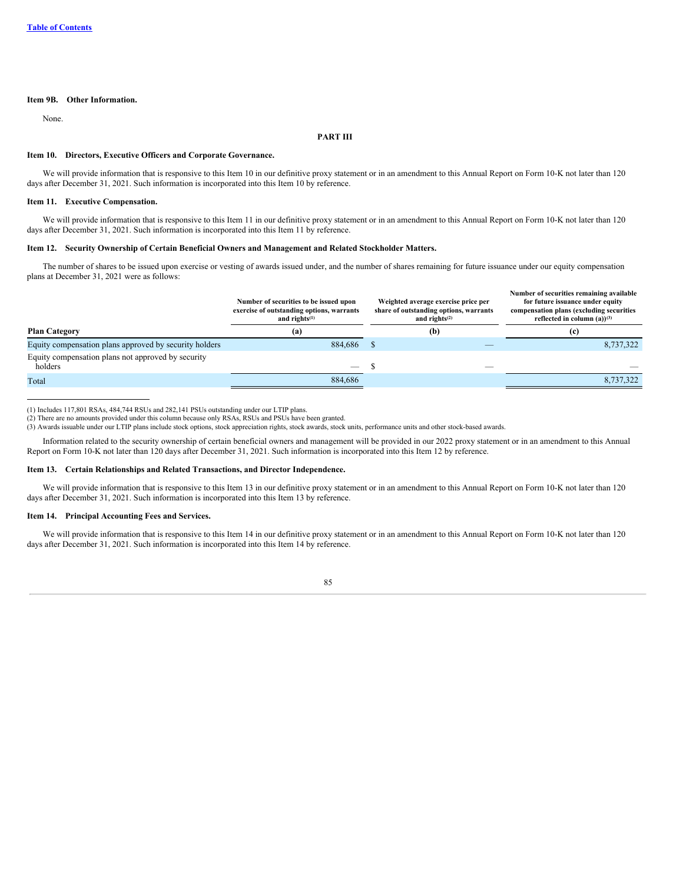### **Item 9B. Other Information.**

None.

# **PART III**

#### **Item 10. Directors, Executive Officers and Corporate Governance.**

We will provide information that is responsive to this Item 10 in our definitive proxy statement or in an amendment to this Annual Report on Form 10-K not later than 120 days after December 31, 2021. Such information is incorporated into this Item 10 by reference.

### **Item 11. Executive Compensation.**

We will provide information that is responsive to this Item 11 in our definitive proxy statement or in an amendment to this Annual Report on Form 10-K not later than 120 days after December 31, 2021. Such information is incorporated into this Item 11 by reference.

### **Item 12. Security Ownership of Certain Beneficial Owners and Management and Related Stockholder Matters.**

The number of shares to be issued upon exercise or vesting of awards issued under, and the number of shares remaining for future issuance under our equity compensation plans at December 31, 2021 were as follows:

|                                                               | Number of securities to be issued upon<br>exercise of outstanding options, warrants<br>and rights $(1)$ | Weighted average exercise price per<br>share of outstanding options, warrants<br>and rights $(2)$ | Number of securities remaining available<br>for future issuance under equity<br>compensation plans (excluding securities<br>reflected in column $(a)$ ) <sup>(3)</sup> |
|---------------------------------------------------------------|---------------------------------------------------------------------------------------------------------|---------------------------------------------------------------------------------------------------|------------------------------------------------------------------------------------------------------------------------------------------------------------------------|
| <b>Plan Category</b>                                          | (a)                                                                                                     | (b)                                                                                               | (c)                                                                                                                                                                    |
| Equity compensation plans approved by security holders        | 884,686                                                                                                 |                                                                                                   | 8,737,322                                                                                                                                                              |
| Equity compensation plans not approved by security<br>holders |                                                                                                         |                                                                                                   |                                                                                                                                                                        |
| Total                                                         | 884,686                                                                                                 |                                                                                                   | 8,737,322                                                                                                                                                              |
|                                                               |                                                                                                         |                                                                                                   |                                                                                                                                                                        |

(1) Includes 117,801 RSAs, 484,744 RSUs and 282,141 PSUs outstanding under our LTIP plans.

(2) There are no amounts provided under this column because only RSAs, RSUs and PSUs have been granted.

(3) Awards issuable under our LTIP plans include stock options, stock appreciation rights, stock awards, stock units, performance units and other stock-based awards.

Information related to the security ownership of certain beneficial owners and management will be provided in our 2022 proxy statement or in an amendment to this Annual Report on Form 10-K not later than 120 days after December 31, 2021. Such information is incorporated into this Item 12 by reference.

#### **Item 13. Certain Relationships and Related Transactions, and Director Independence.**

We will provide information that is responsive to this Item 13 in our definitive proxy statement or in an amendment to this Annual Report on Form 10-K not later than 120 days after December 31, 2021. Such information is incorporated into this Item 13 by reference.

#### **Item 14. Principal Accounting Fees and Services.**

We will provide information that is responsive to this Item 14 in our definitive proxy statement or in an amendment to this Annual Report on Form 10-K not later than 120 days after December 31, 2021. Such information is incorporated into this Item 14 by reference.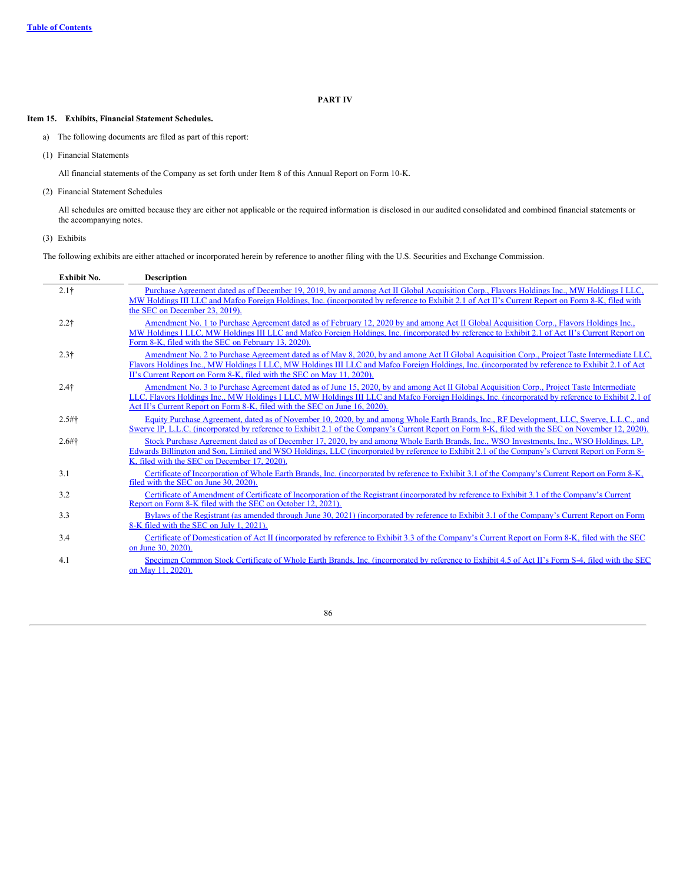# **PART IV**

# **Item 15. Exhibits, Financial Statement Schedules.**

- a) The following documents are filed as part of this report:
- (1) Financial Statements

All financial statements of the Company as set forth under Item 8 of this Annual Report on Form 10-K.

(2) Financial Statement Schedules

All schedules are omitted because they are either not applicable or the required information is disclosed in our audited consolidated and combined financial statements or the accompanying notes.

# (3) Exhibits

The following exhibits are either attached or incorporated herein by reference to another filing with the U.S. Securities and Exchange Commission.

| Exhibit No.  | <b>Description</b>                                                                                                                                                                                                                                                                            |
|--------------|-----------------------------------------------------------------------------------------------------------------------------------------------------------------------------------------------------------------------------------------------------------------------------------------------|
| $2.1 +$      | Purchase Agreement dated as of December 19, 2019, by and among Act II Global Acquisition Corp., Flavors Holdings Inc., MW Holdings I LLC.                                                                                                                                                     |
|              | MW Holdings III LLC and Mafco Foreign Holdings, Inc. (incorporated by reference to Exhibit 2.1 of Act II's Current Report on Form 8-K, filed with                                                                                                                                             |
|              | the SEC on December 23, 2019).                                                                                                                                                                                                                                                                |
| $2.2\dagger$ | Amendment No. 1 to Purchase Agreement dated as of February 12, 2020 by and among Act II Global Acquisition Corp., Flavors Holdings Inc.,                                                                                                                                                      |
|              | MW Holdings I LLC, MW Holdings III LLC and Mafco Foreign Holdings, Inc. (incorporated by reference to Exhibit 2.1 of Act II's Current Report on                                                                                                                                               |
|              | Form 8-K, filed with the SEC on February 13, 2020).                                                                                                                                                                                                                                           |
| $2.3\dagger$ | Amendment No. 2 to Purchase Agreement dated as of May 8, 2020, by and among Act II Global Acquisition Corp., Project Taste Intermediate LLC.                                                                                                                                                  |
|              | Flavors Holdings Inc., MW Holdings ILLC, MW Holdings III LLC and Mafco Foreign Holdings, Inc. (incorporated by reference to Exhibit 2.1 of Act<br>II's Current Report on Form 8-K, filed with the SEC on May 11, 2020).                                                                       |
|              |                                                                                                                                                                                                                                                                                               |
| $2.4\dagger$ | Amendment No. 3 to Purchase Agreement dated as of June 15, 2020, by and among Act II Global Acquisition Corp., Project Taste Intermediate<br>LLC, Flavors Holdings Inc., MW Holdings I LLC, MW Holdings III LLC and Mafco Foreign Holdings, Inc. (incorporated by reference to Exhibit 2.1 of |
|              | Act II's Current Report on Form 8-K, filed with the SEC on June 16, 2020).                                                                                                                                                                                                                    |
| $2.5#$ †     | Equity Purchase Agreement, dated as of November 10, 2020, by and among Whole Earth Brands, Inc., RF Development, LLC, Swerve, L.L.C., and                                                                                                                                                     |
|              | Swerve IP, L.L.C. (incorporated by reference to Exhibit 2.1 of the Company's Current Report on Form 8-K, filed with the SEC on November 12, 2020).                                                                                                                                            |
| $2.6#$ †     | Stock Purchase Agreement dated as of December 17, 2020, by and among Whole Earth Brands, Inc., WSO Investments, Inc., WSO Holdings, LP.                                                                                                                                                       |
|              | Edwards Billington and Son, Limited and WSO Holdings, LLC (incorporated by reference to Exhibit 2.1 of the Company's Current Report on Form 8-                                                                                                                                                |
|              | K. filed with the SEC on December 17, 2020).                                                                                                                                                                                                                                                  |
| 3.1          | Certificate of Incorporation of Whole Earth Brands, Inc. (incorporated by reference to Exhibit 3.1 of the Company's Current Report on Form 8-K,                                                                                                                                               |
|              | filed with the SEC on June 30, 2020).                                                                                                                                                                                                                                                         |
| 3.2          | Certificate of Amendment of Certificate of Incorporation of the Registrant (incorporated by reference to Exhibit 3.1 of the Company's Current                                                                                                                                                 |
|              | Report on Form 8-K filed with the SEC on October 12, 2021).                                                                                                                                                                                                                                   |
| 3.3          | Bylaws of the Registrant (as amended through June 30, 2021) (incorporated by reference to Exhibit 3.1 of the Company's Current Report on Form<br>8-K filed with the SEC on July 1, 2021).                                                                                                     |
| 3.4          | Certificate of Domestication of Act II (incorporated by reference to Exhibit 3.3 of the Company's Current Report on Form 8-K, filed with the SEC                                                                                                                                              |
|              | on June 30, 2020).                                                                                                                                                                                                                                                                            |
| 4.1          | Specimen Common Stock Certificate of Whole Earth Brands, Inc. (incorporated by reference to Exhibit 4.5 of Act II's Form S-4, filed with the SEC                                                                                                                                              |
|              | on May 11, 2020).                                                                                                                                                                                                                                                                             |
|              |                                                                                                                                                                                                                                                                                               |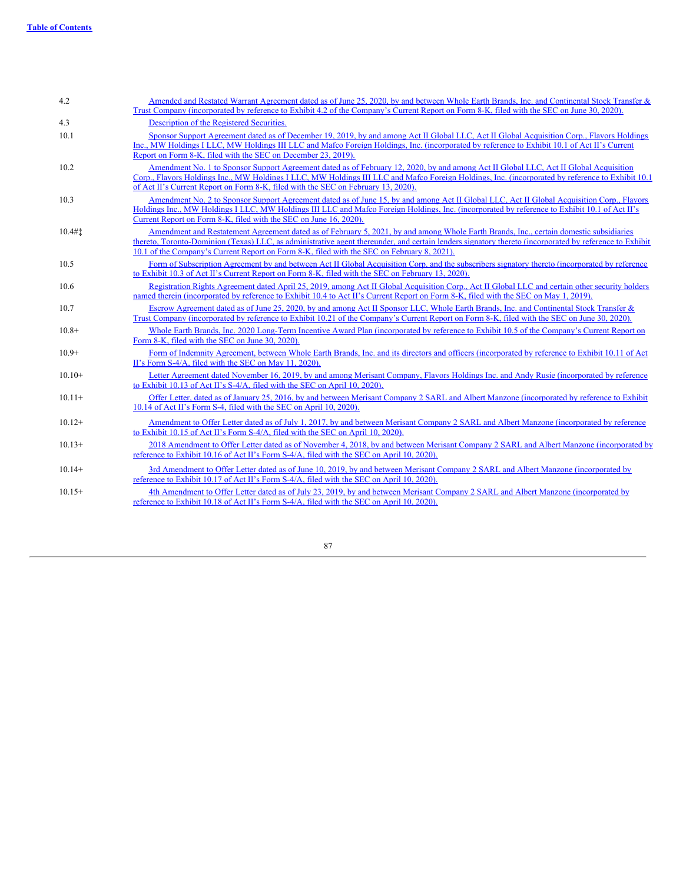| 4.2      | Amended and Restated Warrant Agreement dated as of June 25, 2020, by and between Whole Earth Brands, Inc. and Continental Stock Transfer &<br>Trust Company (incorporated by reference to Exhibit 4.2 of the Company's Current Report on Form 8-K, filed with the SEC on June 30, 2020).                                                                                                       |
|----------|------------------------------------------------------------------------------------------------------------------------------------------------------------------------------------------------------------------------------------------------------------------------------------------------------------------------------------------------------------------------------------------------|
| 4.3      | Description of the Registered Securities.                                                                                                                                                                                                                                                                                                                                                      |
| 10.1     | Sponsor Support Agreement dated as of December 19, 2019, by and among Act II Global LLC, Act II Global Acquisition Corp., Flavors Holdings<br>Inc., MW Holdings I LLC, MW Holdings III LLC and Mafco Foreign Holdings, Inc. (incorporated by reference to Exhibit 10.1 of Act II's Current<br>Report on Form 8-K, filed with the SEC on December 23, 2019).                                    |
| 10.2     | Amendment No. 1 to Sponsor Support Agreement dated as of February 12, 2020, by and among Act II Global LLC, Act II Global Acquisition<br>Corp., Flavors Holdings Inc., MW Holdings I LLC, MW Holdings III LLC and Mafco Foreign Holdings, Inc. (incorporated by reference to Exhibit 10.1<br>of Act II's Current Report on Form 8-K, filed with the SEC on February 13, 2020).                 |
| 10.3     | Amendment No. 2 to Sponsor Support Agreement dated as of June 15, by and among Act II Global LLC, Act II Global Acquisition Corp., Flavors<br>Holdings Inc., MW Holdings I LLC, MW Holdings III LLC and Mafco Foreign Holdings, Inc. (incorporated by reference to Exhibit 10.1 of Act II's<br>Current Report on Form 8-K, filed with the SEC on June 16, 2020).                               |
| 10.4#1   | Amendment and Restatement Agreement dated as of February 5, 2021, by and among Whole Earth Brands, Inc., certain domestic subsidiaries<br>thereto, Toronto-Dominion (Texas) LLC, as administrative agent thereunder, and certain lenders signatory thereto (incorporated by reference to Exhibit<br>10.1 of the Company's Current Report on Form 8-K, filed with the SEC on February 8, 2021). |
| 10.5     | Form of Subscription Agreement by and between Act II Global Acquisition Corp. and the subscribers signatory thereto (incorporated by reference<br>to Exhibit 10.3 of Act II's Current Report on Form 8-K, filed with the SEC on February 13, 2020).                                                                                                                                            |
| 10.6     | Registration Rights Agreement dated April 25, 2019, among Act II Global Acquisition Corp., Act II Global LLC and certain other security holders<br>named therein (incorporated by reference to Exhibit 10.4 to Act II's Current Report on Form 8-K, filed with the SEC on May 1, 2019).                                                                                                        |
| 10.7     | Escrow Agreement dated as of June 25, 2020, by and among Act II Sponsor LLC, Whole Earth Brands, Inc. and Continental Stock Transfer &<br>Trust Company (incorporated by reference to Exhibit 10.21 of the Company's Current Report on Form 8-K, filed with the SEC on June 30, 2020).                                                                                                         |
| $10.8+$  | Whole Earth Brands, Inc. 2020 Long-Term Incentive Award Plan (incorporated by reference to Exhibit 10.5 of the Company's Current Report on<br>Form 8-K, filed with the SEC on June 30, 2020).                                                                                                                                                                                                  |
| $10.9+$  | Form of Indemnity Agreement, between Whole Earth Brands, Inc. and its directors and officers (incorporated by reference to Exhibit 10.11 of Act<br>II's Form S-4/A, filed with the SEC on May 11, 2020).                                                                                                                                                                                       |
| $10.10+$ | Letter Agreement dated November 16, 2019, by and among Merisant Company, Flavors Holdings Inc. and Andy Rusie (incorporated by reference<br>to Exhibit 10.13 of Act II's S-4/A, filed with the SEC on April 10, 2020).                                                                                                                                                                         |
| $10.11+$ | Offer Letter, dated as of January 25, 2016, by and between Merisant Company 2 SARL and Albert Manzone (incorporated by reference to Exhibit<br>10.14 of Act II's Form S-4, filed with the SEC on April 10, 2020).                                                                                                                                                                              |
| $10.12+$ | Amendment to Offer Letter dated as of July 1, 2017, by and between Merisant Company 2 SARL and Albert Manzone (incorporated by reference<br>to Exhibit 10.15 of Act II's Form S-4/A, filed with the SEC on April 10, 2020).                                                                                                                                                                    |
| $10.13+$ | 2018 Amendment to Offer Letter dated as of November 4, 2018, by and between Merisant Company 2 SARL and Albert Manzone (incorporated by<br>reference to Exhibit 10.16 of Act II's Form S-4/A, filed with the SEC on April 10, 2020).                                                                                                                                                           |
| $10.14+$ | 3rd Amendment to Offer Letter dated as of June 10, 2019, by and between Merisant Company 2 SARL and Albert Manzone (incorporated by<br>reference to Exhibit 10.17 of Act II's Form S-4/A, filed with the SEC on April 10, 2020).                                                                                                                                                               |
| $10.15+$ | 4th Amendment to Offer Letter dated as of July 23, 2019, by and between Merisant Company 2 SARL and Albert Manzone (incorporated by<br>reference to Exhibit 10.18 of Act II's Form S-4/A, filed with the SEC on April 10, 2020).                                                                                                                                                               |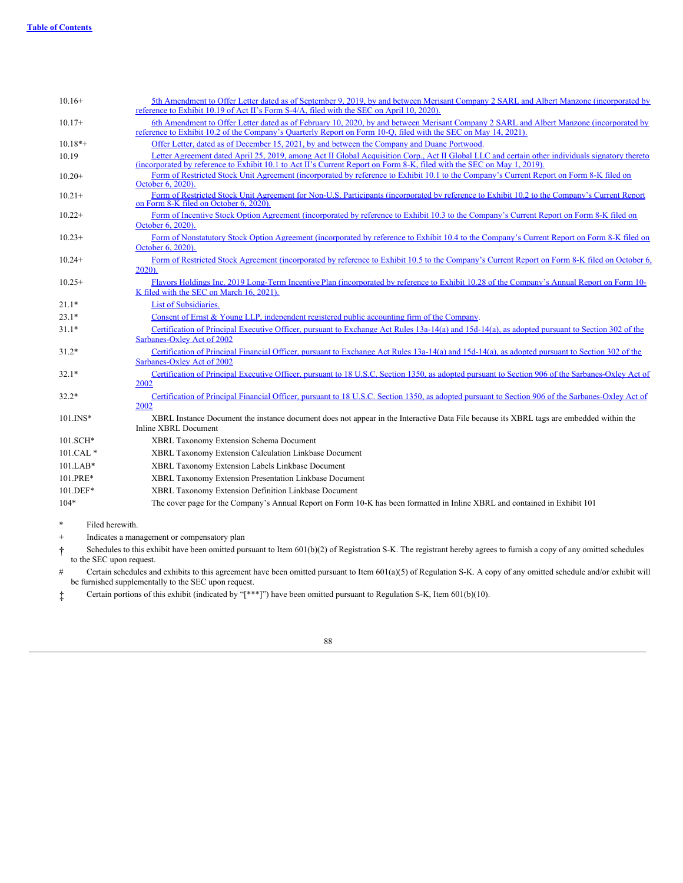| $10.16+$     | 5th Amendment to Offer Letter dated as of September 9, 2019, by and between Merisant Company 2 SARL and Albert Manzone (incorporated by<br>reference to Exhibit 10.19 of Act II's Form S-4/A, filed with the SEC on April 10, 2020).                                      |
|--------------|---------------------------------------------------------------------------------------------------------------------------------------------------------------------------------------------------------------------------------------------------------------------------|
| $10.17+$     | 6th Amendment to Offer Letter dated as of February 10, 2020, by and between Merisant Company 2 SARL and Albert Manzone (incorporated by<br>reference to Exhibit 10.2 of the Company's Quarterly Report on Form 10-Q, filed with the SEC on May 14, 2021).                 |
| $10.18*+$    | Offer Letter, dated as of December 15, 2021, by and between the Company and Duane Portwood.                                                                                                                                                                               |
| 10.19        | Letter Agreement dated April 25, 2019, among Act II Global Acquisition Corp., Act II Global LLC and certain other individuals signatory thereto<br>(incorporated by reference to Exhibit 10.1 to Act II's Current Report on Form 8-K, filed with the SEC on May 1, 2019). |
| $10.20+$     | Form of Restricted Stock Unit Agreement (incorporated by reference to Exhibit 10.1 to the Company's Current Report on Form 8-K filed on<br>October 6, 2020).                                                                                                              |
| $10.21+$     | Form of Restricted Stock Unit Agreement for Non-U.S. Participants (incorporated by reference to Exhibit 10.2 to the Company's Current Report<br>on Form 8-K filed on October 6, $2020$ ).                                                                                 |
| $10.22+$     | Form of Incentive Stock Option Agreement (incorporated by reference to Exhibit 10.3 to the Company's Current Report on Form 8-K filed on<br>October 6, 2020).                                                                                                             |
| $10.23+$     | Form of Nonstatutory Stock Option Agreement (incorporated by reference to Exhibit 10.4 to the Company's Current Report on Form 8-K filed on<br>October 6, 2020).                                                                                                          |
| $10.24+$     | Form of Restricted Stock Agreement (incorporated by reference to Exhibit 10.5 to the Company's Current Report on Form 8-K filed on October 6,<br>$2020$ ).                                                                                                                |
| $10.25+$     | Flavors Holdings Inc. 2019 Long-Term Incentive Plan (incorporated by reference to Exhibit 10.28 of the Company's Annual Report on Form 10-<br>K filed with the SEC on March 16, 2021).                                                                                    |
| $21.1*$      | List of Subsidiaries.                                                                                                                                                                                                                                                     |
| $23.1*$      | Consent of Ernst & Young LLP, independent registered public accounting firm of the Company.                                                                                                                                                                               |
| $31.1*$      | Certification of Principal Executive Officer, pursuant to Exchange Act Rules 13a-14(a) and 15d-14(a), as adopted pursuant to Section 302 of the<br>Sarbanes-Oxley Act of 2002                                                                                             |
| $31.2*$      | Certification of Principal Financial Officer, pursuant to Exchange Act Rules 13a-14(a) and 15d-14(a), as adopted pursuant to Section 302 of the<br>Sarbanes-Oxley Act of 2002                                                                                             |
| $32.1*$      | Certification of Principal Executive Officer, pursuant to 18 U.S.C. Section 1350, as adopted pursuant to Section 906 of the Sarbanes-Oxley Act of<br>2002                                                                                                                 |
| $32.2*$      | Certification of Principal Financial Officer, pursuant to 18 U.S.C. Section 1350, as adopted pursuant to Section 906 of the Sarbanes-Oxley Act of<br>2002                                                                                                                 |
| $101$ . INS* | XBRL Instance Document the instance document does not appear in the Interactive Data File because its XBRL tags are embedded within the<br><b>Inline XBRL Document</b>                                                                                                    |
| 101.SCH*     | XBRL Taxonomy Extension Schema Document                                                                                                                                                                                                                                   |
| 101.CAL *    | XBRL Taxonomy Extension Calculation Linkbase Document                                                                                                                                                                                                                     |
| $101.LAB*$   | XBRL Taxonomy Extension Labels Linkbase Document                                                                                                                                                                                                                          |
| 101.PRE*     | XBRL Taxonomy Extension Presentation Linkbase Document                                                                                                                                                                                                                    |
| 101.DEF*     | XBRL Taxonomy Extension Definition Linkbase Document                                                                                                                                                                                                                      |
| $104*$       | The cover page for the Company's Annual Report on Form 10-K has been formatted in Inline XBRL and contained in Exhibit 101                                                                                                                                                |

\* Filed herewith.

+ Indicates a management or compensatory plan

† Schedules to this exhibit have been omitted pursuant to Item 601(b)(2) of Registration S-K. The registrant hereby agrees to furnish a copy of any omitted schedules to the SEC upon request.

# Certain schedules and exhibits to this agreement have been omitted pursuant to Item 601(a)(5) of Regulation S-K. A copy of any omitted schedule and/or exhibit will be furnished supplementally to the SEC upon request.

‡ Certain portions of this exhibit (indicated by "[\*\*\*]") have been omitted pursuant to Regulation S-K, Item 601(b)(10).

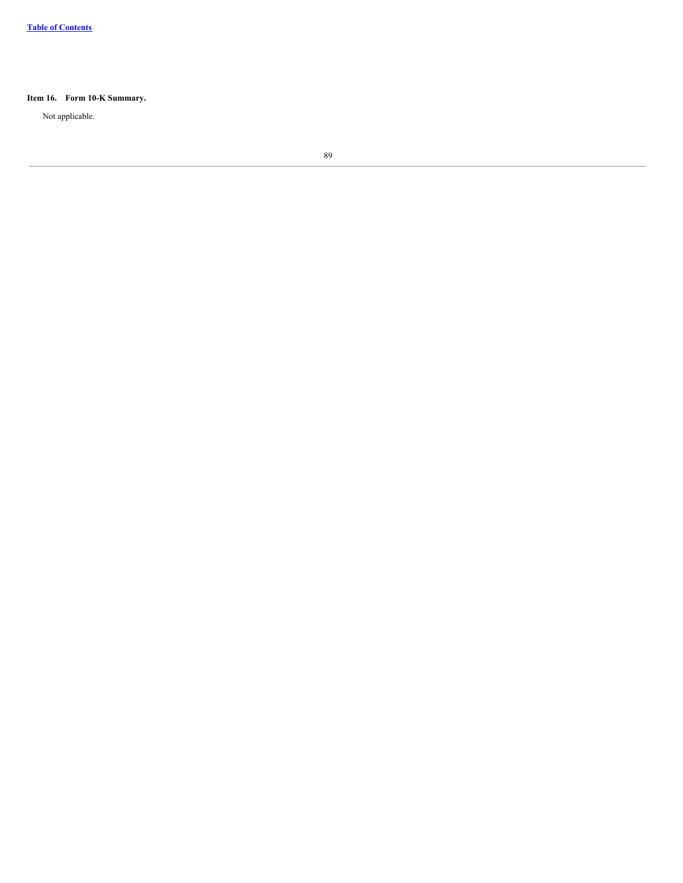# **Item 16. Form 10-K Summary.**

Not applicable.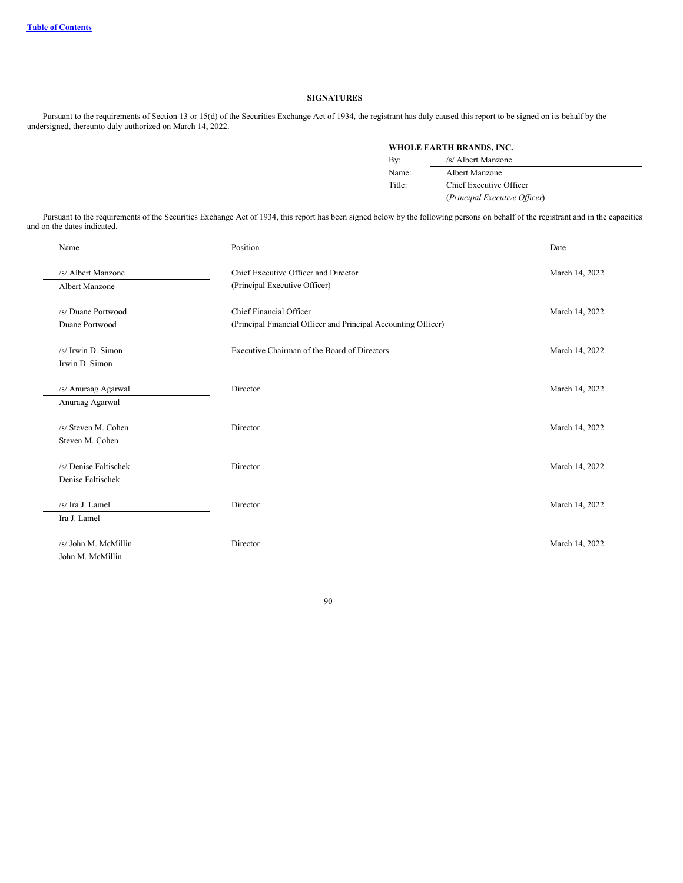# **SIGNATURES**

Pursuant to the requirements of Section 13 or 15(d) of the Securities Exchange Act of 1934, the registrant has duly caused this report to be signed on its behalf by the undersigned, thereunto duly authorized on March 14, 2022.

# **WHOLE EARTH BRANDS, INC.**

| By:    | /s/ Albert Manzone            |  |
|--------|-------------------------------|--|
| Name:  | Albert Manzone                |  |
| Title: | Chief Executive Officer       |  |
|        | (Principal Executive Officer) |  |

Pursuant to the requirements of the Securities Exchange Act of 1934, this report has been signed below by the following persons on behalf of the registrant and in the capacities and on the dates indicated.

| Name                  | Position                                                       | Date           |
|-----------------------|----------------------------------------------------------------|----------------|
| /s/ Albert Manzone    | Chief Executive Officer and Director                           | March 14, 2022 |
| <b>Albert Manzone</b> | (Principal Executive Officer)                                  |                |
| /s/ Duane Portwood    | Chief Financial Officer                                        | March 14, 2022 |
| Duane Portwood        | (Principal Financial Officer and Principal Accounting Officer) |                |
| /s/ Irwin D. Simon    | Executive Chairman of the Board of Directors                   | March 14, 2022 |
| Irwin D. Simon        |                                                                |                |
| /s/ Anuraag Agarwal   | Director                                                       | March 14, 2022 |
| Anuraag Agarwal       |                                                                |                |
| /s/ Steven M. Cohen   | Director                                                       | March 14, 2022 |
| Steven M. Cohen       |                                                                |                |
| /s/ Denise Faltischek | Director                                                       | March 14, 2022 |
| Denise Faltischek     |                                                                |                |
| /s/ Ira J. Lamel      | Director                                                       | March 14, 2022 |
| Ira J. Lamel          |                                                                |                |
| /s/ John M. McMillin  | Director                                                       | March 14, 2022 |
| John M. McMillin      |                                                                |                |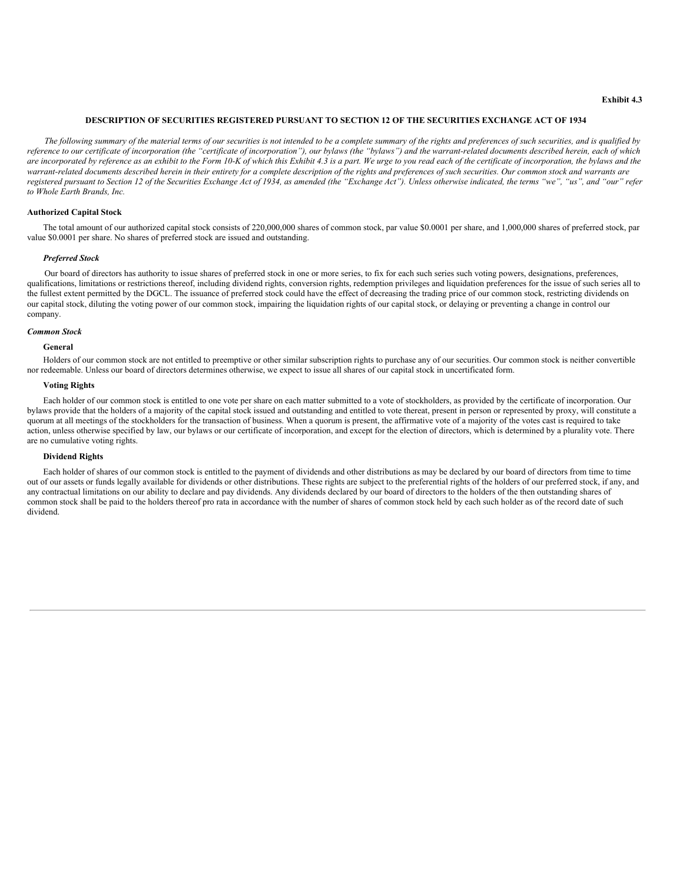### **DESCRIPTION OF SECURITIES REGISTERED PURSUANT TO SECTION 12 OF THE SECURITIES EXCHANGE ACT OF 1934**

The following summary of the material terms of our securities is not intended to be a complete summary of the rights and preferences of such securities, and is qualified by reference to our certificate of incorporation (the "certificate of incorporation"), our bylaws (the "bylaws") and the warrant-related documents described herein, each of which are incorporated by reference as an exhibit to the Form 10-K of which this Exhibit 4.3 is a part. We urge to you read each of the certificate of incorporation, the bylaws and the warrant-related documents described herein in their entirety for a complete description of the rights and preferences of such securities. Our common stock and warrants are registered pursuant to Section 12 of the Securities Exchange Act of 1934, as amended (the "Exchange Act"). Unless otherwise indicated, the terms "we", "us", and "our" refer *to Whole Earth Brands, Inc.*

#### **Authorized Capital Stock**

The total amount of our authorized capital stock consists of 220,000,000 shares of common stock, par value \$0.0001 per share, and 1,000,000 shares of preferred stock, par value \$0.0001 per share. No shares of preferred stock are issued and outstanding.

#### *Preferred Stock*

Our board of directors has authority to issue shares of preferred stock in one or more series, to fix for each such series such voting powers, designations, preferences, qualifications, limitations or restrictions thereof, including dividend rights, conversion rights, redemption privileges and liquidation preferences for the issue of such series all to the fullest extent permitted by the DGCL. The issuance of preferred stock could have the effect of decreasing the trading price of our common stock, restricting dividends on our capital stock, diluting the voting power of our common stock, impairing the liquidation rights of our capital stock, or delaying or preventing a change in control our company.

### *Common Stock*

# **General**

Holders of our common stock are not entitled to preemptive or other similar subscription rights to purchase any of our securities. Our common stock is neither convertible nor redeemable. Unless our board of directors determines otherwise, we expect to issue all shares of our capital stock in uncertificated form.

### **Voting Rights**

Each holder of our common stock is entitled to one vote per share on each matter submitted to a vote of stockholders, as provided by the certificate of incorporation. Our bylaws provide that the holders of a majority of the capital stock issued and outstanding and entitled to vote thereat, present in person or represented by proxy, will constitute a quorum at all meetings of the stockholders for the transaction of business. When a quorum is present, the affirmative vote of a majority of the votes cast is required to take action, unless otherwise specified by law, our bylaws or our certificate of incorporation, and except for the election of directors, which is determined by a plurality vote. There are no cumulative voting rights.

### **Dividend Rights**

Each holder of shares of our common stock is entitled to the payment of dividends and other distributions as may be declared by our board of directors from time to time out of our assets or funds legally available for dividends or other distributions. These rights are subject to the preferential rights of the holders of our preferred stock, if any, and any contractual limitations on our ability to declare and pay dividends. Any dividends declared by our board of directors to the holders of the then outstanding shares of common stock shall be paid to the holders thereof pro rata in accordance with the number of shares of common stock held by each such holder as of the record date of such dividend.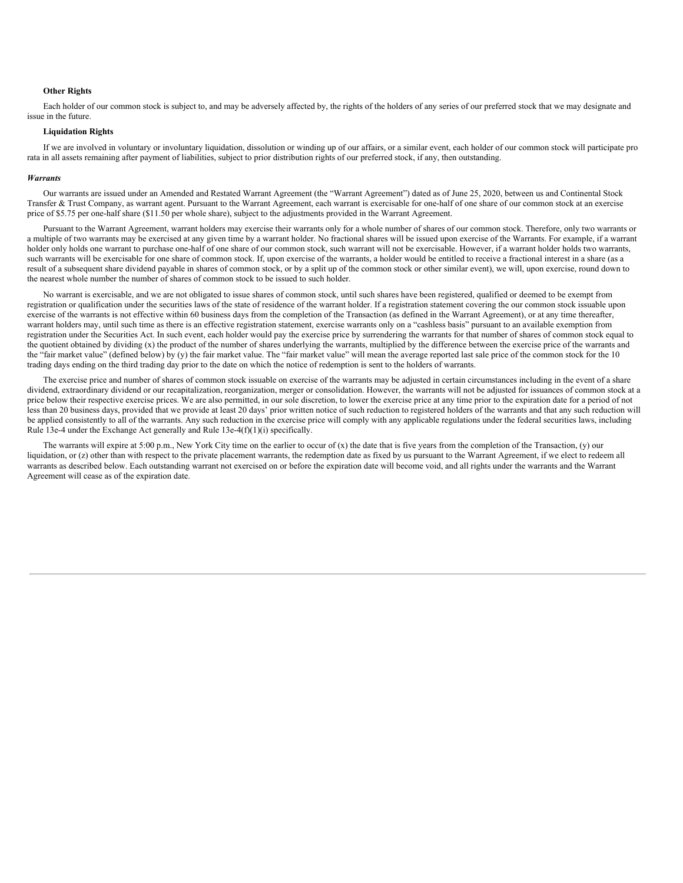### **Other Rights**

Each holder of our common stock is subject to, and may be adversely affected by, the rights of the holders of any series of our preferred stock that we may designate and issue in the future.

### **Liquidation Rights**

If we are involved in voluntary or involuntary liquidation, dissolution or winding up of our affairs, or a similar event, each holder of our common stock will participate pro rata in all assets remaining after payment of liabilities, subject to prior distribution rights of our preferred stock, if any, then outstanding.

#### *Warrants*

Our warrants are issued under an Amended and Restated Warrant Agreement (the "Warrant Agreement") dated as of June 25, 2020, between us and Continental Stock Transfer & Trust Company, as warrant agent. Pursuant to the Warrant Agreement, each warrant is exercisable for one-half of one share of our common stock at an exercise price of \$5.75 per one-half share (\$11.50 per whole share), subject to the adjustments provided in the Warrant Agreement.

Pursuant to the Warrant Agreement, warrant holders may exercise their warrants only for a whole number of shares of our common stock. Therefore, only two warrants or a multiple of two warrants may be exercised at any given time by a warrant holder. No fractional shares will be issued upon exercise of the Warrants. For example, if a warrant holder only holds one warrant to purchase one-half of one share of our common stock, such warrant will not be exercisable. However, if a warrant holder holds two warrants, such warrants will be exercisable for one share of common stock. If, upon exercise of the warrants, a holder would be entitled to receive a fractional interest in a share (as a result of a subsequent share dividend payable in shares of common stock, or by a split up of the common stock or other similar event), we will, upon exercise, round down to the nearest whole number the number of shares of common stock to be issued to such holder.

No warrant is exercisable, and we are not obligated to issue shares of common stock, until such shares have been registered, qualified or deemed to be exempt from registration or qualification under the securities laws of the state of residence of the warrant holder. If a registration statement covering the our common stock issuable upon exercise of the warrants is not effective within 60 business days from the completion of the Transaction (as defined in the Warrant Agreement), or at any time thereafter, warrant holders may, until such time as there is an effective registration statement, exercise warrants only on a "cashless basis" pursuant to an available exemption from registration under the Securities Act. In such event, each holder would pay the exercise price by surrendering the warrants for that number of shares of common stock equal to the quotient obtained by dividing (x) the product of the number of shares underlying the warrants, multiplied by the difference between the exercise price of the warrants and the "fair market value" (defined below) by (y) the fair market value. The "fair market value" will mean the average reported last sale price of the common stock for the 10 trading days ending on the third trading day prior to the date on which the notice of redemption is sent to the holders of warrants.

The exercise price and number of shares of common stock issuable on exercise of the warrants may be adjusted in certain circumstances including in the event of a share dividend, extraordinary dividend or our recapitalization, reorganization, merger or consolidation. However, the warrants will not be adjusted for issuances of common stock at a price below their respective exercise prices. We are also permitted, in our sole discretion, to lower the exercise price at any time prior to the expiration date for a period of not less than 20 business days, provided that we provide at least 20 days' prior written notice of such reduction to registered holders of the warrants and that any such reduction will be applied consistently to all of the warrants. Any such reduction in the exercise price will comply with any applicable regulations under the federal securities laws, including Rule 13e-4 under the Exchange Act generally and Rule 13e-4(f)(1)(i) specifically.

The warrants will expire at 5:00 p.m., New York City time on the earlier to occur of (x) the date that is five years from the completion of the Transaction, (y) our liquidation, or (z) other than with respect to the private placement warrants, the redemption date as fixed by us pursuant to the Warrant Agreement, if we elect to redeem all warrants as described below. Each outstanding warrant not exercised on or before the expiration date will become void, and all rights under the warrants and the Warrant Agreement will cease as of the expiration date.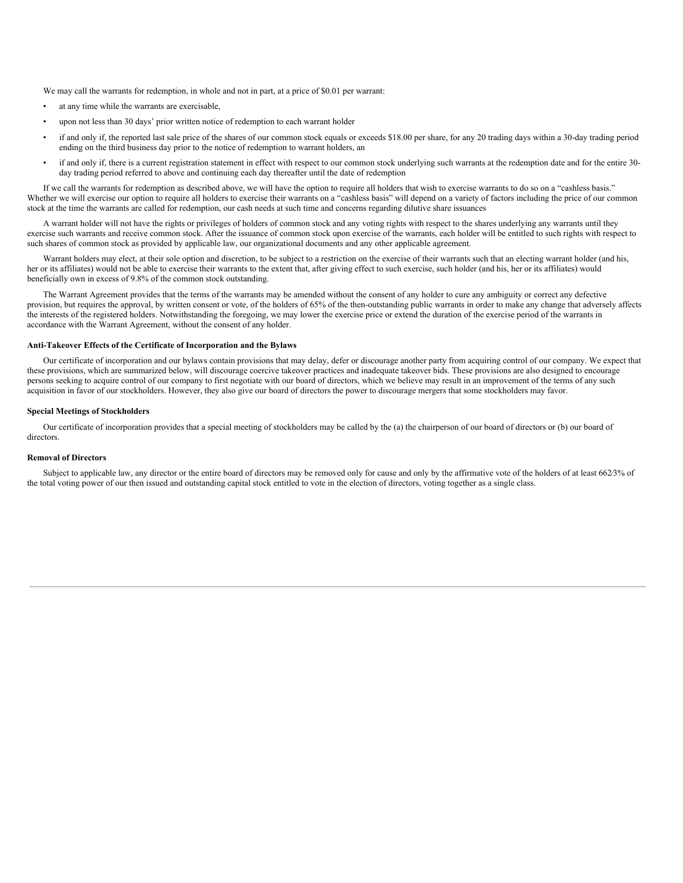<span id="page-95-0"></span>We may call the warrants for redemption, in whole and not in part, at a price of \$0.01 per warrant:

- at any time while the warrants are exercisable,
- upon not less than 30 days' prior written notice of redemption to each warrant holder
- if and only if, the reported last sale price of the shares of our common stock equals or exceeds \$18.00 per share, for any 20 trading days within a 30-day trading period ending on the third business day prior to the notice of redemption to warrant holders, an
- if and only if, there is a current registration statement in effect with respect to our common stock underlying such warrants at the redemption date and for the entire 30 day trading period referred to above and continuing each day thereafter until the date of redemption

If we call the warrants for redemption as described above, we will have the option to require all holders that wish to exercise warrants to do so on a "cashless basis." Whether we will exercise our option to require all holders to exercise their warrants on a "cashless basis" will depend on a variety of factors including the price of our common stock at the time the warrants are called for redemption, our cash needs at such time and concerns regarding dilutive share issuances

A warrant holder will not have the rights or privileges of holders of common stock and any voting rights with respect to the shares underlying any warrants until they exercise such warrants and receive common stock. After the issuance of common stock upon exercise of the warrants, each holder will be entitled to such rights with respect to such shares of common stock as provided by applicable law, our organizational documents and any other applicable agreement.

Warrant holders may elect, at their sole option and discretion, to be subject to a restriction on the exercise of their warrants such that an electing warrant holder (and his, her or its affiliates) would not be able to exercise their warrants to the extent that, after giving effect to such exercise, such holder (and his, her or its affiliates) would beneficially own in excess of 9.8% of the common stock outstanding.

The Warrant Agreement provides that the terms of the warrants may be amended without the consent of any holder to cure any ambiguity or correct any defective provision, but requires the approval, by written consent or vote, of the holders of 65% of the then-outstanding public warrants in order to make any change that adversely affects the interests of the registered holders. Notwithstanding the foregoing, we may lower the exercise price or extend the duration of the exercise period of the warrants in accordance with the Warrant Agreement, without the consent of any holder.

### **Anti-Takeover Effects of the Certificate of Incorporation and the Bylaws**

Our certificate of incorporation and our bylaws contain provisions that may delay, defer or discourage another party from acquiring control of our company. We expect that these provisions, which are summarized below, will discourage coercive takeover practices and inadequate takeover bids. These provisions are also designed to encourage persons seeking to acquire control of our company to first negotiate with our board of directors, which we believe may result in an improvement of the terms of any such acquisition in favor of our stockholders. However, they also give our board of directors the power to discourage mergers that some stockholders may favor.

# **Special Meetings of Stockholders**

Our certificate of incorporation provides that a special meeting of stockholders may be called by the (a) the chairperson of our board of directors or (b) our board of directors.

# **Removal of Directors**

Subject to applicable law, any director or the entire board of directors may be removed only for cause and only by the affirmative vote of the holders of at least 662/3% of the total voting power of our then issued and outstanding capital stock entitled to vote in the election of directors, voting together as a single class.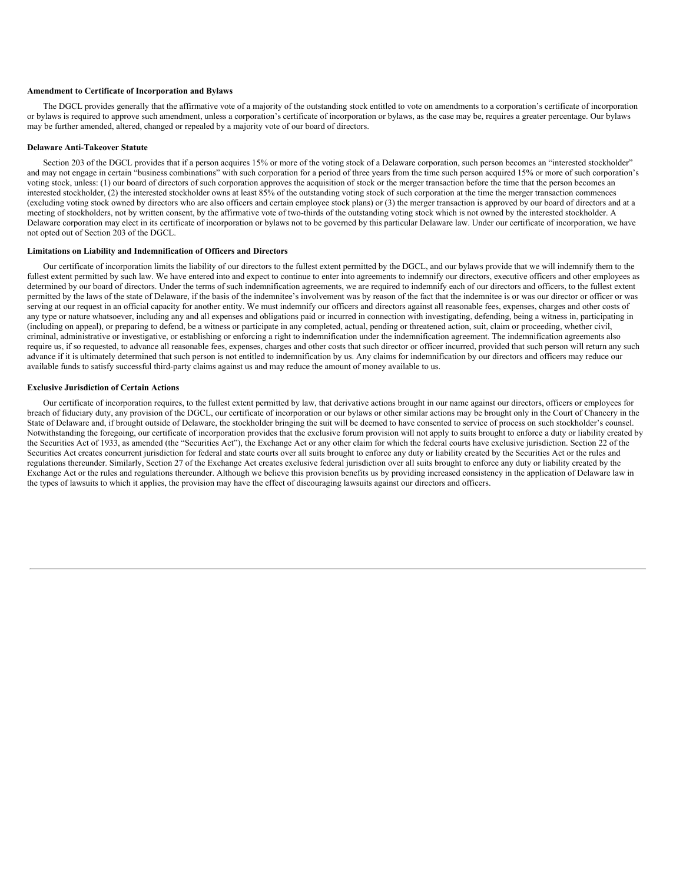### **Amendment to Certificate of Incorporation and Bylaws**

The DGCL provides generally that the affirmative vote of a majority of the outstanding stock entitled to vote on amendments to a corporation's certificate of incorporation or bylaws is required to approve such amendment, unless a corporation's certificate of incorporation or bylaws, as the case may be, requires a greater percentage. Our bylaws may be further amended, altered, changed or repealed by a majority vote of our board of directors.

# **Delaware Anti-Takeover Statute**

Section 203 of the DGCL provides that if a person acquires 15% or more of the voting stock of a Delaware corporation, such person becomes an "interested stockholder" and may not engage in certain "business combinations" with such corporation for a period of three years from the time such person acquired 15% or more of such corporation's voting stock, unless: (1) our board of directors of such corporation approves the acquisition of stock or the merger transaction before the time that the person becomes an interested stockholder, (2) the interested stockholder owns at least 85% of the outstanding voting stock of such corporation at the time the merger transaction commences (excluding voting stock owned by directors who are also officers and certain employee stock plans) or (3) the merger transaction is approved by our board of directors and at a meeting of stockholders, not by written consent, by the affirmative vote of two-thirds of the outstanding voting stock which is not owned by the interested stockholder. A Delaware corporation may elect in its certificate of incorporation or bylaws not to be governed by this particular Delaware law. Under our certificate of incorporation, we have not opted out of Section 203 of the DGCL.

### **Limitations on Liability and Indemnification of Officers and Directors**

Our certificate of incorporation limits the liability of our directors to the fullest extent permitted by the DGCL, and our bylaws provide that we will indemnify them to the fullest extent permitted by such law. We have entered into and expect to continue to enter into agreements to indemnify our directors, executive officers and other employees as determined by our board of directors. Under the terms of such indemnification agreements, we are required to indemnify each of our directors and officers, to the fullest extent permitted by the laws of the state of Delaware, if the basis of the indemnitee's involvement was by reason of the fact that the indemnitee is or was our director or officer or was serving at our request in an official capacity for another entity. We must indemnify our officers and directors against all reasonable fees, expenses, charges and other costs of any type or nature whatsoever, including any and all expenses and obligations paid or incurred in connection with investigating, defending, being a witness in, participating in (including on appeal), or preparing to defend, be a witness or participate in any completed, actual, pending or threatened action, suit, claim or proceeding, whether civil, criminal, administrative or investigative, or establishing or enforcing a right to indemnification under the indemnification agreement. The indemnification agreements also require us, if so requested, to advance all reasonable fees, expenses, charges and other costs that such director or officer incurred, provided that such person will return any such advance if it is ultimately determined that such person is not entitled to indemnification by us. Any claims for indemnification by our directors and officers may reduce our available funds to satisfy successful third-party claims against us and may reduce the amount of money available to us.

#### **Exclusive Jurisdiction of Certain Actions**

Our certificate of incorporation requires, to the fullest extent permitted by law, that derivative actions brought in our name against our directors, officers or employees for breach of fiduciary duty, any provision of the DGCL, our certificate of incorporation or our bylaws or other similar actions may be brought only in the Court of Chancery in the State of Delaware and, if brought outside of Delaware, the stockholder bringing the suit will be deemed to have consented to service of process on such stockholder's counsel. Notwithstanding the foregoing, our certificate of incorporation provides that the exclusive forum provision will not apply to suits brought to enforce a duty or liability created by the Securities Act of 1933, as amended (the "Securities Act"), the Exchange Act or any other claim for which the federal courts have exclusive jurisdiction. Section 22 of the Securities Act creates concurrent jurisdiction for federal and state courts over all suits brought to enforce any duty or liability created by the Securities Act or the rules and regulations thereunder. Similarly, Section 27 of the Exchange Act creates exclusive federal jurisdiction over all suits brought to enforce any duty or liability created by the Exchange Act or the rules and regulations thereunder. Although we believe this provision benefits us by providing increased consistency in the application of Delaware law in the types of lawsuits to which it applies, the provision may have the effect of discouraging lawsuits against our directors and officers.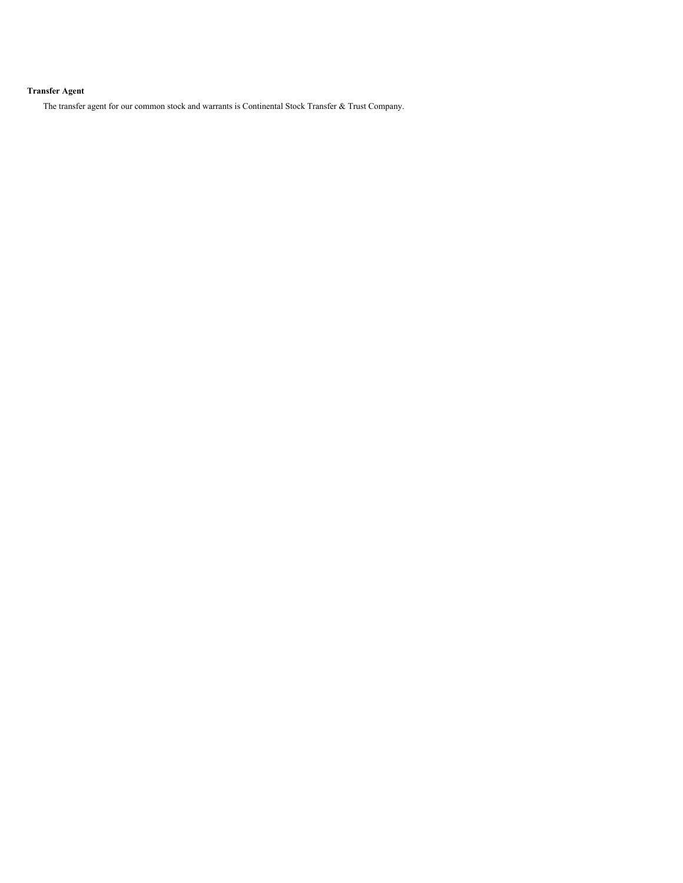# **Transfer Agent**

The transfer agent for our common stock and warrants is Continental Stock Transfer & Trust Company.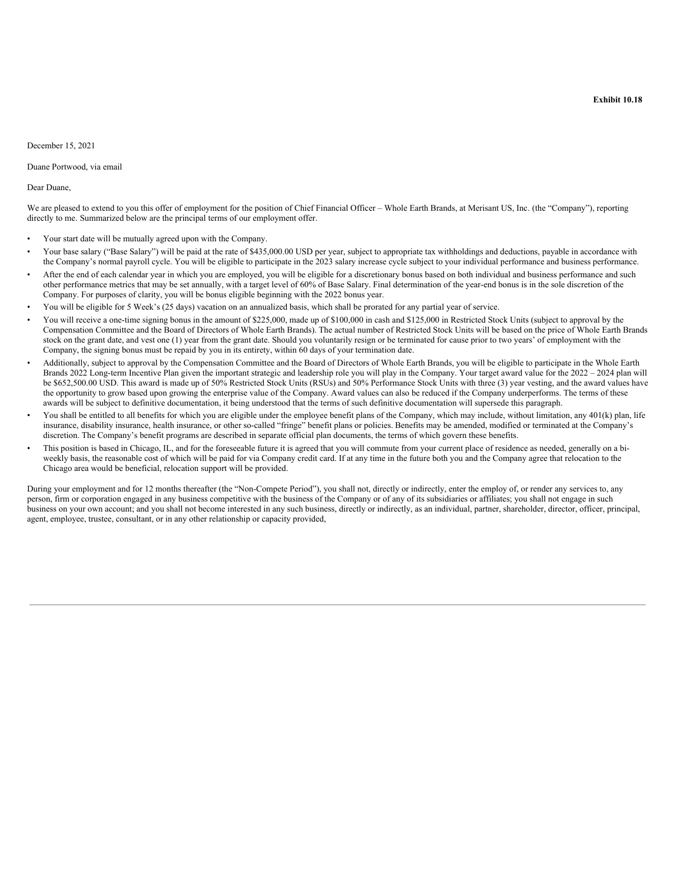### **Exhibit 10.18**

### <span id="page-98-0"></span>December 15, 2021

Duane Portwood, via email

Dear Duane,

We are pleased to extend to you this offer of employment for the position of Chief Financial Officer – Whole Earth Brands, at Merisant US, Inc. (the "Company"), reporting directly to me. Summarized below are the principal terms of our employment offer.

- Your start date will be mutually agreed upon with the Company.
- Your base salary ("Base Salary") will be paid at the rate of \$435,000.00 USD per year, subject to appropriate tax withholdings and deductions, payable in accordance with the Company's normal payroll cycle. You will be eligible to participate in the 2023 salary increase cycle subject to your individual performance and business performance.
- After the end of each calendar year in which you are employed, you will be eligible for a discretionary bonus based on both individual and business performance and such other performance metrics that may be set annually, with a target level of 60% of Base Salary. Final determination of the year-end bonus is in the sole discretion of the Company. For purposes of clarity, you will be bonus eligible beginning with the 2022 bonus year.
- You will be eligible for 5 Week's (25 days) vacation on an annualized basis, which shall be prorated for any partial year of service.
- You will receive a one-time signing bonus in the amount of \$225,000, made up of \$100,000 in cash and \$125,000 in Restricted Stock Units (subject to approval by the Compensation Committee and the Board of Directors of Whole Earth Brands). The actual number of Restricted Stock Units will be based on the price of Whole Earth Brands stock on the grant date, and vest one (1) year from the grant date. Should you voluntarily resign or be terminated for cause prior to two years' of employment with the Company, the signing bonus must be repaid by you in its entirety, within 60 days of your termination date.
- Additionally, subject to approval by the Compensation Committee and the Board of Directors of Whole Earth Brands, you will be eligible to participate in the Whole Earth Brands 2022 Long-term Incentive Plan given the important strategic and leadership role you will play in the Company. Your target award value for the 2022 – 2024 plan will be \$652,500.00 USD. This award is made up of 50% Restricted Stock Units (RSUs) and 50% Performance Stock Units with three (3) year vesting, and the award values have the opportunity to grow based upon growing the enterprise value of the Company. Award values can also be reduced if the Company underperforms. The terms of these awards will be subject to definitive documentation, it being understood that the terms of such definitive documentation will supersede this paragraph.
- You shall be entitled to all benefits for which you are eligible under the employee benefit plans of the Company, which may include, without limitation, any 401(k) plan, life insurance, disability insurance, health insurance, or other so-called "fringe" benefit plans or policies. Benefits may be amended, modified or terminated at the Company's discretion. The Company's benefit programs are described in separate official plan documents, the terms of which govern these benefits.
- This position is based in Chicago, IL, and for the foreseeable future it is agreed that you will commute from your current place of residence as needed, generally on a biweekly basis, the reasonable cost of which will be paid for via Company credit card. If at any time in the future both you and the Company agree that relocation to the Chicago area would be beneficial, relocation support will be provided.

During your employment and for 12 months thereafter (the "Non-Compete Period"), you shall not, directly or indirectly, enter the employ of, or render any services to, any person, firm or corporation engaged in any business competitive with the business of the Company or of any of its subsidiaries or affiliates; you shall not engage in such business on your own account; and you shall not become interested in any such business, directly or indirectly, as an individual, partner, shareholder, director, officer, principal, agent, employee, trustee, consultant, or in any other relationship or capacity provided,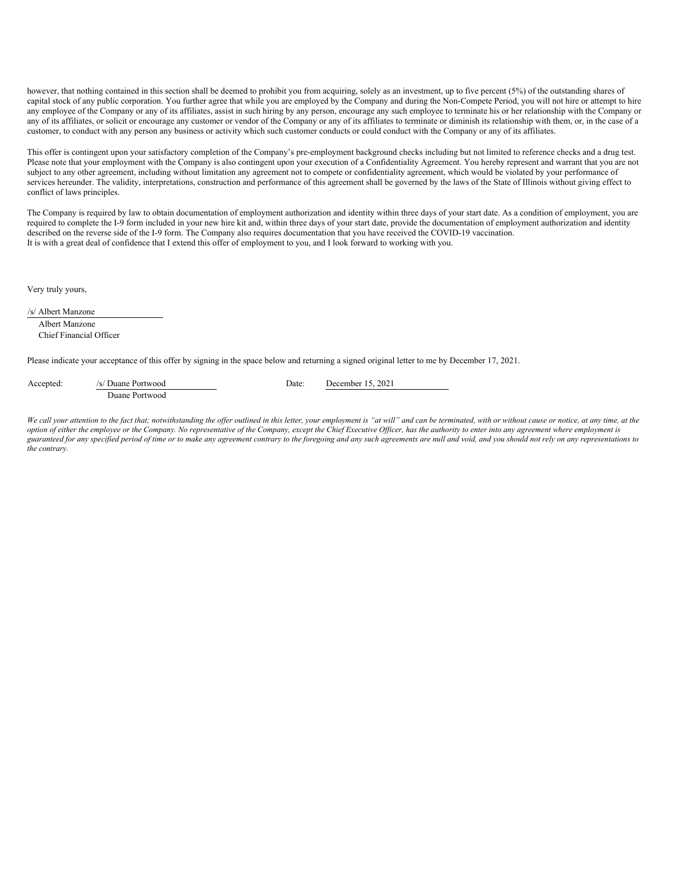however, that nothing contained in this section shall be deemed to prohibit you from acquiring, solely as an investment, up to five percent (5%) of the outstanding shares of capital stock of any public corporation. You further agree that while you are employed by the Company and during the Non-Compete Period, you will not hire or attempt to hire any employee of the Company or any of its affiliates, assist in such hiring by any person, encourage any such employee to terminate his or her relationship with the Company or any of its affiliates, or solicit or encourage any customer or vendor of the Company or any of its affiliates to terminate or diminish its relationship with them, or, in the case of a customer, to conduct with any person any business or activity which such customer conducts or could conduct with the Company or any of its affiliates.

This offer is contingent upon your satisfactory completion of the Company's pre-employment background checks including but not limited to reference checks and a drug test. Please note that your employment with the Company is also contingent upon your execution of a Confidentiality Agreement. You hereby represent and warrant that you are not subject to any other agreement, including without limitation any agreement not to compete or confidentiality agreement, which would be violated by your performance of services hereunder. The validity, interpretations, construction and performance of this agreement shall be governed by the laws of the State of Illinois without giving effect to conflict of laws principles.

The Company is required by law to obtain documentation of employment authorization and identity within three days of your start date. As a condition of employment, you are required to complete the I-9 form included in your new hire kit and, within three days of your start date, provide the documentation of employment authorization and identity described on the reverse side of the I-9 form. The Company also requires documentation that you have received the COVID-19 vaccination. It is with a great deal of confidence that I extend this offer of employment to you, and I look forward to working with you.

Very truly yours,

/s/ Albert Manzone Albert Manzone Chief Financial Officer

Please indicate your acceptance of this offer by signing in the space below and returning a signed original letter to me by December 17, 2021.

Duane Portwood

Accepted: /s/ Duane Portwood Date: December 15, 2021

We call your attention to the fact that; notwithstanding the offer outlined in this letter, your employment is "at will" and can be terminated, with or without cause or notice, at any time, at the option of either the employee or the Company. No representative of the Company, except the Chief Executive Officer, has the authority to enter into any agreement where employment is guaranteed for any specified period of time or to make any agreement contrary to the foregoing and any such agreements are null and yoid, and you should not rely on any representations to *the contrary.*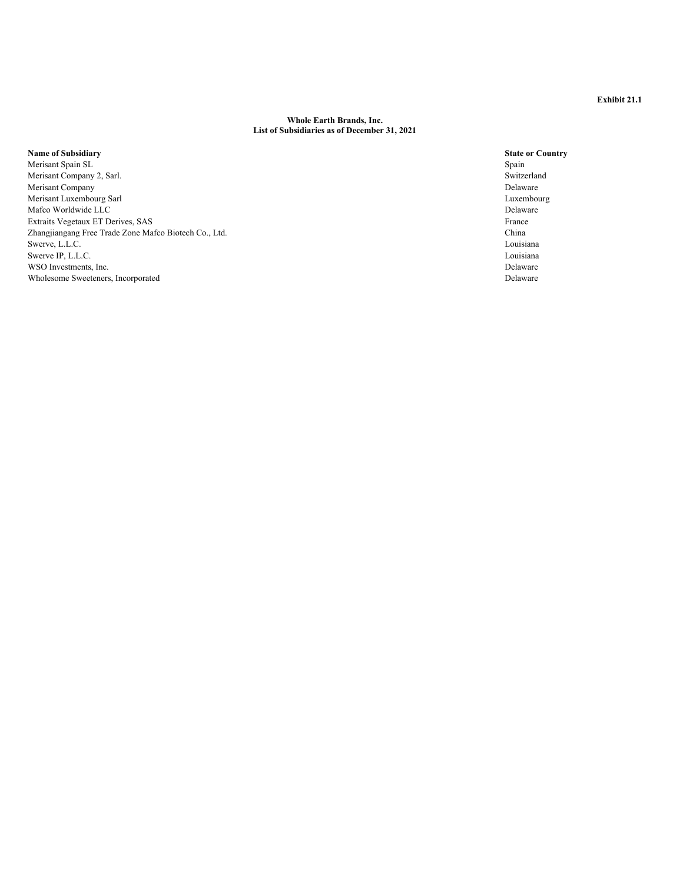# **Whole Earth Brands, Inc. List of Subsidiaries as of December 31, 2021**

# <span id="page-100-0"></span>**Name of Subsidiary State or Country**

Merisant Spain SL Spain SL Spain SL Spain SL Spain SL Spain SL Spain SL Spain SL Spain SL Spain SL Spain SL Spain SL Spain SL Spain SL Spain SL Spain SL Spain SL Spain SL Spain SL Spain SL Spain SL Spain SL Spain SL Spain Merisant Company 2, Sarl. Switzerland Merisant Company Delaware **Delaware** Delaware **Delaware Delaware Delaware Delaware** Merisant Luxembourg Sarl Luxembourg (National School of the United School of the United School of the United School of the United School of the United School of the United School of the United School of the United School o Mafco Worldwide LLC Extraits Vegetaux ET Derives, SAS France Zhangjiangang Free Trade Zone Mafco Biotech Co., Ltd. China Swerve, L.L.C. Louisiana Swerve IP, L.L.C. Louisiana and the contract of the contract of the contract of the contract of the contract of the contract of the contract of the contract of the contract of the contract of the contract of the contract o WSO Investments, Inc. Delaware<br>Wholesome Sweeteners, Incorporated Delaware Wholesome Sweeteners, Incorporated

# **Exhibit 21.1**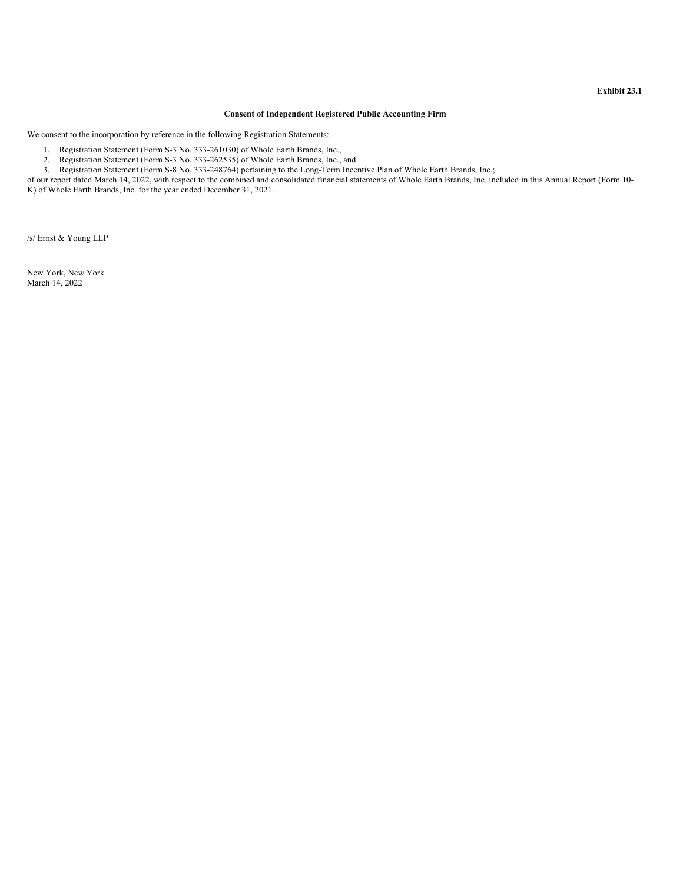### **Consent of Independent Registered Public Accounting Firm**

<span id="page-101-0"></span>We consent to the incorporation by reference in the following Registration Statements:

1. Registration Statement (Form S-3 No. 333-261030) of Whole Earth Brands, Inc.,

- 2. Registration Statement (Form S-3 No. 333-262535) of Whole Earth Brands, Inc., and
- 3. Registration Statement (Form S-8 No. 333-248764) pertaining to the Long-Term Incentive Plan of Whole Earth Brands, Inc.;

of our report dated March 14, 2022, with respect to the combined and consolidated financial statements of Whole Earth Brands, Inc. included in this Annual Report (Form 10- K) of Whole Earth Brands, Inc. for the year ended December 31, 2021.

/s/ Ernst & Young LLP

New York, New York March 14, 2022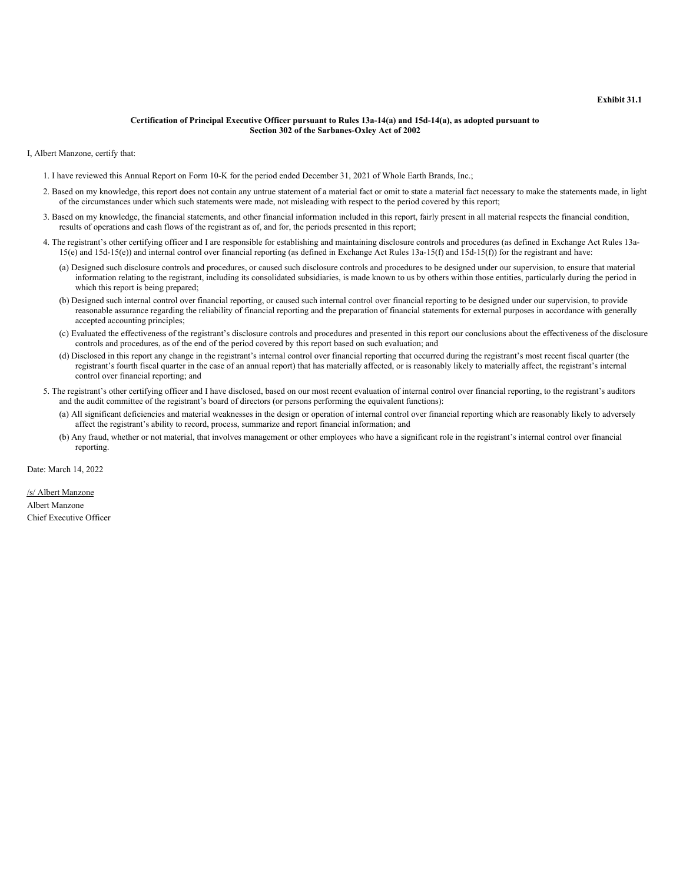# **Exhibit 31.1**

### **Certification of Principal Executive Officer pursuant to Rules 13a-14(a) and 15d-14(a), as adopted pursuant to Section 302 of the Sarbanes-Oxley Act of 2002**

<span id="page-102-0"></span>I, Albert Manzone, certify that:

- 1. I have reviewed this Annual Report on Form 10-K for the period ended December 31, 2021 of Whole Earth Brands, Inc.;
- 2. Based on my knowledge, this report does not contain any untrue statement of a material fact or omit to state a material fact necessary to make the statements made, in light of the circumstances under which such statements were made, not misleading with respect to the period covered by this report;
- 3. Based on my knowledge, the financial statements, and other financial information included in this report, fairly present in all material respects the financial condition, results of operations and cash flows of the registrant as of, and for, the periods presented in this report;
- 4. The registrant's other certifying officer and I are responsible for establishing and maintaining disclosure controls and procedures (as defined in Exchange Act Rules 13a-15(e) and 15d-15(e)) and internal control over financial reporting (as defined in Exchange Act Rules 13a-15(f) and 15d-15(f)) for the registrant and have:
	- (a) Designed such disclosure controls and procedures, or caused such disclosure controls and procedures to be designed under our supervision, to ensure that material information relating to the registrant, including its consolidated subsidiaries, is made known to us by others within those entities, particularly during the period in which this report is being prepared;
	- (b) Designed such internal control over financial reporting, or caused such internal control over financial reporting to be designed under our supervision, to provide reasonable assurance regarding the reliability of financial reporting and the preparation of financial statements for external purposes in accordance with generally accepted accounting principles;
	- (c) Evaluated the effectiveness of the registrant's disclosure controls and procedures and presented in this report our conclusions about the effectiveness of the disclosure controls and procedures, as of the end of the period covered by this report based on such evaluation; and
	- (d) Disclosed in this report any change in the registrant's internal control over financial reporting that occurred during the registrant's most recent fiscal quarter (the registrant's fourth fiscal quarter in the case of an annual report) that has materially affected, or is reasonably likely to materially affect, the registrant's internal control over financial reporting; and
- 5. The registrant's other certifying officer and I have disclosed, based on our most recent evaluation of internal control over financial reporting, to the registrant's auditors and the audit committee of the registrant's board of directors (or persons performing the equivalent functions):
	- (a) All significant deficiencies and material weaknesses in the design or operation of internal control over financial reporting which are reasonably likely to adversely affect the registrant's ability to record, process, summarize and report financial information; and
	- (b) Any fraud, whether or not material, that involves management or other employees who have a significant role in the registrant's internal control over financial reporting.

Date: March 14, 2022

/s/ Albert Manzone Albert Manzone Chief Executive Officer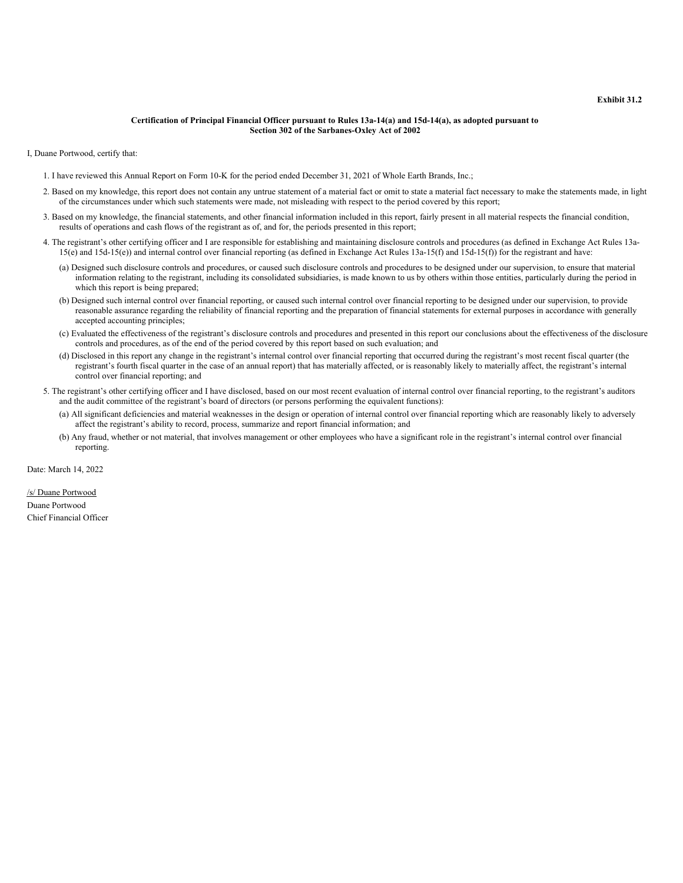# **Exhibit 31.2**

### **Certification of Principal Financial Officer pursuant to Rules 13a-14(a) and 15d-14(a), as adopted pursuant to Section 302 of the Sarbanes-Oxley Act of 2002**

<span id="page-103-0"></span>I, Duane Portwood, certify that:

- 1. I have reviewed this Annual Report on Form 10-K for the period ended December 31, 2021 of Whole Earth Brands, Inc.;
- 2. Based on my knowledge, this report does not contain any untrue statement of a material fact or omit to state a material fact necessary to make the statements made, in light of the circumstances under which such statements were made, not misleading with respect to the period covered by this report;
- 3. Based on my knowledge, the financial statements, and other financial information included in this report, fairly present in all material respects the financial condition, results of operations and cash flows of the registrant as of, and for, the periods presented in this report;
- 4. The registrant's other certifying officer and I are responsible for establishing and maintaining disclosure controls and procedures (as defined in Exchange Act Rules 13a-15(e) and 15d-15(e)) and internal control over financial reporting (as defined in Exchange Act Rules 13a-15(f) and 15d-15(f)) for the registrant and have:
	- (a) Designed such disclosure controls and procedures, or caused such disclosure controls and procedures to be designed under our supervision, to ensure that material information relating to the registrant, including its consolidated subsidiaries, is made known to us by others within those entities, particularly during the period in which this report is being prepared;
	- (b) Designed such internal control over financial reporting, or caused such internal control over financial reporting to be designed under our supervision, to provide reasonable assurance regarding the reliability of financial reporting and the preparation of financial statements for external purposes in accordance with generally accepted accounting principles;
	- (c) Evaluated the effectiveness of the registrant's disclosure controls and procedures and presented in this report our conclusions about the effectiveness of the disclosure controls and procedures, as of the end of the period covered by this report based on such evaluation; and
	- (d) Disclosed in this report any change in the registrant's internal control over financial reporting that occurred during the registrant's most recent fiscal quarter (the registrant's fourth fiscal quarter in the case of an annual report) that has materially affected, or is reasonably likely to materially affect, the registrant's internal control over financial reporting; and
- 5. The registrant's other certifying officer and I have disclosed, based on our most recent evaluation of internal control over financial reporting, to the registrant's auditors and the audit committee of the registrant's board of directors (or persons performing the equivalent functions):
	- (a) All significant deficiencies and material weaknesses in the design or operation of internal control over financial reporting which are reasonably likely to adversely affect the registrant's ability to record, process, summarize and report financial information; and
	- (b) Any fraud, whether or not material, that involves management or other employees who have a significant role in the registrant's internal control over financial reporting.

Date: March 14, 2022

/s/ Duane Portwood Duane Portwood Chief Financial Officer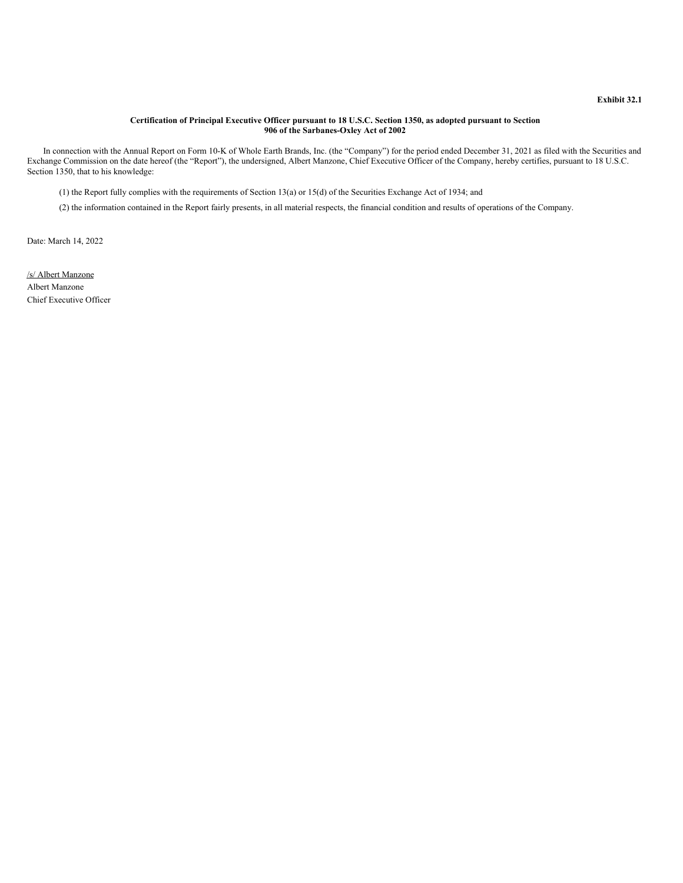### **Certification of Principal Executive Officer pursuant to 18 U.S.C. Section 1350, as adopted pursuant to Section 906 of the Sarbanes-Oxley Act of 2002**

<span id="page-104-0"></span>In connection with the Annual Report on Form 10-K of Whole Earth Brands, Inc. (the "Company") for the period ended December 31, 2021 as filed with the Securities and Exchange Commission on the date hereof (the "Report"), the undersigned, Albert Manzone, Chief Executive Officer of the Company, hereby certifies, pursuant to 18 U.S.C. Section 1350, that to his knowledge:

(1) the Report fully complies with the requirements of Section 13(a) or 15(d) of the Securities Exchange Act of 1934; and

(2) the information contained in the Report fairly presents, in all material respects, the financial condition and results of operations of the Company.

Date: March 14, 2022

/s/ Albert Manzone Albert Manzone Chief Executive Officer